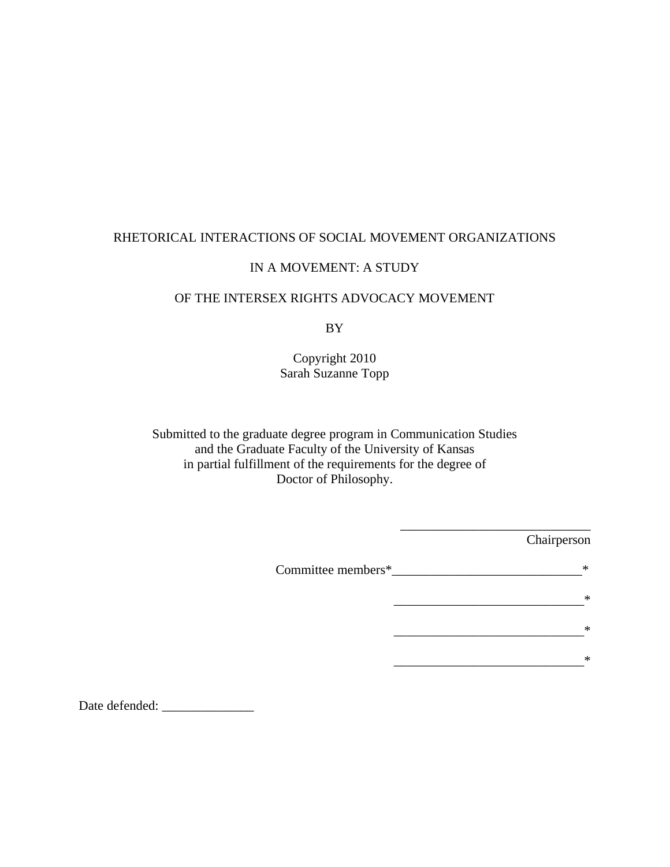# RHETORICAL INTERACTIONS OF SOCIAL MOVEMENT ORGANIZATIONS

# IN A MOVEMENT: A STUDY

# OF THE INTERSEX RIGHTS ADVOCACY MOVEMENT

BY

Copyright 2010 Sarah Suzanne Topp

Submitted to the graduate degree program in Communication Studies and the Graduate Faculty of the University of Kansas in partial fulfillment of the requirements for the degree of Doctor of Philosophy.

|                    | Chairperson |
|--------------------|-------------|
| Committee members* | *           |
|                    | $\ast$      |
|                    | $\ast$      |
|                    | $\ast$      |

\_\_\_\_\_\_\_\_\_\_\_\_\_\_\_\_\_\_\_\_\_\_\_\_\_\_\_\_\_

Date defended: \_\_\_\_\_\_\_\_\_\_\_\_\_\_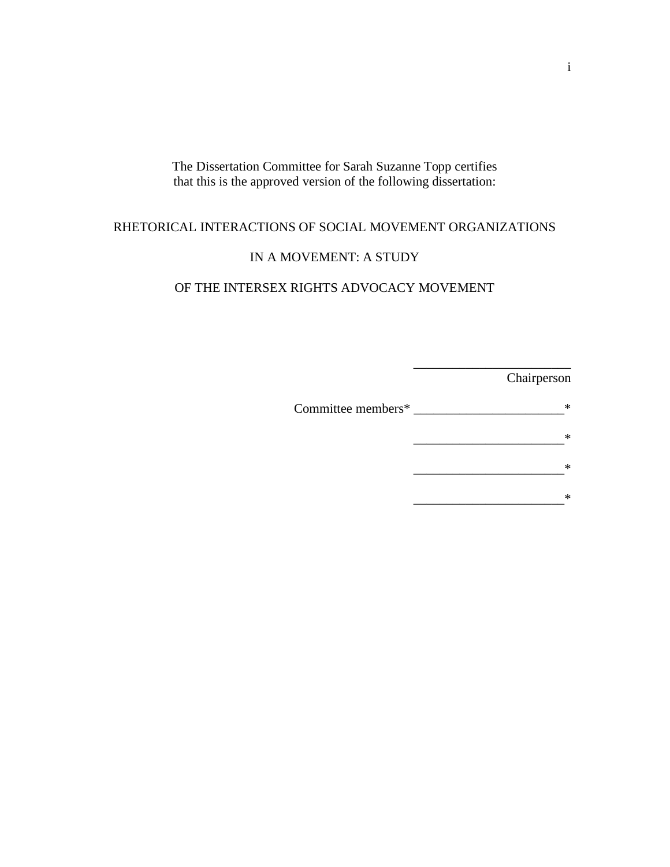The Dissertation Committee for Sarah Suzanne Topp certifies that this is the approved version of the following dissertation:

# RHETORICAL INTERACTIONS OF SOCIAL MOVEMENT ORGANIZATIONS

# IN A MOVEMENT: A STUDY

## OF THE INTERSEX RIGHTS ADVOCACY MOVEMENT

\_\_\_\_\_\_\_\_\_\_\_\_\_\_\_\_\_\_\_\_\_\_\_\_ Chairperson Committee members\* \_\_\_\_\_\_\_\_\_\_\_\_\_\_\_\_\_\_\_\_\_\_\_\* \_\_\_\_\_\_\_\_\_\_\_\_\_\_\_\_\_\_\_\_\_\_\_\* \_\_\_\_\_\_\_\_\_\_\_\_\_\_\_\_\_\_\_\_\_\_\_\* \_\_\_\_\_\_\_\_\_\_\_\_\_\_\_\_\_\_\_\_\_\_\_\*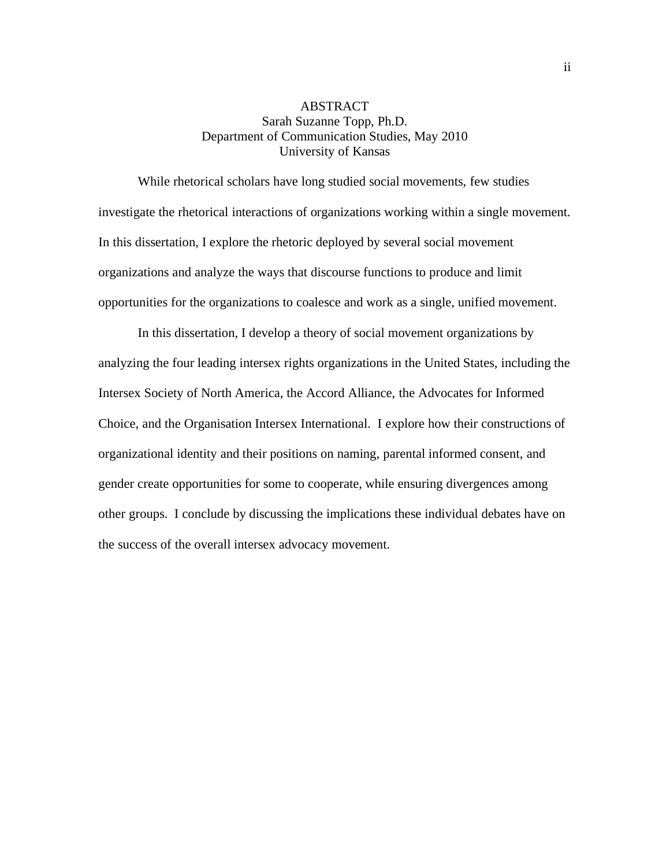# ABSTRACT Sarah Suzanne Topp, Ph.D. Department of Communication Studies, May 2010 University of Kansas

While rhetorical scholars have long studied social movements, few studies investigate the rhetorical interactions of organizations working within a single movement. In this dissertation, I explore the rhetoric deployed by several social movement organizations and analyze the ways that discourse functions to produce and limit opportunities for the organizations to coalesce and work as a single, unified movement.

In this dissertation, I develop a theory of social movement organizations by analyzing the four leading intersex rights organizations in the United States, including the Intersex Society of North America, the Accord Alliance, the Advocates for Informed Choice, and the Organisation Intersex International. I explore how their constructions of organizational identity and their positions on naming, parental informed consent, and gender create opportunities for some to cooperate, while ensuring divergences among other groups. I conclude by discussing the implications these individual debates have on the success of the overall intersex advocacy movement.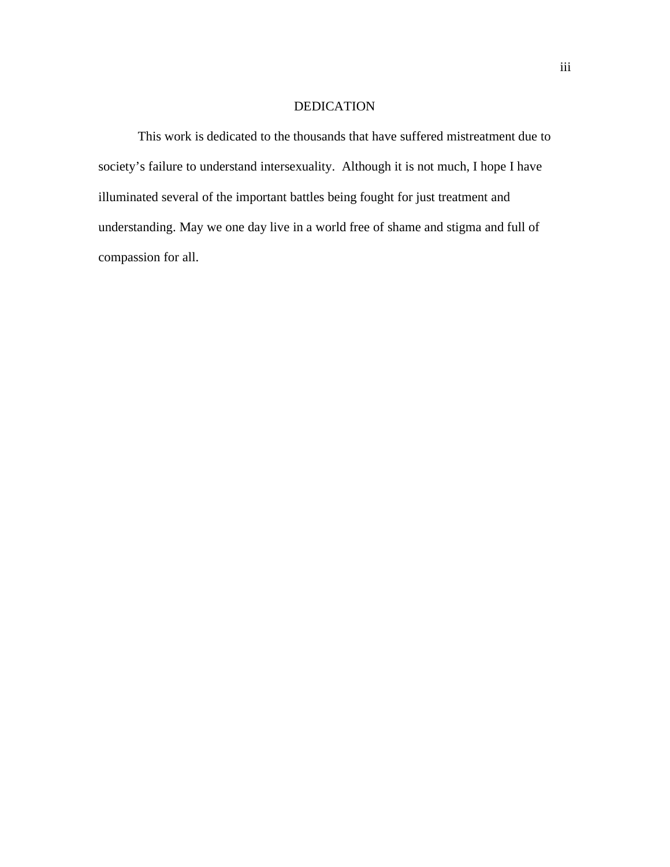### DEDICATION

 This work is dedicated to the thousands that have suffered mistreatment due to society's failure to understand intersexuality. Although it is not much, I hope I have illuminated several of the important battles being fought for just treatment and understanding. May we one day live in a world free of shame and stigma and full of compassion for all.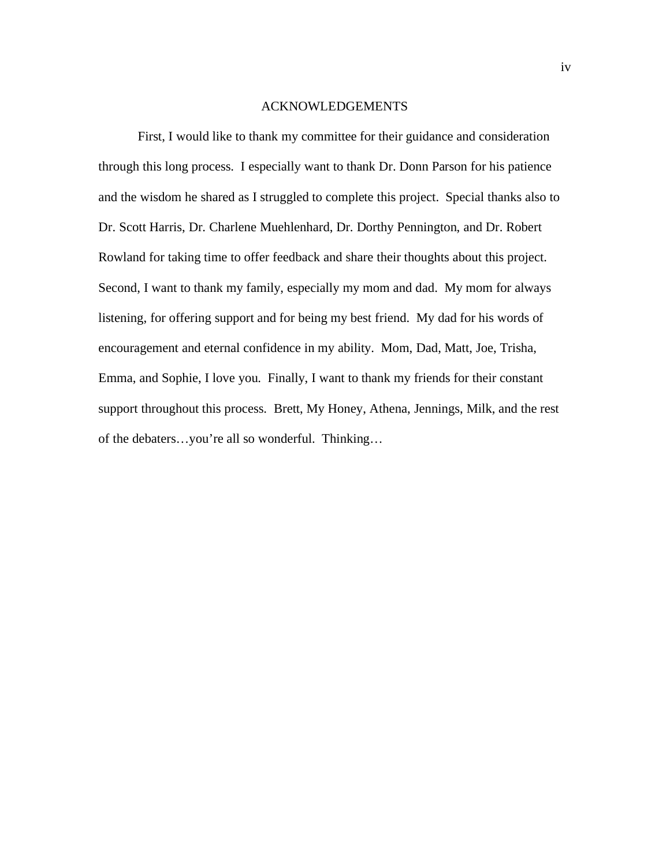#### ACKNOWLEDGEMENTS

 First, I would like to thank my committee for their guidance and consideration through this long process. I especially want to thank Dr. Donn Parson for his patience and the wisdom he shared as I struggled to complete this project. Special thanks also to Dr. Scott Harris, Dr. Charlene Muehlenhard, Dr. Dorthy Pennington, and Dr. Robert Rowland for taking time to offer feedback and share their thoughts about this project. Second, I want to thank my family, especially my mom and dad. My mom for always listening, for offering support and for being my best friend. My dad for his words of encouragement and eternal confidence in my ability. Mom, Dad, Matt, Joe, Trisha, Emma, and Sophie, I love you. Finally, I want to thank my friends for their constant support throughout this process. Brett, My Honey, Athena, Jennings, Milk, and the rest of the debaters…you're all so wonderful. Thinking…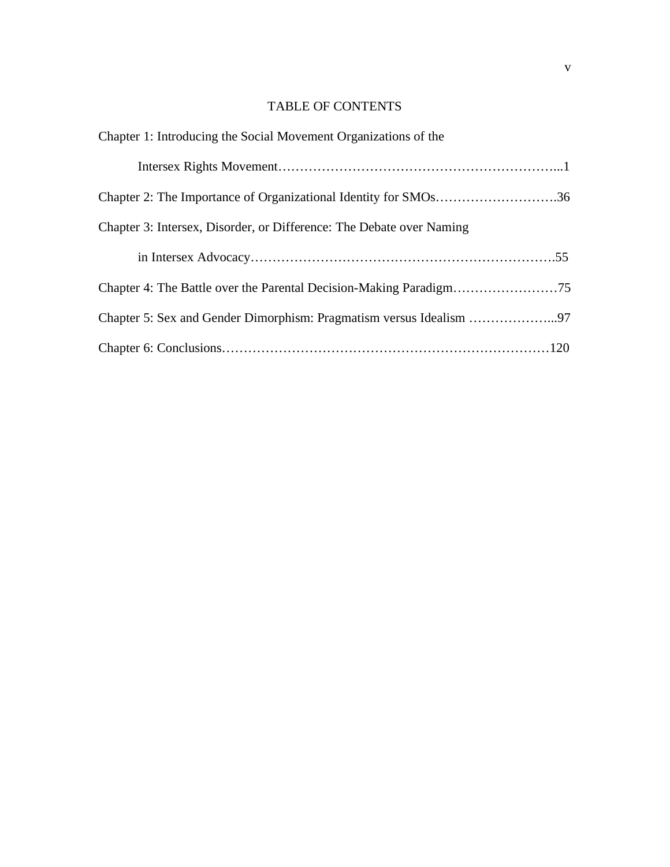# TABLE OF CONTENTS

| Chapter 1: Introducing the Social Movement Organizations of the      |
|----------------------------------------------------------------------|
|                                                                      |
| Chapter 2: The Importance of Organizational Identity for SMOs36      |
| Chapter 3: Intersex, Disorder, or Difference: The Debate over Naming |
|                                                                      |
|                                                                      |
|                                                                      |
|                                                                      |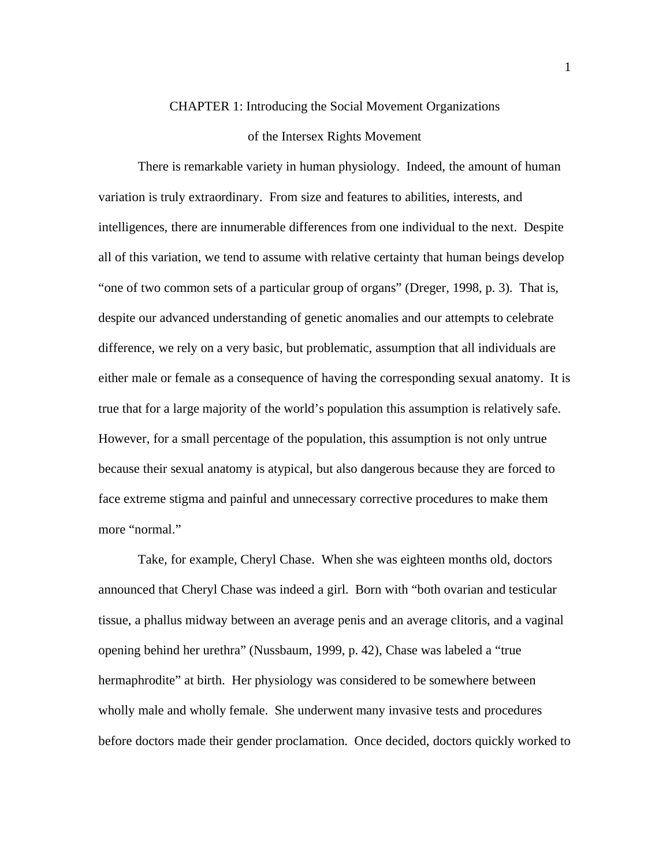## CHAPTER 1: Introducing the Social Movement Organizations

#### of the Intersex Rights Movement

There is remarkable variety in human physiology. Indeed, the amount of human variation is truly extraordinary. From size and features to abilities, interests, and intelligences, there are innumerable differences from one individual to the next. Despite all of this variation, we tend to assume with relative certainty that human beings develop "one of two common sets of a particular group of organs" (Dreger, 1998, p. 3). That is, despite our advanced understanding of genetic anomalies and our attempts to celebrate difference, we rely on a very basic, but problematic, assumption that all individuals are either male or female as a consequence of having the corresponding sexual anatomy. It is true that for a large majority of the world's population this assumption is relatively safe. However, for a small percentage of the population, this assumption is not only untrue because their sexual anatomy is atypical, but also dangerous because they are forced to face extreme stigma and painful and unnecessary corrective procedures to make them more "normal."

 Take, for example, Cheryl Chase. When she was eighteen months old, doctors announced that Cheryl Chase was indeed a girl. Born with "both ovarian and testicular tissue, a phallus midway between an average penis and an average clitoris, and a vaginal opening behind her urethra" (Nussbaum, 1999, p. 42), Chase was labeled a "true hermaphrodite" at birth. Her physiology was considered to be somewhere between wholly male and wholly female. She underwent many invasive tests and procedures before doctors made their gender proclamation. Once decided, doctors quickly worked to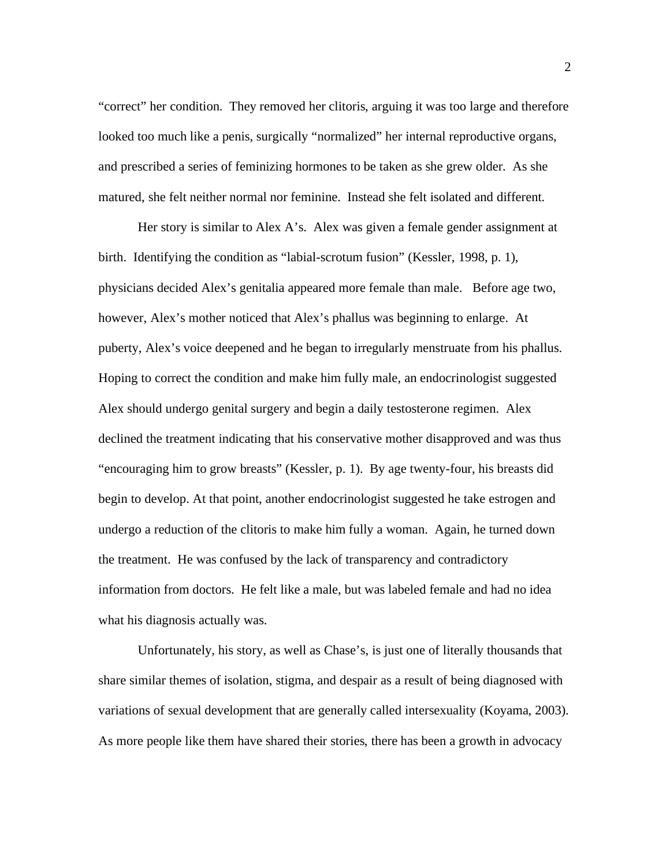"correct" her condition. They removed her clitoris, arguing it was too large and therefore looked too much like a penis, surgically "normalized" her internal reproductive organs, and prescribed a series of feminizing hormones to be taken as she grew older. As she matured, she felt neither normal nor feminine. Instead she felt isolated and different.

 Her story is similar to Alex A's. Alex was given a female gender assignment at birth. Identifying the condition as "labial-scrotum fusion" (Kessler, 1998, p. 1), physicians decided Alex's genitalia appeared more female than male. Before age two, however, Alex's mother noticed that Alex's phallus was beginning to enlarge. At puberty, Alex's voice deepened and he began to irregularly menstruate from his phallus. Hoping to correct the condition and make him fully male, an endocrinologist suggested Alex should undergo genital surgery and begin a daily testosterone regimen. Alex declined the treatment indicating that his conservative mother disapproved and was thus "encouraging him to grow breasts" (Kessler, p. 1). By age twenty-four, his breasts did begin to develop. At that point, another endocrinologist suggested he take estrogen and undergo a reduction of the clitoris to make him fully a woman. Again, he turned down the treatment. He was confused by the lack of transparency and contradictory information from doctors. He felt like a male, but was labeled female and had no idea what his diagnosis actually was.

Unfortunately, his story, as well as Chase's, is just one of literally thousands that share similar themes of isolation, stigma, and despair as a result of being diagnosed with variations of sexual development that are generally called intersexuality (Koyama, 2003). As more people like them have shared their stories, there has been a growth in advocacy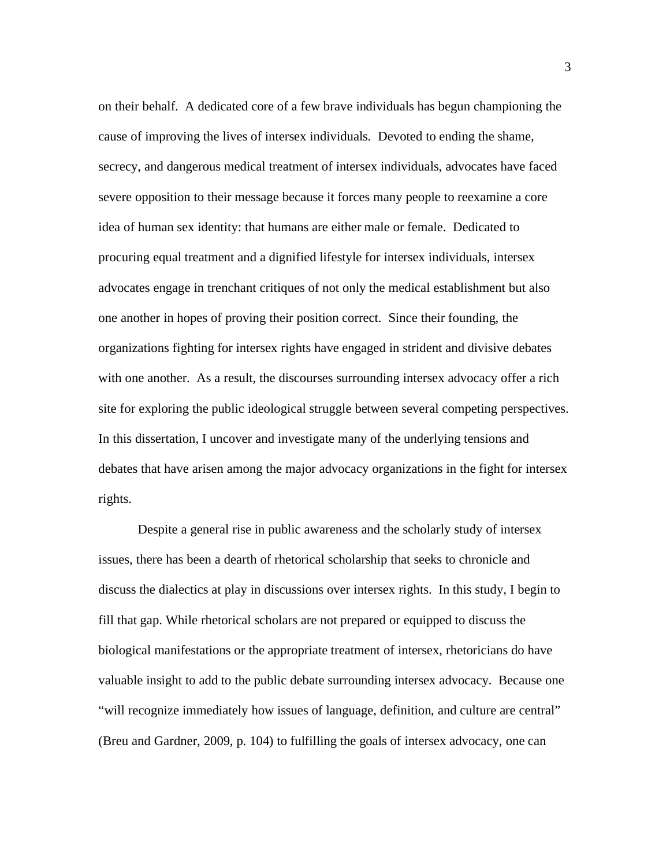on their behalf. A dedicated core of a few brave individuals has begun championing the cause of improving the lives of intersex individuals. Devoted to ending the shame, secrecy, and dangerous medical treatment of intersex individuals, advocates have faced severe opposition to their message because it forces many people to reexamine a core idea of human sex identity: that humans are either male or female. Dedicated to procuring equal treatment and a dignified lifestyle for intersex individuals, intersex advocates engage in trenchant critiques of not only the medical establishment but also one another in hopes of proving their position correct. Since their founding, the organizations fighting for intersex rights have engaged in strident and divisive debates with one another. As a result, the discourses surrounding intersex advocacy offer a rich site for exploring the public ideological struggle between several competing perspectives. In this dissertation, I uncover and investigate many of the underlying tensions and debates that have arisen among the major advocacy organizations in the fight for intersex rights.

Despite a general rise in public awareness and the scholarly study of intersex issues, there has been a dearth of rhetorical scholarship that seeks to chronicle and discuss the dialectics at play in discussions over intersex rights. In this study, I begin to fill that gap. While rhetorical scholars are not prepared or equipped to discuss the biological manifestations or the appropriate treatment of intersex, rhetoricians do have valuable insight to add to the public debate surrounding intersex advocacy. Because one "will recognize immediately how issues of language, definition, and culture are central" (Breu and Gardner, 2009, p. 104) to fulfilling the goals of intersex advocacy, one can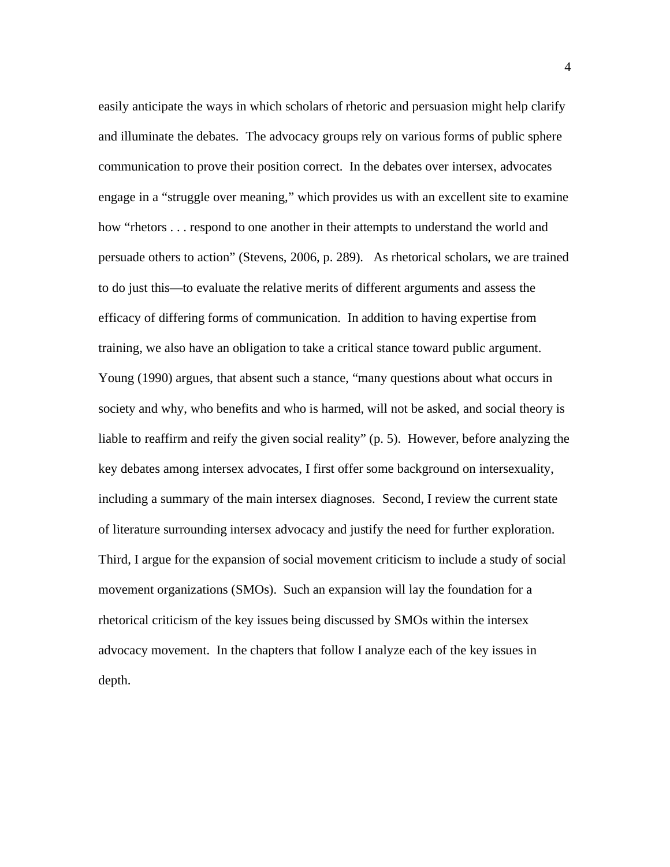easily anticipate the ways in which scholars of rhetoric and persuasion might help clarify and illuminate the debates. The advocacy groups rely on various forms of public sphere communication to prove their position correct. In the debates over intersex, advocates engage in a "struggle over meaning," which provides us with an excellent site to examine how "rhetors . . . respond to one another in their attempts to understand the world and persuade others to action" (Stevens, 2006, p. 289). As rhetorical scholars, we are trained to do just this—to evaluate the relative merits of different arguments and assess the efficacy of differing forms of communication. In addition to having expertise from training, we also have an obligation to take a critical stance toward public argument. Young (1990) argues, that absent such a stance, "many questions about what occurs in society and why, who benefits and who is harmed, will not be asked, and social theory is liable to reaffirm and reify the given social reality" (p. 5). However, before analyzing the key debates among intersex advocates, I first offer some background on intersexuality, including a summary of the main intersex diagnoses. Second, I review the current state of literature surrounding intersex advocacy and justify the need for further exploration. Third, I argue for the expansion of social movement criticism to include a study of social movement organizations (SMOs). Such an expansion will lay the foundation for a rhetorical criticism of the key issues being discussed by SMOs within the intersex advocacy movement. In the chapters that follow I analyze each of the key issues in depth.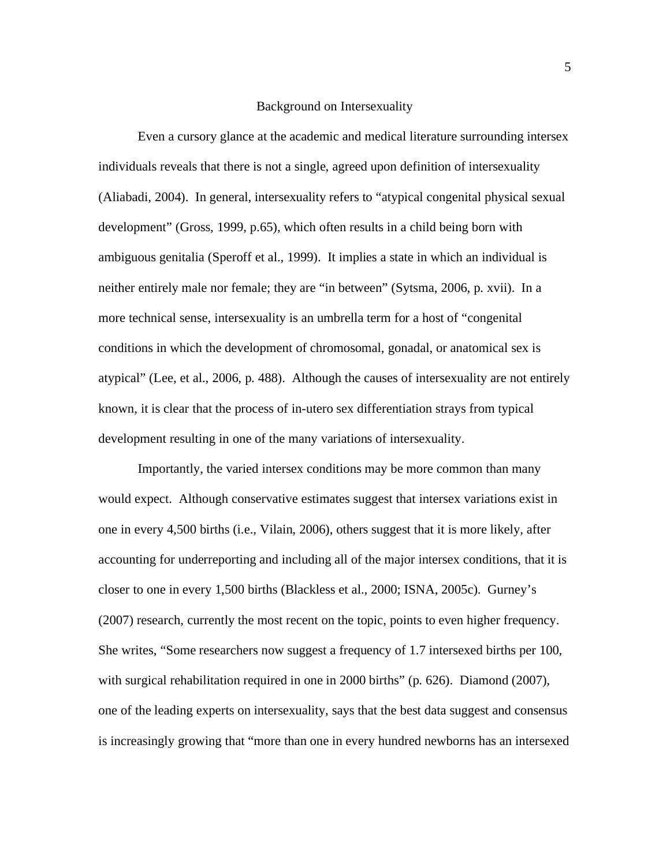#### Background on Intersexuality

Even a cursory glance at the academic and medical literature surrounding intersex individuals reveals that there is not a single, agreed upon definition of intersexuality (Aliabadi, 2004). In general, intersexuality refers to "atypical congenital physical sexual development" (Gross, 1999, p.65), which often results in a child being born with ambiguous genitalia (Speroff et al., 1999). It implies a state in which an individual is neither entirely male nor female; they are "in between" (Sytsma, 2006, p. xvii). In a more technical sense, intersexuality is an umbrella term for a host of "congenital conditions in which the development of chromosomal, gonadal, or anatomical sex is atypical" (Lee, et al., 2006, p. 488). Although the causes of intersexuality are not entirely known, it is clear that the process of in-utero sex differentiation strays from typical development resulting in one of the many variations of intersexuality.

Importantly, the varied intersex conditions may be more common than many would expect. Although conservative estimates suggest that intersex variations exist in one in every 4,500 births (i.e., Vilain, 2006), others suggest that it is more likely, after accounting for underreporting and including all of the major intersex conditions, that it is closer to one in every 1,500 births (Blackless et al., 2000; ISNA, 2005c). Gurney's (2007) research, currently the most recent on the topic, points to even higher frequency. She writes, "Some researchers now suggest a frequency of 1.7 intersexed births per 100, with surgical rehabilitation required in one in 2000 births" (p. 626). Diamond (2007), one of the leading experts on intersexuality, says that the best data suggest and consensus is increasingly growing that "more than one in every hundred newborns has an intersexed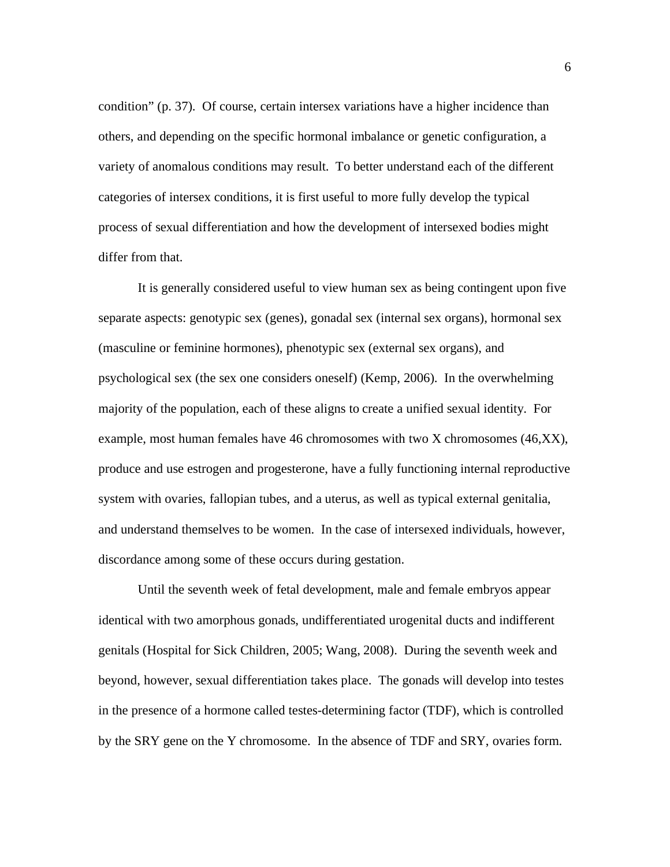condition" (p. 37). Of course, certain intersex variations have a higher incidence than others, and depending on the specific hormonal imbalance or genetic configuration, a variety of anomalous conditions may result. To better understand each of the different categories of intersex conditions, it is first useful to more fully develop the typical process of sexual differentiation and how the development of intersexed bodies might differ from that.

It is generally considered useful to view human sex as being contingent upon five separate aspects: genotypic sex (genes), gonadal sex (internal sex organs), hormonal sex (masculine or feminine hormones), phenotypic sex (external sex organs), and psychological sex (the sex one considers oneself) (Kemp, 2006). In the overwhelming majority of the population, each of these aligns to create a unified sexual identity. For example, most human females have 46 chromosomes with two X chromosomes (46,XX), produce and use estrogen and progesterone, have a fully functioning internal reproductive system with ovaries, fallopian tubes, and a uterus, as well as typical external genitalia, and understand themselves to be women. In the case of intersexed individuals, however, discordance among some of these occurs during gestation.

Until the seventh week of fetal development, male and female embryos appear identical with two amorphous gonads, undifferentiated urogenital ducts and indifferent genitals (Hospital for Sick Children, 2005; Wang, 2008). During the seventh week and beyond, however, sexual differentiation takes place. The gonads will develop into testes in the presence of a hormone called testes-determining factor (TDF), which is controlled by the SRY gene on the Y chromosome. In the absence of TDF and SRY, ovaries form.

6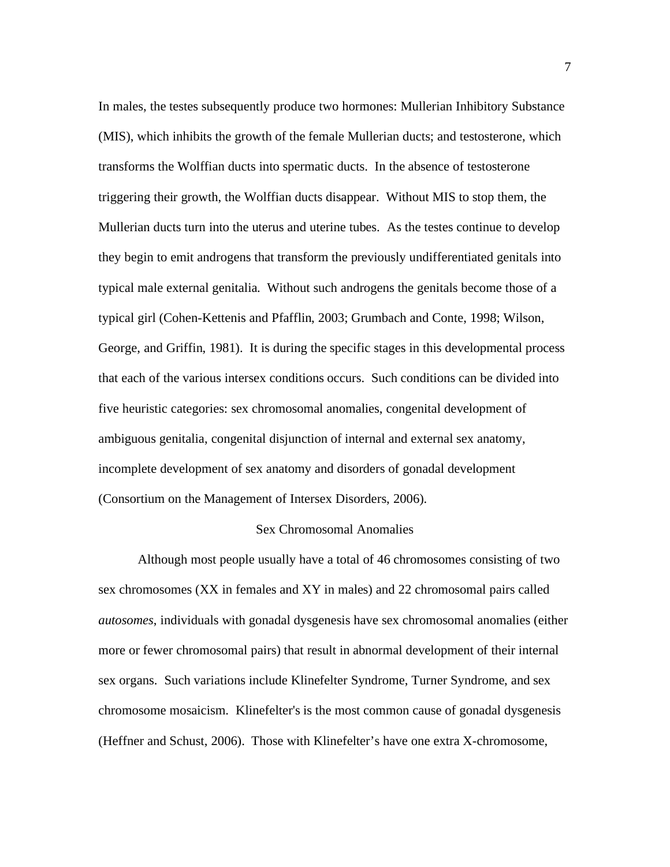In males, the testes subsequently produce two hormones: Mullerian Inhibitory Substance (MIS), which inhibits the growth of the female Mullerian ducts; and testosterone, which transforms the Wolffian ducts into spermatic ducts. In the absence of testosterone triggering their growth, the Wolffian ducts disappear. Without MIS to stop them, the Mullerian ducts turn into the uterus and uterine tubes. As the testes continue to develop they begin to emit androgens that transform the previously undifferentiated genitals into typical male external genitalia. Without such androgens the genitals become those of a typical girl (Cohen-Kettenis and Pfafflin, 2003; Grumbach and Conte, 1998; Wilson, George, and Griffin, 1981). It is during the specific stages in this developmental process that each of the various intersex conditions occurs. Such conditions can be divided into five heuristic categories: sex chromosomal anomalies, congenital development of ambiguous genitalia, congenital disjunction of internal and external sex anatomy, incomplete development of sex anatomy and disorders of gonadal development (Consortium on the Management of Intersex Disorders, 2006).

#### Sex Chromosomal Anomalies

Although most people usually have a total of 46 chromosomes consisting of two sex chromosomes (XX in females and XY in males) and 22 chromosomal pairs called *autosomes*, individuals with gonadal dysgenesis have sex chromosomal anomalies (either more or fewer chromosomal pairs) that result in abnormal development of their internal sex organs. Such variations include Klinefelter Syndrome, Turner Syndrome, and sex chromosome mosaicism. Klinefelter's is the most common cause of gonadal dysgenesis (Heffner and Schust, 2006). Those with Klinefelter's have one extra X-chromosome,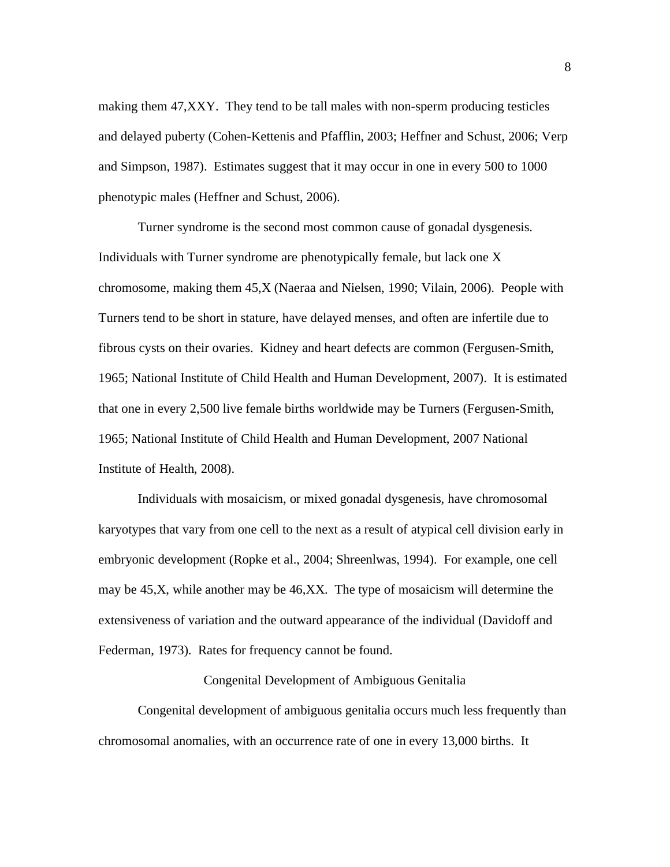making them 47,XXY. They tend to be tall males with non-sperm producing testicles and delayed puberty (Cohen-Kettenis and Pfafflin, 2003; Heffner and Schust, 2006; Verp and Simpson, 1987). Estimates suggest that it may occur in one in every 500 to 1000 phenotypic males (Heffner and Schust, 2006).

Turner syndrome is the second most common cause of gonadal dysgenesis. Individuals with Turner syndrome are phenotypically female, but lack one X chromosome, making them 45,X (Naeraa and Nielsen, 1990; Vilain, 2006). People with Turners tend to be short in stature, have delayed menses, and often are infertile due to fibrous cysts on their ovaries. Kidney and heart defects are common (Fergusen-Smith, 1965; National Institute of Child Health and Human Development, 2007). It is estimated that one in every 2,500 live female births worldwide may be Turners (Fergusen-Smith, 1965; National Institute of Child Health and Human Development, 2007 National Institute of Health, 2008).

Individuals with mosaicism, or mixed gonadal dysgenesis, have chromosomal karyotypes that vary from one cell to the next as a result of atypical cell division early in embryonic development (Ropke et al., 2004; Shreenlwas, 1994). For example, one cell may be 45,X, while another may be 46,XX. The type of mosaicism will determine the extensiveness of variation and the outward appearance of the individual (Davidoff and Federman, 1973). Rates for frequency cannot be found.

## Congenital Development of Ambiguous Genitalia

Congenital development of ambiguous genitalia occurs much less frequently than chromosomal anomalies, with an occurrence rate of one in every 13,000 births. It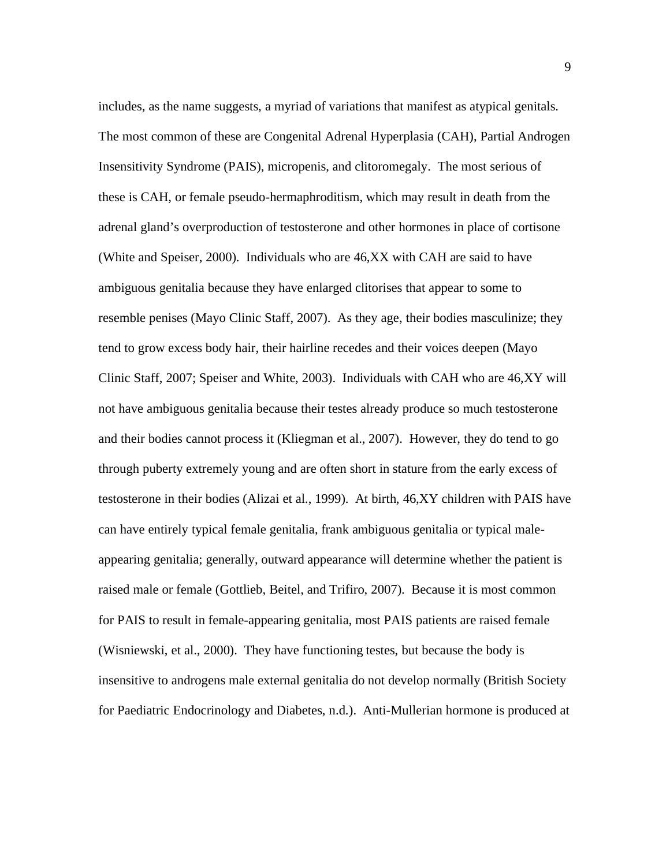includes, as the name suggests, a myriad of variations that manifest as atypical genitals. The most common of these are Congenital Adrenal Hyperplasia (CAH), Partial Androgen Insensitivity Syndrome (PAIS), micropenis, and clitoromegaly. The most serious of these is CAH, or female pseudo-hermaphroditism, which may result in death from the adrenal gland's overproduction of testosterone and other hormones in place of cortisone (White and Speiser, 2000). Individuals who are 46,XX with CAH are said to have ambiguous genitalia because they have enlarged clitorises that appear to some to resemble penises (Mayo Clinic Staff, 2007). As they age, their bodies masculinize; they tend to grow excess body hair, their hairline recedes and their voices deepen (Mayo Clinic Staff, 2007; Speiser and White, 2003). Individuals with CAH who are 46,XY will not have ambiguous genitalia because their testes already produce so much testosterone and their bodies cannot process it (Kliegman et al., 2007). However, they do tend to go through puberty extremely young and are often short in stature from the early excess of testosterone in their bodies (Alizai et al., 1999). At birth, 46,XY children with PAIS have can have entirely typical female genitalia, frank ambiguous genitalia or typical maleappearing genitalia; generally, outward appearance will determine whether the patient is raised male or female (Gottlieb, Beitel, and Trifiro, 2007). Because it is most common for PAIS to result in female-appearing genitalia, most PAIS patients are raised female (Wisniewski, et al., 2000). They have functioning testes, but because the body is insensitive to androgens male external genitalia do not develop normally (British Society for Paediatric Endocrinology and Diabetes, n.d.). Anti-Mullerian hormone is produced at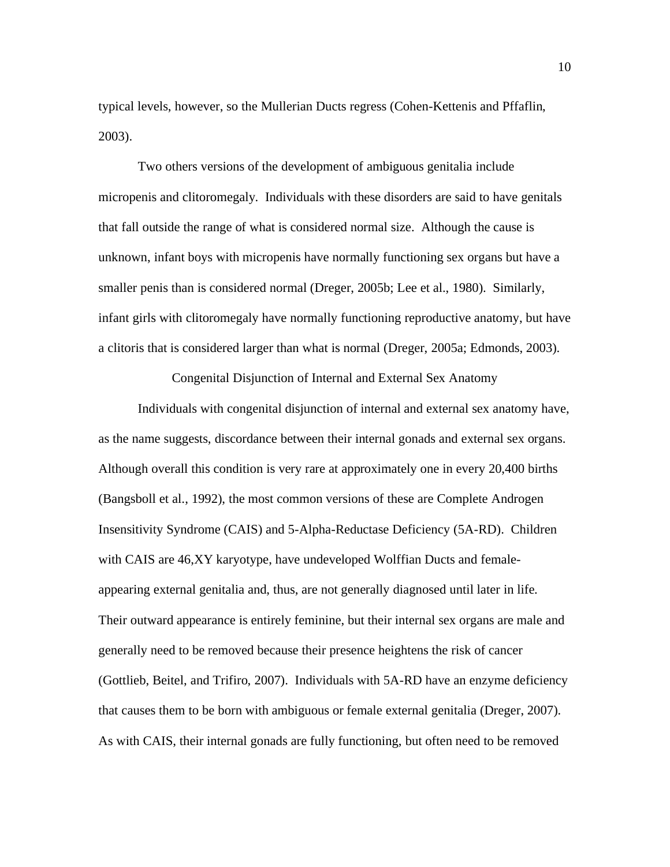typical levels, however, so the Mullerian Ducts regress (Cohen-Kettenis and Pffaflin, 2003).

Two others versions of the development of ambiguous genitalia include micropenis and clitoromegaly. Individuals with these disorders are said to have genitals that fall outside the range of what is considered normal size. Although the cause is unknown, infant boys with micropenis have normally functioning sex organs but have a smaller penis than is considered normal (Dreger, 2005b; Lee et al., 1980). Similarly, infant girls with clitoromegaly have normally functioning reproductive anatomy, but have a clitoris that is considered larger than what is normal (Dreger, 2005a; Edmonds, 2003).

Congenital Disjunction of Internal and External Sex Anatomy

Individuals with congenital disjunction of internal and external sex anatomy have, as the name suggests, discordance between their internal gonads and external sex organs. Although overall this condition is very rare at approximately one in every 20,400 births (Bangsboll et al., 1992), the most common versions of these are Complete Androgen Insensitivity Syndrome (CAIS) and 5-Alpha-Reductase Deficiency (5A-RD). Children with CAIS are 46,XY karyotype, have undeveloped Wolffian Ducts and femaleappearing external genitalia and, thus, are not generally diagnosed until later in life. Their outward appearance is entirely feminine, but their internal sex organs are male and generally need to be removed because their presence heightens the risk of cancer (Gottlieb, Beitel, and Trifiro, 2007). Individuals with 5A-RD have an enzyme deficiency that causes them to be born with ambiguous or female external genitalia (Dreger, 2007). As with CAIS, their internal gonads are fully functioning, but often need to be removed

10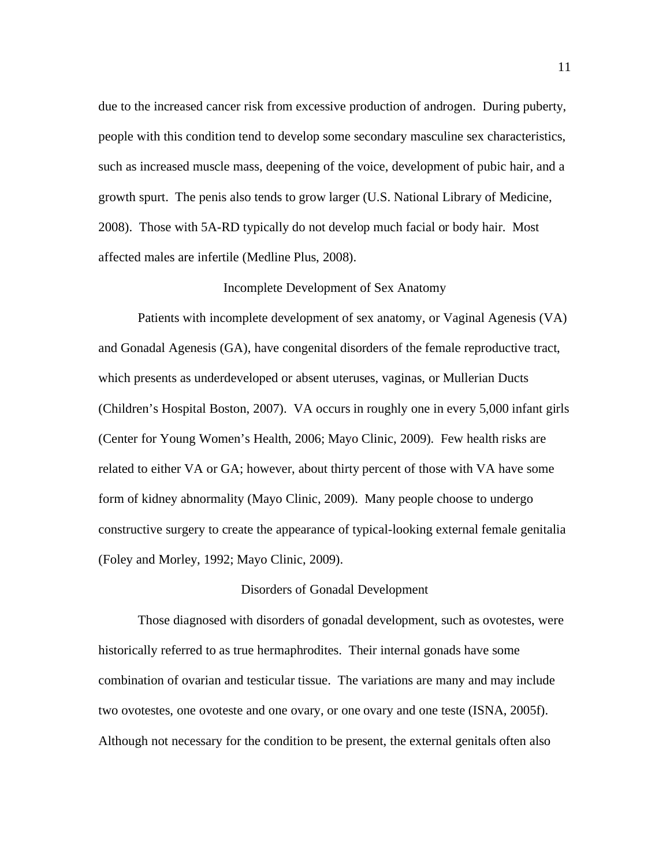due to the increased cancer risk from excessive production of androgen. During puberty, people with this condition tend to develop some secondary masculine sex characteristics, such as increased muscle mass, deepening of the voice, development of pubic hair, and a growth spurt. The penis also tends to grow larger (U.S. National Library of Medicine, 2008). Those with 5A-RD typically do not develop much facial or body hair. Most affected males are infertile (Medline Plus, 2008).

## Incomplete Development of Sex Anatomy

 Patients with incomplete development of sex anatomy, or Vaginal Agenesis (VA) and Gonadal Agenesis (GA), have congenital disorders of the female reproductive tract, which presents as underdeveloped or absent uteruses, vaginas, or Mullerian Ducts (Children's Hospital Boston, 2007). VA occurs in roughly one in every 5,000 infant girls (Center for Young Women's Health, 2006; Mayo Clinic, 2009). Few health risks are related to either VA or GA; however, about thirty percent of those with VA have some form of kidney abnormality (Mayo Clinic, 2009). Many people choose to undergo constructive surgery to create the appearance of typical-looking external female genitalia (Foley and Morley, 1992; Mayo Clinic, 2009).

## Disorders of Gonadal Development

 Those diagnosed with disorders of gonadal development, such as ovotestes, were historically referred to as true hermaphrodites. Their internal gonads have some combination of ovarian and testicular tissue. The variations are many and may include two ovotestes, one ovoteste and one ovary, or one ovary and one teste (ISNA, 2005f). Although not necessary for the condition to be present, the external genitals often also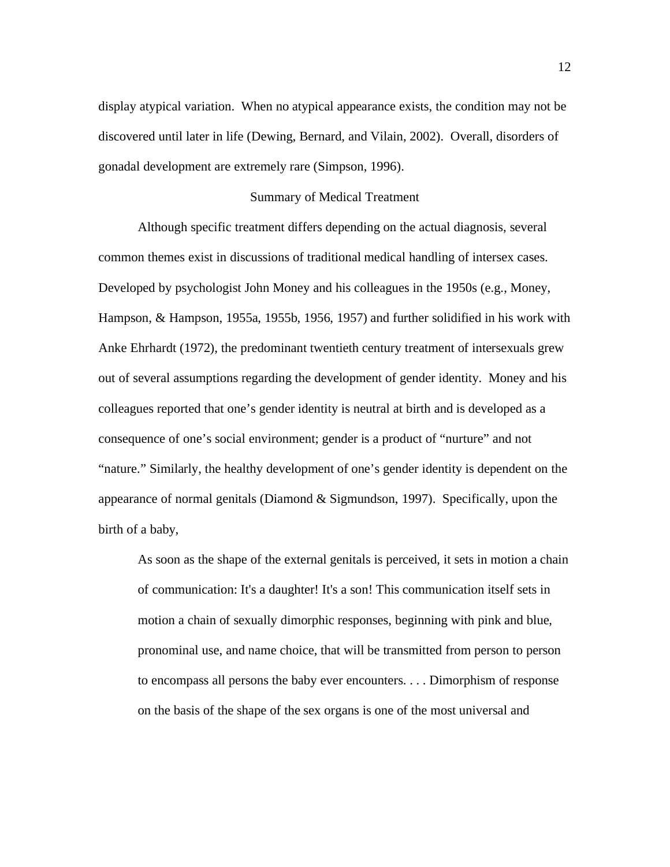display atypical variation. When no atypical appearance exists, the condition may not be discovered until later in life (Dewing, Bernard, and Vilain, 2002). Overall, disorders of gonadal development are extremely rare (Simpson, 1996).

#### Summary of Medical Treatment

Although specific treatment differs depending on the actual diagnosis, several common themes exist in discussions of traditional medical handling of intersex cases. Developed by psychologist John Money and his colleagues in the 1950s (e.g., Money, Hampson, & Hampson, 1955a, 1955b, 1956, 1957) and further solidified in his work with Anke Ehrhardt (1972), the predominant twentieth century treatment of intersexuals grew out of several assumptions regarding the development of gender identity. Money and his colleagues reported that one's gender identity is neutral at birth and is developed as a consequence of one's social environment; gender is a product of "nurture" and not "nature." Similarly, the healthy development of one's gender identity is dependent on the appearance of normal genitals (Diamond & Sigmundson, 1997). Specifically, upon the birth of a baby,

As soon as the shape of the external genitals is perceived, it sets in motion a chain of communication: It's a daughter! It's a son! This communication itself sets in motion a chain of sexually dimorphic responses, beginning with pink and blue, pronominal use, and name choice, that will be transmitted from person to person to encompass all persons the baby ever encounters. . . . Dimorphism of response on the basis of the shape of the sex organs is one of the most universal and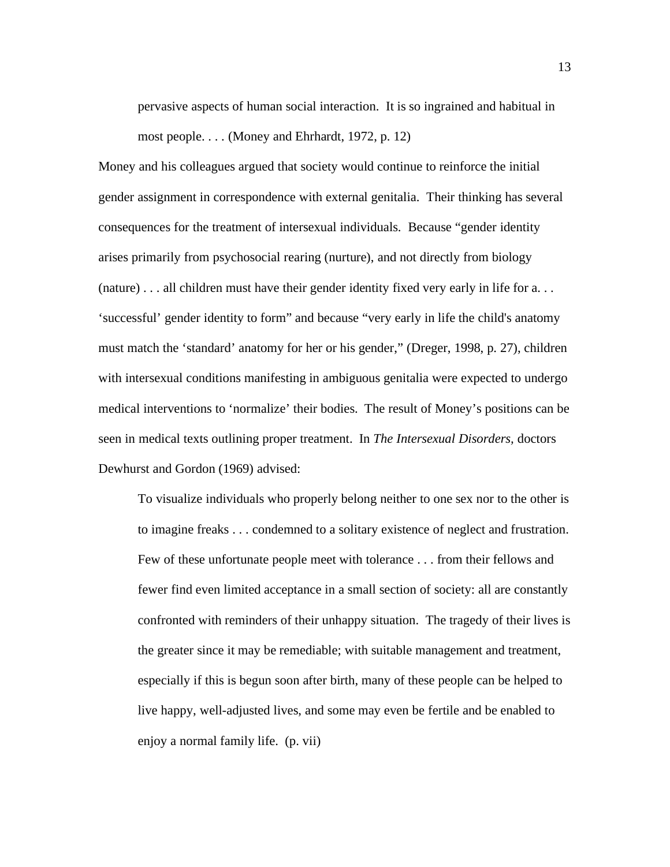pervasive aspects of human social interaction. It is so ingrained and habitual in most people. . . . (Money and Ehrhardt, 1972, p. 12)

Money and his colleagues argued that society would continue to reinforce the initial gender assignment in correspondence with external genitalia. Their thinking has several consequences for the treatment of intersexual individuals. Because "gender identity arises primarily from psychosocial rearing (nurture), and not directly from biology (nature) . . . all children must have their gender identity fixed very early in life for a. . . 'successful' gender identity to form" and because "very early in life the child's anatomy must match the 'standard' anatomy for her or his gender," (Dreger, 1998, p. 27), children with intersexual conditions manifesting in ambiguous genitalia were expected to undergo medical interventions to 'normalize' their bodies. The result of Money's positions can be seen in medical texts outlining proper treatment. In *The Intersexual Disorders,* doctors Dewhurst and Gordon (1969) advised:

To visualize individuals who properly belong neither to one sex nor to the other is to imagine freaks . . . condemned to a solitary existence of neglect and frustration. Few of these unfortunate people meet with tolerance . . . from their fellows and fewer find even limited acceptance in a small section of society: all are constantly confronted with reminders of their unhappy situation. The tragedy of their lives is the greater since it may be remediable; with suitable management and treatment, especially if this is begun soon after birth, many of these people can be helped to live happy, well-adjusted lives, and some may even be fertile and be enabled to enjoy a normal family life. (p. vii)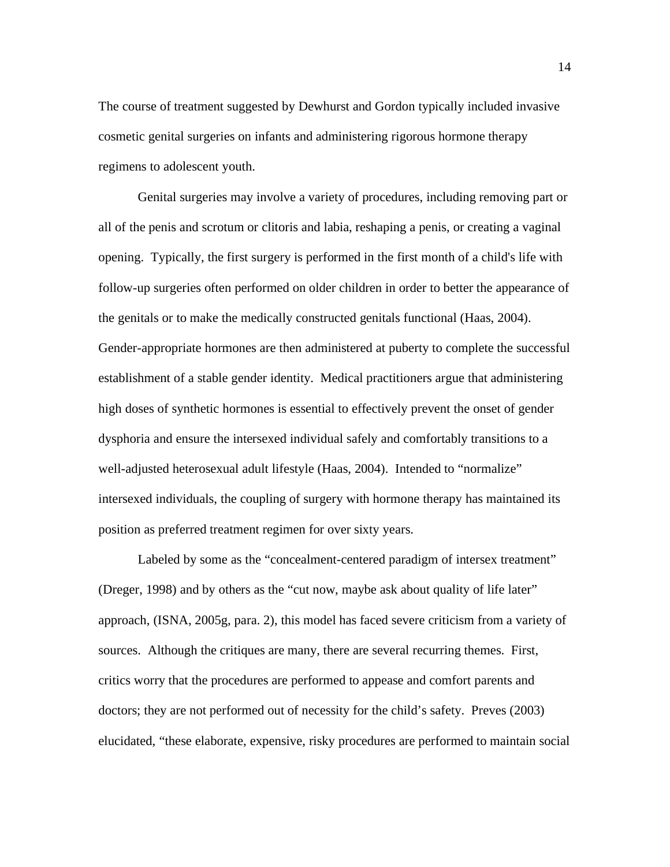The course of treatment suggested by Dewhurst and Gordon typically included invasive cosmetic genital surgeries on infants and administering rigorous hormone therapy regimens to adolescent youth.

 Genital surgeries may involve a variety of procedures, including removing part or all of the penis and scrotum or clitoris and labia, reshaping a penis, or creating a vaginal opening. Typically, the first surgery is performed in the first month of a child's life with follow-up surgeries often performed on older children in order to better the appearance of the genitals or to make the medically constructed genitals functional (Haas, 2004). Gender-appropriate hormones are then administered at puberty to complete the successful establishment of a stable gender identity. Medical practitioners argue that administering high doses of synthetic hormones is essential to effectively prevent the onset of gender dysphoria and ensure the intersexed individual safely and comfortably transitions to a well-adjusted heterosexual adult lifestyle (Haas, 2004). Intended to "normalize" intersexed individuals, the coupling of surgery with hormone therapy has maintained its position as preferred treatment regimen for over sixty years.

Labeled by some as the "concealment-centered paradigm of intersex treatment" (Dreger, 1998) and by others as the "cut now, maybe ask about quality of life later" approach, (ISNA, 2005g, para. 2), this model has faced severe criticism from a variety of sources. Although the critiques are many, there are several recurring themes. First, critics worry that the procedures are performed to appease and comfort parents and doctors; they are not performed out of necessity for the child's safety. Preves (2003) elucidated, "these elaborate, expensive, risky procedures are performed to maintain social

14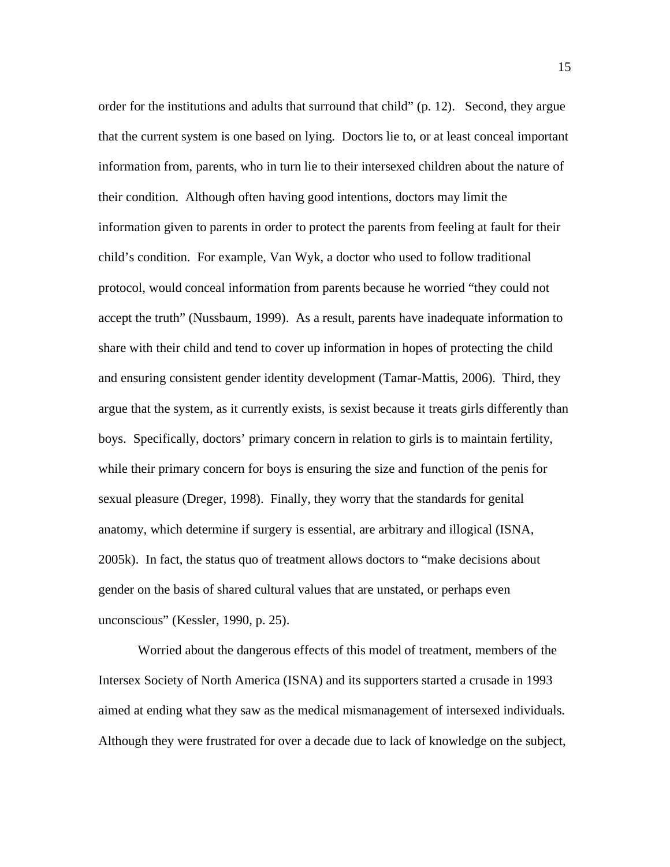order for the institutions and adults that surround that child" (p. 12). Second, they argue that the current system is one based on lying. Doctors lie to, or at least conceal important information from, parents, who in turn lie to their intersexed children about the nature of their condition. Although often having good intentions, doctors may limit the information given to parents in order to protect the parents from feeling at fault for their child's condition. For example, Van Wyk, a doctor who used to follow traditional protocol, would conceal information from parents because he worried "they could not accept the truth" (Nussbaum, 1999). As a result, parents have inadequate information to share with their child and tend to cover up information in hopes of protecting the child and ensuring consistent gender identity development (Tamar-Mattis, 2006). Third, they argue that the system, as it currently exists, is sexist because it treats girls differently than boys. Specifically, doctors' primary concern in relation to girls is to maintain fertility, while their primary concern for boys is ensuring the size and function of the penis for sexual pleasure (Dreger, 1998). Finally, they worry that the standards for genital anatomy, which determine if surgery is essential, are arbitrary and illogical (ISNA, 2005k). In fact, the status quo of treatment allows doctors to "make decisions about gender on the basis of shared cultural values that are unstated, or perhaps even unconscious" (Kessler, 1990, p. 25).

Worried about the dangerous effects of this model of treatment, members of the Intersex Society of North America (ISNA) and its supporters started a crusade in 1993 aimed at ending what they saw as the medical mismanagement of intersexed individuals. Although they were frustrated for over a decade due to lack of knowledge on the subject,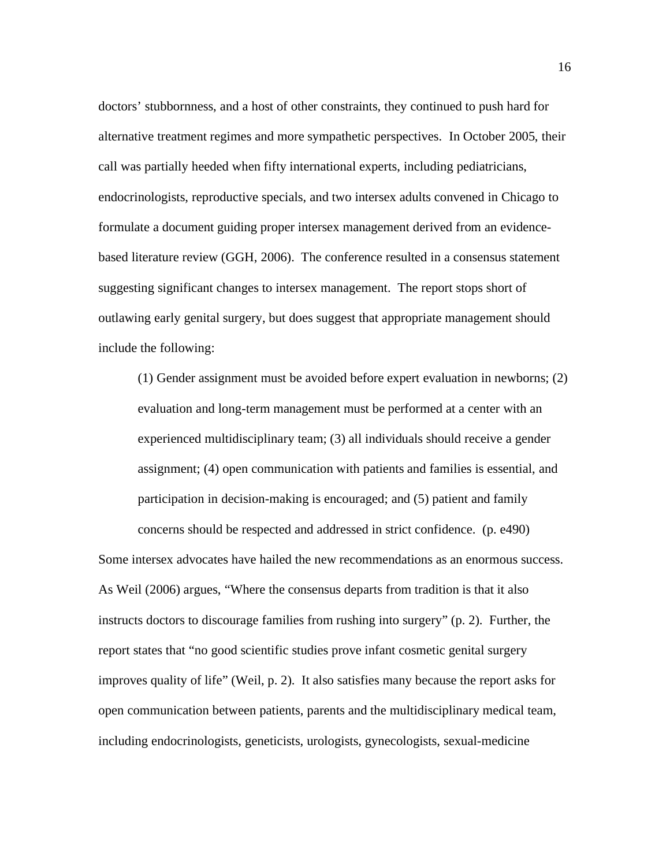doctors' stubbornness, and a host of other constraints, they continued to push hard for alternative treatment regimes and more sympathetic perspectives. In October 2005, their call was partially heeded when fifty international experts, including pediatricians, endocrinologists, reproductive specials, and two intersex adults convened in Chicago to formulate a document guiding proper intersex management derived from an evidencebased literature review (GGH, 2006). The conference resulted in a consensus statement suggesting significant changes to intersex management. The report stops short of outlawing early genital surgery, but does suggest that appropriate management should include the following:

(1) Gender assignment must be avoided before expert evaluation in newborns; (2) evaluation and long-term management must be performed at a center with an experienced multidisciplinary team; (3) all individuals should receive a gender assignment; (4) open communication with patients and families is essential, and participation in decision-making is encouraged; and (5) patient and family concerns should be respected and addressed in strict confidence. (p. e490)

Some intersex advocates have hailed the new recommendations as an enormous success. As Weil (2006) argues, "Where the consensus departs from tradition is that it also instructs doctors to discourage families from rushing into surgery" (p. 2). Further, the report states that "no good scientific studies prove infant cosmetic genital surgery improves quality of life" (Weil, p. 2). It also satisfies many because the report asks for open communication between patients, parents and the multidisciplinary medical team, including endocrinologists, geneticists, urologists, gynecologists, sexual-medicine

16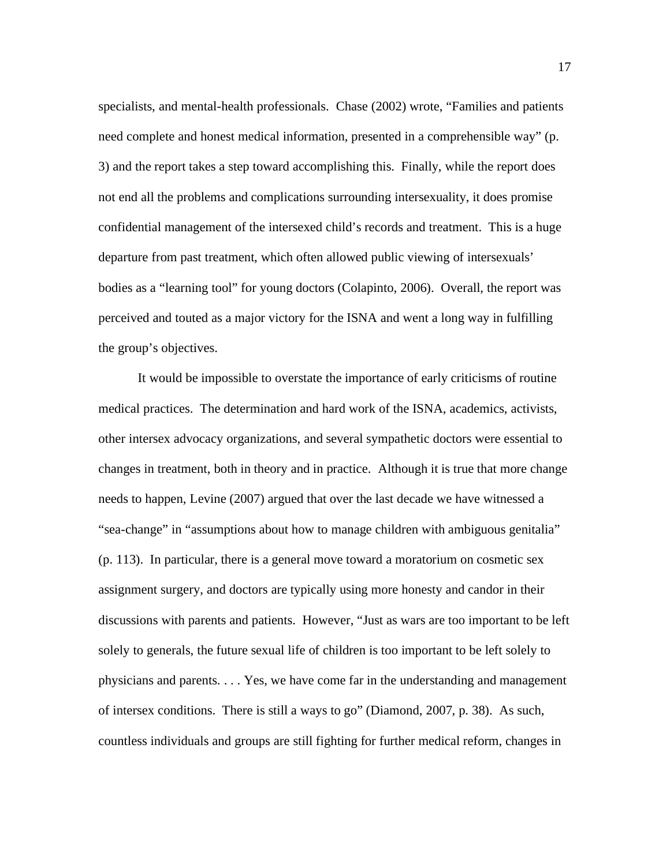specialists, and mental-health professionals. Chase (2002) wrote, "Families and patients need complete and honest medical information, presented in a comprehensible way" (p. 3) and the report takes a step toward accomplishing this. Finally, while the report does not end all the problems and complications surrounding intersexuality, it does promise confidential management of the intersexed child's records and treatment. This is a huge departure from past treatment, which often allowed public viewing of intersexuals' bodies as a "learning tool" for young doctors (Colapinto, 2006). Overall, the report was perceived and touted as a major victory for the ISNA and went a long way in fulfilling the group's objectives.

It would be impossible to overstate the importance of early criticisms of routine medical practices. The determination and hard work of the ISNA, academics, activists, other intersex advocacy organizations, and several sympathetic doctors were essential to changes in treatment, both in theory and in practice. Although it is true that more change needs to happen, Levine (2007) argued that over the last decade we have witnessed a "sea-change" in "assumptions about how to manage children with ambiguous genitalia" (p. 113). In particular, there is a general move toward a moratorium on cosmetic sex assignment surgery, and doctors are typically using more honesty and candor in their discussions with parents and patients. However, "Just as wars are too important to be left solely to generals, the future sexual life of children is too important to be left solely to physicians and parents. . . . Yes, we have come far in the understanding and management of intersex conditions. There is still a ways to go" (Diamond, 2007, p. 38). As such, countless individuals and groups are still fighting for further medical reform, changes in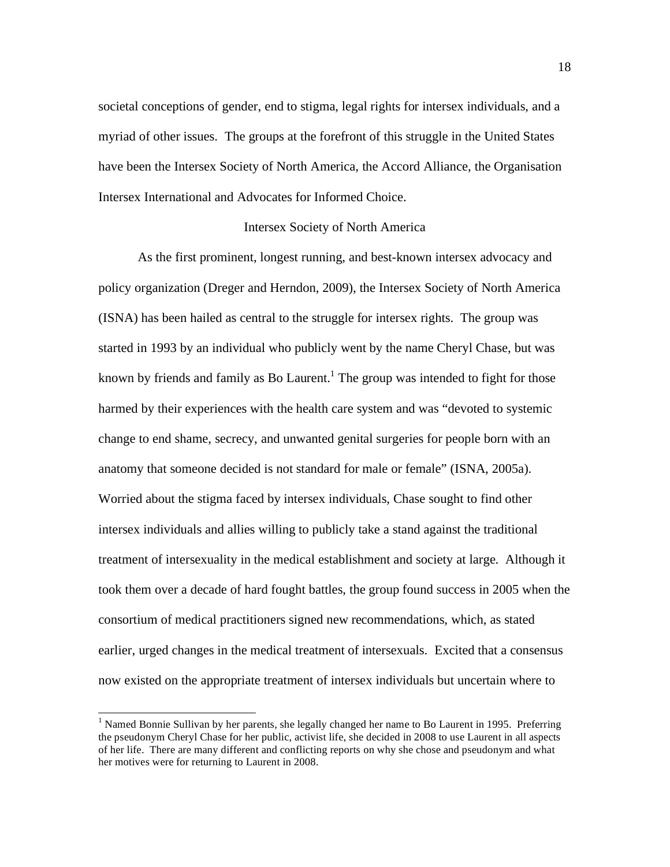societal conceptions of gender, end to stigma, legal rights for intersex individuals, and a myriad of other issues. The groups at the forefront of this struggle in the United States have been the Intersex Society of North America, the Accord Alliance, the Organisation Intersex International and Advocates for Informed Choice.

#### Intersex Society of North America

As the first prominent, longest running, and best-known intersex advocacy and policy organization (Dreger and Herndon, 2009), the Intersex Society of North America (ISNA) has been hailed as central to the struggle for intersex rights. The group was started in 1993 by an individual who publicly went by the name Cheryl Chase, but was known by friends and family as Bo Laurent.<sup>1</sup> The group was intended to fight for those harmed by their experiences with the health care system and was "devoted to systemic change to end shame, secrecy, and unwanted genital surgeries for people born with an anatomy that someone decided is not standard for male or female" (ISNA, 2005a). Worried about the stigma faced by intersex individuals, Chase sought to find other intersex individuals and allies willing to publicly take a stand against the traditional treatment of intersexuality in the medical establishment and society at large. Although it took them over a decade of hard fought battles, the group found success in 2005 when the consortium of medical practitioners signed new recommendations, which, as stated earlier, urged changes in the medical treatment of intersexuals. Excited that a consensus now existed on the appropriate treatment of intersex individuals but uncertain where to

<sup>|&</sup>lt;br>|<br>| <sup>1</sup> Named Bonnie Sullivan by her parents, she legally changed her name to Bo Laurent in 1995. Preferring the pseudonym Cheryl Chase for her public, activist life, she decided in 2008 to use Laurent in all aspects of her life. There are many different and conflicting reports on why she chose and pseudonym and what her motives were for returning to Laurent in 2008.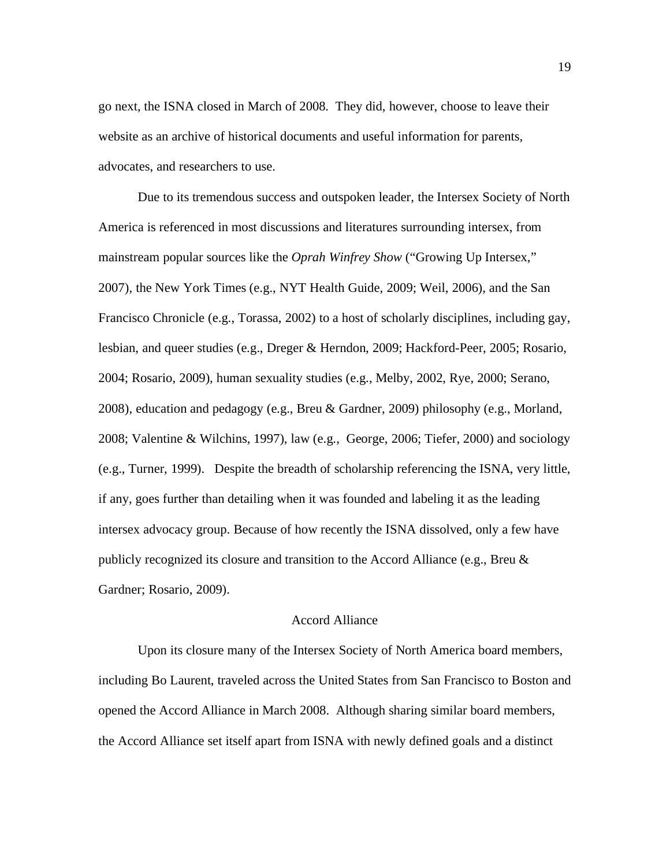go next, the ISNA closed in March of 2008. They did, however, choose to leave their website as an archive of historical documents and useful information for parents, advocates, and researchers to use.

Due to its tremendous success and outspoken leader, the Intersex Society of North America is referenced in most discussions and literatures surrounding intersex, from mainstream popular sources like the *Oprah Winfrey Show* ("Growing Up Intersex," 2007), the New York Times (e.g., NYT Health Guide, 2009; Weil, 2006), and the San Francisco Chronicle (e.g., Torassa, 2002) to a host of scholarly disciplines, including gay, lesbian, and queer studies (e.g., Dreger & Herndon, 2009; Hackford-Peer, 2005; Rosario, 2004; Rosario, 2009), human sexuality studies (e.g., Melby, 2002, Rye, 2000; Serano, 2008), education and pedagogy (e.g., Breu & Gardner, 2009) philosophy (e.g., Morland, 2008; Valentine & Wilchins, 1997), law (e.g., George, 2006; Tiefer, 2000) and sociology (e.g., Turner, 1999). Despite the breadth of scholarship referencing the ISNA, very little, if any, goes further than detailing when it was founded and labeling it as the leading intersex advocacy group. Because of how recently the ISNA dissolved, only a few have publicly recognized its closure and transition to the Accord Alliance (e.g., Breu & Gardner; Rosario, 2009).

## Accord Alliance

Upon its closure many of the Intersex Society of North America board members, including Bo Laurent, traveled across the United States from San Francisco to Boston and opened the Accord Alliance in March 2008. Although sharing similar board members, the Accord Alliance set itself apart from ISNA with newly defined goals and a distinct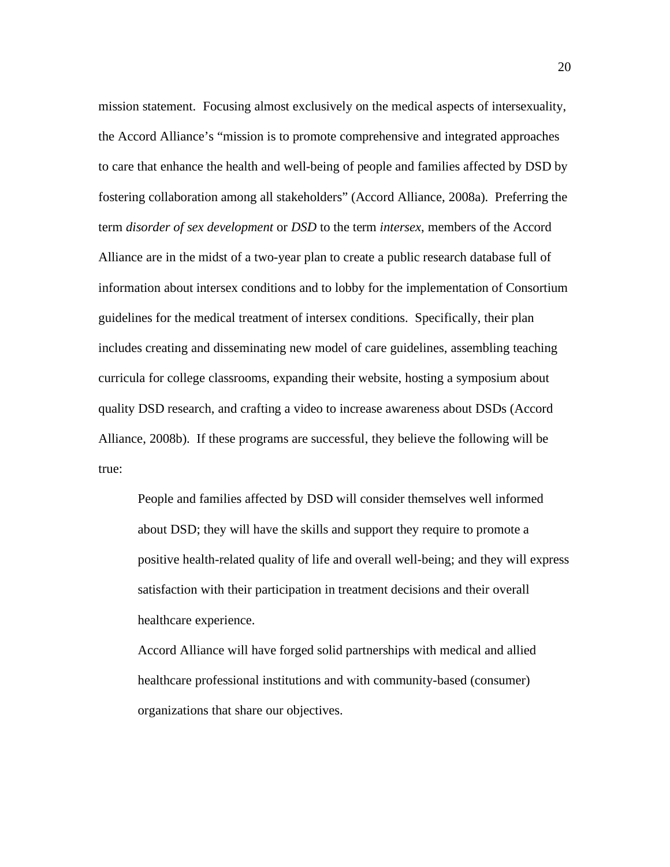mission statement. Focusing almost exclusively on the medical aspects of intersexuality, the Accord Alliance's "mission is to promote comprehensive and integrated approaches to care that enhance the health and well-being of people and families affected by DSD by fostering collaboration among all stakeholders" (Accord Alliance, 2008a). Preferring the term *disorder of sex development* or *DSD* to the term *intersex*, members of the Accord Alliance are in the midst of a two-year plan to create a public research database full of information about intersex conditions and to lobby for the implementation of Consortium guidelines for the medical treatment of intersex conditions. Specifically, their plan includes creating and disseminating new model of care guidelines, assembling teaching curricula for college classrooms, expanding their website, hosting a symposium about quality DSD research, and crafting a video to increase awareness about DSDs (Accord Alliance, 2008b). If these programs are successful, they believe the following will be true:

People and families affected by DSD will consider themselves well informed about DSD; they will have the skills and support they require to promote a positive health-related quality of life and overall well-being; and they will express satisfaction with their participation in treatment decisions and their overall healthcare experience.

Accord Alliance will have forged solid partnerships with medical and allied healthcare professional institutions and with community-based (consumer) organizations that share our objectives.

20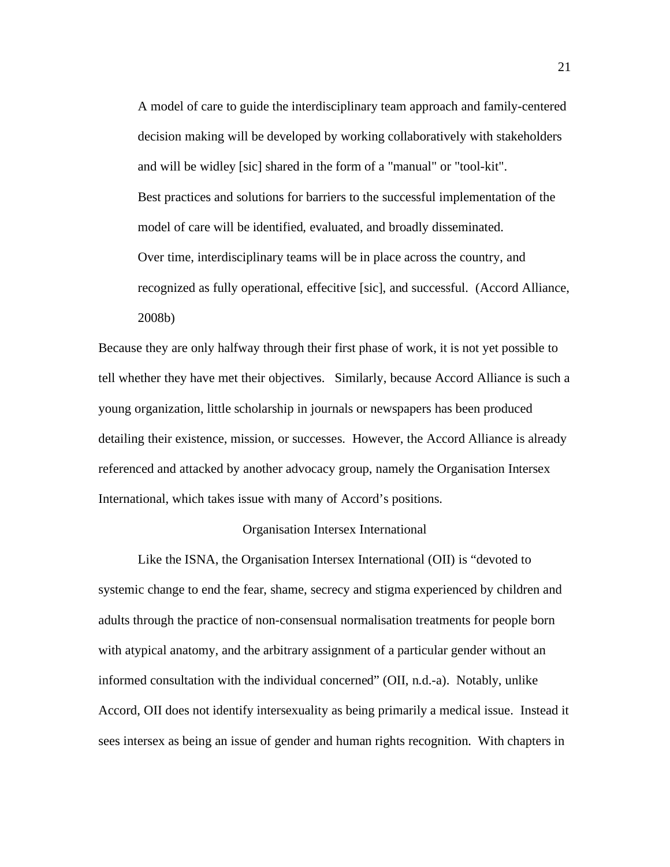A model of care to guide the interdisciplinary team approach and family-centered decision making will be developed by working collaboratively with stakeholders and will be widley [sic] shared in the form of a "manual" or "tool-kit". Best practices and solutions for barriers to the successful implementation of the model of care will be identified, evaluated, and broadly disseminated. Over time, interdisciplinary teams will be in place across the country, and recognized as fully operational, effecitive [sic], and successful. (Accord Alliance, 2008b)

Because they are only halfway through their first phase of work, it is not yet possible to tell whether they have met their objectives. Similarly, because Accord Alliance is such a young organization, little scholarship in journals or newspapers has been produced detailing their existence, mission, or successes. However, the Accord Alliance is already referenced and attacked by another advocacy group, namely the Organisation Intersex International, which takes issue with many of Accord's positions.

## Organisation Intersex International

Like the ISNA, the Organisation Intersex International (OII) is "devoted to systemic change to end the fear, shame, secrecy and stigma experienced by children and adults through the practice of non-consensual normalisation treatments for people born with atypical anatomy, and the arbitrary assignment of a particular gender without an informed consultation with the individual concerned" (OII, n.d.-a). Notably, unlike Accord, OII does not identify intersexuality as being primarily a medical issue. Instead it sees intersex as being an issue of gender and human rights recognition. With chapters in

21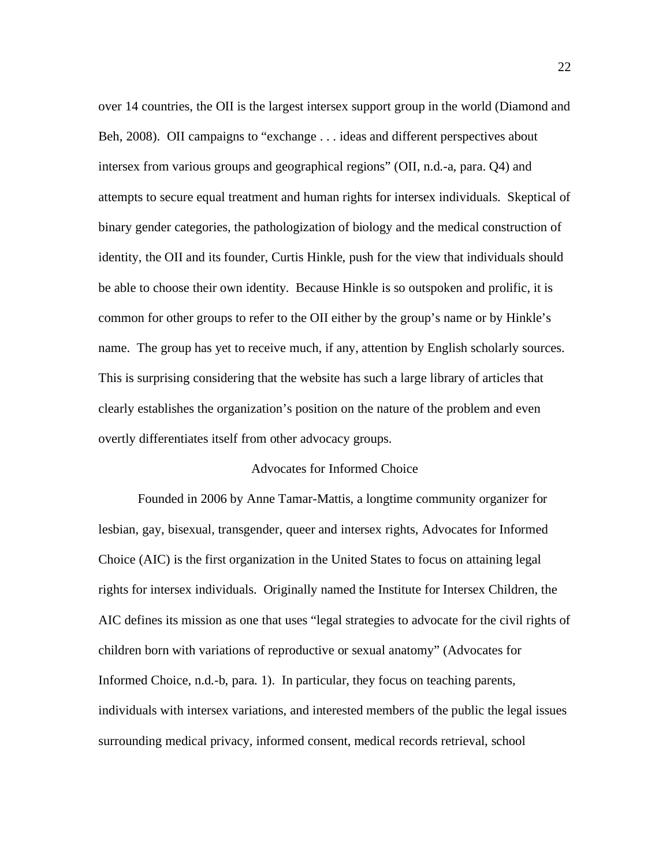over 14 countries, the OII is the largest intersex support group in the world (Diamond and Beh, 2008). OII campaigns to "exchange . . . ideas and different perspectives about intersex from various groups and geographical regions" (OII, n.d.-a, para. Q4) and attempts to secure equal treatment and human rights for intersex individuals. Skeptical of binary gender categories, the pathologization of biology and the medical construction of identity, the OII and its founder, Curtis Hinkle, push for the view that individuals should be able to choose their own identity. Because Hinkle is so outspoken and prolific, it is common for other groups to refer to the OII either by the group's name or by Hinkle's name. The group has yet to receive much, if any, attention by English scholarly sources. This is surprising considering that the website has such a large library of articles that clearly establishes the organization's position on the nature of the problem and even overtly differentiates itself from other advocacy groups.

#### Advocates for Informed Choice

Founded in 2006 by Anne Tamar-Mattis, a longtime community organizer for lesbian, gay, bisexual, transgender, queer and intersex rights, Advocates for Informed Choice (AIC) is the first organization in the United States to focus on attaining legal rights for intersex individuals. Originally named the Institute for Intersex Children, the AIC defines its mission as one that uses "legal strategies to advocate for the civil rights of children born with variations of reproductive or sexual anatomy" (Advocates for Informed Choice, n.d.-b, para. 1). In particular, they focus on teaching parents, individuals with intersex variations, and interested members of the public the legal issues surrounding medical privacy, informed consent, medical records retrieval, school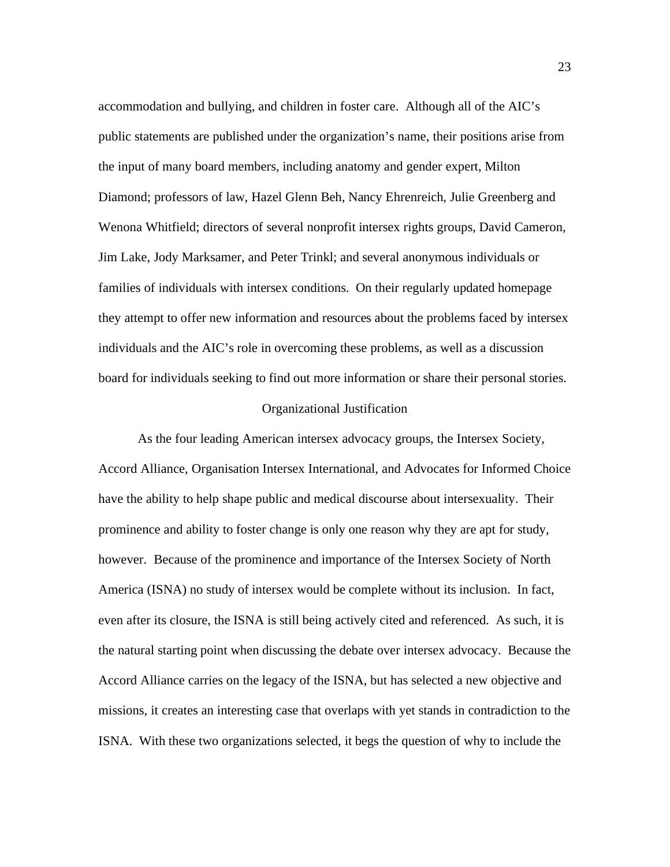accommodation and bullying, and children in foster care. Although all of the AIC's public statements are published under the organization's name, their positions arise from the input of many board members, including anatomy and gender expert, Milton Diamond; professors of law, Hazel Glenn Beh, Nancy Ehrenreich, Julie Greenberg and Wenona Whitfield; directors of several nonprofit intersex rights groups, David Cameron, Jim Lake, Jody Marksamer, and Peter Trinkl; and several anonymous individuals or families of individuals with intersex conditions. On their regularly updated homepage they attempt to offer new information and resources about the problems faced by intersex individuals and the AIC's role in overcoming these problems, as well as a discussion board for individuals seeking to find out more information or share their personal stories.

## Organizational Justification

As the four leading American intersex advocacy groups, the Intersex Society, Accord Alliance, Organisation Intersex International, and Advocates for Informed Choice have the ability to help shape public and medical discourse about intersexuality. Their prominence and ability to foster change is only one reason why they are apt for study, however. Because of the prominence and importance of the Intersex Society of North America (ISNA) no study of intersex would be complete without its inclusion. In fact, even after its closure, the ISNA is still being actively cited and referenced. As such, it is the natural starting point when discussing the debate over intersex advocacy. Because the Accord Alliance carries on the legacy of the ISNA, but has selected a new objective and missions, it creates an interesting case that overlaps with yet stands in contradiction to the ISNA. With these two organizations selected, it begs the question of why to include the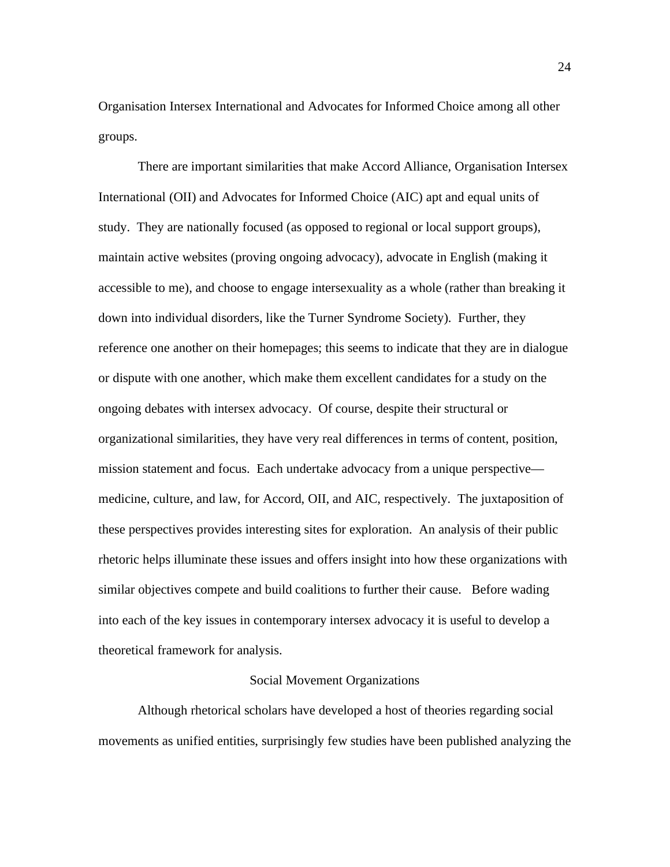Organisation Intersex International and Advocates for Informed Choice among all other groups.

There are important similarities that make Accord Alliance, Organisation Intersex International (OII) and Advocates for Informed Choice (AIC) apt and equal units of study. They are nationally focused (as opposed to regional or local support groups), maintain active websites (proving ongoing advocacy), advocate in English (making it accessible to me), and choose to engage intersexuality as a whole (rather than breaking it down into individual disorders, like the Turner Syndrome Society). Further, they reference one another on their homepages; this seems to indicate that they are in dialogue or dispute with one another, which make them excellent candidates for a study on the ongoing debates with intersex advocacy. Of course, despite their structural or organizational similarities, they have very real differences in terms of content, position, mission statement and focus. Each undertake advocacy from a unique perspective medicine, culture, and law, for Accord, OII, and AIC, respectively. The juxtaposition of these perspectives provides interesting sites for exploration. An analysis of their public rhetoric helps illuminate these issues and offers insight into how these organizations with similar objectives compete and build coalitions to further their cause. Before wading into each of the key issues in contemporary intersex advocacy it is useful to develop a theoretical framework for analysis.

## Social Movement Organizations

Although rhetorical scholars have developed a host of theories regarding social movements as unified entities, surprisingly few studies have been published analyzing the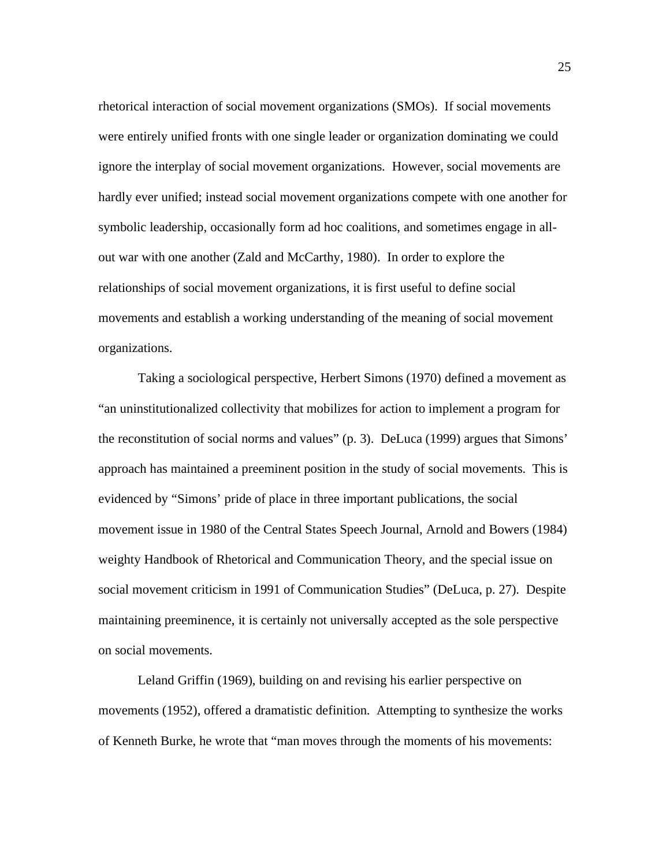rhetorical interaction of social movement organizations (SMOs). If social movements were entirely unified fronts with one single leader or organization dominating we could ignore the interplay of social movement organizations. However, social movements are hardly ever unified; instead social movement organizations compete with one another for symbolic leadership, occasionally form ad hoc coalitions, and sometimes engage in allout war with one another (Zald and McCarthy, 1980). In order to explore the relationships of social movement organizations, it is first useful to define social movements and establish a working understanding of the meaning of social movement organizations.

Taking a sociological perspective, Herbert Simons (1970) defined a movement as "an uninstitutionalized collectivity that mobilizes for action to implement a program for the reconstitution of social norms and values" (p. 3). DeLuca (1999) argues that Simons' approach has maintained a preeminent position in the study of social movements. This is evidenced by "Simons' pride of place in three important publications, the social movement issue in 1980 of the Central States Speech Journal, Arnold and Bowers (1984) weighty Handbook of Rhetorical and Communication Theory, and the special issue on social movement criticism in 1991 of Communication Studies" (DeLuca, p. 27). Despite maintaining preeminence, it is certainly not universally accepted as the sole perspective on social movements.

Leland Griffin (1969), building on and revising his earlier perspective on movements (1952), offered a dramatistic definition. Attempting to synthesize the works of Kenneth Burke, he wrote that "man moves through the moments of his movements: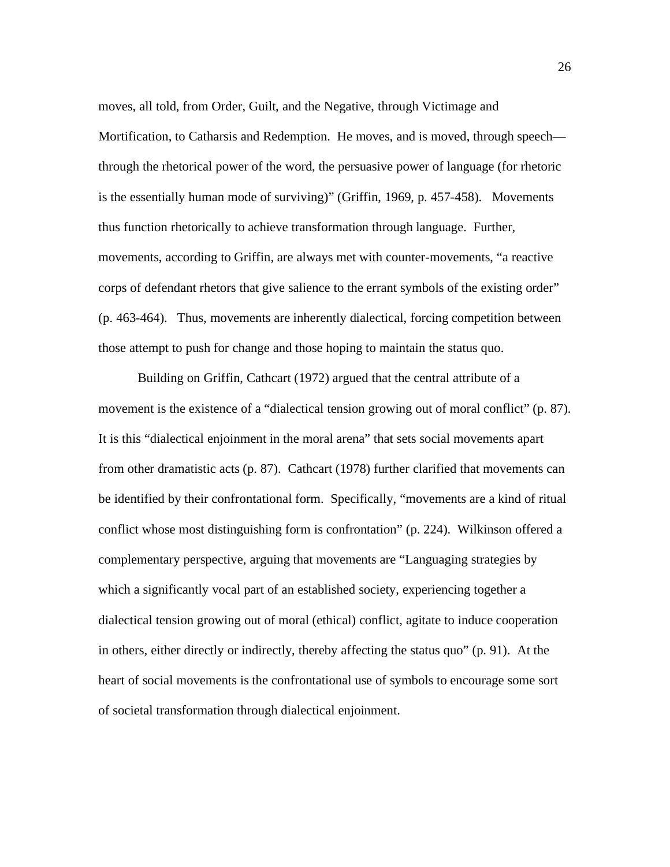moves, all told, from Order, Guilt, and the Negative, through Victimage and Mortification, to Catharsis and Redemption. He moves, and is moved, through speech through the rhetorical power of the word, the persuasive power of language (for rhetoric is the essentially human mode of surviving)" (Griffin, 1969, p. 457-458). Movements thus function rhetorically to achieve transformation through language. Further, movements, according to Griffin, are always met with counter-movements, "a reactive corps of defendant rhetors that give salience to the errant symbols of the existing order" (p. 463-464). Thus, movements are inherently dialectical, forcing competition between those attempt to push for change and those hoping to maintain the status quo.

Building on Griffin, Cathcart (1972) argued that the central attribute of a movement is the existence of a "dialectical tension growing out of moral conflict" (p. 87). It is this "dialectical enjoinment in the moral arena" that sets social movements apart from other dramatistic acts (p. 87). Cathcart (1978) further clarified that movements can be identified by their confrontational form. Specifically, "movements are a kind of ritual conflict whose most distinguishing form is confrontation" (p. 224). Wilkinson offered a complementary perspective, arguing that movements are "Languaging strategies by which a significantly vocal part of an established society, experiencing together a dialectical tension growing out of moral (ethical) conflict, agitate to induce cooperation in others, either directly or indirectly, thereby affecting the status quo" (p. 91). At the heart of social movements is the confrontational use of symbols to encourage some sort of societal transformation through dialectical enjoinment.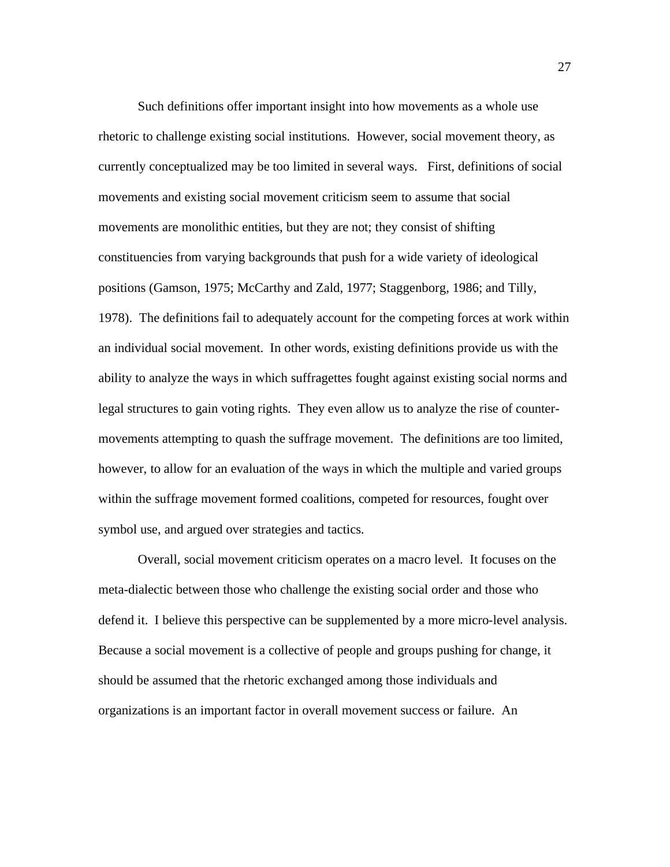Such definitions offer important insight into how movements as a whole use rhetoric to challenge existing social institutions. However, social movement theory, as currently conceptualized may be too limited in several ways. First, definitions of social movements and existing social movement criticism seem to assume that social movements are monolithic entities, but they are not; they consist of shifting constituencies from varying backgrounds that push for a wide variety of ideological positions (Gamson, 1975; McCarthy and Zald, 1977; Staggenborg, 1986; and Tilly, 1978). The definitions fail to adequately account for the competing forces at work within an individual social movement. In other words, existing definitions provide us with the ability to analyze the ways in which suffragettes fought against existing social norms and legal structures to gain voting rights. They even allow us to analyze the rise of countermovements attempting to quash the suffrage movement. The definitions are too limited, however, to allow for an evaluation of the ways in which the multiple and varied groups within the suffrage movement formed coalitions, competed for resources, fought over symbol use, and argued over strategies and tactics.

Overall, social movement criticism operates on a macro level. It focuses on the meta-dialectic between those who challenge the existing social order and those who defend it. I believe this perspective can be supplemented by a more micro-level analysis. Because a social movement is a collective of people and groups pushing for change, it should be assumed that the rhetoric exchanged among those individuals and organizations is an important factor in overall movement success or failure. An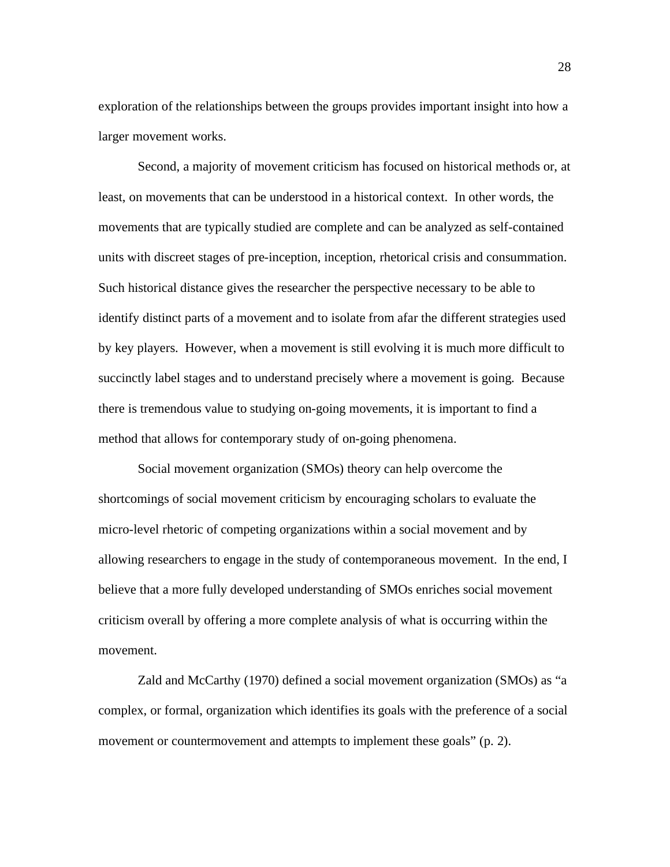exploration of the relationships between the groups provides important insight into how a larger movement works.

Second, a majority of movement criticism has focused on historical methods or, at least, on movements that can be understood in a historical context. In other words, the movements that are typically studied are complete and can be analyzed as self-contained units with discreet stages of pre-inception, inception, rhetorical crisis and consummation. Such historical distance gives the researcher the perspective necessary to be able to identify distinct parts of a movement and to isolate from afar the different strategies used by key players. However, when a movement is still evolving it is much more difficult to succinctly label stages and to understand precisely where a movement is going. Because there is tremendous value to studying on-going movements, it is important to find a method that allows for contemporary study of on-going phenomena.

Social movement organization (SMOs) theory can help overcome the shortcomings of social movement criticism by encouraging scholars to evaluate the micro-level rhetoric of competing organizations within a social movement and by allowing researchers to engage in the study of contemporaneous movement. In the end, I believe that a more fully developed understanding of SMOs enriches social movement criticism overall by offering a more complete analysis of what is occurring within the movement.

Zald and McCarthy (1970) defined a social movement organization (SMOs) as "a complex, or formal, organization which identifies its goals with the preference of a social movement or countermovement and attempts to implement these goals" (p. 2).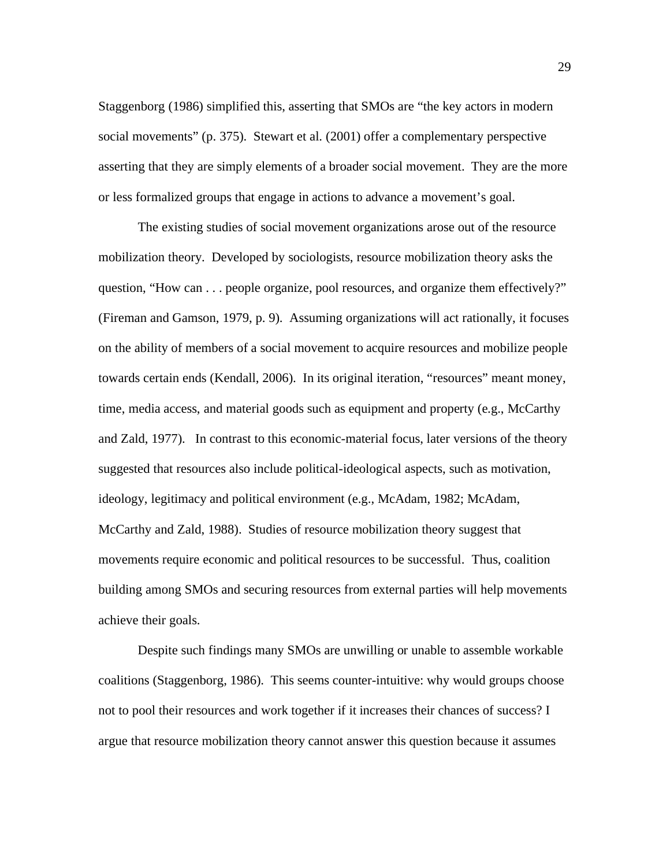Staggenborg (1986) simplified this, asserting that SMOs are "the key actors in modern social movements" (p. 375). Stewart et al. (2001) offer a complementary perspective asserting that they are simply elements of a broader social movement. They are the more or less formalized groups that engage in actions to advance a movement's goal.

The existing studies of social movement organizations arose out of the resource mobilization theory. Developed by sociologists, resource mobilization theory asks the question, "How can . . . people organize, pool resources, and organize them effectively?" (Fireman and Gamson, 1979, p. 9). Assuming organizations will act rationally, it focuses on the ability of members of a social movement to acquire resources and mobilize people towards certain ends (Kendall, 2006). In its original iteration, "resources" meant money, time, media access, and material goods such as equipment and property (e.g., McCarthy and Zald, 1977). In contrast to this economic-material focus, later versions of the theory suggested that resources also include political-ideological aspects, such as motivation, ideology, legitimacy and political environment (e.g., McAdam, 1982; McAdam, McCarthy and Zald, 1988). Studies of resource mobilization theory suggest that movements require economic and political resources to be successful. Thus, coalition building among SMOs and securing resources from external parties will help movements achieve their goals.

Despite such findings many SMOs are unwilling or unable to assemble workable coalitions (Staggenborg, 1986). This seems counter-intuitive: why would groups choose not to pool their resources and work together if it increases their chances of success? I argue that resource mobilization theory cannot answer this question because it assumes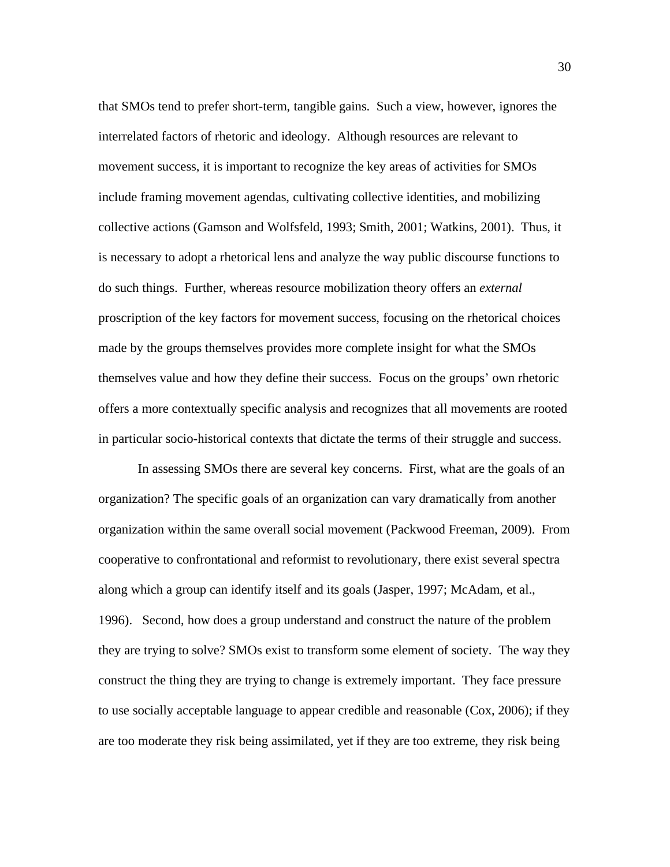that SMOs tend to prefer short-term, tangible gains. Such a view, however, ignores the interrelated factors of rhetoric and ideology. Although resources are relevant to movement success, it is important to recognize the key areas of activities for SMOs include framing movement agendas, cultivating collective identities, and mobilizing collective actions (Gamson and Wolfsfeld, 1993; Smith, 2001; Watkins, 2001). Thus, it is necessary to adopt a rhetorical lens and analyze the way public discourse functions to do such things. Further, whereas resource mobilization theory offers an *external* proscription of the key factors for movement success, focusing on the rhetorical choices made by the groups themselves provides more complete insight for what the SMOs themselves value and how they define their success. Focus on the groups' own rhetoric offers a more contextually specific analysis and recognizes that all movements are rooted in particular socio-historical contexts that dictate the terms of their struggle and success.

In assessing SMOs there are several key concerns. First, what are the goals of an organization? The specific goals of an organization can vary dramatically from another organization within the same overall social movement (Packwood Freeman, 2009). From cooperative to confrontational and reformist to revolutionary, there exist several spectra along which a group can identify itself and its goals (Jasper, 1997; McAdam, et al., 1996). Second, how does a group understand and construct the nature of the problem they are trying to solve? SMOs exist to transform some element of society. The way they construct the thing they are trying to change is extremely important. They face pressure to use socially acceptable language to appear credible and reasonable (Cox, 2006); if they are too moderate they risk being assimilated, yet if they are too extreme, they risk being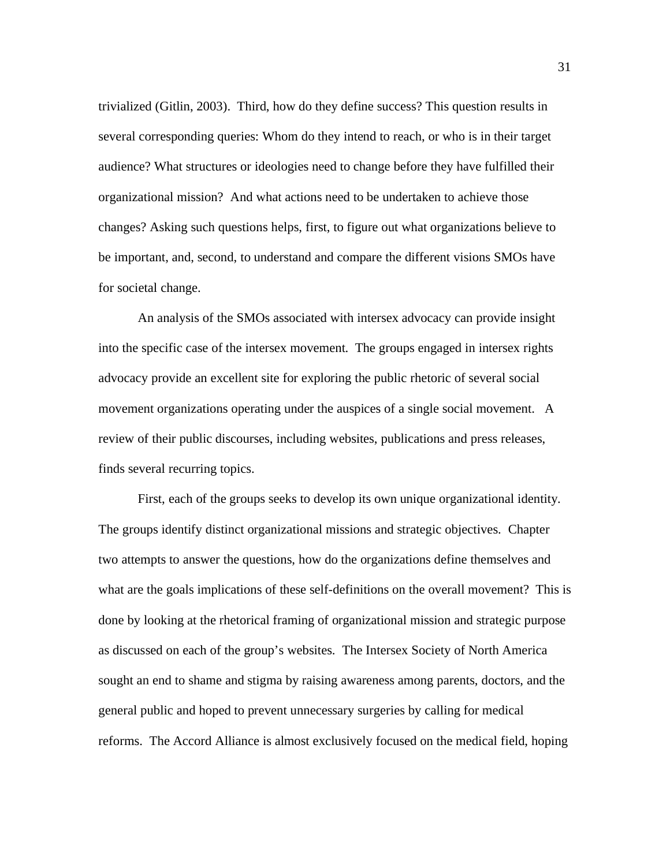trivialized (Gitlin, 2003). Third, how do they define success? This question results in several corresponding queries: Whom do they intend to reach, or who is in their target audience? What structures or ideologies need to change before they have fulfilled their organizational mission? And what actions need to be undertaken to achieve those changes? Asking such questions helps, first, to figure out what organizations believe to be important, and, second, to understand and compare the different visions SMOs have for societal change.

An analysis of the SMOs associated with intersex advocacy can provide insight into the specific case of the intersex movement. The groups engaged in intersex rights advocacy provide an excellent site for exploring the public rhetoric of several social movement organizations operating under the auspices of a single social movement. A review of their public discourses, including websites, publications and press releases, finds several recurring topics.

First, each of the groups seeks to develop its own unique organizational identity. The groups identify distinct organizational missions and strategic objectives. Chapter two attempts to answer the questions, how do the organizations define themselves and what are the goals implications of these self-definitions on the overall movement? This is done by looking at the rhetorical framing of organizational mission and strategic purpose as discussed on each of the group's websites. The Intersex Society of North America sought an end to shame and stigma by raising awareness among parents, doctors, and the general public and hoped to prevent unnecessary surgeries by calling for medical reforms. The Accord Alliance is almost exclusively focused on the medical field, hoping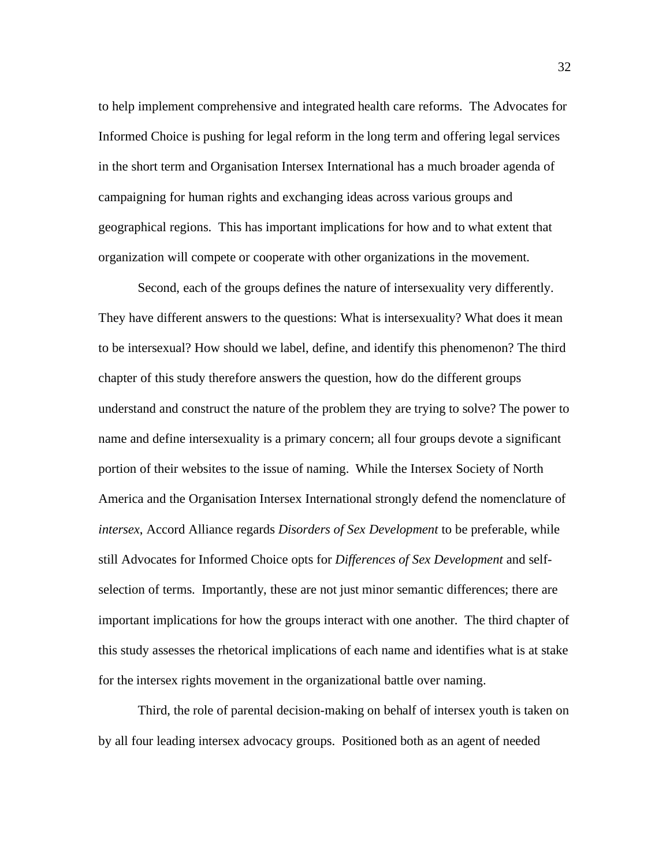to help implement comprehensive and integrated health care reforms. The Advocates for Informed Choice is pushing for legal reform in the long term and offering legal services in the short term and Organisation Intersex International has a much broader agenda of campaigning for human rights and exchanging ideas across various groups and geographical regions. This has important implications for how and to what extent that organization will compete or cooperate with other organizations in the movement.

Second, each of the groups defines the nature of intersexuality very differently. They have different answers to the questions: What is intersexuality? What does it mean to be intersexual? How should we label, define, and identify this phenomenon? The third chapter of this study therefore answers the question, how do the different groups understand and construct the nature of the problem they are trying to solve? The power to name and define intersexuality is a primary concern; all four groups devote a significant portion of their websites to the issue of naming. While the Intersex Society of North America and the Organisation Intersex International strongly defend the nomenclature of *intersex*, Accord Alliance regards *Disorders of Sex Development* to be preferable, while still Advocates for Informed Choice opts for *Differences of Sex Development* and selfselection of terms. Importantly, these are not just minor semantic differences; there are important implications for how the groups interact with one another. The third chapter of this study assesses the rhetorical implications of each name and identifies what is at stake for the intersex rights movement in the organizational battle over naming.

Third, the role of parental decision-making on behalf of intersex youth is taken on by all four leading intersex advocacy groups. Positioned both as an agent of needed

32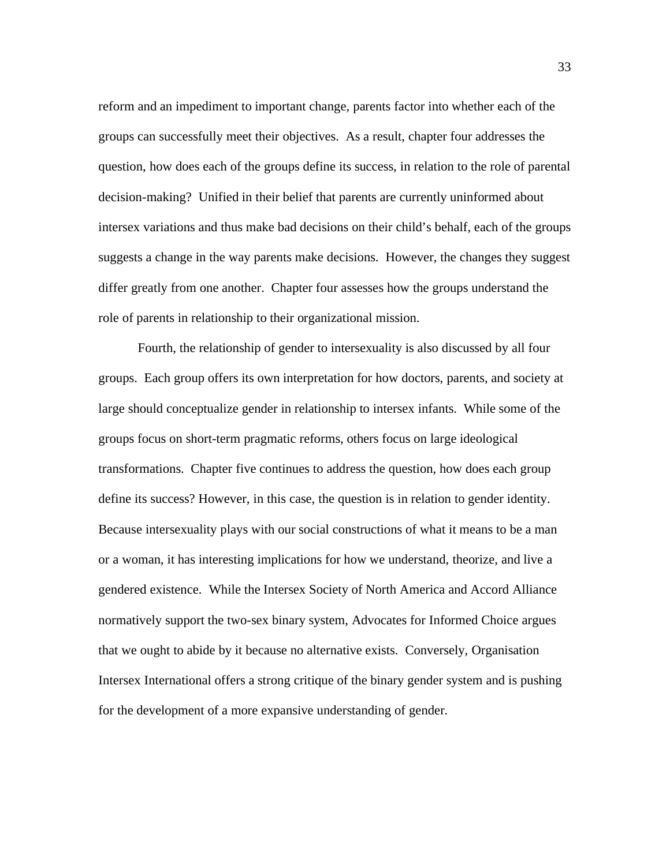reform and an impediment to important change, parents factor into whether each of the groups can successfully meet their objectives. As a result, chapter four addresses the question, how does each of the groups define its success, in relation to the role of parental decision-making? Unified in their belief that parents are currently uninformed about intersex variations and thus make bad decisions on their child's behalf, each of the groups suggests a change in the way parents make decisions. However, the changes they suggest differ greatly from one another. Chapter four assesses how the groups understand the role of parents in relationship to their organizational mission.

Fourth, the relationship of gender to intersexuality is also discussed by all four groups. Each group offers its own interpretation for how doctors, parents, and society at large should conceptualize gender in relationship to intersex infants. While some of the groups focus on short-term pragmatic reforms, others focus on large ideological transformations. Chapter five continues to address the question, how does each group define its success? However, in this case, the question is in relation to gender identity. Because intersexuality plays with our social constructions of what it means to be a man or a woman, it has interesting implications for how we understand, theorize, and live a gendered existence. While the Intersex Society of North America and Accord Alliance normatively support the two-sex binary system, Advocates for Informed Choice argues that we ought to abide by it because no alternative exists. Conversely, Organisation Intersex International offers a strong critique of the binary gender system and is pushing for the development of a more expansive understanding of gender.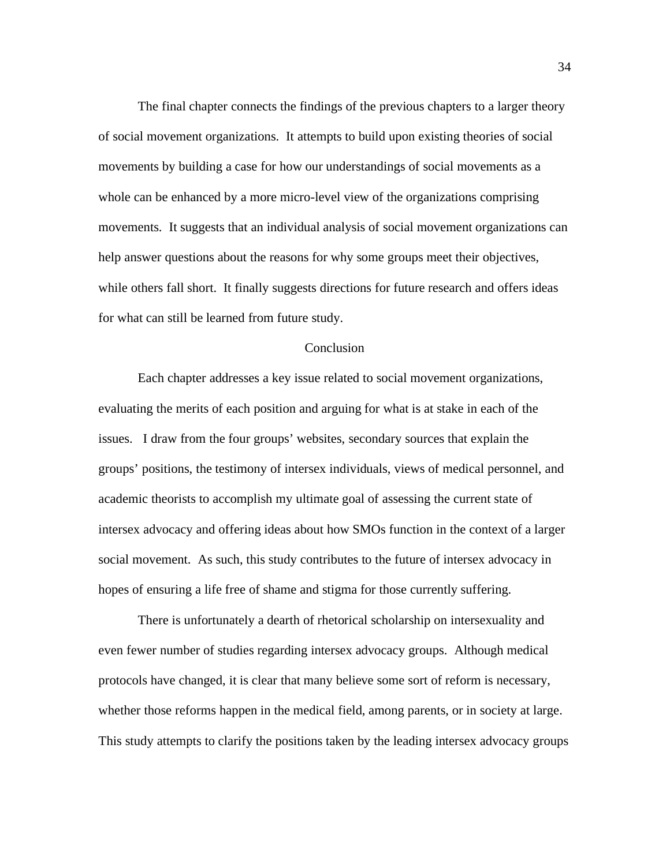The final chapter connects the findings of the previous chapters to a larger theory of social movement organizations. It attempts to build upon existing theories of social movements by building a case for how our understandings of social movements as a whole can be enhanced by a more micro-level view of the organizations comprising movements. It suggests that an individual analysis of social movement organizations can help answer questions about the reasons for why some groups meet their objectives, while others fall short. It finally suggests directions for future research and offers ideas for what can still be learned from future study.

### **Conclusion**

Each chapter addresses a key issue related to social movement organizations, evaluating the merits of each position and arguing for what is at stake in each of the issues. I draw from the four groups' websites, secondary sources that explain the groups' positions, the testimony of intersex individuals, views of medical personnel, and academic theorists to accomplish my ultimate goal of assessing the current state of intersex advocacy and offering ideas about how SMOs function in the context of a larger social movement. As such, this study contributes to the future of intersex advocacy in hopes of ensuring a life free of shame and stigma for those currently suffering.

 There is unfortunately a dearth of rhetorical scholarship on intersexuality and even fewer number of studies regarding intersex advocacy groups. Although medical protocols have changed, it is clear that many believe some sort of reform is necessary, whether those reforms happen in the medical field, among parents, or in society at large. This study attempts to clarify the positions taken by the leading intersex advocacy groups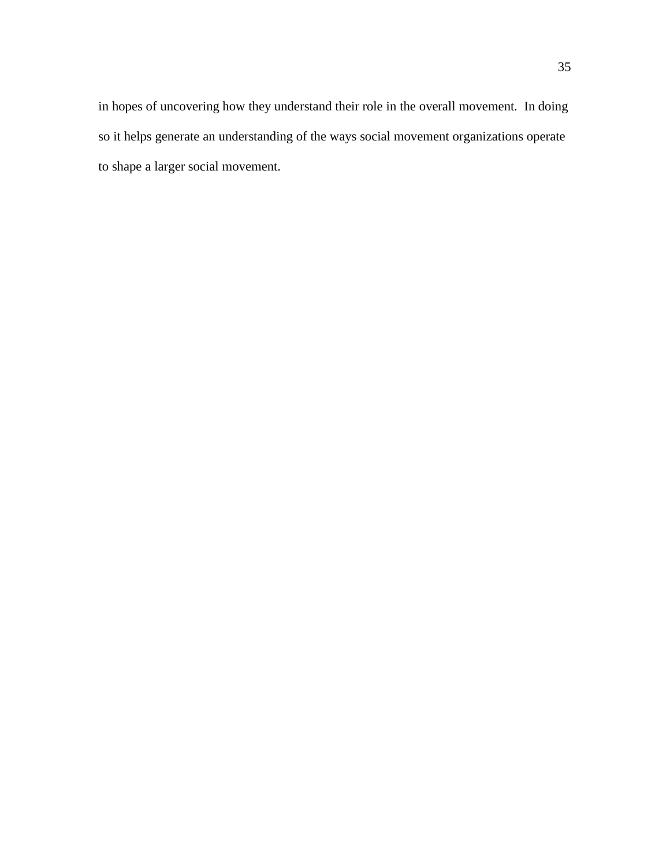in hopes of uncovering how they understand their role in the overall movement. In doing so it helps generate an understanding of the ways social movement organizations operate to shape a larger social movement.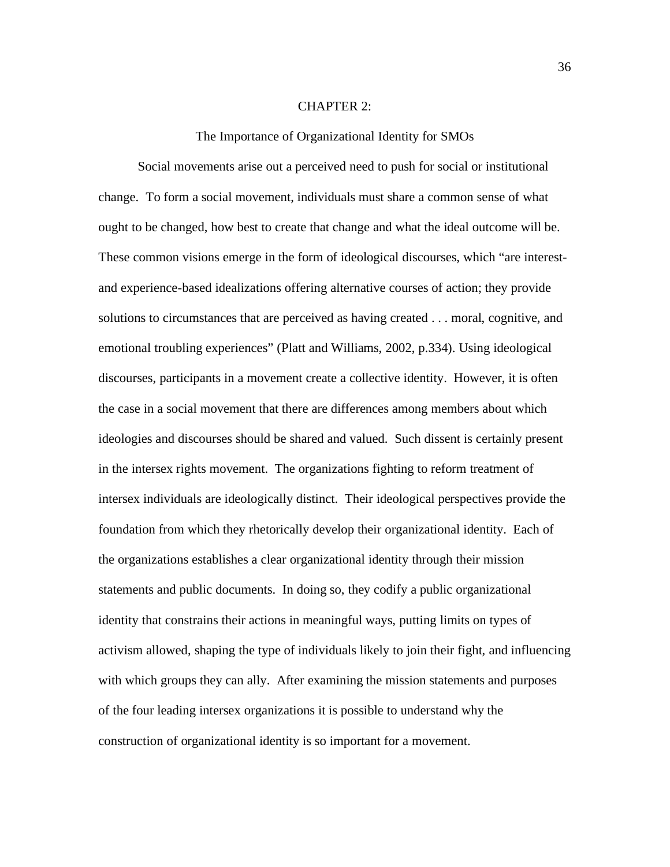#### CHAPTER 2:

The Importance of Organizational Identity for SMOs

Social movements arise out a perceived need to push for social or institutional change. To form a social movement, individuals must share a common sense of what ought to be changed, how best to create that change and what the ideal outcome will be. These common visions emerge in the form of ideological discourses, which "are interestand experience-based idealizations offering alternative courses of action; they provide solutions to circumstances that are perceived as having created . . . moral, cognitive, and emotional troubling experiences" (Platt and Williams, 2002, p.334). Using ideological discourses, participants in a movement create a collective identity. However, it is often the case in a social movement that there are differences among members about which ideologies and discourses should be shared and valued. Such dissent is certainly present in the intersex rights movement. The organizations fighting to reform treatment of intersex individuals are ideologically distinct. Their ideological perspectives provide the foundation from which they rhetorically develop their organizational identity. Each of the organizations establishes a clear organizational identity through their mission statements and public documents. In doing so, they codify a public organizational identity that constrains their actions in meaningful ways, putting limits on types of activism allowed, shaping the type of individuals likely to join their fight, and influencing with which groups they can ally. After examining the mission statements and purposes of the four leading intersex organizations it is possible to understand why the construction of organizational identity is so important for a movement.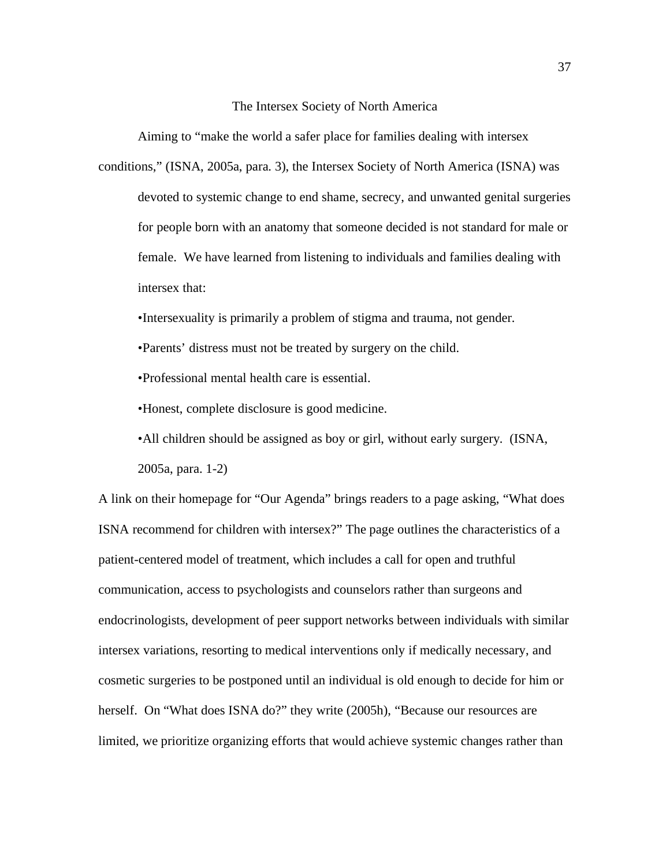The Intersex Society of North America

Aiming to "make the world a safer place for families dealing with intersex

conditions," (ISNA, 2005a, para. 3), the Intersex Society of North America (ISNA) was devoted to systemic change to end shame, secrecy, and unwanted genital surgeries for people born with an anatomy that someone decided is not standard for male or female. We have learned from listening to individuals and families dealing with intersex that:

•Intersexuality is primarily a problem of stigma and trauma, not gender.

•Parents' distress must not be treated by surgery on the child.

•Professional mental health care is essential.

•Honest, complete disclosure is good medicine.

•All children should be assigned as boy or girl, without early surgery. (ISNA, 2005a, para. 1-2)

A link on their homepage for "Our Agenda" brings readers to a page asking, "What does ISNA recommend for children with intersex?" The page outlines the characteristics of a patient-centered model of treatment, which includes a call for open and truthful communication, access to psychologists and counselors rather than surgeons and endocrinologists, development of peer support networks between individuals with similar intersex variations, resorting to medical interventions only if medically necessary, and cosmetic surgeries to be postponed until an individual is old enough to decide for him or herself. On "What does ISNA do?" they write (2005h), "Because our resources are limited, we prioritize organizing efforts that would achieve systemic changes rather than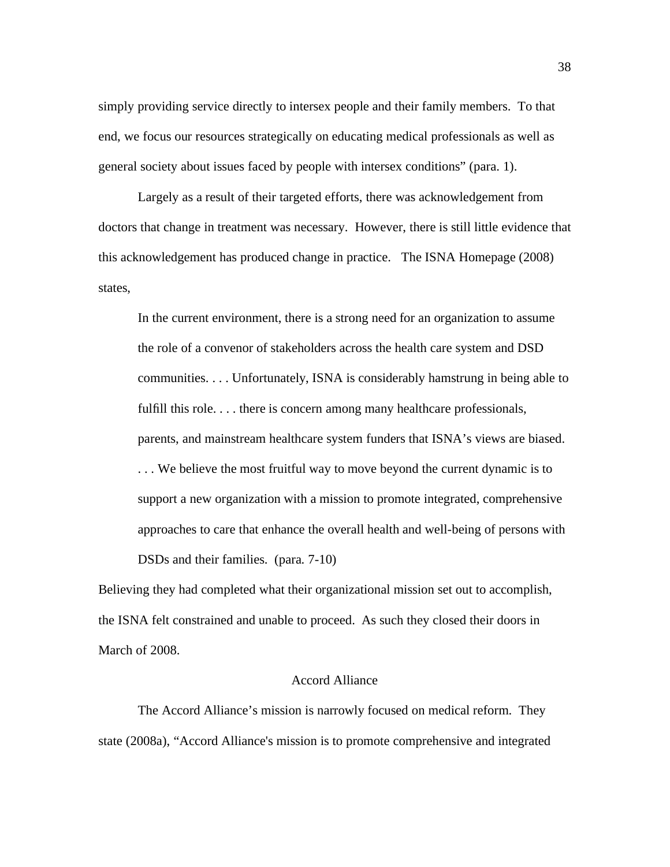simply providing service directly to intersex people and their family members. To that end, we focus our resources strategically on educating medical professionals as well as general society about issues faced by people with intersex conditions" (para. 1).

 Largely as a result of their targeted efforts, there was acknowledgement from doctors that change in treatment was necessary. However, there is still little evidence that this acknowledgement has produced change in practice. The ISNA Homepage (2008) states,

In the current environment, there is a strong need for an organization to assume the role of a convenor of stakeholders across the health care system and DSD communities. . . . Unfortunately, ISNA is considerably hamstrung in being able to fulfill this role. . . . there is concern among many healthcare professionals, parents, and mainstream healthcare system funders that ISNA's views are biased. . . . We believe the most fruitful way to move beyond the current dynamic is to support a new organization with a mission to promote integrated, comprehensive approaches to care that enhance the overall health and well-being of persons with DSDs and their families. (para. 7-10)

Believing they had completed what their organizational mission set out to accomplish, the ISNA felt constrained and unable to proceed. As such they closed their doors in March of 2008.

# Accord Alliance

The Accord Alliance's mission is narrowly focused on medical reform. They state (2008a), "Accord Alliance's mission is to promote comprehensive and integrated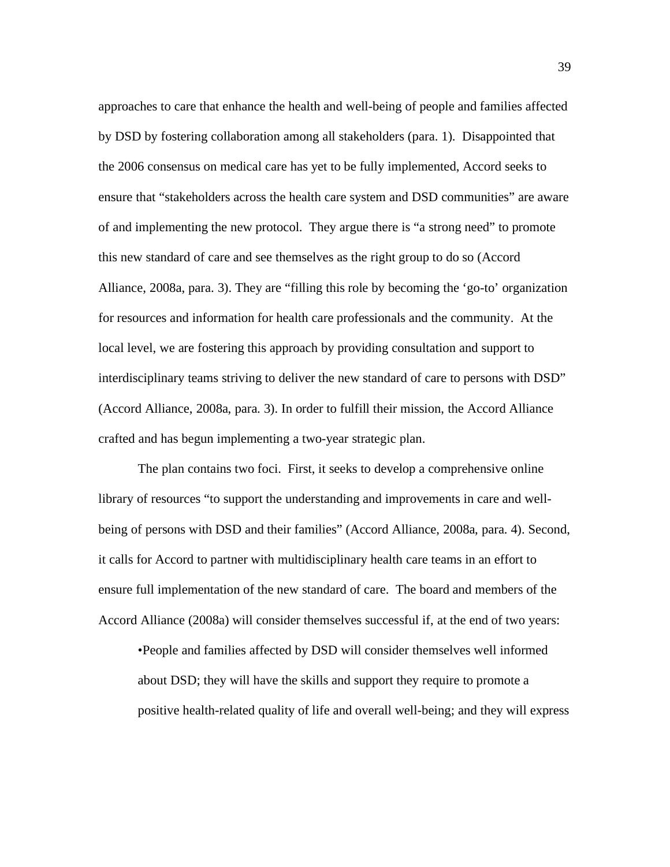approaches to care that enhance the health and well-being of people and families affected by DSD by fostering collaboration among all stakeholders (para. 1). Disappointed that the 2006 consensus on medical care has yet to be fully implemented, Accord seeks to ensure that "stakeholders across the health care system and DSD communities" are aware of and implementing the new protocol. They argue there is "a strong need" to promote this new standard of care and see themselves as the right group to do so (Accord Alliance, 2008a, para. 3). They are "filling this role by becoming the 'go-to' organization for resources and information for health care professionals and the community. At the local level, we are fostering this approach by providing consultation and support to interdisciplinary teams striving to deliver the new standard of care to persons with DSD" (Accord Alliance, 2008a, para. 3). In order to fulfill their mission, the Accord Alliance crafted and has begun implementing a two-year strategic plan.

The plan contains two foci. First, it seeks to develop a comprehensive online library of resources "to support the understanding and improvements in care and wellbeing of persons with DSD and their families" (Accord Alliance, 2008a, para. 4). Second, it calls for Accord to partner with multidisciplinary health care teams in an effort to ensure full implementation of the new standard of care. The board and members of the Accord Alliance (2008a) will consider themselves successful if, at the end of two years:

•People and families affected by DSD will consider themselves well informed about DSD; they will have the skills and support they require to promote a positive health-related quality of life and overall well-being; and they will express

39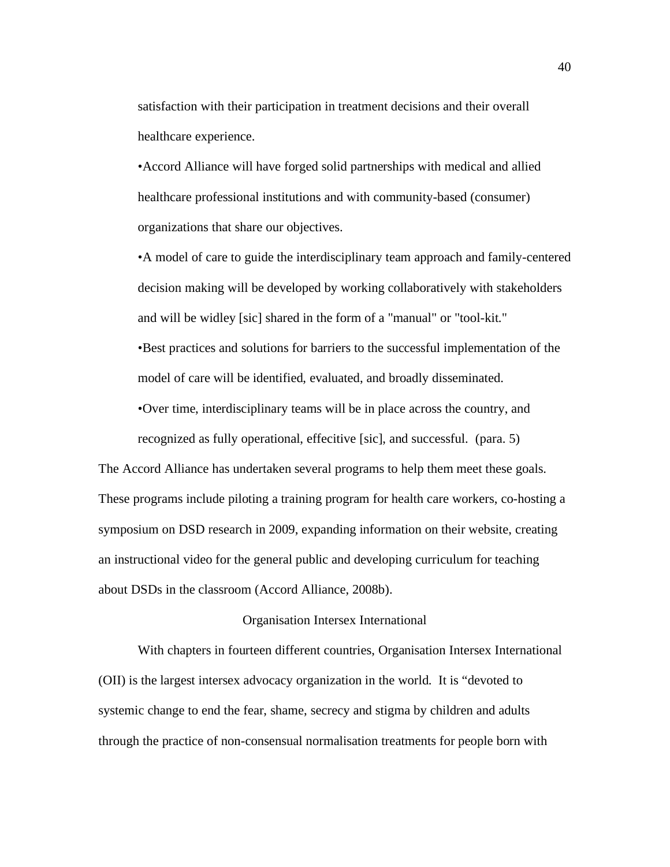satisfaction with their participation in treatment decisions and their overall healthcare experience.

•Accord Alliance will have forged solid partnerships with medical and allied healthcare professional institutions and with community-based (consumer) organizations that share our objectives.

•A model of care to guide the interdisciplinary team approach and family-centered decision making will be developed by working collaboratively with stakeholders and will be widley [sic] shared in the form of a "manual" or "tool-kit." •Best practices and solutions for barriers to the successful implementation of the model of care will be identified, evaluated, and broadly disseminated.

•Over time, interdisciplinary teams will be in place across the country, and

recognized as fully operational, effecitive [sic], and successful. (para. 5) The Accord Alliance has undertaken several programs to help them meet these goals. These programs include piloting a training program for health care workers, co-hosting a symposium on DSD research in 2009, expanding information on their website, creating an instructional video for the general public and developing curriculum for teaching about DSDs in the classroom (Accord Alliance, 2008b).

# Organisation Intersex International

With chapters in fourteen different countries, Organisation Intersex International (OII) is the largest intersex advocacy organization in the world. It is "devoted to systemic change to end the fear, shame, secrecy and stigma by children and adults through the practice of non-consensual normalisation treatments for people born with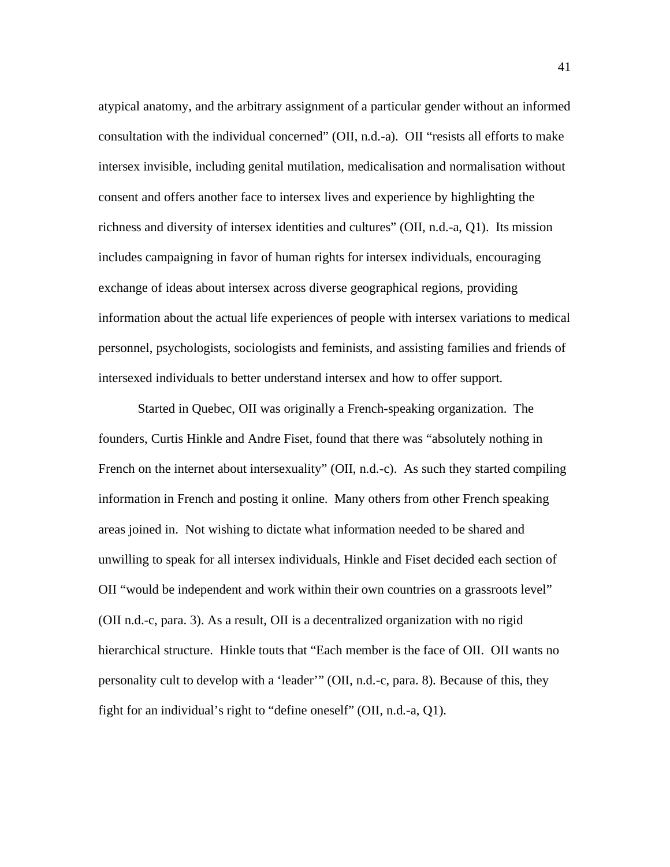atypical anatomy, and the arbitrary assignment of a particular gender without an informed consultation with the individual concerned" (OII, n.d.-a). OII "resists all efforts to make intersex invisible, including genital mutilation, medicalisation and normalisation without consent and offers another face to intersex lives and experience by highlighting the richness and diversity of intersex identities and cultures" (OII, n.d.-a, Q1). Its mission includes campaigning in favor of human rights for intersex individuals, encouraging exchange of ideas about intersex across diverse geographical regions, providing information about the actual life experiences of people with intersex variations to medical personnel, psychologists, sociologists and feminists, and assisting families and friends of intersexed individuals to better understand intersex and how to offer support.

Started in Quebec, OII was originally a French-speaking organization. The founders, Curtis Hinkle and Andre Fiset, found that there was "absolutely nothing in French on the internet about intersexuality" (OII, n.d.-c). As such they started compiling information in French and posting it online. Many others from other French speaking areas joined in. Not wishing to dictate what information needed to be shared and unwilling to speak for all intersex individuals, Hinkle and Fiset decided each section of OII "would be independent and work within their own countries on a grassroots level" (OII n.d.-c, para. 3). As a result, OII is a decentralized organization with no rigid hierarchical structure. Hinkle touts that "Each member is the face of OII. OII wants no personality cult to develop with a 'leader'" (OII, n.d.-c, para. 8). Because of this, they fight for an individual's right to "define oneself" (OII, n.d.-a, Q1).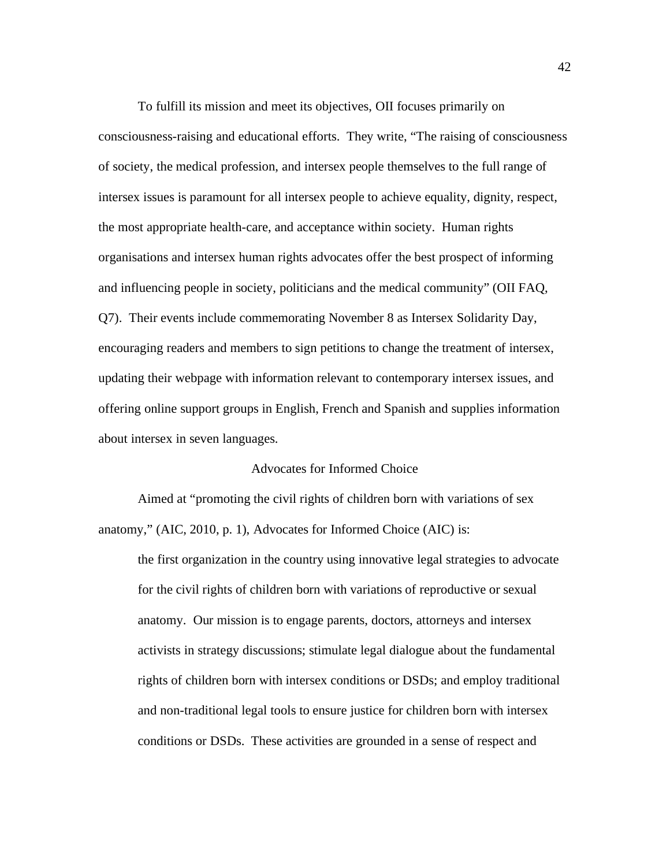To fulfill its mission and meet its objectives, OII focuses primarily on consciousness-raising and educational efforts. They write, "The raising of consciousness of society, the medical profession, and intersex people themselves to the full range of intersex issues is paramount for all intersex people to achieve equality, dignity, respect, the most appropriate health-care, and acceptance within society. Human rights organisations and intersex human rights advocates offer the best prospect of informing and influencing people in society, politicians and the medical community" (OII FAQ, Q7). Their events include commemorating November 8 as Intersex Solidarity Day, encouraging readers and members to sign petitions to change the treatment of intersex, updating their webpage with information relevant to contemporary intersex issues, and offering online support groups in English, French and Spanish and supplies information about intersex in seven languages.

# Advocates for Informed Choice

 Aimed at "promoting the civil rights of children born with variations of sex anatomy," (AIC, 2010, p. 1), Advocates for Informed Choice (AIC) is:

the first organization in the country using innovative legal strategies to advocate for the civil rights of children born with variations of reproductive or sexual anatomy. Our mission is to engage parents, doctors, attorneys and intersex activists in strategy discussions; stimulate legal dialogue about the fundamental rights of children born with intersex conditions or DSDs; and employ traditional and non-traditional legal tools to ensure justice for children born with intersex conditions or DSDs. These activities are grounded in a sense of respect and

42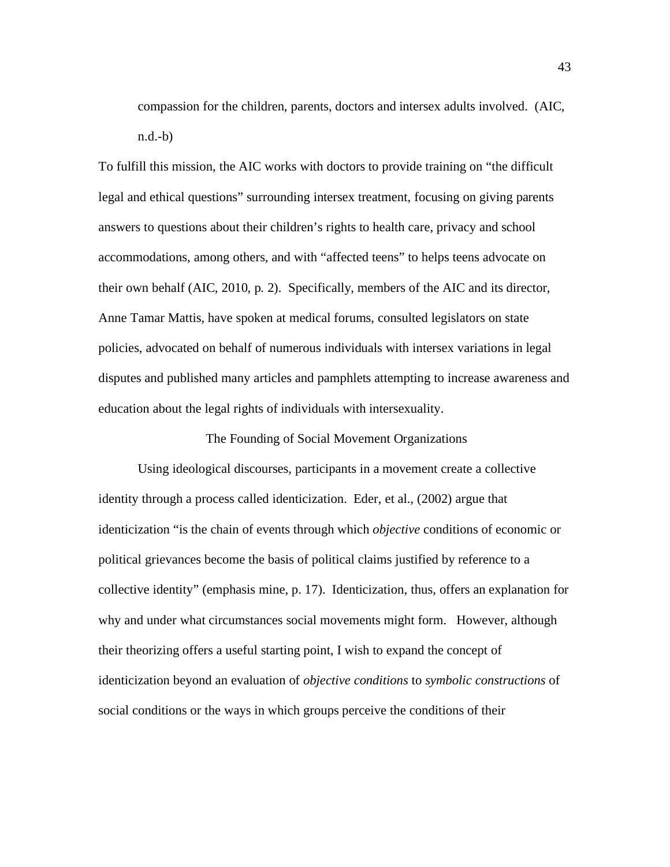compassion for the children, parents, doctors and intersex adults involved. (AIC, n.d.-b)

To fulfill this mission, the AIC works with doctors to provide training on "the difficult legal and ethical questions" surrounding intersex treatment, focusing on giving parents answers to questions about their children's rights to health care, privacy and school accommodations, among others, and with "affected teens" to helps teens advocate on their own behalf (AIC, 2010, p. 2). Specifically, members of the AIC and its director, Anne Tamar Mattis, have spoken at medical forums, consulted legislators on state policies, advocated on behalf of numerous individuals with intersex variations in legal disputes and published many articles and pamphlets attempting to increase awareness and education about the legal rights of individuals with intersexuality.

The Founding of Social Movement Organizations

Using ideological discourses, participants in a movement create a collective identity through a process called identicization. Eder, et al., (2002) argue that identicization "is the chain of events through which *objective* conditions of economic or political grievances become the basis of political claims justified by reference to a collective identity" (emphasis mine, p. 17). Identicization, thus, offers an explanation for why and under what circumstances social movements might form. However, although their theorizing offers a useful starting point, I wish to expand the concept of identicization beyond an evaluation of *objective conditions* to *symbolic constructions* of social conditions or the ways in which groups perceive the conditions of their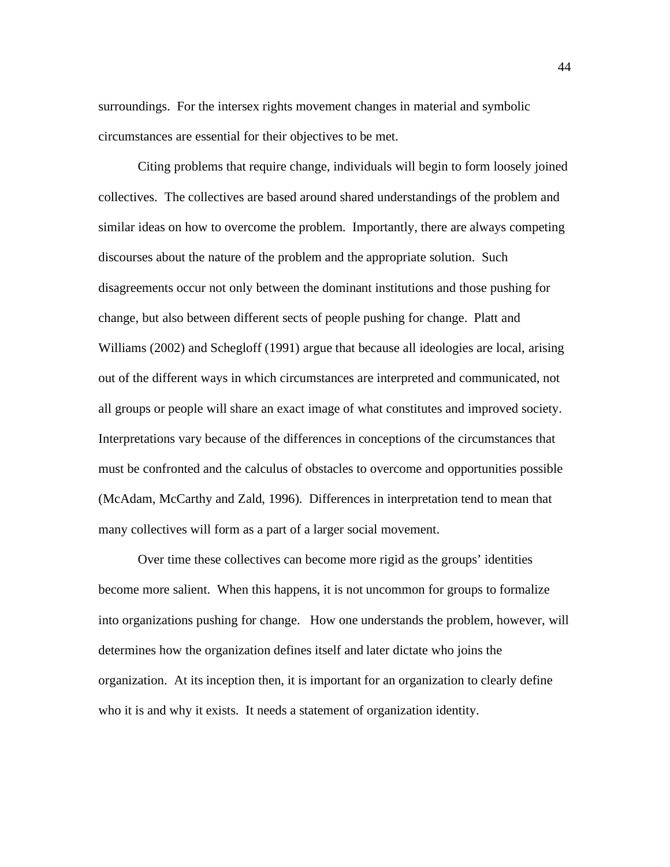surroundings. For the intersex rights movement changes in material and symbolic circumstances are essential for their objectives to be met.

Citing problems that require change, individuals will begin to form loosely joined collectives. The collectives are based around shared understandings of the problem and similar ideas on how to overcome the problem. Importantly, there are always competing discourses about the nature of the problem and the appropriate solution. Such disagreements occur not only between the dominant institutions and those pushing for change, but also between different sects of people pushing for change. Platt and Williams (2002) and Schegloff (1991) argue that because all ideologies are local, arising out of the different ways in which circumstances are interpreted and communicated, not all groups or people will share an exact image of what constitutes and improved society. Interpretations vary because of the differences in conceptions of the circumstances that must be confronted and the calculus of obstacles to overcome and opportunities possible (McAdam, McCarthy and Zald, 1996). Differences in interpretation tend to mean that many collectives will form as a part of a larger social movement.

Over time these collectives can become more rigid as the groups' identities become more salient. When this happens, it is not uncommon for groups to formalize into organizations pushing for change. How one understands the problem, however, will determines how the organization defines itself and later dictate who joins the organization. At its inception then, it is important for an organization to clearly define who it is and why it exists. It needs a statement of organization identity.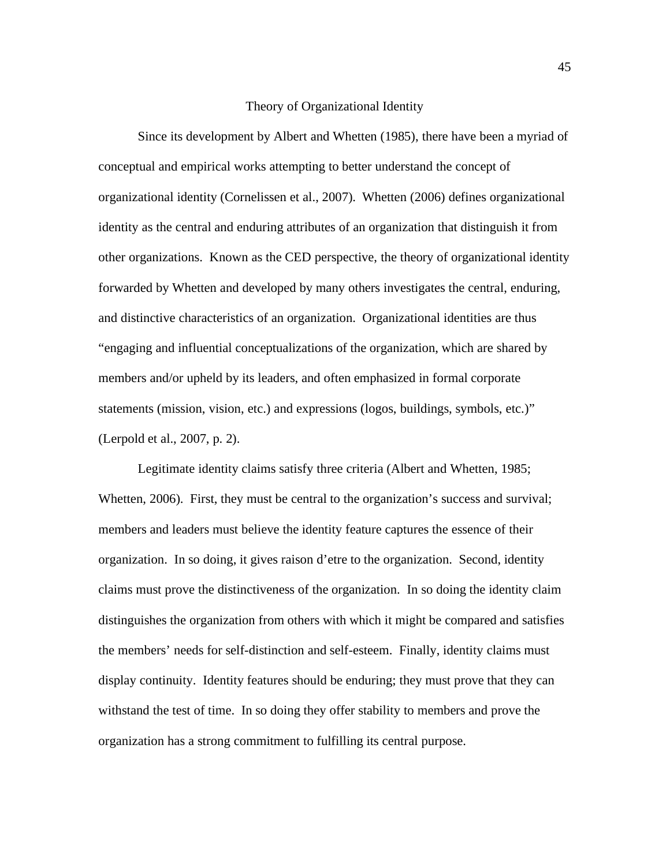#### Theory of Organizational Identity

Since its development by Albert and Whetten (1985), there have been a myriad of conceptual and empirical works attempting to better understand the concept of organizational identity (Cornelissen et al., 2007). Whetten (2006) defines organizational identity as the central and enduring attributes of an organization that distinguish it from other organizations. Known as the CED perspective, the theory of organizational identity forwarded by Whetten and developed by many others investigates the central, enduring, and distinctive characteristics of an organization. Organizational identities are thus "engaging and influential conceptualizations of the organization, which are shared by members and/or upheld by its leaders, and often emphasized in formal corporate statements (mission, vision, etc.) and expressions (logos, buildings, symbols, etc.)" (Lerpold et al., 2007, p. 2).

Legitimate identity claims satisfy three criteria (Albert and Whetten, 1985; Whetten, 2006). First, they must be central to the organization's success and survival; members and leaders must believe the identity feature captures the essence of their organization. In so doing, it gives raison d'etre to the organization. Second, identity claims must prove the distinctiveness of the organization. In so doing the identity claim distinguishes the organization from others with which it might be compared and satisfies the members' needs for self-distinction and self-esteem. Finally, identity claims must display continuity. Identity features should be enduring; they must prove that they can withstand the test of time. In so doing they offer stability to members and prove the organization has a strong commitment to fulfilling its central purpose.

45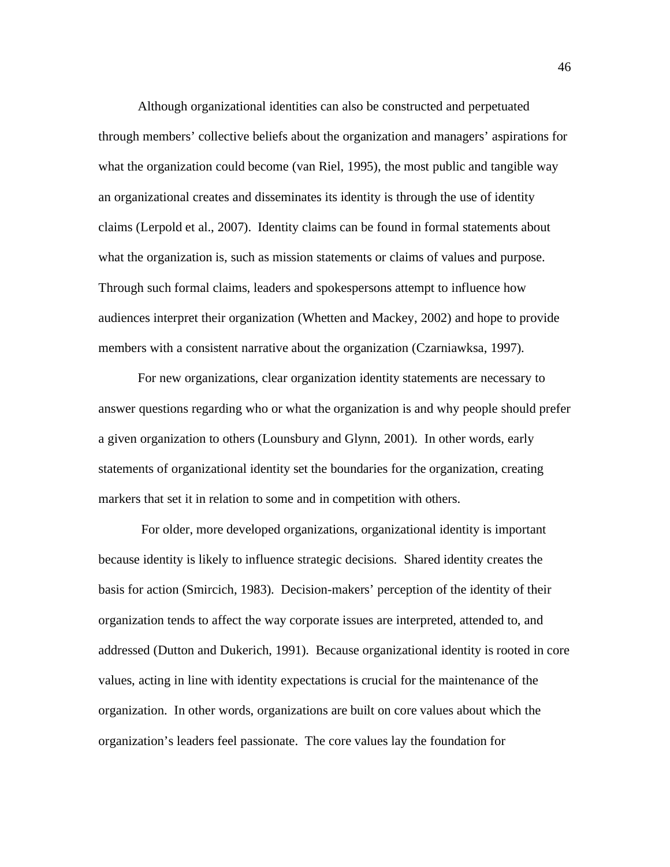Although organizational identities can also be constructed and perpetuated through members' collective beliefs about the organization and managers' aspirations for what the organization could become (van Riel, 1995), the most public and tangible way an organizational creates and disseminates its identity is through the use of identity claims (Lerpold et al., 2007). Identity claims can be found in formal statements about what the organization is, such as mission statements or claims of values and purpose. Through such formal claims, leaders and spokespersons attempt to influence how audiences interpret their organization (Whetten and Mackey, 2002) and hope to provide members with a consistent narrative about the organization (Czarniawksa, 1997).

For new organizations, clear organization identity statements are necessary to answer questions regarding who or what the organization is and why people should prefer a given organization to others (Lounsbury and Glynn, 2001). In other words, early statements of organizational identity set the boundaries for the organization, creating markers that set it in relation to some and in competition with others.

 For older, more developed organizations, organizational identity is important because identity is likely to influence strategic decisions. Shared identity creates the basis for action (Smircich, 1983). Decision-makers' perception of the identity of their organization tends to affect the way corporate issues are interpreted, attended to, and addressed (Dutton and Dukerich, 1991). Because organizational identity is rooted in core values, acting in line with identity expectations is crucial for the maintenance of the organization. In other words, organizations are built on core values about which the organization's leaders feel passionate. The core values lay the foundation for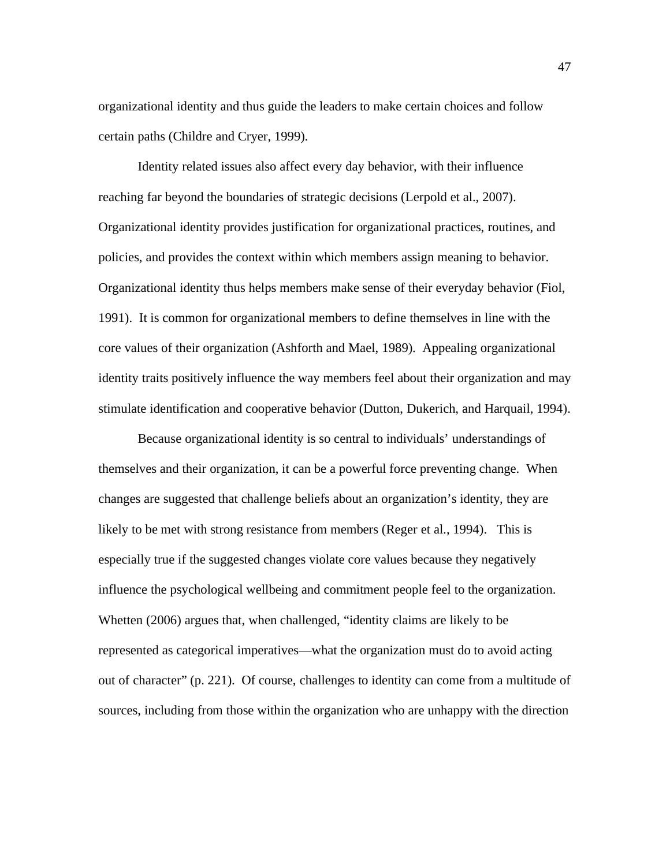organizational identity and thus guide the leaders to make certain choices and follow certain paths (Childre and Cryer, 1999).

Identity related issues also affect every day behavior, with their influence reaching far beyond the boundaries of strategic decisions (Lerpold et al., 2007). Organizational identity provides justification for organizational practices, routines, and policies, and provides the context within which members assign meaning to behavior. Organizational identity thus helps members make sense of their everyday behavior (Fiol, 1991). It is common for organizational members to define themselves in line with the core values of their organization (Ashforth and Mael, 1989). Appealing organizational identity traits positively influence the way members feel about their organization and may stimulate identification and cooperative behavior (Dutton, Dukerich, and Harquail, 1994).

 Because organizational identity is so central to individuals' understandings of themselves and their organization, it can be a powerful force preventing change. When changes are suggested that challenge beliefs about an organization's identity, they are likely to be met with strong resistance from members (Reger et al., 1994). This is especially true if the suggested changes violate core values because they negatively influence the psychological wellbeing and commitment people feel to the organization. Whetten (2006) argues that, when challenged, "identity claims are likely to be represented as categorical imperatives—what the organization must do to avoid acting out of character" (p. 221). Of course, challenges to identity can come from a multitude of sources, including from those within the organization who are unhappy with the direction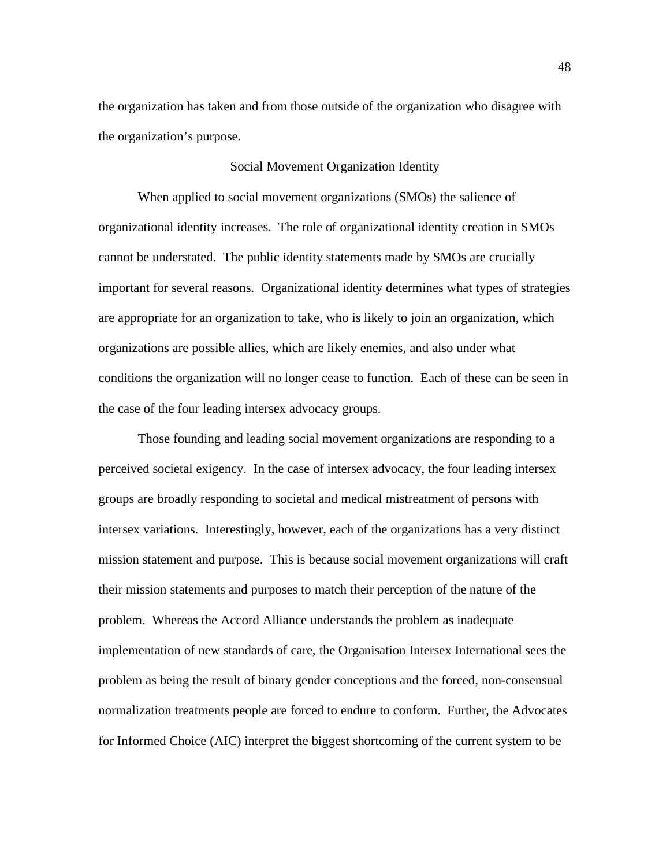the organization has taken and from those outside of the organization who disagree with the organization's purpose.

### Social Movement Organization Identity

 When applied to social movement organizations (SMOs) the salience of organizational identity increases. The role of organizational identity creation in SMOs cannot be understated. The public identity statements made by SMOs are crucially important for several reasons. Organizational identity determines what types of strategies are appropriate for an organization to take, who is likely to join an organization, which organizations are possible allies, which are likely enemies, and also under what conditions the organization will no longer cease to function. Each of these can be seen in the case of the four leading intersex advocacy groups.

Those founding and leading social movement organizations are responding to a perceived societal exigency. In the case of intersex advocacy, the four leading intersex groups are broadly responding to societal and medical mistreatment of persons with intersex variations. Interestingly, however, each of the organizations has a very distinct mission statement and purpose. This is because social movement organizations will craft their mission statements and purposes to match their perception of the nature of the problem. Whereas the Accord Alliance understands the problem as inadequate implementation of new standards of care, the Organisation Intersex International sees the problem as being the result of binary gender conceptions and the forced, non-consensual normalization treatments people are forced to endure to conform. Further, the Advocates for Informed Choice (AIC) interpret the biggest shortcoming of the current system to be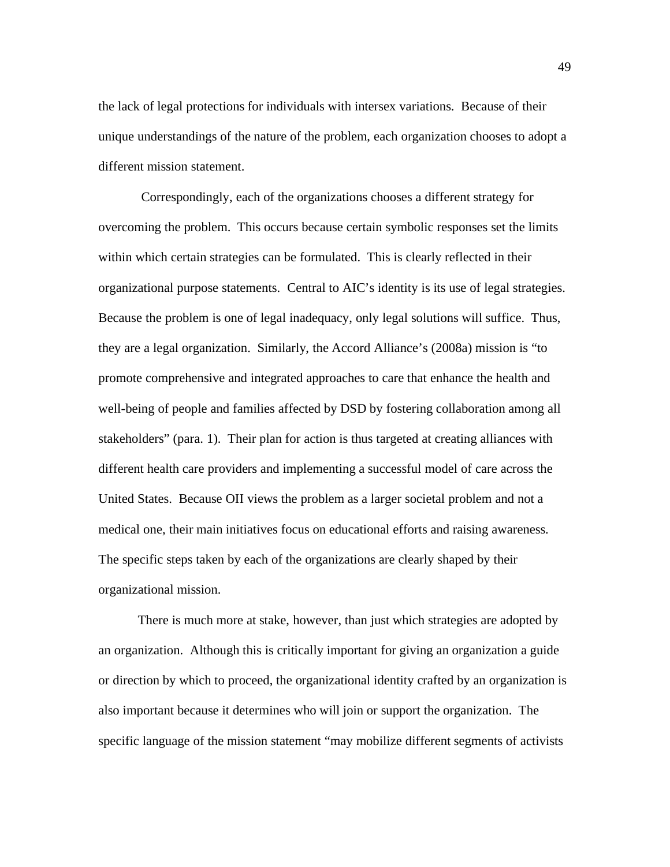the lack of legal protections for individuals with intersex variations. Because of their unique understandings of the nature of the problem, each organization chooses to adopt a different mission statement.

 Correspondingly, each of the organizations chooses a different strategy for overcoming the problem. This occurs because certain symbolic responses set the limits within which certain strategies can be formulated. This is clearly reflected in their organizational purpose statements. Central to AIC's identity is its use of legal strategies. Because the problem is one of legal inadequacy, only legal solutions will suffice. Thus, they are a legal organization. Similarly, the Accord Alliance's (2008a) mission is "to promote comprehensive and integrated approaches to care that enhance the health and well-being of people and families affected by DSD by fostering collaboration among all stakeholders" (para. 1). Their plan for action is thus targeted at creating alliances with different health care providers and implementing a successful model of care across the United States. Because OII views the problem as a larger societal problem and not a medical one, their main initiatives focus on educational efforts and raising awareness. The specific steps taken by each of the organizations are clearly shaped by their organizational mission.

There is much more at stake, however, than just which strategies are adopted by an organization. Although this is critically important for giving an organization a guide or direction by which to proceed, the organizational identity crafted by an organization is also important because it determines who will join or support the organization. The specific language of the mission statement "may mobilize different segments of activists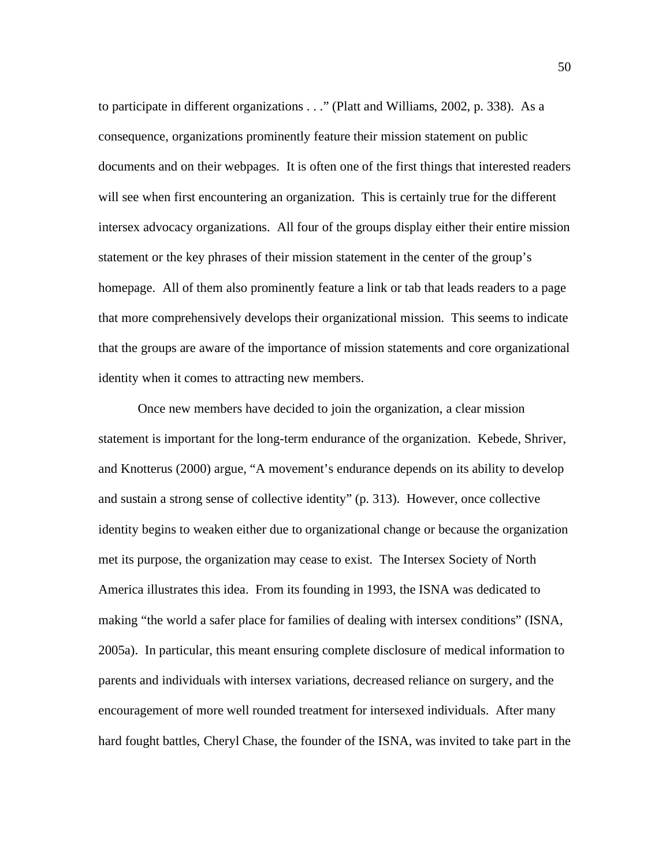to participate in different organizations . . ." (Platt and Williams, 2002, p. 338). As a consequence, organizations prominently feature their mission statement on public documents and on their webpages. It is often one of the first things that interested readers will see when first encountering an organization. This is certainly true for the different intersex advocacy organizations. All four of the groups display either their entire mission statement or the key phrases of their mission statement in the center of the group's homepage. All of them also prominently feature a link or tab that leads readers to a page that more comprehensively develops their organizational mission. This seems to indicate that the groups are aware of the importance of mission statements and core organizational identity when it comes to attracting new members.

Once new members have decided to join the organization, a clear mission statement is important for the long-term endurance of the organization. Kebede, Shriver, and Knotterus (2000) argue, "A movement's endurance depends on its ability to develop and sustain a strong sense of collective identity" (p. 313). However, once collective identity begins to weaken either due to organizational change or because the organization met its purpose, the organization may cease to exist. The Intersex Society of North America illustrates this idea. From its founding in 1993, the ISNA was dedicated to making "the world a safer place for families of dealing with intersex conditions" (ISNA, 2005a). In particular, this meant ensuring complete disclosure of medical information to parents and individuals with intersex variations, decreased reliance on surgery, and the encouragement of more well rounded treatment for intersexed individuals. After many hard fought battles, Cheryl Chase, the founder of the ISNA, was invited to take part in the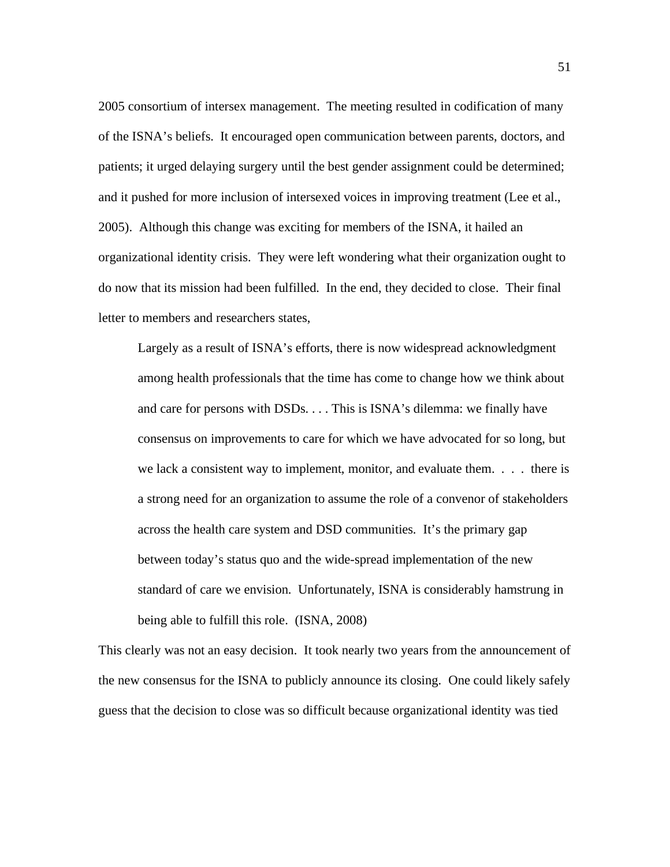2005 consortium of intersex management. The meeting resulted in codification of many of the ISNA's beliefs. It encouraged open communication between parents, doctors, and patients; it urged delaying surgery until the best gender assignment could be determined; and it pushed for more inclusion of intersexed voices in improving treatment (Lee et al., 2005). Although this change was exciting for members of the ISNA, it hailed an organizational identity crisis. They were left wondering what their organization ought to do now that its mission had been fulfilled. In the end, they decided to close. Their final letter to members and researchers states,

Largely as a result of ISNA's efforts, there is now widespread acknowledgment among health professionals that the time has come to change how we think about and care for persons with DSDs. . . . This is ISNA's dilemma: we finally have consensus on improvements to care for which we have advocated for so long, but we lack a consistent way to implement, monitor, and evaluate them. . . . there is a strong need for an organization to assume the role of a convenor of stakeholders across the health care system and DSD communities. It's the primary gap between today's status quo and the wide-spread implementation of the new standard of care we envision. Unfortunately, ISNA is considerably hamstrung in being able to fulfill this role. (ISNA, 2008)

This clearly was not an easy decision. It took nearly two years from the announcement of the new consensus for the ISNA to publicly announce its closing. One could likely safely guess that the decision to close was so difficult because organizational identity was tied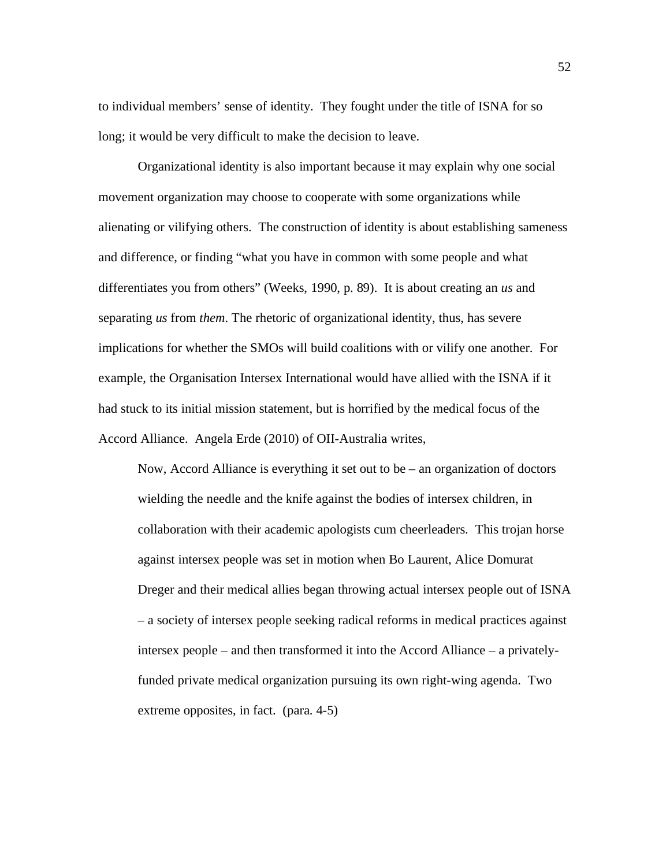to individual members' sense of identity. They fought under the title of ISNA for so long; it would be very difficult to make the decision to leave.

 Organizational identity is also important because it may explain why one social movement organization may choose to cooperate with some organizations while alienating or vilifying others. The construction of identity is about establishing sameness and difference, or finding "what you have in common with some people and what differentiates you from others" (Weeks, 1990, p. 89). It is about creating an *us* and separating *us* from *them*. The rhetoric of organizational identity, thus, has severe implications for whether the SMOs will build coalitions with or vilify one another. For example, the Organisation Intersex International would have allied with the ISNA if it had stuck to its initial mission statement, but is horrified by the medical focus of the Accord Alliance. Angela Erde (2010) of OII-Australia writes,

Now, Accord Alliance is everything it set out to be – an organization of doctors wielding the needle and the knife against the bodies of intersex children, in collaboration with their academic apologists cum cheerleaders. This trojan horse against intersex people was set in motion when Bo Laurent, Alice Domurat Dreger and their medical allies began throwing actual intersex people out of ISNA – a society of intersex people seeking radical reforms in medical practices against intersex people – and then transformed it into the Accord Alliance – a privatelyfunded private medical organization pursuing its own right-wing agenda. Two extreme opposites, in fact. (para. 4-5)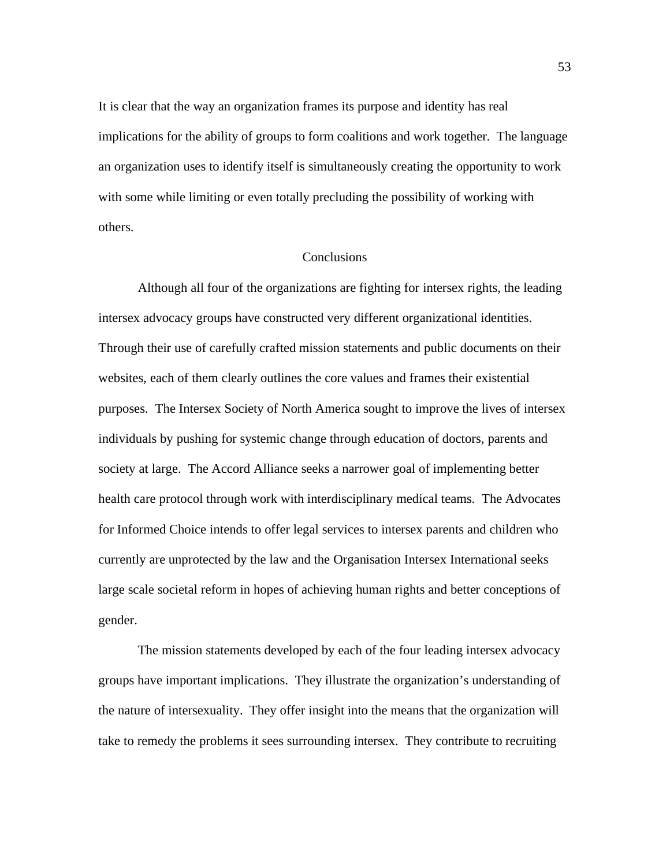It is clear that the way an organization frames its purpose and identity has real implications for the ability of groups to form coalitions and work together. The language an organization uses to identify itself is simultaneously creating the opportunity to work with some while limiting or even totally precluding the possibility of working with others.

### **Conclusions**

 Although all four of the organizations are fighting for intersex rights, the leading intersex advocacy groups have constructed very different organizational identities. Through their use of carefully crafted mission statements and public documents on their websites, each of them clearly outlines the core values and frames their existential purposes. The Intersex Society of North America sought to improve the lives of intersex individuals by pushing for systemic change through education of doctors, parents and society at large. The Accord Alliance seeks a narrower goal of implementing better health care protocol through work with interdisciplinary medical teams. The Advocates for Informed Choice intends to offer legal services to intersex parents and children who currently are unprotected by the law and the Organisation Intersex International seeks large scale societal reform in hopes of achieving human rights and better conceptions of gender.

The mission statements developed by each of the four leading intersex advocacy groups have important implications. They illustrate the organization's understanding of the nature of intersexuality. They offer insight into the means that the organization will take to remedy the problems it sees surrounding intersex. They contribute to recruiting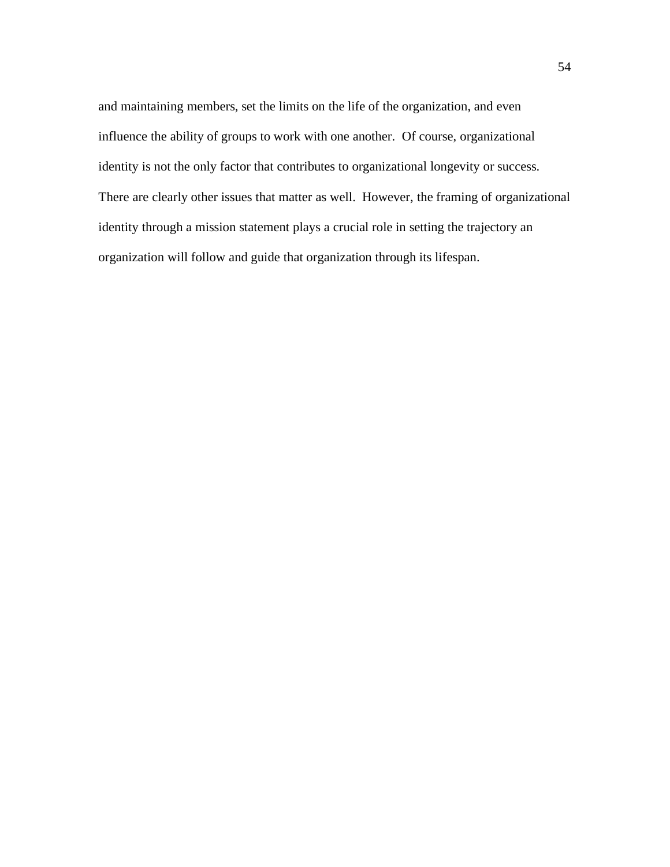and maintaining members, set the limits on the life of the organization, and even influence the ability of groups to work with one another. Of course, organizational identity is not the only factor that contributes to organizational longevity or success. There are clearly other issues that matter as well. However, the framing of organizational identity through a mission statement plays a crucial role in setting the trajectory an organization will follow and guide that organization through its lifespan.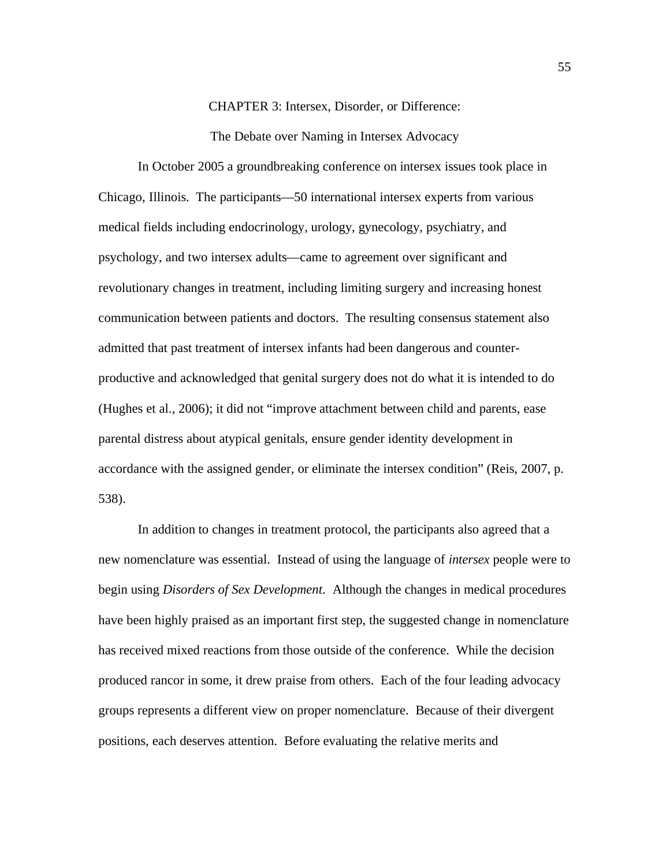CHAPTER 3: Intersex, Disorder, or Difference:

The Debate over Naming in Intersex Advocacy

In October 2005 a groundbreaking conference on intersex issues took place in Chicago, Illinois. The participants—50 international intersex experts from various medical fields including endocrinology, urology, gynecology, psychiatry, and psychology, and two intersex adults—came to agreement over significant and revolutionary changes in treatment, including limiting surgery and increasing honest communication between patients and doctors. The resulting consensus statement also admitted that past treatment of intersex infants had been dangerous and counterproductive and acknowledged that genital surgery does not do what it is intended to do (Hughes et al., 2006); it did not "improve attachment between child and parents, ease parental distress about atypical genitals, ensure gender identity development in accordance with the assigned gender, or eliminate the intersex condition" (Reis, 2007, p. 538).

In addition to changes in treatment protocol, the participants also agreed that a new nomenclature was essential. Instead of using the language of *intersex* people were to begin using *Disorders of Sex Development*. Although the changes in medical procedures have been highly praised as an important first step, the suggested change in nomenclature has received mixed reactions from those outside of the conference. While the decision produced rancor in some, it drew praise from others. Each of the four leading advocacy groups represents a different view on proper nomenclature. Because of their divergent positions, each deserves attention. Before evaluating the relative merits and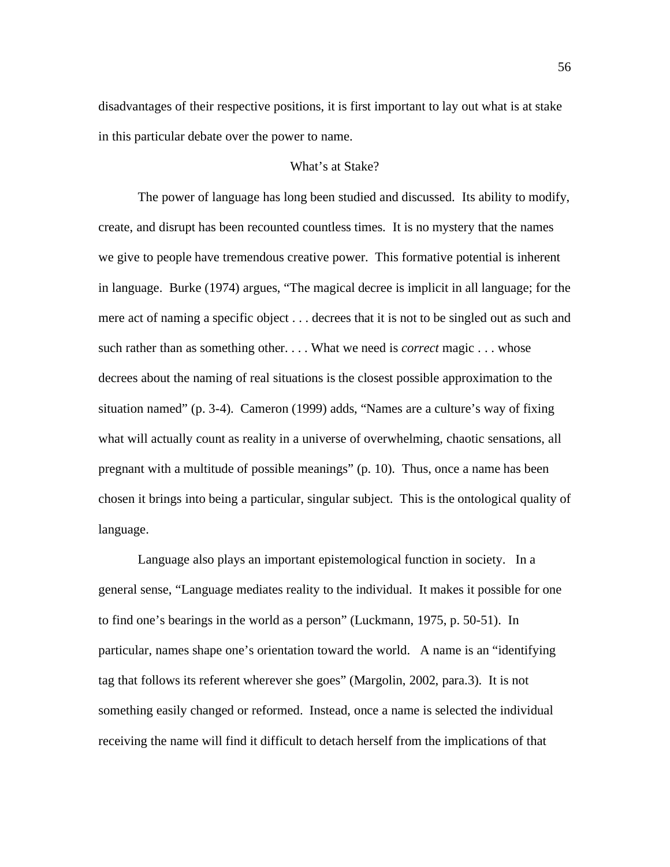disadvantages of their respective positions, it is first important to lay out what is at stake in this particular debate over the power to name.

# What's at Stake?

The power of language has long been studied and discussed. Its ability to modify, create, and disrupt has been recounted countless times. It is no mystery that the names we give to people have tremendous creative power. This formative potential is inherent in language. Burke (1974) argues, "The magical decree is implicit in all language; for the mere act of naming a specific object . . . decrees that it is not to be singled out as such and such rather than as something other. . . . What we need is *correct* magic . . . whose decrees about the naming of real situations is the closest possible approximation to the situation named" (p. 3-4). Cameron (1999) adds, "Names are a culture's way of fixing what will actually count as reality in a universe of overwhelming, chaotic sensations, all pregnant with a multitude of possible meanings" (p. 10). Thus, once a name has been chosen it brings into being a particular, singular subject. This is the ontological quality of language.

Language also plays an important epistemological function in society. In a general sense, "Language mediates reality to the individual. It makes it possible for one to find one's bearings in the world as a person" (Luckmann, 1975, p. 50-51). In particular, names shape one's orientation toward the world. A name is an "identifying tag that follows its referent wherever she goes" (Margolin, 2002, para.3). It is not something easily changed or reformed. Instead, once a name is selected the individual receiving the name will find it difficult to detach herself from the implications of that

56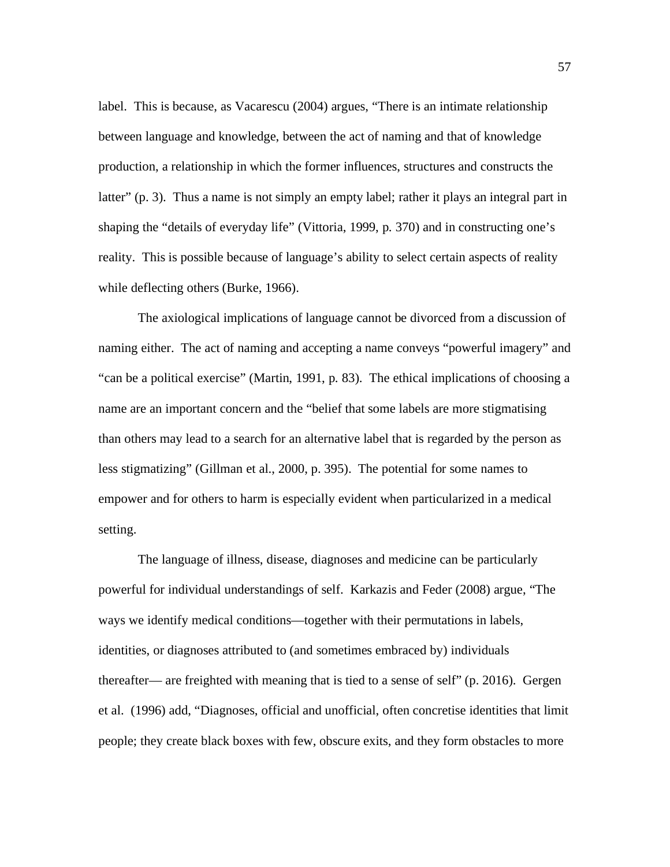label. This is because, as Vacarescu (2004) argues, "There is an intimate relationship between language and knowledge, between the act of naming and that of knowledge production, a relationship in which the former influences, structures and constructs the latter" (p. 3). Thus a name is not simply an empty label; rather it plays an integral part in shaping the "details of everyday life" (Vittoria, 1999, p. 370) and in constructing one's reality. This is possible because of language's ability to select certain aspects of reality while deflecting others (Burke, 1966).

The axiological implications of language cannot be divorced from a discussion of naming either. The act of naming and accepting a name conveys "powerful imagery" and "can be a political exercise" (Martin, 1991, p. 83). The ethical implications of choosing a name are an important concern and the "belief that some labels are more stigmatising than others may lead to a search for an alternative label that is regarded by the person as less stigmatizing" (Gillman et al., 2000, p. 395). The potential for some names to empower and for others to harm is especially evident when particularized in a medical setting.

 The language of illness, disease, diagnoses and medicine can be particularly powerful for individual understandings of self. Karkazis and Feder (2008) argue, "The ways we identify medical conditions—together with their permutations in labels, identities, or diagnoses attributed to (and sometimes embraced by) individuals thereafter— are freighted with meaning that is tied to a sense of self" (p. 2016). Gergen et al. (1996) add, "Diagnoses, official and unofficial, often concretise identities that limit people; they create black boxes with few, obscure exits, and they form obstacles to more

57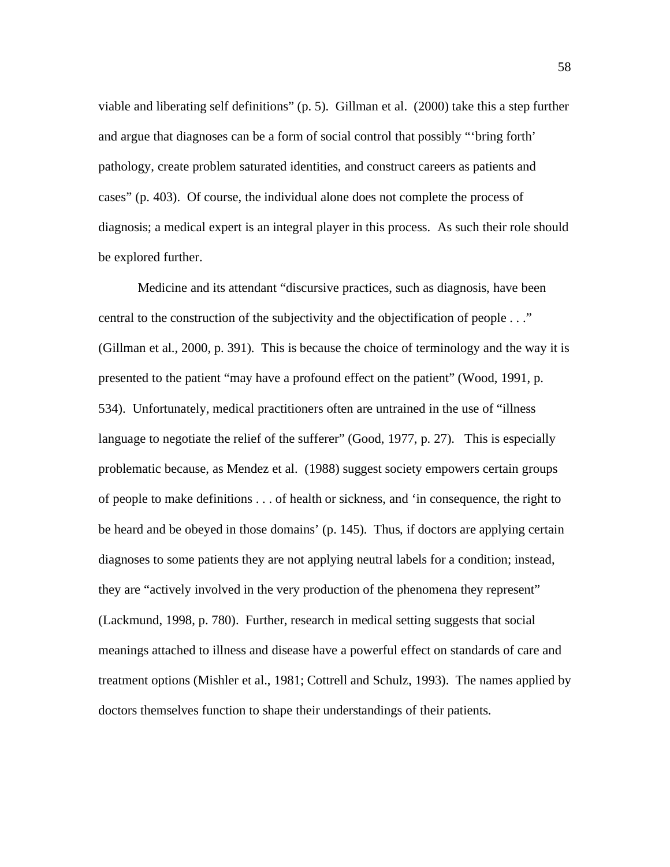viable and liberating self definitions" (p. 5). Gillman et al. (2000) take this a step further and argue that diagnoses can be a form of social control that possibly "'bring forth' pathology, create problem saturated identities, and construct careers as patients and cases" (p. 403). Of course, the individual alone does not complete the process of diagnosis; a medical expert is an integral player in this process. As such their role should be explored further.

Medicine and its attendant "discursive practices, such as diagnosis, have been central to the construction of the subjectivity and the objectification of people . . ." (Gillman et al., 2000, p. 391). This is because the choice of terminology and the way it is presented to the patient "may have a profound effect on the patient" (Wood, 1991, p. 534). Unfortunately, medical practitioners often are untrained in the use of "illness language to negotiate the relief of the sufferer" (Good, 1977, p. 27). This is especially problematic because, as Mendez et al. (1988) suggest society empowers certain groups of people to make definitions . . . of health or sickness, and 'in consequence, the right to be heard and be obeyed in those domains' (p. 145). Thus, if doctors are applying certain diagnoses to some patients they are not applying neutral labels for a condition; instead, they are "actively involved in the very production of the phenomena they represent" (Lackmund, 1998, p. 780). Further, research in medical setting suggests that social meanings attached to illness and disease have a powerful effect on standards of care and treatment options (Mishler et al., 1981; Cottrell and Schulz, 1993). The names applied by doctors themselves function to shape their understandings of their patients.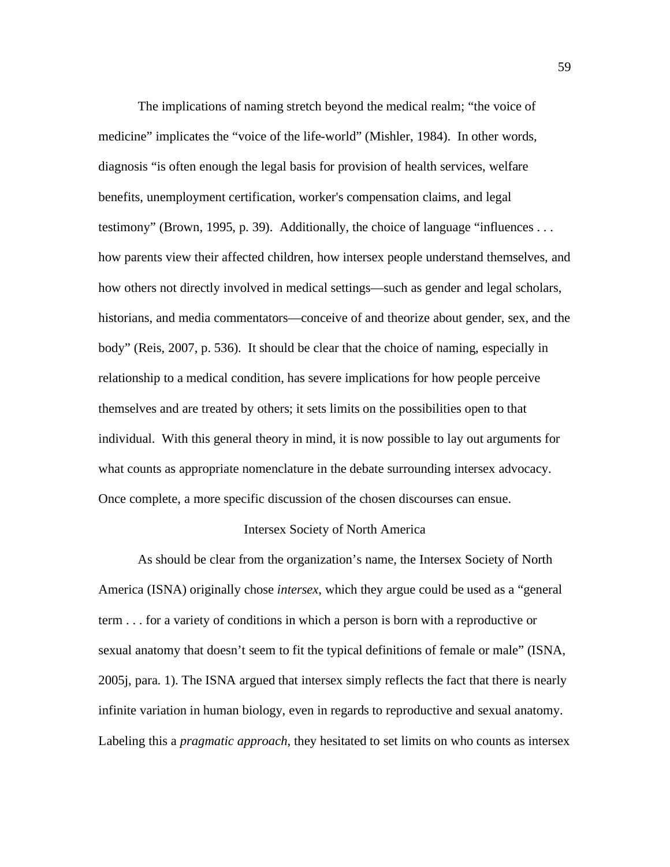The implications of naming stretch beyond the medical realm; "the voice of medicine" implicates the "voice of the life-world" (Mishler, 1984). In other words, diagnosis "is often enough the legal basis for provision of health services, welfare benefits, unemployment certification, worker's compensation claims, and legal testimony" (Brown, 1995, p. 39). Additionally, the choice of language "influences . . . how parents view their affected children, how intersex people understand themselves, and how others not directly involved in medical settings—such as gender and legal scholars, historians, and media commentators—conceive of and theorize about gender, sex, and the body" (Reis, 2007, p. 536). It should be clear that the choice of naming, especially in relationship to a medical condition, has severe implications for how people perceive themselves and are treated by others; it sets limits on the possibilities open to that individual. With this general theory in mind, it is now possible to lay out arguments for what counts as appropriate nomenclature in the debate surrounding intersex advocacy. Once complete, a more specific discussion of the chosen discourses can ensue.

### Intersex Society of North America

As should be clear from the organization's name, the Intersex Society of North America (ISNA) originally chose *intersex*, which they argue could be used as a "general term . . . for a variety of conditions in which a person is born with a reproductive or sexual anatomy that doesn't seem to fit the typical definitions of female or male" (ISNA, 2005j, para. 1). The ISNA argued that intersex simply reflects the fact that there is nearly infinite variation in human biology, even in regards to reproductive and sexual anatomy. Labeling this a *pragmatic approach*, they hesitated to set limits on who counts as intersex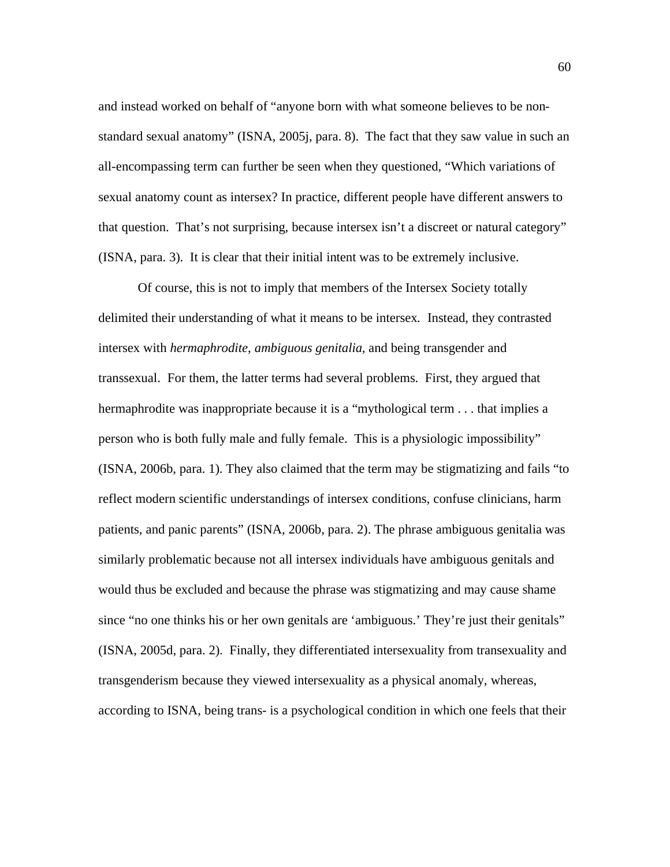and instead worked on behalf of "anyone born with what someone believes to be nonstandard sexual anatomy" (ISNA, 2005j, para. 8). The fact that they saw value in such an all-encompassing term can further be seen when they questioned, "Which variations of sexual anatomy count as intersex? In practice, different people have different answers to that question. That's not surprising, because intersex isn't a discreet or natural category" (ISNA, para. 3). It is clear that their initial intent was to be extremely inclusive.

Of course, this is not to imply that members of the Intersex Society totally delimited their understanding of what it means to be intersex*.* Instead, they contrasted intersex with *hermaphrodite*, *ambiguous genitalia,* and being transgender and transsexual. For them, the latter terms had several problems. First, they argued that hermaphrodite was inappropriate because it is a "mythological term . . . that implies a person who is both fully male and fully female. This is a physiologic impossibility" (ISNA, 2006b, para. 1). They also claimed that the term may be stigmatizing and fails "to reflect modern scientific understandings of intersex conditions, confuse clinicians, harm patients, and panic parents" (ISNA, 2006b, para. 2). The phrase ambiguous genitalia was similarly problematic because not all intersex individuals have ambiguous genitals and would thus be excluded and because the phrase was stigmatizing and may cause shame since "no one thinks his or her own genitals are 'ambiguous.' They're just their genitals" (ISNA, 2005d, para. 2). Finally, they differentiated intersexuality from transexuality and transgenderism because they viewed intersexuality as a physical anomaly, whereas, according to ISNA, being trans- is a psychological condition in which one feels that their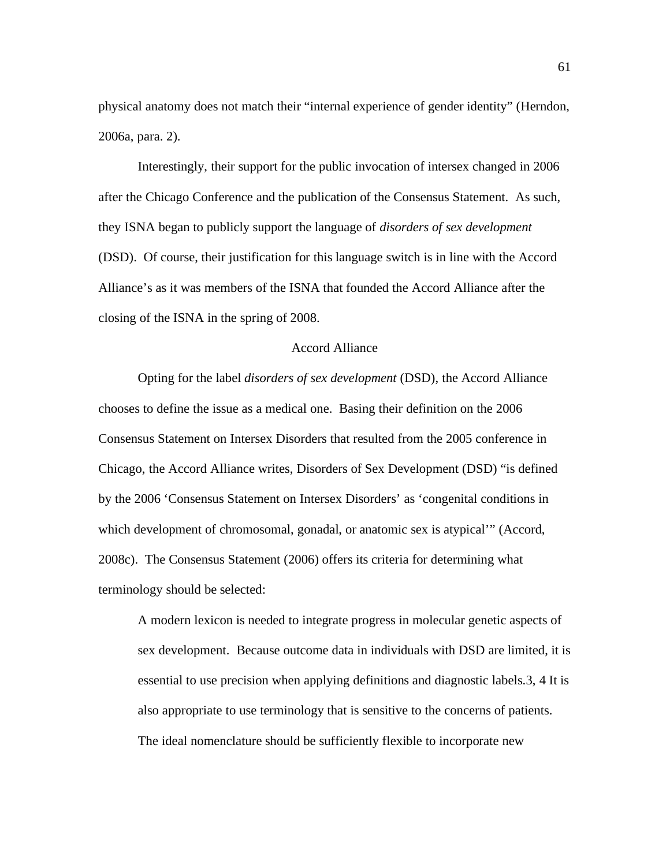physical anatomy does not match their "internal experience of gender identity" (Herndon, 2006a, para. 2).

Interestingly, their support for the public invocation of intersex changed in 2006 after the Chicago Conference and the publication of the Consensus Statement. As such, they ISNA began to publicly support the language of *disorders of sex development*  (DSD). Of course, their justification for this language switch is in line with the Accord Alliance's as it was members of the ISNA that founded the Accord Alliance after the closing of the ISNA in the spring of 2008.

### Accord Alliance

Opting for the label *disorders of sex development* (DSD), the Accord Alliance chooses to define the issue as a medical one. Basing their definition on the 2006 Consensus Statement on Intersex Disorders that resulted from the 2005 conference in Chicago, the Accord Alliance writes, Disorders of Sex Development (DSD) "is defined by the 2006 'Consensus Statement on Intersex Disorders' as 'congenital conditions in which development of chromosomal, gonadal, or anatomic sex is atypical'" (Accord, 2008c). The Consensus Statement (2006) offers its criteria for determining what terminology should be selected:

A modern lexicon is needed to integrate progress in molecular genetic aspects of sex development. Because outcome data in individuals with DSD are limited, it is essential to use precision when applying definitions and diagnostic labels.3, 4 It is also appropriate to use terminology that is sensitive to the concerns of patients. The ideal nomenclature should be sufficiently flexible to incorporate new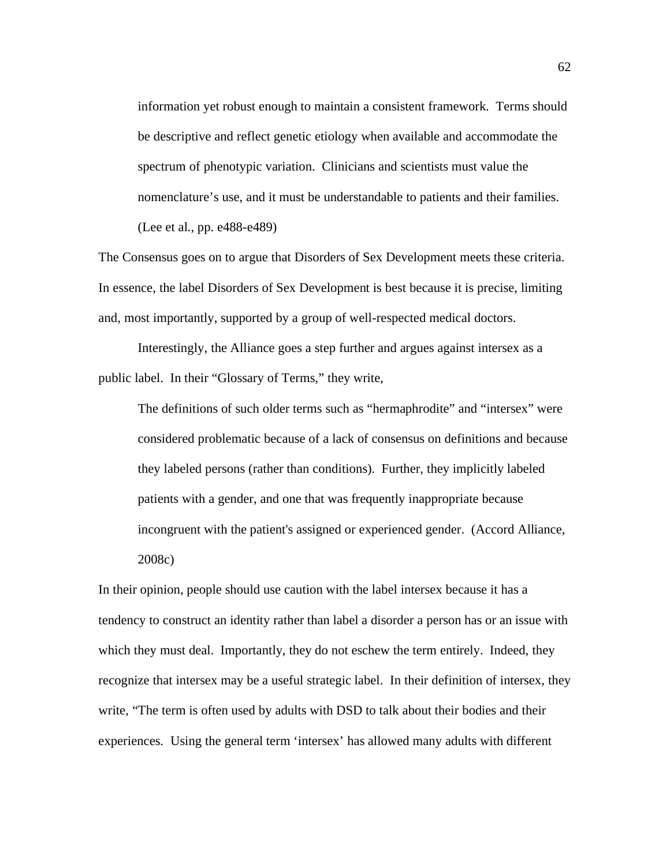information yet robust enough to maintain a consistent framework. Terms should be descriptive and reflect genetic etiology when available and accommodate the spectrum of phenotypic variation. Clinicians and scientists must value the nomenclature's use, and it must be understandable to patients and their families. (Lee et al., pp. e488-e489)

The Consensus goes on to argue that Disorders of Sex Development meets these criteria. In essence, the label Disorders of Sex Development is best because it is precise, limiting and, most importantly, supported by a group of well-respected medical doctors.

 Interestingly, the Alliance goes a step further and argues against intersex as a public label. In their "Glossary of Terms," they write,

The definitions of such older terms such as "hermaphrodite" and "intersex" were considered problematic because of a lack of consensus on definitions and because they labeled persons (rather than conditions). Further, they implicitly labeled patients with a gender, and one that was frequently inappropriate because incongruent with the patient's assigned or experienced gender. (Accord Alliance, 2008c)

In their opinion, people should use caution with the label intersex because it has a tendency to construct an identity rather than label a disorder a person has or an issue with which they must deal. Importantly, they do not eschew the term entirely. Indeed, they recognize that intersex may be a useful strategic label. In their definition of intersex, they write, "The term is often used by adults with DSD to talk about their bodies and their experiences. Using the general term 'intersex' has allowed many adults with different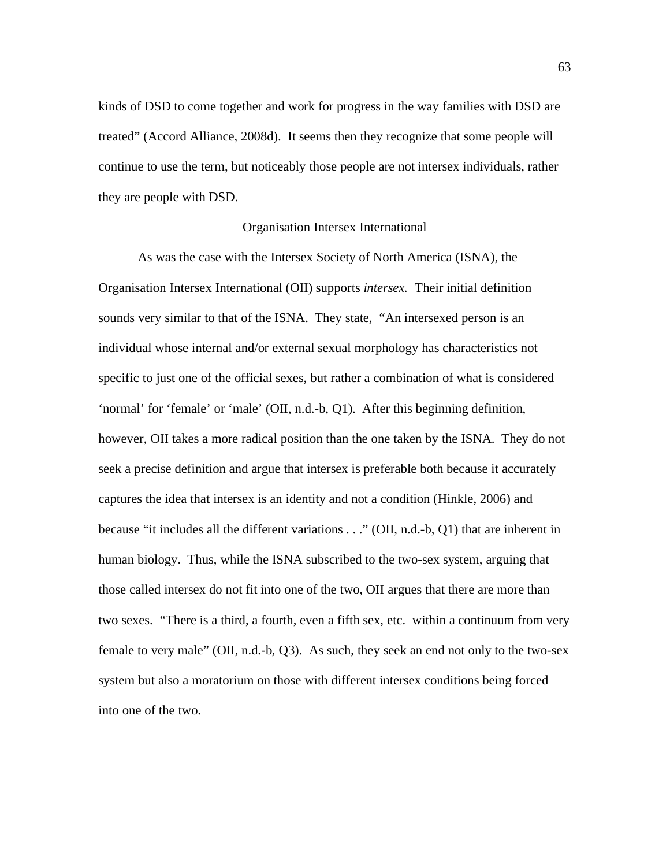kinds of DSD to come together and work for progress in the way families with DSD are treated" (Accord Alliance, 2008d). It seems then they recognize that some people will continue to use the term, but noticeably those people are not intersex individuals, rather they are people with DSD.

#### Organisation Intersex International

As was the case with the Intersex Society of North America (ISNA), the Organisation Intersex International (OII) supports *intersex.* Their initial definition sounds very similar to that of the ISNA. They state, "An intersexed person is an individual whose internal and/or external sexual morphology has characteristics not specific to just one of the official sexes, but rather a combination of what is considered 'normal' for 'female' or 'male' (OII, n.d.-b, Q1). After this beginning definition, however, OII takes a more radical position than the one taken by the ISNA. They do not seek a precise definition and argue that intersex is preferable both because it accurately captures the idea that intersex is an identity and not a condition (Hinkle, 2006) and because "it includes all the different variations . . ." (OII, n.d.-b, Q1) that are inherent in human biology. Thus, while the ISNA subscribed to the two-sex system, arguing that those called intersex do not fit into one of the two, OII argues that there are more than two sexes. "There is a third, a fourth, even a fifth sex, etc. within a continuum from very female to very male" (OII, n.d.-b, Q3). As such, they seek an end not only to the two-sex system but also a moratorium on those with different intersex conditions being forced into one of the two.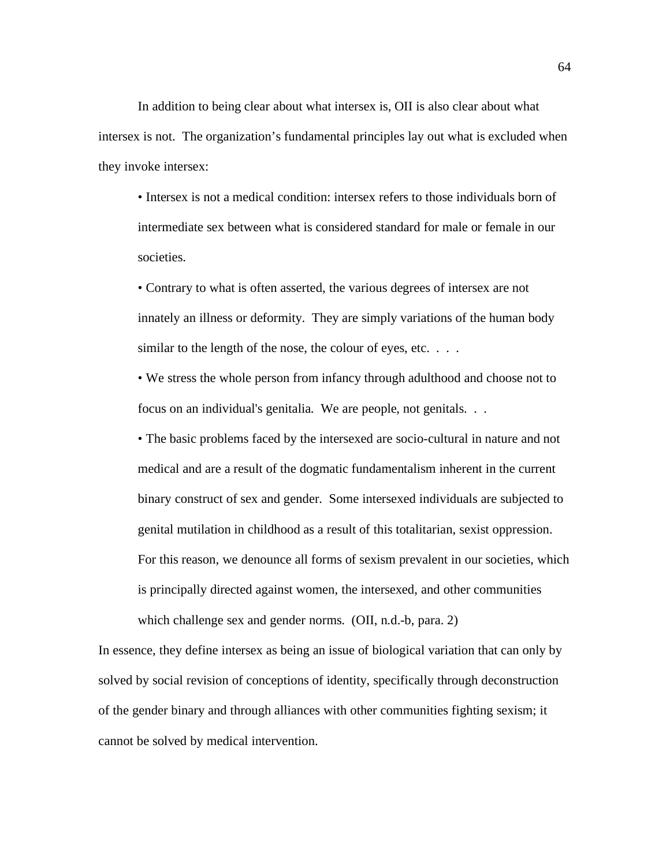In addition to being clear about what intersex is, OII is also clear about what intersex is not. The organization's fundamental principles lay out what is excluded when they invoke intersex:

• Intersex is not a medical condition: intersex refers to those individuals born of intermediate sex between what is considered standard for male or female in our societies.

• Contrary to what is often asserted, the various degrees of intersex are not innately an illness or deformity. They are simply variations of the human body similar to the length of the nose, the colour of eyes, etc. . . .

• We stress the whole person from infancy through adulthood and choose not to focus on an individual's genitalia. We are people, not genitals. . .

• The basic problems faced by the intersexed are socio-cultural in nature and not medical and are a result of the dogmatic fundamentalism inherent in the current binary construct of sex and gender. Some intersexed individuals are subjected to genital mutilation in childhood as a result of this totalitarian, sexist oppression. For this reason, we denounce all forms of sexism prevalent in our societies, which is principally directed against women, the intersexed, and other communities which challenge sex and gender norms. (OII, n.d.-b, para. 2)

In essence, they define intersex as being an issue of biological variation that can only by solved by social revision of conceptions of identity, specifically through deconstruction of the gender binary and through alliances with other communities fighting sexism; it cannot be solved by medical intervention.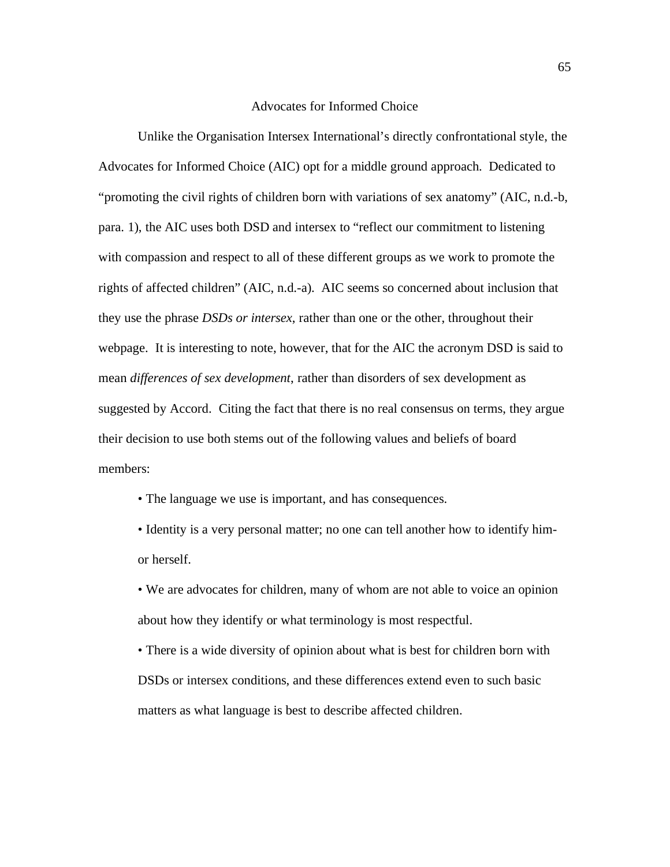#### Advocates for Informed Choice

Unlike the Organisation Intersex International's directly confrontational style, the Advocates for Informed Choice (AIC) opt for a middle ground approach. Dedicated to "promoting the civil rights of children born with variations of sex anatomy" (AIC, n.d.-b, para. 1), the AIC uses both DSD and intersex to "reflect our commitment to listening with compassion and respect to all of these different groups as we work to promote the rights of affected children" (AIC, n.d.-a). AIC seems so concerned about inclusion that they use the phrase *DSDs or intersex*, rather than one or the other, throughout their webpage. It is interesting to note, however, that for the AIC the acronym DSD is said to mean *differences of sex development*, rather than disorders of sex development as suggested by Accord. Citing the fact that there is no real consensus on terms, they argue their decision to use both stems out of the following values and beliefs of board members:

- The language we use is important, and has consequences.
- Identity is a very personal matter; no one can tell another how to identify himor herself.

• We are advocates for children, many of whom are not able to voice an opinion about how they identify or what terminology is most respectful.

• There is a wide diversity of opinion about what is best for children born with DSDs or intersex conditions, and these differences extend even to such basic matters as what language is best to describe affected children.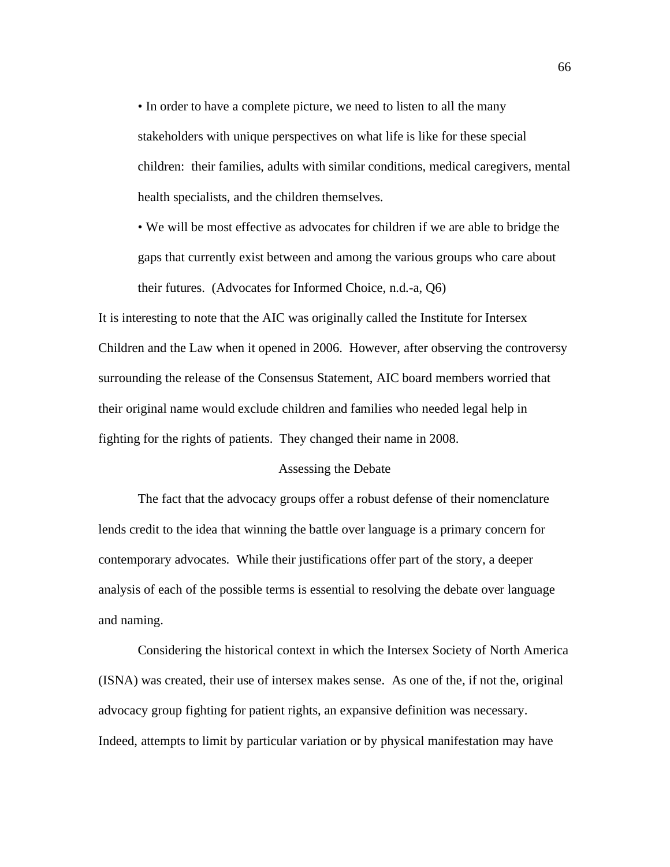• In order to have a complete picture, we need to listen to all the many stakeholders with unique perspectives on what life is like for these special children: their families, adults with similar conditions, medical caregivers, mental health specialists, and the children themselves.

• We will be most effective as advocates for children if we are able to bridge the gaps that currently exist between and among the various groups who care about their futures. (Advocates for Informed Choice, n.d.-a, Q6)

It is interesting to note that the AIC was originally called the Institute for Intersex Children and the Law when it opened in 2006. However, after observing the controversy surrounding the release of the Consensus Statement, AIC board members worried that their original name would exclude children and families who needed legal help in fighting for the rights of patients. They changed their name in 2008.

# Assessing the Debate

The fact that the advocacy groups offer a robust defense of their nomenclature lends credit to the idea that winning the battle over language is a primary concern for contemporary advocates. While their justifications offer part of the story, a deeper analysis of each of the possible terms is essential to resolving the debate over language and naming.

Considering the historical context in which the Intersex Society of North America (ISNA) was created, their use of intersex makes sense. As one of the, if not the, original advocacy group fighting for patient rights, an expansive definition was necessary. Indeed, attempts to limit by particular variation or by physical manifestation may have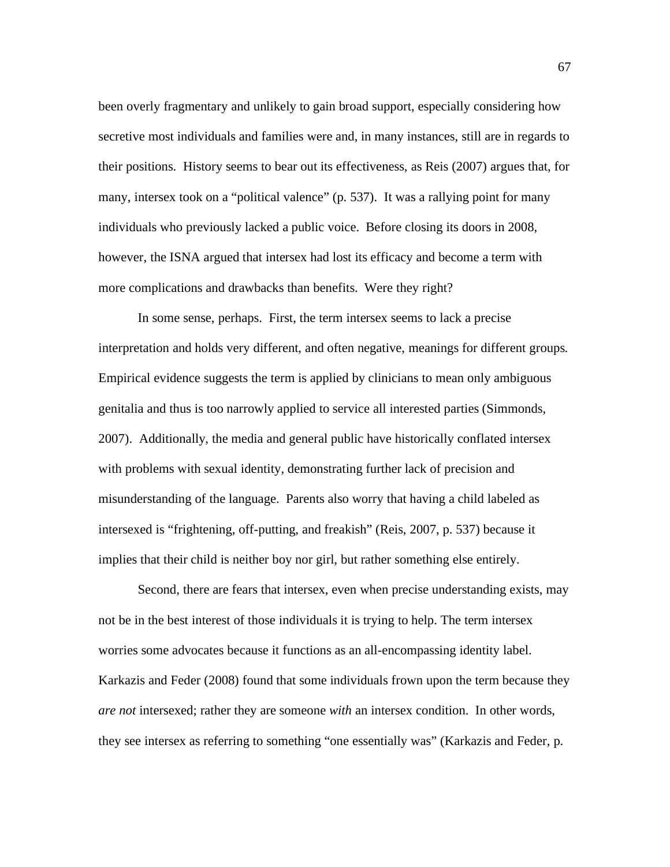been overly fragmentary and unlikely to gain broad support, especially considering how secretive most individuals and families were and, in many instances, still are in regards to their positions. History seems to bear out its effectiveness, as Reis (2007) argues that, for many, intersex took on a "political valence" (p. 537). It was a rallying point for many individuals who previously lacked a public voice. Before closing its doors in 2008, however, the ISNA argued that intersex had lost its efficacy and become a term with more complications and drawbacks than benefits. Were they right?

In some sense, perhaps. First, the term intersex seems to lack a precise interpretation and holds very different, and often negative, meanings for different groups. Empirical evidence suggests the term is applied by clinicians to mean only ambiguous genitalia and thus is too narrowly applied to service all interested parties (Simmonds, 2007). Additionally, the media and general public have historically conflated intersex with problems with sexual identity, demonstrating further lack of precision and misunderstanding of the language. Parents also worry that having a child labeled as intersexed is "frightening, off-putting, and freakish" (Reis, 2007, p. 537) because it implies that their child is neither boy nor girl, but rather something else entirely.

Second, there are fears that intersex, even when precise understanding exists, may not be in the best interest of those individuals it is trying to help. The term intersex worries some advocates because it functions as an all-encompassing identity label. Karkazis and Feder (2008) found that some individuals frown upon the term because they *are not* intersexed; rather they are someone *with* an intersex condition. In other words, they see intersex as referring to something "one essentially was" (Karkazis and Feder, p.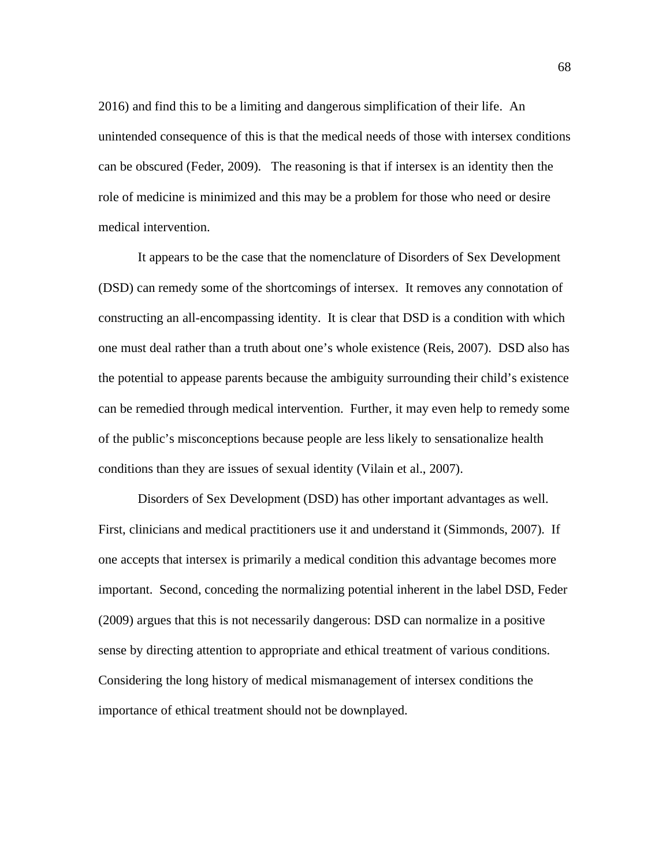2016) and find this to be a limiting and dangerous simplification of their life. An unintended consequence of this is that the medical needs of those with intersex conditions can be obscured (Feder, 2009). The reasoning is that if intersex is an identity then the role of medicine is minimized and this may be a problem for those who need or desire medical intervention.

It appears to be the case that the nomenclature of Disorders of Sex Development (DSD) can remedy some of the shortcomings of intersex. It removes any connotation of constructing an all-encompassing identity. It is clear that DSD is a condition with which one must deal rather than a truth about one's whole existence (Reis, 2007). DSD also has the potential to appease parents because the ambiguity surrounding their child's existence can be remedied through medical intervention. Further, it may even help to remedy some of the public's misconceptions because people are less likely to sensationalize health conditions than they are issues of sexual identity (Vilain et al., 2007).

Disorders of Sex Development (DSD) has other important advantages as well. First, clinicians and medical practitioners use it and understand it (Simmonds, 2007). If one accepts that intersex is primarily a medical condition this advantage becomes more important. Second, conceding the normalizing potential inherent in the label DSD, Feder (2009) argues that this is not necessarily dangerous: DSD can normalize in a positive sense by directing attention to appropriate and ethical treatment of various conditions. Considering the long history of medical mismanagement of intersex conditions the importance of ethical treatment should not be downplayed.

68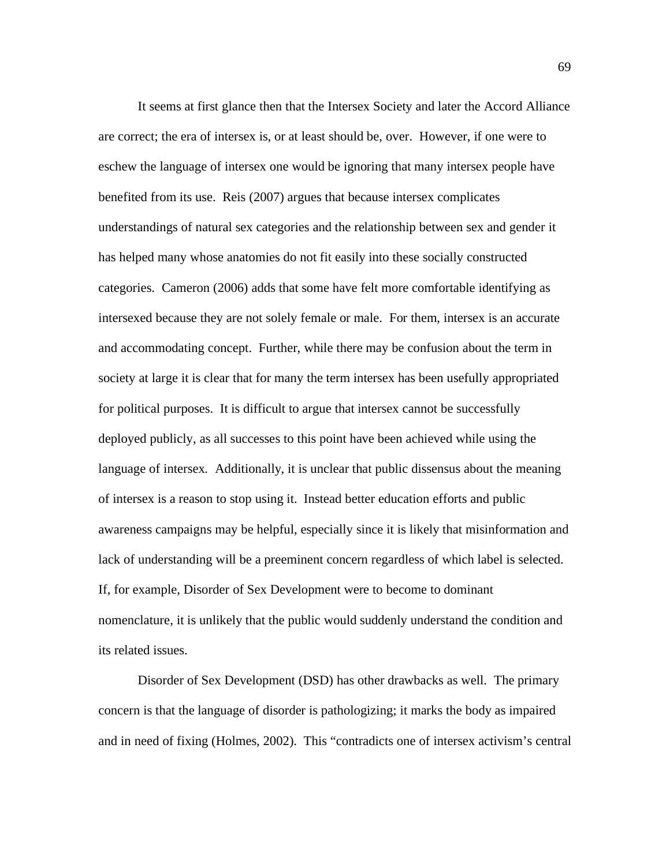It seems at first glance then that the Intersex Society and later the Accord Alliance are correct; the era of intersex is, or at least should be, over. However, if one were to eschew the language of intersex one would be ignoring that many intersex people have benefited from its use. Reis (2007) argues that because intersex complicates understandings of natural sex categories and the relationship between sex and gender it has helped many whose anatomies do not fit easily into these socially constructed categories. Cameron (2006) adds that some have felt more comfortable identifying as intersexed because they are not solely female or male. For them, intersex is an accurate and accommodating concept. Further, while there may be confusion about the term in society at large it is clear that for many the term intersex has been usefully appropriated for political purposes. It is difficult to argue that intersex cannot be successfully deployed publicly, as all successes to this point have been achieved while using the language of intersex*.* Additionally, it is unclear that public dissensus about the meaning of intersex is a reason to stop using it. Instead better education efforts and public awareness campaigns may be helpful, especially since it is likely that misinformation and lack of understanding will be a preeminent concern regardless of which label is selected. If, for example, Disorder of Sex Development were to become to dominant nomenclature, it is unlikely that the public would suddenly understand the condition and its related issues.

Disorder of Sex Development (DSD) has other drawbacks as well. The primary concern is that the language of disorder is pathologizing; it marks the body as impaired and in need of fixing (Holmes, 2002). This "contradicts one of intersex activism's central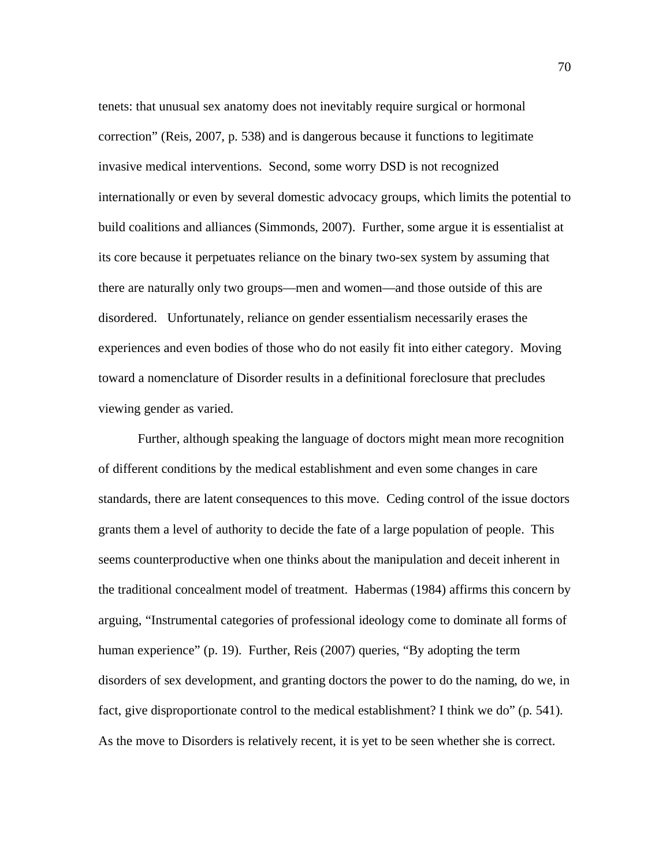tenets: that unusual sex anatomy does not inevitably require surgical or hormonal correction" (Reis, 2007, p. 538) and is dangerous because it functions to legitimate invasive medical interventions. Second, some worry DSD is not recognized internationally or even by several domestic advocacy groups, which limits the potential to build coalitions and alliances (Simmonds, 2007). Further, some argue it is essentialist at its core because it perpetuates reliance on the binary two-sex system by assuming that there are naturally only two groups—men and women—and those outside of this are disordered. Unfortunately, reliance on gender essentialism necessarily erases the experiences and even bodies of those who do not easily fit into either category. Moving toward a nomenclature of Disorder results in a definitional foreclosure that precludes viewing gender as varied.

Further, although speaking the language of doctors might mean more recognition of different conditions by the medical establishment and even some changes in care standards, there are latent consequences to this move. Ceding control of the issue doctors grants them a level of authority to decide the fate of a large population of people. This seems counterproductive when one thinks about the manipulation and deceit inherent in the traditional concealment model of treatment. Habermas (1984) affirms this concern by arguing, "Instrumental categories of professional ideology come to dominate all forms of human experience" (p. 19). Further, Reis (2007) queries, "By adopting the term disorders of sex development, and granting doctors the power to do the naming, do we, in fact, give disproportionate control to the medical establishment? I think we do" (p. 541). As the move to Disorders is relatively recent, it is yet to be seen whether she is correct.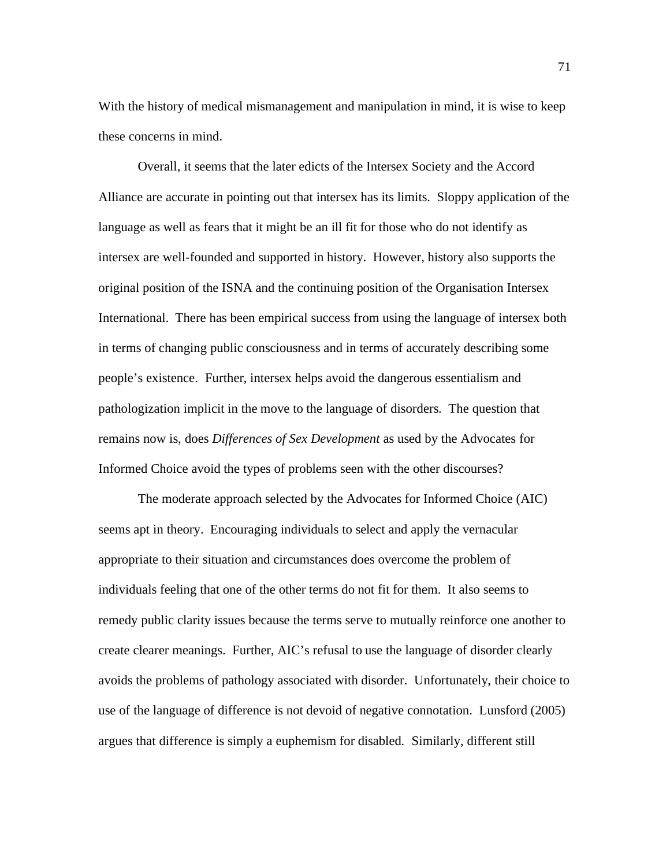With the history of medical mismanagement and manipulation in mind, it is wise to keep these concerns in mind.

Overall, it seems that the later edicts of the Intersex Society and the Accord Alliance are accurate in pointing out that intersex has its limits. Sloppy application of the language as well as fears that it might be an ill fit for those who do not identify as intersex are well-founded and supported in history. However, history also supports the original position of the ISNA and the continuing position of the Organisation Intersex International. There has been empirical success from using the language of intersex both in terms of changing public consciousness and in terms of accurately describing some people's existence. Further, intersex helps avoid the dangerous essentialism and pathologization implicit in the move to the language of disorders*.* The question that remains now is, does *Differences of Sex Development* as used by the Advocates for Informed Choice avoid the types of problems seen with the other discourses?

The moderate approach selected by the Advocates for Informed Choice (AIC) seems apt in theory. Encouraging individuals to select and apply the vernacular appropriate to their situation and circumstances does overcome the problem of individuals feeling that one of the other terms do not fit for them. It also seems to remedy public clarity issues because the terms serve to mutually reinforce one another to create clearer meanings. Further, AIC's refusal to use the language of disorder clearly avoids the problems of pathology associated with disorder. Unfortunately, their choice to use of the language of difference is not devoid of negative connotation. Lunsford (2005) argues that difference is simply a euphemism for disabled*.* Similarly, different still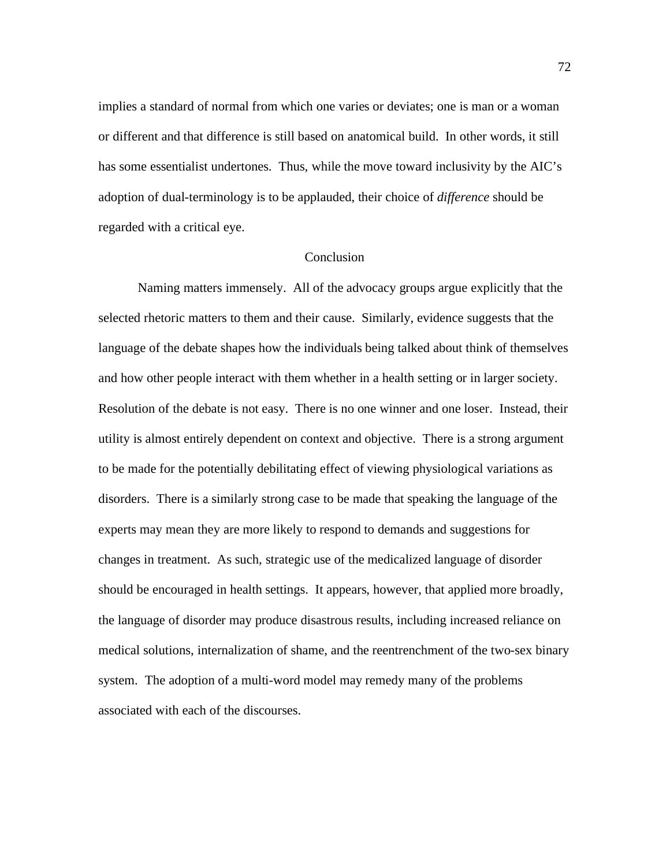implies a standard of normal from which one varies or deviates; one is man or a woman or different and that difference is still based on anatomical build. In other words, it still has some essentialist undertones. Thus, while the move toward inclusivity by the AIC's adoption of dual-terminology is to be applauded, their choice of *difference* should be regarded with a critical eye.

### Conclusion

Naming matters immensely. All of the advocacy groups argue explicitly that the selected rhetoric matters to them and their cause. Similarly, evidence suggests that the language of the debate shapes how the individuals being talked about think of themselves and how other people interact with them whether in a health setting or in larger society. Resolution of the debate is not easy. There is no one winner and one loser. Instead, their utility is almost entirely dependent on context and objective. There is a strong argument to be made for the potentially debilitating effect of viewing physiological variations as disorders. There is a similarly strong case to be made that speaking the language of the experts may mean they are more likely to respond to demands and suggestions for changes in treatment. As such, strategic use of the medicalized language of disorder should be encouraged in health settings. It appears, however, that applied more broadly, the language of disorder may produce disastrous results, including increased reliance on medical solutions, internalization of shame, and the reentrenchment of the two-sex binary system. The adoption of a multi-word model may remedy many of the problems associated with each of the discourses.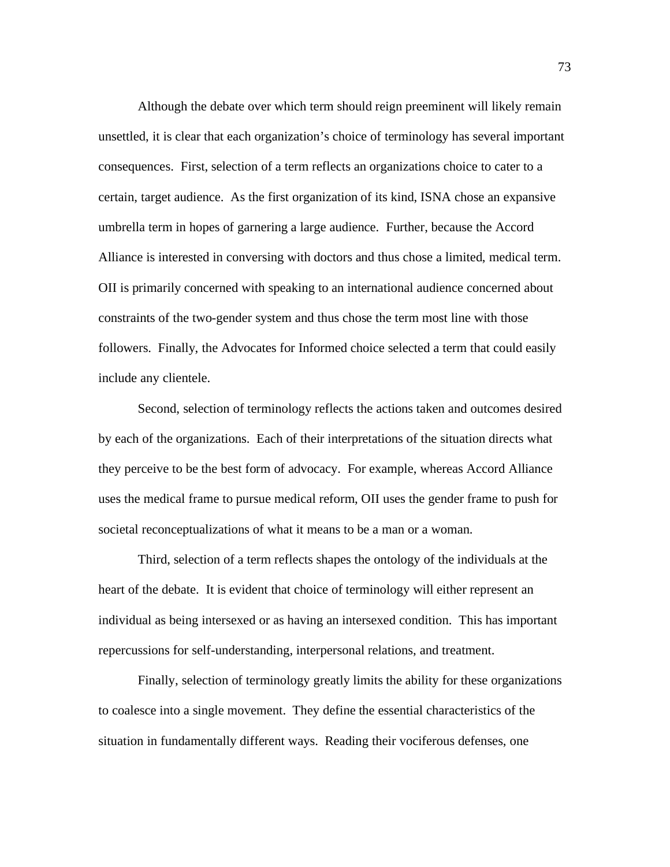Although the debate over which term should reign preeminent will likely remain unsettled, it is clear that each organization's choice of terminology has several important consequences. First, selection of a term reflects an organizations choice to cater to a certain, target audience. As the first organization of its kind, ISNA chose an expansive umbrella term in hopes of garnering a large audience. Further, because the Accord Alliance is interested in conversing with doctors and thus chose a limited, medical term. OII is primarily concerned with speaking to an international audience concerned about constraints of the two-gender system and thus chose the term most line with those followers. Finally, the Advocates for Informed choice selected a term that could easily include any clientele.

Second, selection of terminology reflects the actions taken and outcomes desired by each of the organizations. Each of their interpretations of the situation directs what they perceive to be the best form of advocacy. For example, whereas Accord Alliance uses the medical frame to pursue medical reform, OII uses the gender frame to push for societal reconceptualizations of what it means to be a man or a woman.

Third, selection of a term reflects shapes the ontology of the individuals at the heart of the debate. It is evident that choice of terminology will either represent an individual as being intersexed or as having an intersexed condition. This has important repercussions for self-understanding, interpersonal relations, and treatment.

Finally, selection of terminology greatly limits the ability for these organizations to coalesce into a single movement. They define the essential characteristics of the situation in fundamentally different ways. Reading their vociferous defenses, one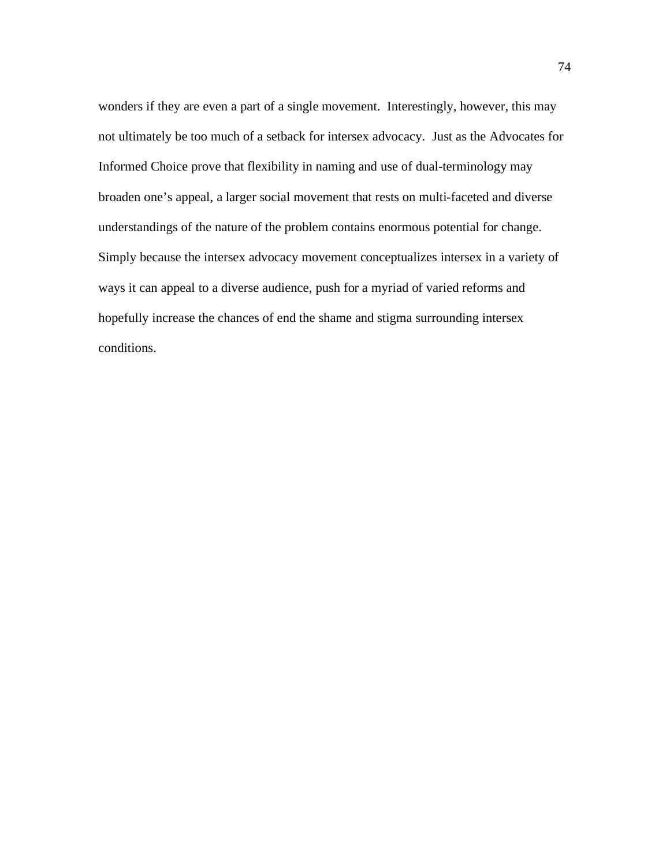wonders if they are even a part of a single movement. Interestingly, however, this may not ultimately be too much of a setback for intersex advocacy. Just as the Advocates for Informed Choice prove that flexibility in naming and use of dual-terminology may broaden one's appeal, a larger social movement that rests on multi-faceted and diverse understandings of the nature of the problem contains enormous potential for change. Simply because the intersex advocacy movement conceptualizes intersex in a variety of ways it can appeal to a diverse audience, push for a myriad of varied reforms and hopefully increase the chances of end the shame and stigma surrounding intersex conditions.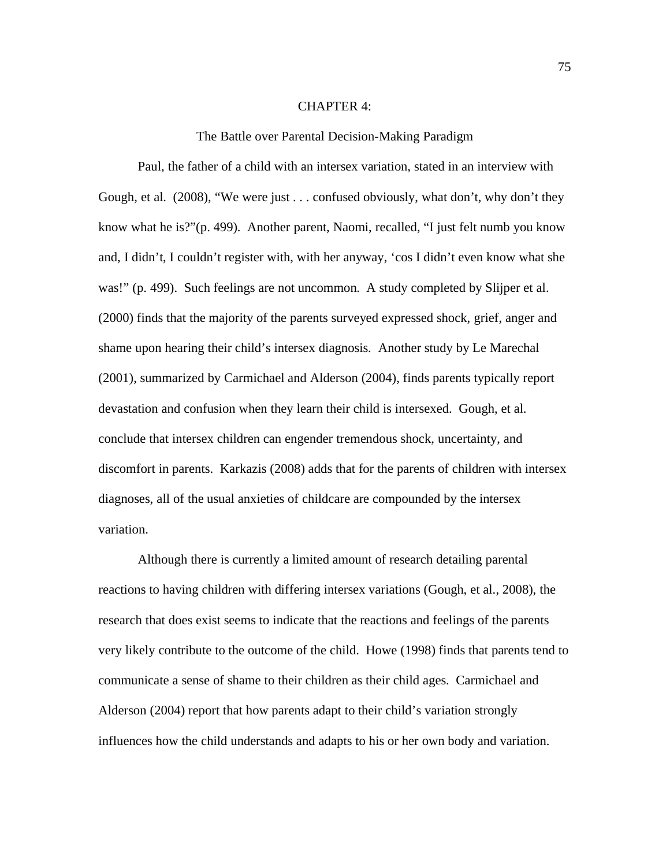#### CHAPTER 4:

The Battle over Parental Decision-Making Paradigm

Paul, the father of a child with an intersex variation, stated in an interview with Gough, et al. (2008), "We were just . . . confused obviously, what don't, why don't they know what he is?"(p. 499). Another parent, Naomi, recalled, "I just felt numb you know and, I didn't, I couldn't register with, with her anyway, 'cos I didn't even know what she was!" (p. 499). Such feelings are not uncommon. A study completed by Slijper et al. (2000) finds that the majority of the parents surveyed expressed shock, grief, anger and shame upon hearing their child's intersex diagnosis. Another study by Le Marechal (2001), summarized by Carmichael and Alderson (2004), finds parents typically report devastation and confusion when they learn their child is intersexed. Gough, et al. conclude that intersex children can engender tremendous shock, uncertainty, and discomfort in parents. Karkazis (2008) adds that for the parents of children with intersex diagnoses, all of the usual anxieties of childcare are compounded by the intersex variation.

Although there is currently a limited amount of research detailing parental reactions to having children with differing intersex variations (Gough, et al., 2008), the research that does exist seems to indicate that the reactions and feelings of the parents very likely contribute to the outcome of the child. Howe (1998) finds that parents tend to communicate a sense of shame to their children as their child ages. Carmichael and Alderson (2004) report that how parents adapt to their child's variation strongly influences how the child understands and adapts to his or her own body and variation.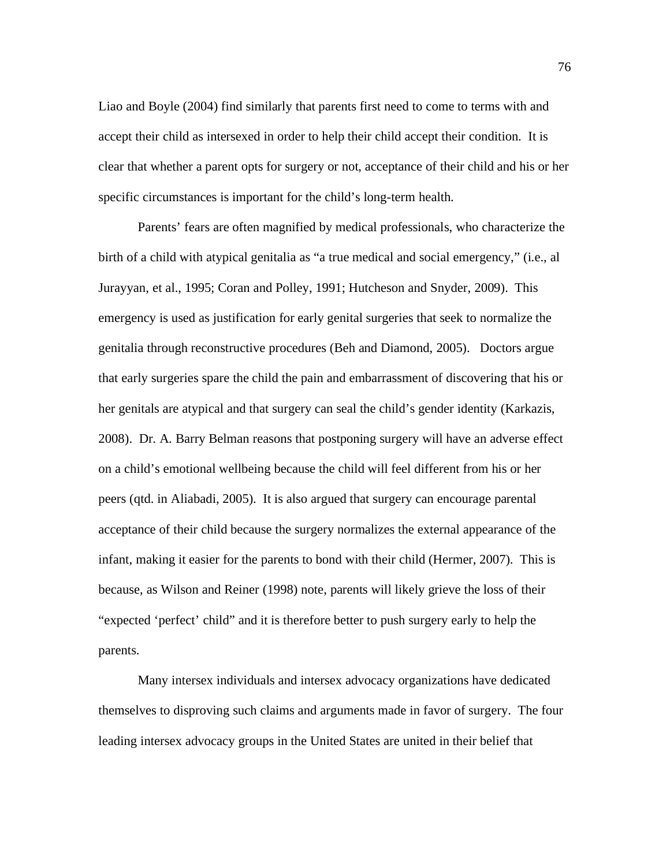Liao and Boyle (2004) find similarly that parents first need to come to terms with and accept their child as intersexed in order to help their child accept their condition. It is clear that whether a parent opts for surgery or not, acceptance of their child and his or her specific circumstances is important for the child's long-term health.

Parents' fears are often magnified by medical professionals, who characterize the birth of a child with atypical genitalia as "a true medical and social emergency," (i.e., al Jurayyan, et al., 1995; Coran and Polley, 1991; Hutcheson and Snyder, 2009). This emergency is used as justification for early genital surgeries that seek to normalize the genitalia through reconstructive procedures (Beh and Diamond, 2005). Doctors argue that early surgeries spare the child the pain and embarrassment of discovering that his or her genitals are atypical and that surgery can seal the child's gender identity (Karkazis, 2008). Dr. A. Barry Belman reasons that postponing surgery will have an adverse effect on a child's emotional wellbeing because the child will feel different from his or her peers (qtd. in Aliabadi, 2005). It is also argued that surgery can encourage parental acceptance of their child because the surgery normalizes the external appearance of the infant, making it easier for the parents to bond with their child (Hermer, 2007). This is because, as Wilson and Reiner (1998) note, parents will likely grieve the loss of their "expected 'perfect' child" and it is therefore better to push surgery early to help the parents.

Many intersex individuals and intersex advocacy organizations have dedicated themselves to disproving such claims and arguments made in favor of surgery. The four leading intersex advocacy groups in the United States are united in their belief that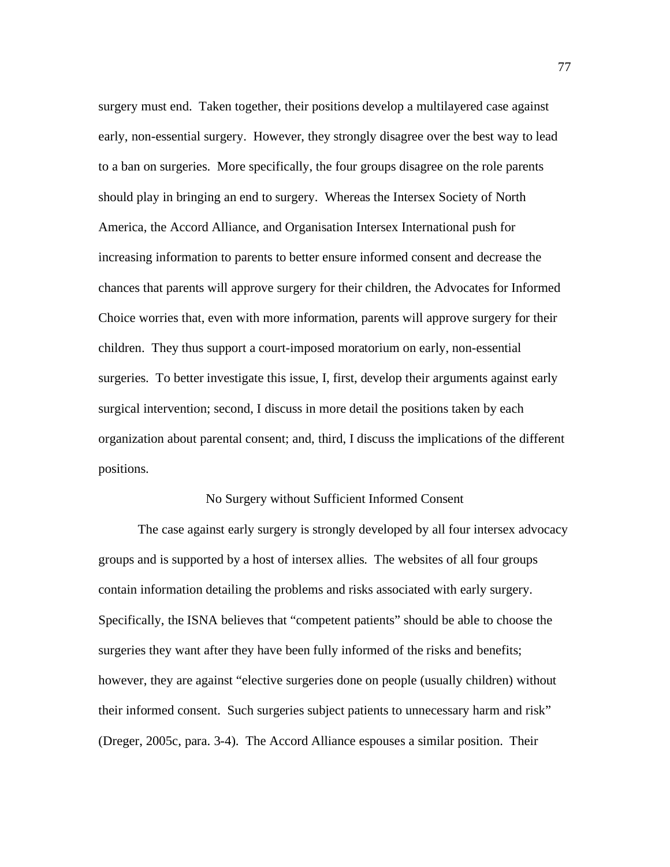surgery must end. Taken together, their positions develop a multilayered case against early, non-essential surgery. However, they strongly disagree over the best way to lead to a ban on surgeries. More specifically, the four groups disagree on the role parents should play in bringing an end to surgery. Whereas the Intersex Society of North America, the Accord Alliance, and Organisation Intersex International push for increasing information to parents to better ensure informed consent and decrease the chances that parents will approve surgery for their children, the Advocates for Informed Choice worries that, even with more information, parents will approve surgery for their children. They thus support a court-imposed moratorium on early, non-essential surgeries. To better investigate this issue, I, first, develop their arguments against early surgical intervention; second, I discuss in more detail the positions taken by each organization about parental consent; and, third, I discuss the implications of the different positions.

## No Surgery without Sufficient Informed Consent

 The case against early surgery is strongly developed by all four intersex advocacy groups and is supported by a host of intersex allies. The websites of all four groups contain information detailing the problems and risks associated with early surgery. Specifically, the ISNA believes that "competent patients" should be able to choose the surgeries they want after they have been fully informed of the risks and benefits; however, they are against "elective surgeries done on people (usually children) without their informed consent. Such surgeries subject patients to unnecessary harm and risk" (Dreger, 2005c, para. 3-4). The Accord Alliance espouses a similar position. Their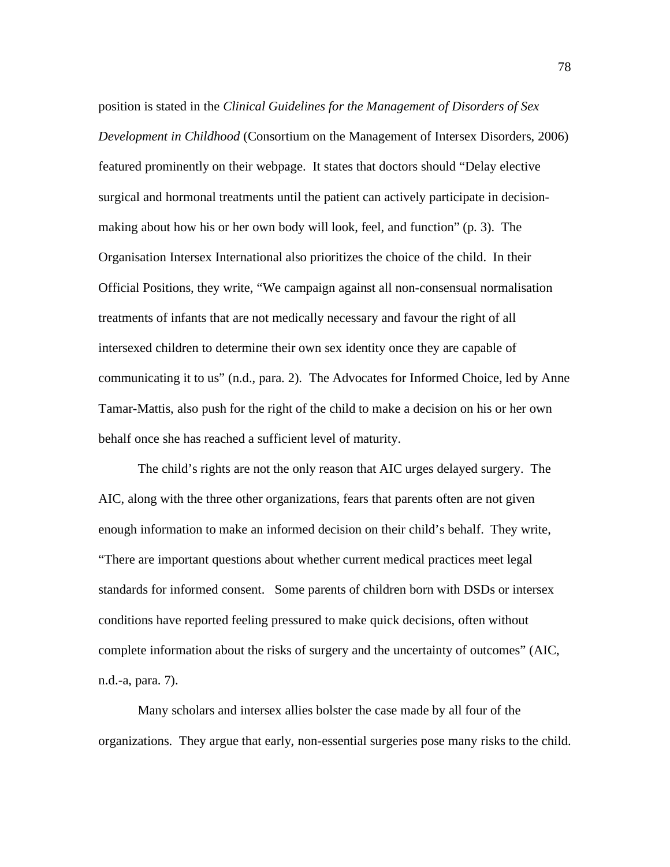position is stated in the *Clinical Guidelines for the Management of Disorders of Sex Development in Childhood* (Consortium on the Management of Intersex Disorders, 2006) featured prominently on their webpage. It states that doctors should "Delay elective surgical and hormonal treatments until the patient can actively participate in decisionmaking about how his or her own body will look, feel, and function" (p. 3). The Organisation Intersex International also prioritizes the choice of the child. In their Official Positions, they write, "We campaign against all non-consensual normalisation treatments of infants that are not medically necessary and favour the right of all intersexed children to determine their own sex identity once they are capable of communicating it to us" (n.d., para. 2). The Advocates for Informed Choice, led by Anne Tamar-Mattis, also push for the right of the child to make a decision on his or her own behalf once she has reached a sufficient level of maturity.

The child's rights are not the only reason that AIC urges delayed surgery. The AIC, along with the three other organizations, fears that parents often are not given enough information to make an informed decision on their child's behalf. They write, "There are important questions about whether current medical practices meet legal standards for informed consent. Some parents of children born with DSDs or intersex conditions have reported feeling pressured to make quick decisions, often without complete information about the risks of surgery and the uncertainty of outcomes" (AIC, n.d.-a, para. 7).

 Many scholars and intersex allies bolster the case made by all four of the organizations. They argue that early, non-essential surgeries pose many risks to the child.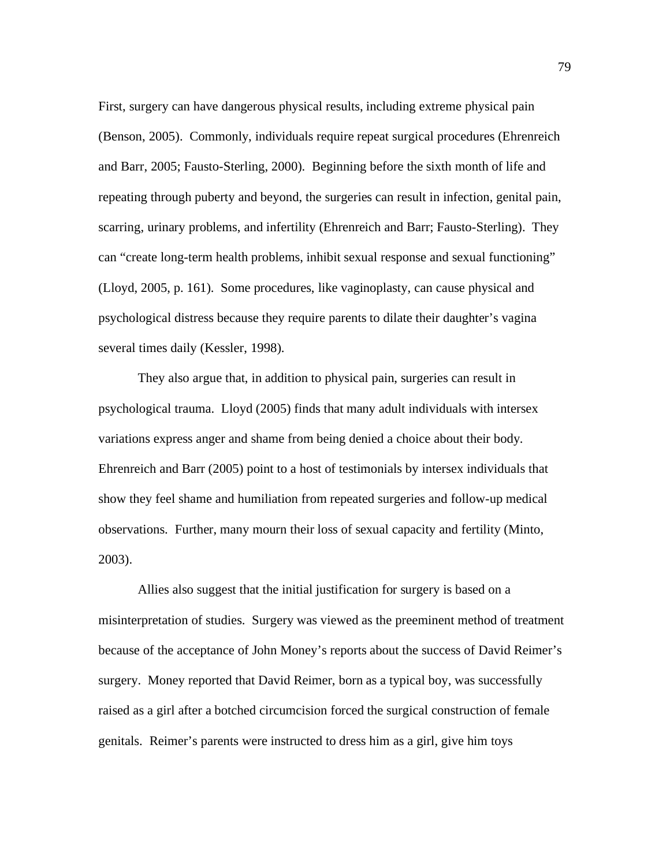First, surgery can have dangerous physical results, including extreme physical pain (Benson, 2005). Commonly, individuals require repeat surgical procedures (Ehrenreich and Barr, 2005; Fausto-Sterling, 2000). Beginning before the sixth month of life and repeating through puberty and beyond, the surgeries can result in infection, genital pain, scarring, urinary problems, and infertility (Ehrenreich and Barr; Fausto-Sterling). They can "create long-term health problems, inhibit sexual response and sexual functioning" (Lloyd, 2005, p. 161). Some procedures, like vaginoplasty, can cause physical and psychological distress because they require parents to dilate their daughter's vagina several times daily (Kessler, 1998).

 They also argue that, in addition to physical pain, surgeries can result in psychological trauma. Lloyd (2005) finds that many adult individuals with intersex variations express anger and shame from being denied a choice about their body. Ehrenreich and Barr (2005) point to a host of testimonials by intersex individuals that show they feel shame and humiliation from repeated surgeries and follow-up medical observations. Further, many mourn their loss of sexual capacity and fertility (Minto, 2003).

 Allies also suggest that the initial justification for surgery is based on a misinterpretation of studies. Surgery was viewed as the preeminent method of treatment because of the acceptance of John Money's reports about the success of David Reimer's surgery. Money reported that David Reimer, born as a typical boy, was successfully raised as a girl after a botched circumcision forced the surgical construction of female genitals. Reimer's parents were instructed to dress him as a girl, give him toys

79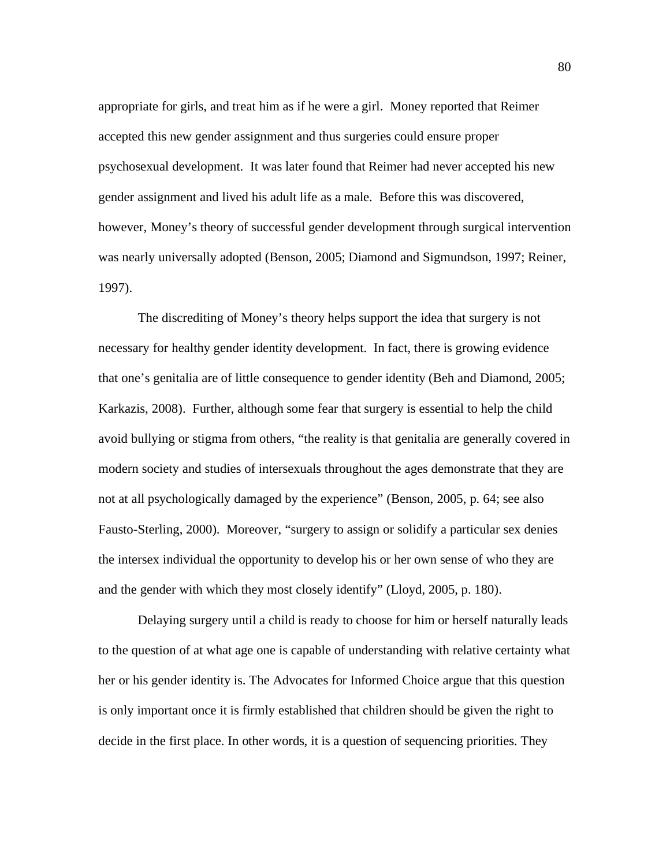appropriate for girls, and treat him as if he were a girl. Money reported that Reimer accepted this new gender assignment and thus surgeries could ensure proper psychosexual development. It was later found that Reimer had never accepted his new gender assignment and lived his adult life as a male. Before this was discovered, however, Money's theory of successful gender development through surgical intervention was nearly universally adopted (Benson, 2005; Diamond and Sigmundson, 1997; Reiner, 1997).

 The discrediting of Money's theory helps support the idea that surgery is not necessary for healthy gender identity development. In fact, there is growing evidence that one's genitalia are of little consequence to gender identity (Beh and Diamond, 2005; Karkazis, 2008). Further, although some fear that surgery is essential to help the child avoid bullying or stigma from others, "the reality is that genitalia are generally covered in modern society and studies of intersexuals throughout the ages demonstrate that they are not at all psychologically damaged by the experience" (Benson, 2005, p. 64; see also Fausto-Sterling, 2000). Moreover, "surgery to assign or solidify a particular sex denies the intersex individual the opportunity to develop his or her own sense of who they are and the gender with which they most closely identify" (Lloyd, 2005, p. 180).

 Delaying surgery until a child is ready to choose for him or herself naturally leads to the question of at what age one is capable of understanding with relative certainty what her or his gender identity is. The Advocates for Informed Choice argue that this question is only important once it is firmly established that children should be given the right to decide in the first place. In other words, it is a question of sequencing priorities. They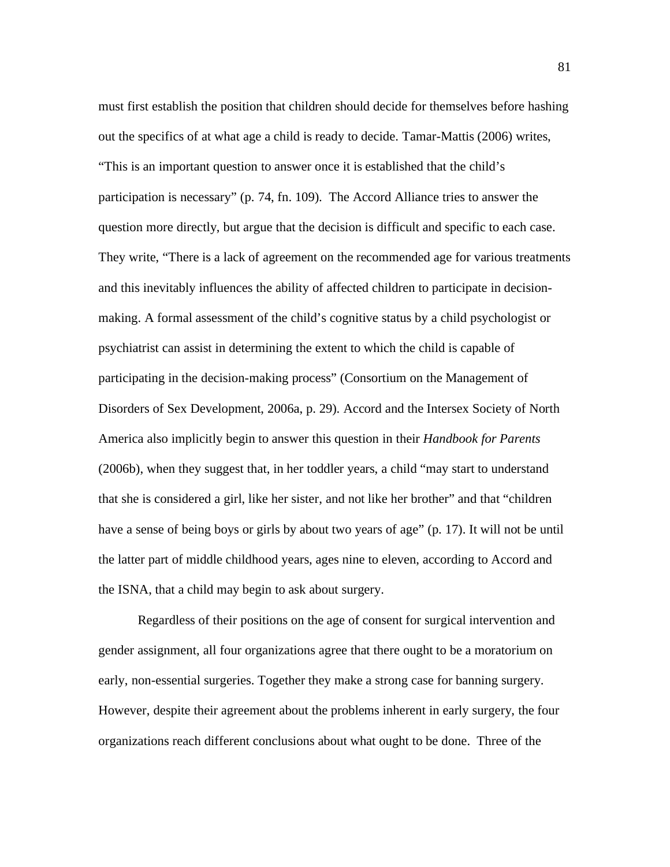must first establish the position that children should decide for themselves before hashing out the specifics of at what age a child is ready to decide. Tamar-Mattis (2006) writes, "This is an important question to answer once it is established that the child's participation is necessary" (p. 74, fn. 109). The Accord Alliance tries to answer the question more directly, but argue that the decision is difficult and specific to each case. They write, "There is a lack of agreement on the recommended age for various treatments and this inevitably influences the ability of affected children to participate in decisionmaking. A formal assessment of the child's cognitive status by a child psychologist or psychiatrist can assist in determining the extent to which the child is capable of participating in the decision-making process" (Consortium on the Management of Disorders of Sex Development, 2006a, p. 29). Accord and the Intersex Society of North America also implicitly begin to answer this question in their *Handbook for Parents* (2006b), when they suggest that, in her toddler years, a child "may start to understand that she is considered a girl, like her sister, and not like her brother" and that "children have a sense of being boys or girls by about two years of age" (p. 17). It will not be until the latter part of middle childhood years, ages nine to eleven, according to Accord and the ISNA, that a child may begin to ask about surgery.

Regardless of their positions on the age of consent for surgical intervention and gender assignment, all four organizations agree that there ought to be a moratorium on early, non-essential surgeries. Together they make a strong case for banning surgery. However, despite their agreement about the problems inherent in early surgery, the four organizations reach different conclusions about what ought to be done. Three of the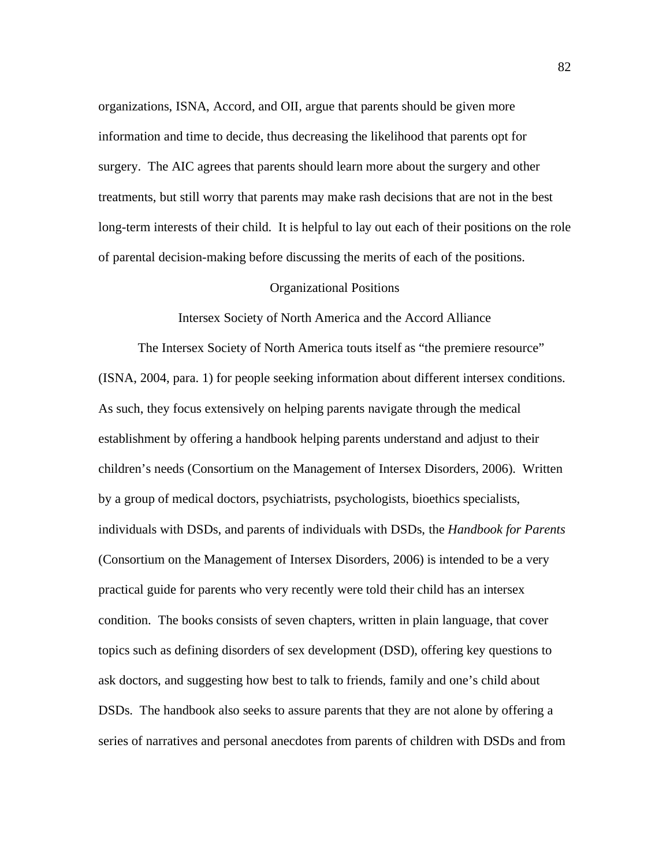organizations, ISNA, Accord, and OII, argue that parents should be given more information and time to decide, thus decreasing the likelihood that parents opt for surgery. The AIC agrees that parents should learn more about the surgery and other treatments, but still worry that parents may make rash decisions that are not in the best long-term interests of their child. It is helpful to lay out each of their positions on the role of parental decision-making before discussing the merits of each of the positions.

## Organizational Positions

Intersex Society of North America and the Accord Alliance

The Intersex Society of North America touts itself as "the premiere resource" (ISNA, 2004, para. 1) for people seeking information about different intersex conditions. As such, they focus extensively on helping parents navigate through the medical establishment by offering a handbook helping parents understand and adjust to their children's needs (Consortium on the Management of Intersex Disorders, 2006). Written by a group of medical doctors, psychiatrists, psychologists, bioethics specialists, individuals with DSDs, and parents of individuals with DSDs, the *Handbook for Parents* (Consortium on the Management of Intersex Disorders, 2006) is intended to be a very practical guide for parents who very recently were told their child has an intersex condition. The books consists of seven chapters, written in plain language, that cover topics such as defining disorders of sex development (DSD), offering key questions to ask doctors, and suggesting how best to talk to friends, family and one's child about DSDs. The handbook also seeks to assure parents that they are not alone by offering a series of narratives and personal anecdotes from parents of children with DSDs and from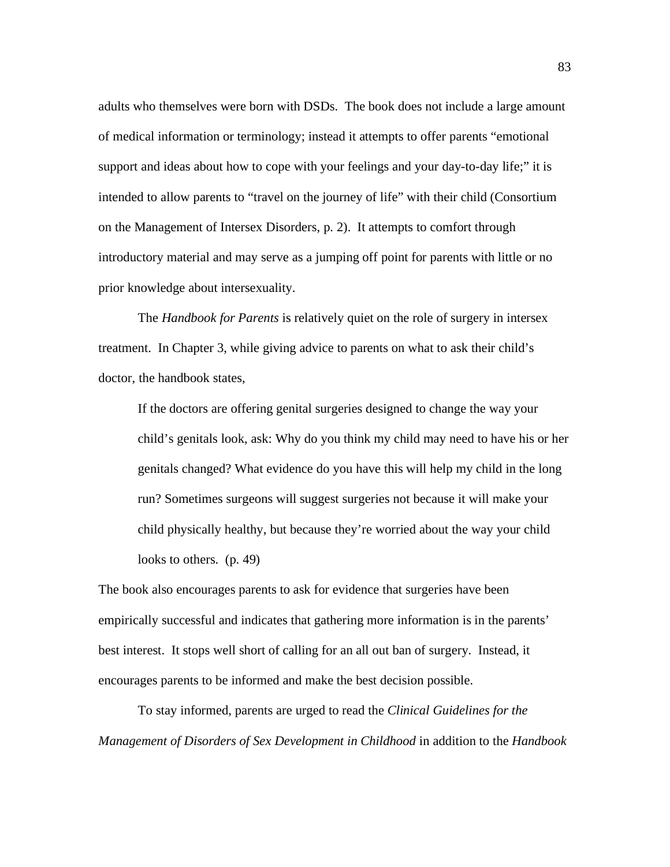adults who themselves were born with DSDs. The book does not include a large amount of medical information or terminology; instead it attempts to offer parents "emotional support and ideas about how to cope with your feelings and your day-to-day life;" it is intended to allow parents to "travel on the journey of life" with their child (Consortium on the Management of Intersex Disorders, p. 2). It attempts to comfort through introductory material and may serve as a jumping off point for parents with little or no prior knowledge about intersexuality.

The *Handbook for Parents* is relatively quiet on the role of surgery in intersex treatment. In Chapter 3, while giving advice to parents on what to ask their child's doctor, the handbook states,

If the doctors are offering genital surgeries designed to change the way your child's genitals look, ask: Why do you think my child may need to have his or her genitals changed? What evidence do you have this will help my child in the long run? Sometimes surgeons will suggest surgeries not because it will make your child physically healthy, but because they're worried about the way your child looks to others. (p. 49)

The book also encourages parents to ask for evidence that surgeries have been empirically successful and indicates that gathering more information is in the parents' best interest. It stops well short of calling for an all out ban of surgery. Instead, it encourages parents to be informed and make the best decision possible.

 To stay informed, parents are urged to read the *Clinical Guidelines for the Management of Disorders of Sex Development in Childhood* in addition to the *Handbook*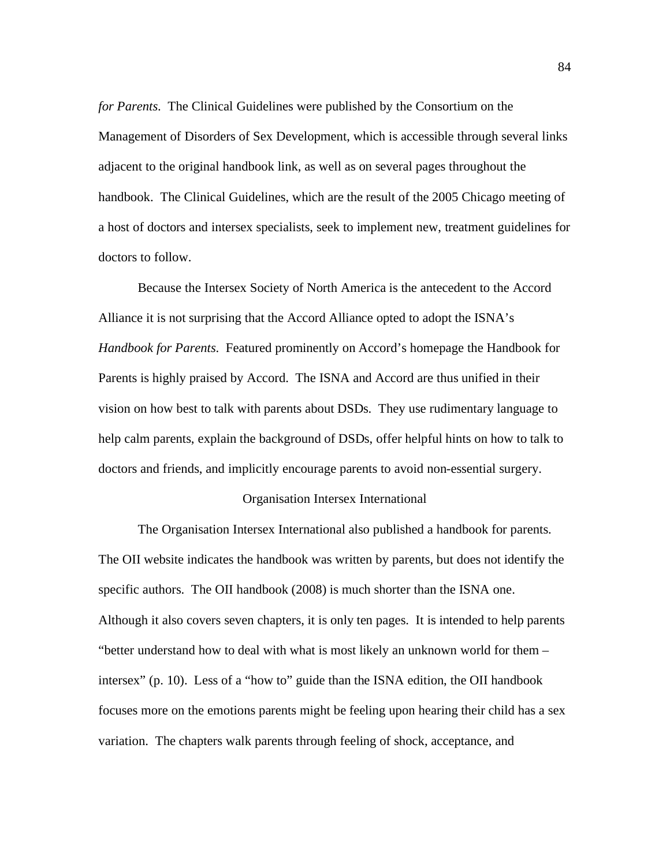*for Parents*. The Clinical Guidelines were published by the Consortium on the Management of Disorders of Sex Development, which is accessible through several links adjacent to the original handbook link, as well as on several pages throughout the handbook. The Clinical Guidelines, which are the result of the 2005 Chicago meeting of a host of doctors and intersex specialists, seek to implement new, treatment guidelines for doctors to follow.

Because the Intersex Society of North America is the antecedent to the Accord Alliance it is not surprising that the Accord Alliance opted to adopt the ISNA's *Handbook for Parents*. Featured prominently on Accord's homepage the Handbook for Parents is highly praised by Accord. The ISNA and Accord are thus unified in their vision on how best to talk with parents about DSDs. They use rudimentary language to help calm parents, explain the background of DSDs, offer helpful hints on how to talk to doctors and friends, and implicitly encourage parents to avoid non-essential surgery.

## Organisation Intersex International

The Organisation Intersex International also published a handbook for parents. The OII website indicates the handbook was written by parents, but does not identify the specific authors. The OII handbook (2008) is much shorter than the ISNA one. Although it also covers seven chapters, it is only ten pages. It is intended to help parents "better understand how to deal with what is most likely an unknown world for them – intersex" (p. 10). Less of a "how to" guide than the ISNA edition, the OII handbook focuses more on the emotions parents might be feeling upon hearing their child has a sex variation. The chapters walk parents through feeling of shock, acceptance, and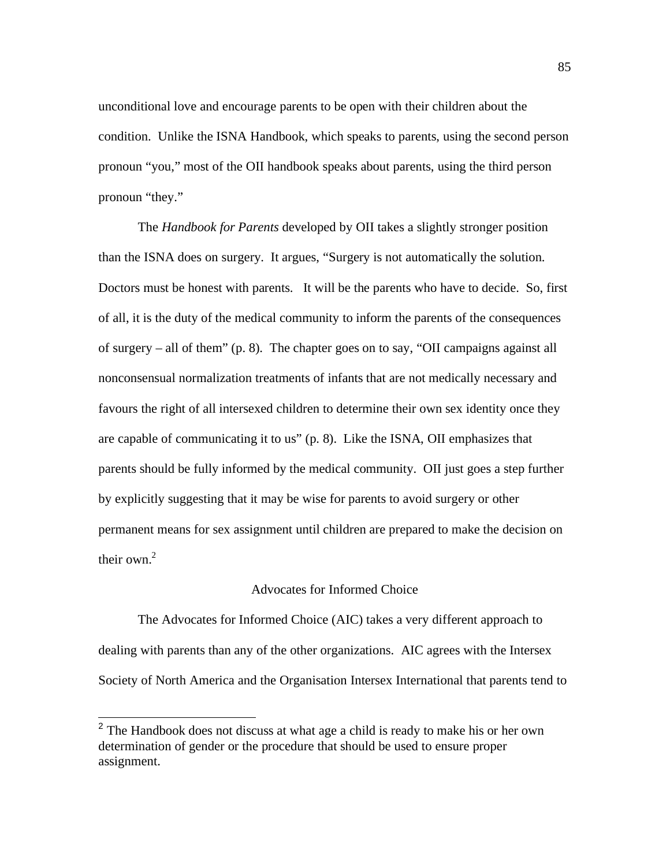unconditional love and encourage parents to be open with their children about the condition. Unlike the ISNA Handbook, which speaks to parents, using the second person pronoun "you," most of the OII handbook speaks about parents, using the third person pronoun "they."

The *Handbook for Parents* developed by OII takes a slightly stronger position than the ISNA does on surgery. It argues, "Surgery is not automatically the solution. Doctors must be honest with parents. It will be the parents who have to decide. So, first of all, it is the duty of the medical community to inform the parents of the consequences of surgery – all of them" (p. 8). The chapter goes on to say, "OII campaigns against all nonconsensual normalization treatments of infants that are not medically necessary and favours the right of all intersexed children to determine their own sex identity once they are capable of communicating it to us" (p. 8). Like the ISNA, OII emphasizes that parents should be fully informed by the medical community. OII just goes a step further by explicitly suggesting that it may be wise for parents to avoid surgery or other permanent means for sex assignment until children are prepared to make the decision on their own. $2$ 

# Advocates for Informed Choice

 The Advocates for Informed Choice (AIC) takes a very different approach to dealing with parents than any of the other organizations. AIC agrees with the Intersex Society of North America and the Organisation Intersex International that parents tend to

<sup>&</sup>lt;sup>2</sup> The Handbook does not discuss at what age a child is ready to make his or her own determination of gender or the procedure that should be used to ensure proper assignment.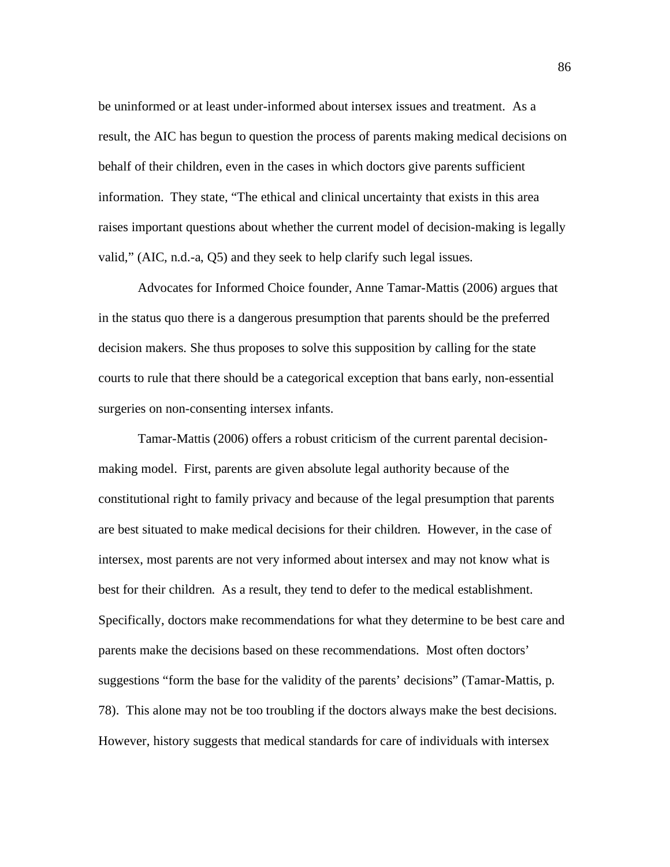be uninformed or at least under-informed about intersex issues and treatment. As a result, the AIC has begun to question the process of parents making medical decisions on behalf of their children, even in the cases in which doctors give parents sufficient information. They state, "The ethical and clinical uncertainty that exists in this area raises important questions about whether the current model of decision-making is legally valid," (AIC, n.d.-a, Q5) and they seek to help clarify such legal issues.

Advocates for Informed Choice founder, Anne Tamar-Mattis (2006) argues that in the status quo there is a dangerous presumption that parents should be the preferred decision makers. She thus proposes to solve this supposition by calling for the state courts to rule that there should be a categorical exception that bans early, non-essential surgeries on non-consenting intersex infants.

Tamar-Mattis (2006) offers a robust criticism of the current parental decisionmaking model. First, parents are given absolute legal authority because of the constitutional right to family privacy and because of the legal presumption that parents are best situated to make medical decisions for their children. However, in the case of intersex, most parents are not very informed about intersex and may not know what is best for their children. As a result, they tend to defer to the medical establishment. Specifically, doctors make recommendations for what they determine to be best care and parents make the decisions based on these recommendations. Most often doctors' suggestions "form the base for the validity of the parents' decisions" (Tamar-Mattis, p. 78). This alone may not be too troubling if the doctors always make the best decisions. However, history suggests that medical standards for care of individuals with intersex

86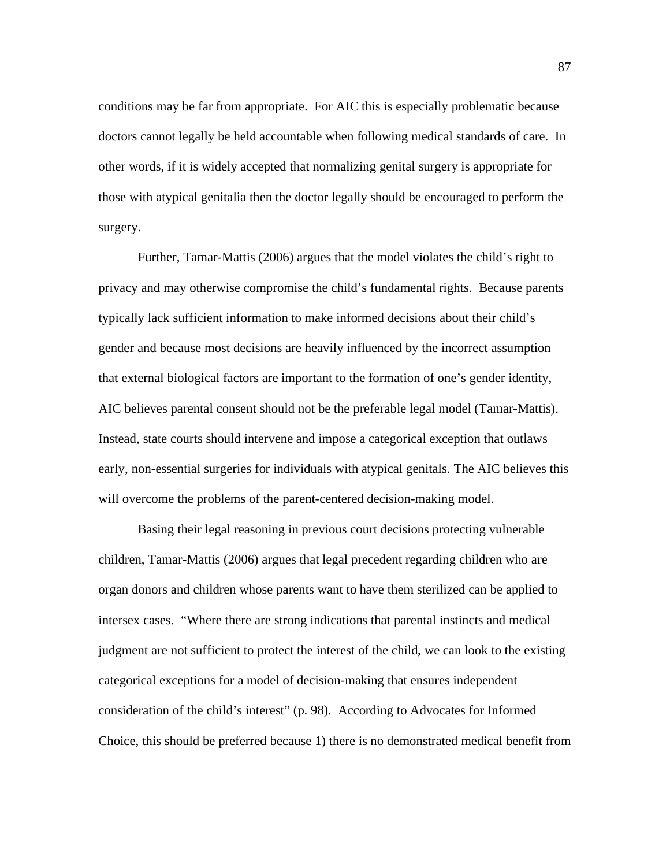conditions may be far from appropriate. For AIC this is especially problematic because doctors cannot legally be held accountable when following medical standards of care. In other words, if it is widely accepted that normalizing genital surgery is appropriate for those with atypical genitalia then the doctor legally should be encouraged to perform the surgery.

Further, Tamar-Mattis (2006) argues that the model violates the child's right to privacy and may otherwise compromise the child's fundamental rights. Because parents typically lack sufficient information to make informed decisions about their child's gender and because most decisions are heavily influenced by the incorrect assumption that external biological factors are important to the formation of one's gender identity, AIC believes parental consent should not be the preferable legal model (Tamar-Mattis). Instead, state courts should intervene and impose a categorical exception that outlaws early, non-essential surgeries for individuals with atypical genitals. The AIC believes this will overcome the problems of the parent-centered decision-making model.

Basing their legal reasoning in previous court decisions protecting vulnerable children, Tamar-Mattis (2006) argues that legal precedent regarding children who are organ donors and children whose parents want to have them sterilized can be applied to intersex cases. "Where there are strong indications that parental instincts and medical judgment are not sufficient to protect the interest of the child, we can look to the existing categorical exceptions for a model of decision-making that ensures independent consideration of the child's interest" (p. 98). According to Advocates for Informed Choice, this should be preferred because 1) there is no demonstrated medical benefit from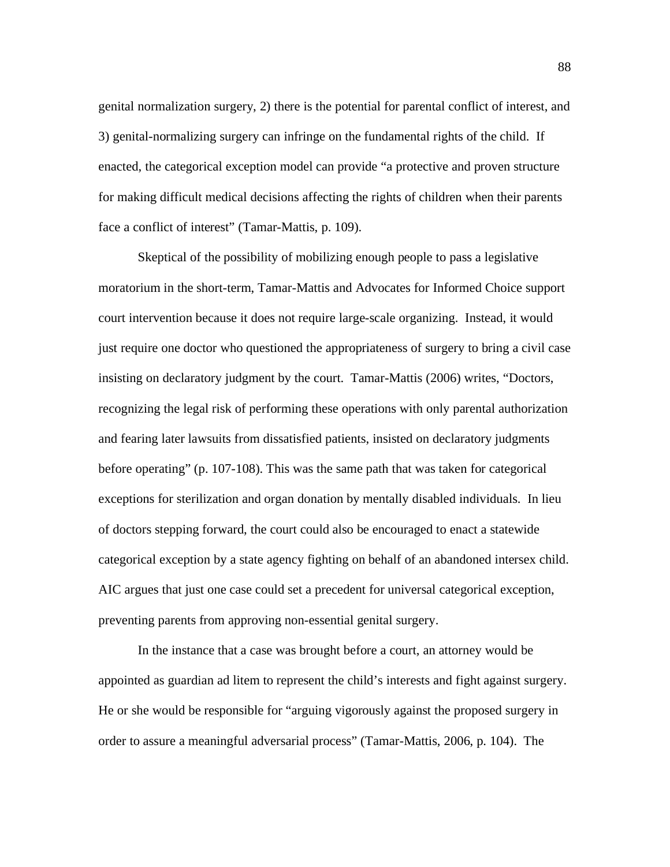genital normalization surgery, 2) there is the potential for parental conflict of interest, and 3) genital-normalizing surgery can infringe on the fundamental rights of the child. If enacted, the categorical exception model can provide "a protective and proven structure for making difficult medical decisions affecting the rights of children when their parents face a conflict of interest" (Tamar-Mattis, p. 109).

Skeptical of the possibility of mobilizing enough people to pass a legislative moratorium in the short-term, Tamar-Mattis and Advocates for Informed Choice support court intervention because it does not require large-scale organizing. Instead, it would just require one doctor who questioned the appropriateness of surgery to bring a civil case insisting on declaratory judgment by the court. Tamar-Mattis (2006) writes, "Doctors, recognizing the legal risk of performing these operations with only parental authorization and fearing later lawsuits from dissatisfied patients, insisted on declaratory judgments before operating" (p. 107-108). This was the same path that was taken for categorical exceptions for sterilization and organ donation by mentally disabled individuals. In lieu of doctors stepping forward, the court could also be encouraged to enact a statewide categorical exception by a state agency fighting on behalf of an abandoned intersex child. AIC argues that just one case could set a precedent for universal categorical exception, preventing parents from approving non-essential genital surgery.

In the instance that a case was brought before a court, an attorney would be appointed as guardian ad litem to represent the child's interests and fight against surgery. He or she would be responsible for "arguing vigorously against the proposed surgery in order to assure a meaningful adversarial process" (Tamar-Mattis, 2006, p. 104). The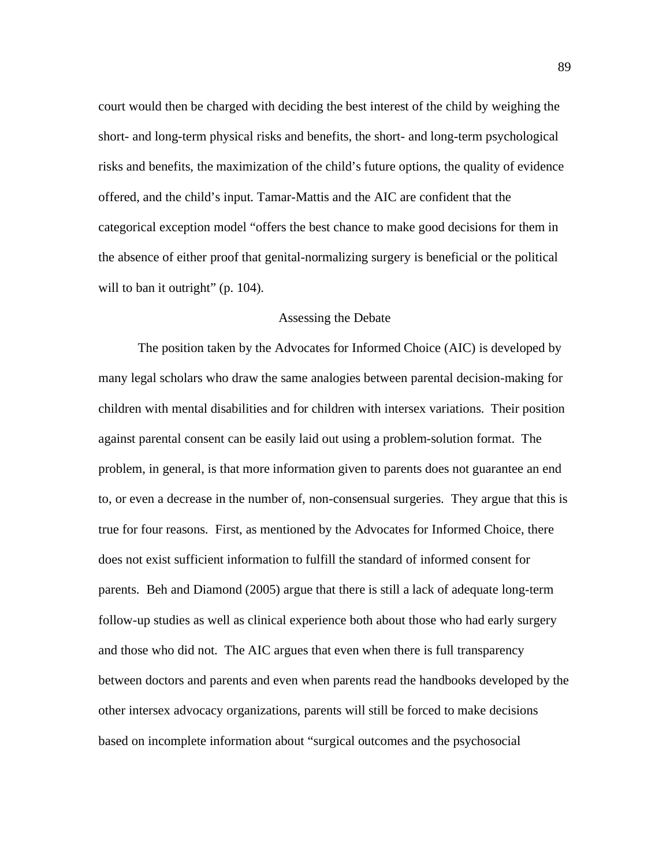court would then be charged with deciding the best interest of the child by weighing the short- and long-term physical risks and benefits, the short- and long-term psychological risks and benefits, the maximization of the child's future options, the quality of evidence offered, and the child's input. Tamar-Mattis and the AIC are confident that the categorical exception model "offers the best chance to make good decisions for them in the absence of either proof that genital-normalizing surgery is beneficial or the political will to ban it outright" (p. 104).

#### Assessing the Debate

The position taken by the Advocates for Informed Choice (AIC) is developed by many legal scholars who draw the same analogies between parental decision-making for children with mental disabilities and for children with intersex variations. Their position against parental consent can be easily laid out using a problem-solution format. The problem, in general, is that more information given to parents does not guarantee an end to, or even a decrease in the number of, non-consensual surgeries. They argue that this is true for four reasons. First, as mentioned by the Advocates for Informed Choice, there does not exist sufficient information to fulfill the standard of informed consent for parents. Beh and Diamond (2005) argue that there is still a lack of adequate long-term follow-up studies as well as clinical experience both about those who had early surgery and those who did not. The AIC argues that even when there is full transparency between doctors and parents and even when parents read the handbooks developed by the other intersex advocacy organizations, parents will still be forced to make decisions based on incomplete information about "surgical outcomes and the psychosocial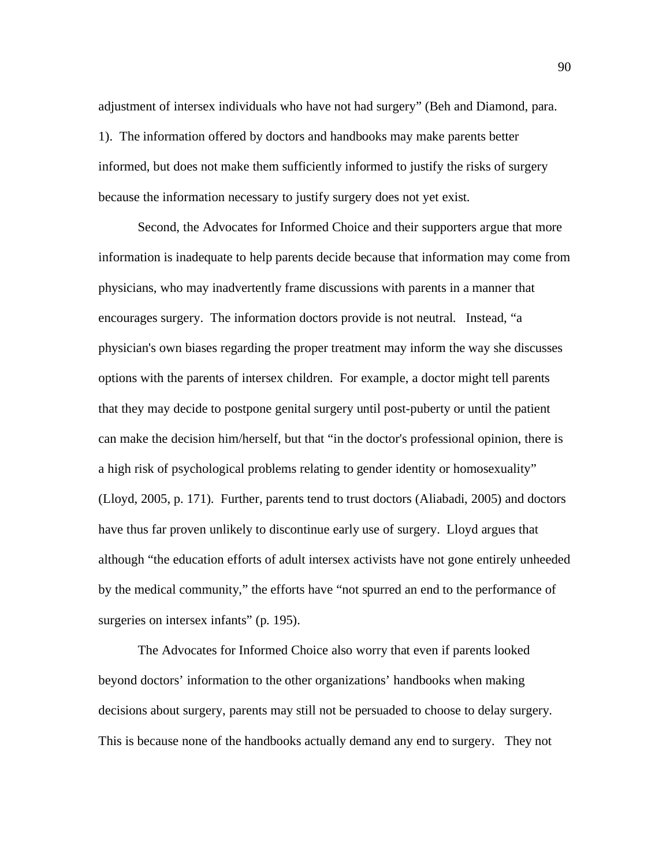adjustment of intersex individuals who have not had surgery" (Beh and Diamond, para. 1). The information offered by doctors and handbooks may make parents better informed, but does not make them sufficiently informed to justify the risks of surgery because the information necessary to justify surgery does not yet exist.

 Second, the Advocates for Informed Choice and their supporters argue that more information is inadequate to help parents decide because that information may come from physicians, who may inadvertently frame discussions with parents in a manner that encourages surgery. The information doctors provide is not neutral. Instead, "a physician's own biases regarding the proper treatment may inform the way she discusses options with the parents of intersex children. For example, a doctor might tell parents that they may decide to postpone genital surgery until post-puberty or until the patient can make the decision him/herself, but that "in the doctor's professional opinion, there is a high risk of psychological problems relating to gender identity or homosexuality" (Lloyd, 2005, p. 171). Further, parents tend to trust doctors (Aliabadi, 2005) and doctors have thus far proven unlikely to discontinue early use of surgery. Lloyd argues that although "the education efforts of adult intersex activists have not gone entirely unheeded by the medical community," the efforts have "not spurred an end to the performance of surgeries on intersex infants" (p. 195).

 The Advocates for Informed Choice also worry that even if parents looked beyond doctors' information to the other organizations' handbooks when making decisions about surgery, parents may still not be persuaded to choose to delay surgery. This is because none of the handbooks actually demand any end to surgery. They not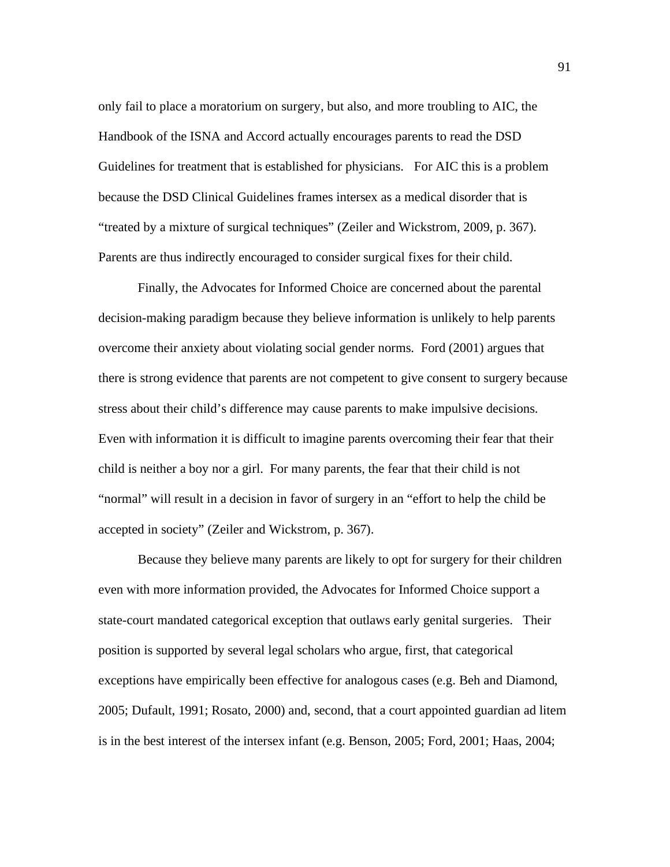only fail to place a moratorium on surgery, but also, and more troubling to AIC, the Handbook of the ISNA and Accord actually encourages parents to read the DSD Guidelines for treatment that is established for physicians. For AIC this is a problem because the DSD Clinical Guidelines frames intersex as a medical disorder that is "treated by a mixture of surgical techniques" (Zeiler and Wickstrom, 2009, p. 367). Parents are thus indirectly encouraged to consider surgical fixes for their child.

 Finally, the Advocates for Informed Choice are concerned about the parental decision-making paradigm because they believe information is unlikely to help parents overcome their anxiety about violating social gender norms. Ford (2001) argues that there is strong evidence that parents are not competent to give consent to surgery because stress about their child's difference may cause parents to make impulsive decisions. Even with information it is difficult to imagine parents overcoming their fear that their child is neither a boy nor a girl. For many parents, the fear that their child is not "normal" will result in a decision in favor of surgery in an "effort to help the child be accepted in society" (Zeiler and Wickstrom, p. 367).

 Because they believe many parents are likely to opt for surgery for their children even with more information provided, the Advocates for Informed Choice support a state-court mandated categorical exception that outlaws early genital surgeries. Their position is supported by several legal scholars who argue, first, that categorical exceptions have empirically been effective for analogous cases (e.g. Beh and Diamond, 2005; Dufault, 1991; Rosato, 2000) and, second, that a court appointed guardian ad litem is in the best interest of the intersex infant (e.g. Benson, 2005; Ford, 2001; Haas, 2004;

91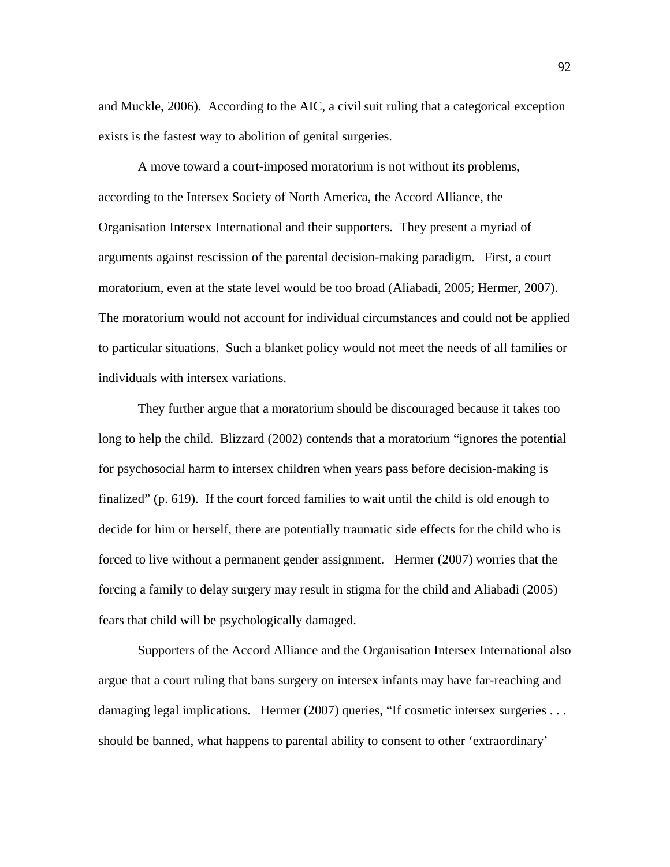and Muckle, 2006). According to the AIC, a civil suit ruling that a categorical exception exists is the fastest way to abolition of genital surgeries.

 A move toward a court-imposed moratorium is not without its problems, according to the Intersex Society of North America, the Accord Alliance, the Organisation Intersex International and their supporters. They present a myriad of arguments against rescission of the parental decision-making paradigm. First, a court moratorium, even at the state level would be too broad (Aliabadi, 2005; Hermer, 2007). The moratorium would not account for individual circumstances and could not be applied to particular situations. Such a blanket policy would not meet the needs of all families or individuals with intersex variations.

 They further argue that a moratorium should be discouraged because it takes too long to help the child. Blizzard (2002) contends that a moratorium "ignores the potential for psychosocial harm to intersex children when years pass before decision-making is finalized" (p. 619). If the court forced families to wait until the child is old enough to decide for him or herself, there are potentially traumatic side effects for the child who is forced to live without a permanent gender assignment. Hermer (2007) worries that the forcing a family to delay surgery may result in stigma for the child and Aliabadi (2005) fears that child will be psychologically damaged.

 Supporters of the Accord Alliance and the Organisation Intersex International also argue that a court ruling that bans surgery on intersex infants may have far-reaching and damaging legal implications. Hermer (2007) queries, "If cosmetic intersex surgeries ... should be banned, what happens to parental ability to consent to other 'extraordinary'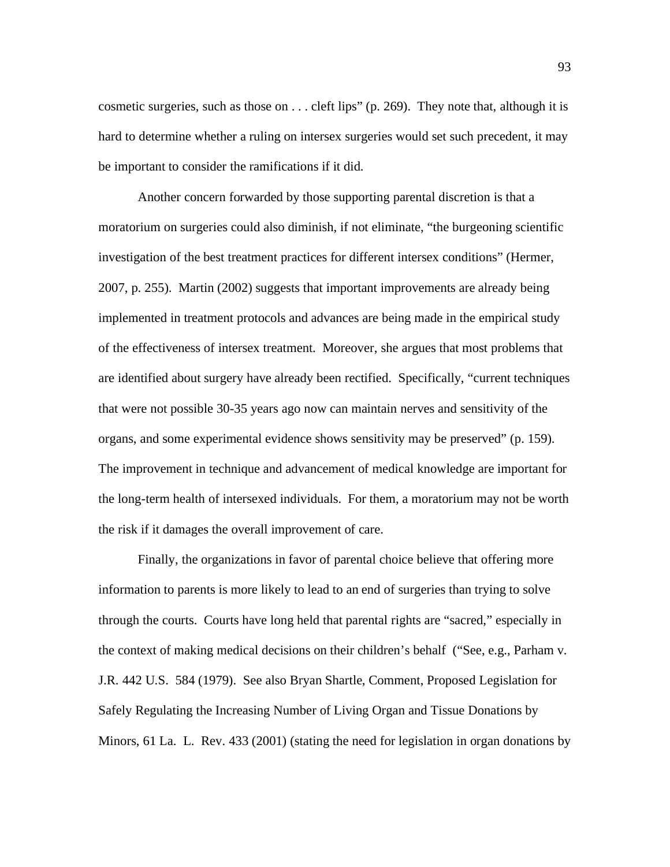cosmetic surgeries, such as those on . . . cleft lips" (p. 269). They note that, although it is hard to determine whether a ruling on intersex surgeries would set such precedent, it may be important to consider the ramifications if it did.

 Another concern forwarded by those supporting parental discretion is that a moratorium on surgeries could also diminish, if not eliminate, "the burgeoning scientific investigation of the best treatment practices for different intersex conditions" (Hermer, 2007, p. 255). Martin (2002) suggests that important improvements are already being implemented in treatment protocols and advances are being made in the empirical study of the effectiveness of intersex treatment. Moreover, she argues that most problems that are identified about surgery have already been rectified. Specifically, "current techniques that were not possible 30-35 years ago now can maintain nerves and sensitivity of the organs, and some experimental evidence shows sensitivity may be preserved" (p. 159). The improvement in technique and advancement of medical knowledge are important for the long-term health of intersexed individuals. For them, a moratorium may not be worth the risk if it damages the overall improvement of care.

 Finally, the organizations in favor of parental choice believe that offering more information to parents is more likely to lead to an end of surgeries than trying to solve through the courts. Courts have long held that parental rights are "sacred," especially in the context of making medical decisions on their children's behalf ("See, e.g., Parham v. J.R. 442 U.S. 584 (1979). See also Bryan Shartle, Comment, Proposed Legislation for Safely Regulating the Increasing Number of Living Organ and Tissue Donations by Minors, 61 La. L. Rev. 433 (2001) (stating the need for legislation in organ donations by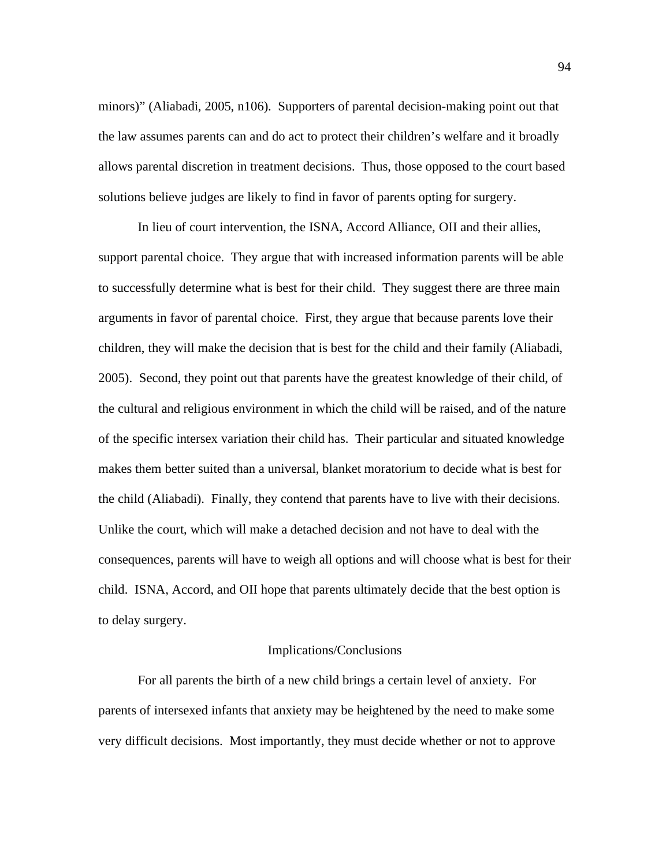minors)" (Aliabadi, 2005, n106). Supporters of parental decision-making point out that the law assumes parents can and do act to protect their children's welfare and it broadly allows parental discretion in treatment decisions. Thus, those opposed to the court based solutions believe judges are likely to find in favor of parents opting for surgery.

 In lieu of court intervention, the ISNA, Accord Alliance, OII and their allies, support parental choice. They argue that with increased information parents will be able to successfully determine what is best for their child. They suggest there are three main arguments in favor of parental choice. First, they argue that because parents love their children, they will make the decision that is best for the child and their family (Aliabadi, 2005). Second, they point out that parents have the greatest knowledge of their child, of the cultural and religious environment in which the child will be raised, and of the nature of the specific intersex variation their child has. Their particular and situated knowledge makes them better suited than a universal, blanket moratorium to decide what is best for the child (Aliabadi). Finally, they contend that parents have to live with their decisions. Unlike the court, which will make a detached decision and not have to deal with the consequences, parents will have to weigh all options and will choose what is best for their child. ISNA, Accord, and OII hope that parents ultimately decide that the best option is to delay surgery.

## Implications/Conclusions

 For all parents the birth of a new child brings a certain level of anxiety. For parents of intersexed infants that anxiety may be heightened by the need to make some very difficult decisions. Most importantly, they must decide whether or not to approve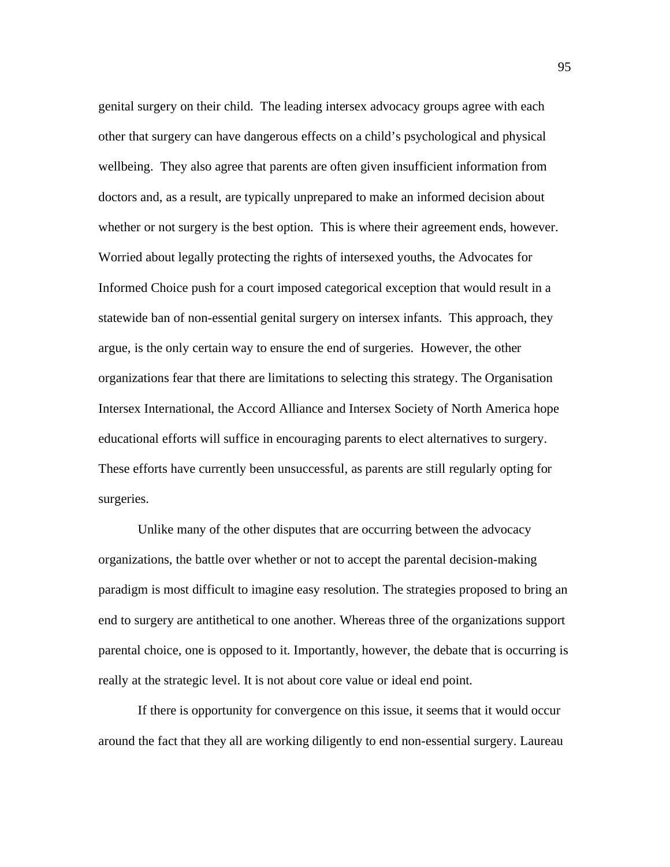genital surgery on their child. The leading intersex advocacy groups agree with each other that surgery can have dangerous effects on a child's psychological and physical wellbeing. They also agree that parents are often given insufficient information from doctors and, as a result, are typically unprepared to make an informed decision about whether or not surgery is the best option. This is where their agreement ends, however. Worried about legally protecting the rights of intersexed youths, the Advocates for Informed Choice push for a court imposed categorical exception that would result in a statewide ban of non-essential genital surgery on intersex infants. This approach, they argue, is the only certain way to ensure the end of surgeries. However, the other organizations fear that there are limitations to selecting this strategy. The Organisation Intersex International, the Accord Alliance and Intersex Society of North America hope educational efforts will suffice in encouraging parents to elect alternatives to surgery. These efforts have currently been unsuccessful, as parents are still regularly opting for surgeries.

 Unlike many of the other disputes that are occurring between the advocacy organizations, the battle over whether or not to accept the parental decision-making paradigm is most difficult to imagine easy resolution. The strategies proposed to bring an end to surgery are antithetical to one another. Whereas three of the organizations support parental choice, one is opposed to it. Importantly, however, the debate that is occurring is really at the strategic level. It is not about core value or ideal end point.

 If there is opportunity for convergence on this issue, it seems that it would occur around the fact that they all are working diligently to end non-essential surgery. Laureau

95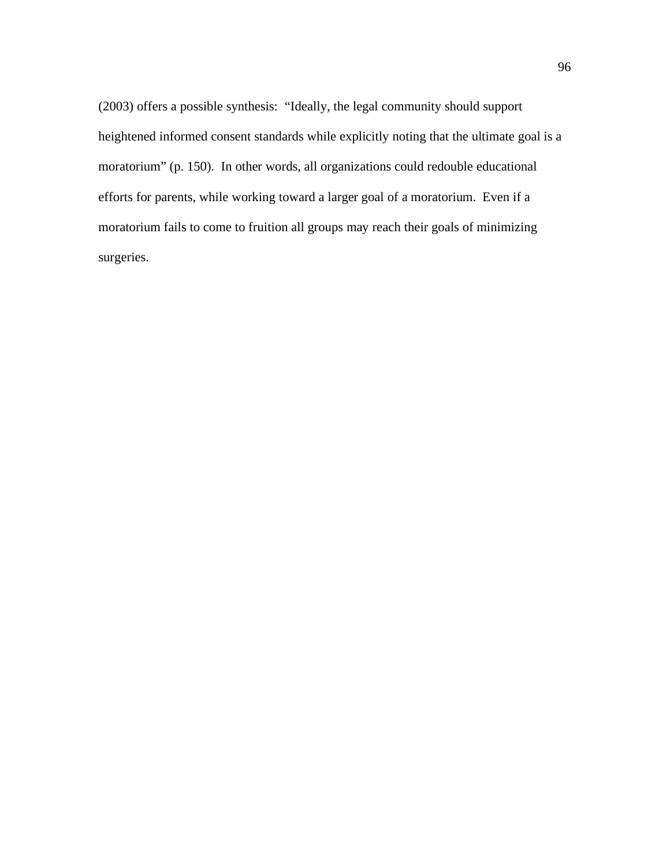(2003) offers a possible synthesis: "Ideally, the legal community should support heightened informed consent standards while explicitly noting that the ultimate goal is a moratorium" (p. 150). In other words, all organizations could redouble educational efforts for parents, while working toward a larger goal of a moratorium. Even if a moratorium fails to come to fruition all groups may reach their goals of minimizing surgeries.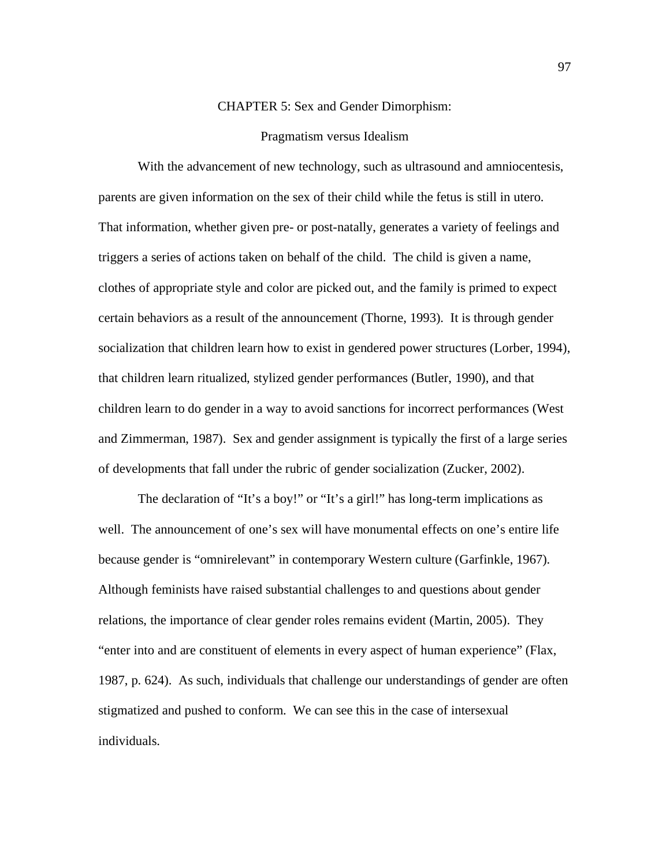## CHAPTER 5: Sex and Gender Dimorphism:

## Pragmatism versus Idealism

With the advancement of new technology, such as ultrasound and amniocentesis, parents are given information on the sex of their child while the fetus is still in utero. That information, whether given pre- or post-natally, generates a variety of feelings and triggers a series of actions taken on behalf of the child. The child is given a name, clothes of appropriate style and color are picked out, and the family is primed to expect certain behaviors as a result of the announcement (Thorne, 1993). It is through gender socialization that children learn how to exist in gendered power structures (Lorber, 1994), that children learn ritualized, stylized gender performances (Butler, 1990), and that children learn to do gender in a way to avoid sanctions for incorrect performances (West and Zimmerman, 1987). Sex and gender assignment is typically the first of a large series of developments that fall under the rubric of gender socialization (Zucker, 2002).

The declaration of "It's a boy!" or "It's a girl!" has long-term implications as well. The announcement of one's sex will have monumental effects on one's entire life because gender is "omnirelevant" in contemporary Western culture (Garfinkle, 1967). Although feminists have raised substantial challenges to and questions about gender relations, the importance of clear gender roles remains evident (Martin, 2005). They "enter into and are constituent of elements in every aspect of human experience" (Flax, 1987, p. 624). As such, individuals that challenge our understandings of gender are often stigmatized and pushed to conform. We can see this in the case of intersexual individuals.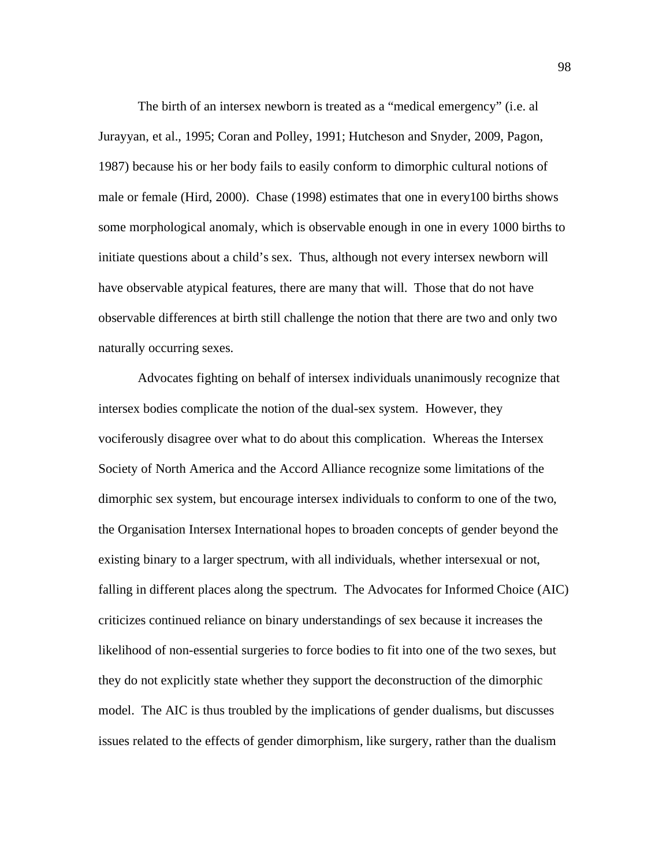The birth of an intersex newborn is treated as a "medical emergency" (i.e. al Jurayyan, et al., 1995; Coran and Polley, 1991; Hutcheson and Snyder, 2009, Pagon, 1987) because his or her body fails to easily conform to dimorphic cultural notions of male or female (Hird, 2000). Chase (1998) estimates that one in every100 births shows some morphological anomaly, which is observable enough in one in every 1000 births to initiate questions about a child's sex. Thus, although not every intersex newborn will have observable atypical features, there are many that will. Those that do not have observable differences at birth still challenge the notion that there are two and only two naturally occurring sexes.

Advocates fighting on behalf of intersex individuals unanimously recognize that intersex bodies complicate the notion of the dual-sex system. However, they vociferously disagree over what to do about this complication. Whereas the Intersex Society of North America and the Accord Alliance recognize some limitations of the dimorphic sex system, but encourage intersex individuals to conform to one of the two, the Organisation Intersex International hopes to broaden concepts of gender beyond the existing binary to a larger spectrum, with all individuals, whether intersexual or not, falling in different places along the spectrum. The Advocates for Informed Choice (AIC) criticizes continued reliance on binary understandings of sex because it increases the likelihood of non-essential surgeries to force bodies to fit into one of the two sexes, but they do not explicitly state whether they support the deconstruction of the dimorphic model. The AIC is thus troubled by the implications of gender dualisms, but discusses issues related to the effects of gender dimorphism, like surgery, rather than the dualism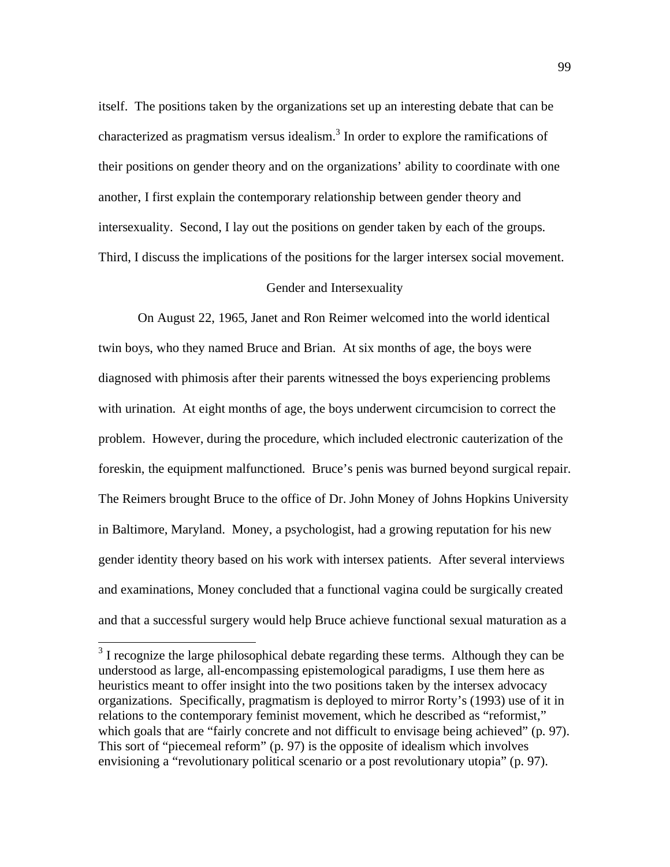itself. The positions taken by the organizations set up an interesting debate that can be characterized as pragmatism versus idealism. $3$  In order to explore the ramifications of their positions on gender theory and on the organizations' ability to coordinate with one another, I first explain the contemporary relationship between gender theory and intersexuality. Second, I lay out the positions on gender taken by each of the groups. Third, I discuss the implications of the positions for the larger intersex social movement.

# Gender and Intersexuality

On August 22, 1965, Janet and Ron Reimer welcomed into the world identical twin boys, who they named Bruce and Brian. At six months of age, the boys were diagnosed with phimosis after their parents witnessed the boys experiencing problems with urination. At eight months of age, the boys underwent circumcision to correct the problem. However, during the procedure, which included electronic cauterization of the foreskin, the equipment malfunctioned. Bruce's penis was burned beyond surgical repair. The Reimers brought Bruce to the office of Dr. John Money of Johns Hopkins University in Baltimore, Maryland. Money, a psychologist, had a growing reputation for his new gender identity theory based on his work with intersex patients. After several interviews and examinations, Money concluded that a functional vagina could be surgically created and that a successful surgery would help Bruce achieve functional sexual maturation as a

<sup>&</sup>lt;sup>3</sup> I recognize the large philosophical debate regarding these terms. Although they can be understood as large, all-encompassing epistemological paradigms, I use them here as heuristics meant to offer insight into the two positions taken by the intersex advocacy organizations. Specifically, pragmatism is deployed to mirror Rorty's (1993) use of it in relations to the contemporary feminist movement, which he described as "reformist," which goals that are "fairly concrete and not difficult to envisage being achieved" (p. 97). This sort of "piecemeal reform" (p. 97) is the opposite of idealism which involves envisioning a "revolutionary political scenario or a post revolutionary utopia" (p. 97).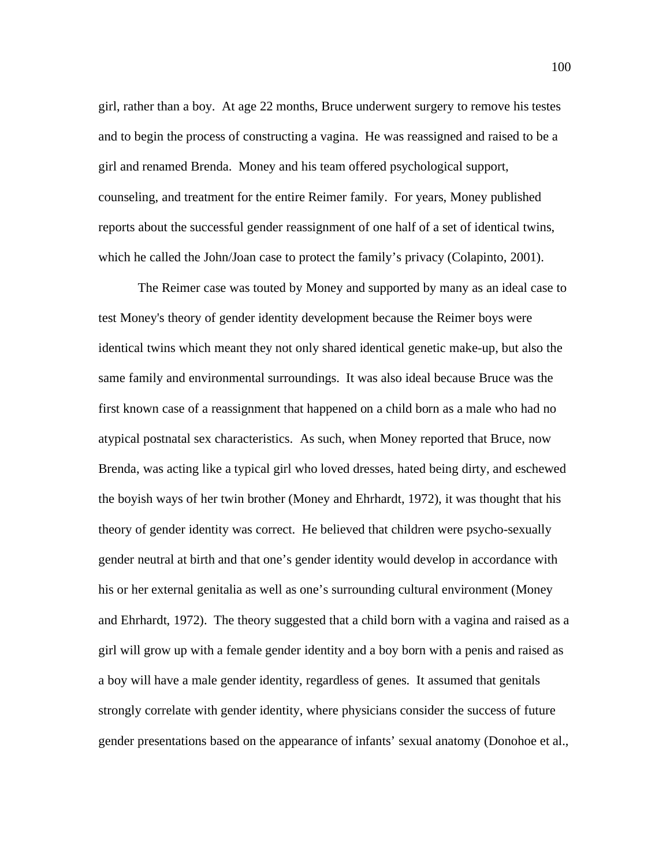girl, rather than a boy. At age 22 months, Bruce underwent surgery to remove his testes and to begin the process of constructing a vagina. He was reassigned and raised to be a girl and renamed Brenda. Money and his team offered psychological support, counseling, and treatment for the entire Reimer family. For years, Money published reports about the successful gender reassignment of one half of a set of identical twins, which he called the John/Joan case to protect the family's privacy (Colapinto, 2001).

The Reimer case was touted by Money and supported by many as an ideal case to test Money's theory of gender identity development because the Reimer boys were identical twins which meant they not only shared identical genetic make-up, but also the same family and environmental surroundings. It was also ideal because Bruce was the first known case of a reassignment that happened on a child born as a male who had no atypical postnatal sex characteristics. As such, when Money reported that Bruce, now Brenda, was acting like a typical girl who loved dresses, hated being dirty, and eschewed the boyish ways of her twin brother (Money and Ehrhardt, 1972), it was thought that his theory of gender identity was correct. He believed that children were psycho-sexually gender neutral at birth and that one's gender identity would develop in accordance with his or her external genitalia as well as one's surrounding cultural environment (Money and Ehrhardt, 1972). The theory suggested that a child born with a vagina and raised as a girl will grow up with a female gender identity and a boy born with a penis and raised as a boy will have a male gender identity, regardless of genes. It assumed that genitals strongly correlate with gender identity, where physicians consider the success of future gender presentations based on the appearance of infants' sexual anatomy (Donohoe et al.,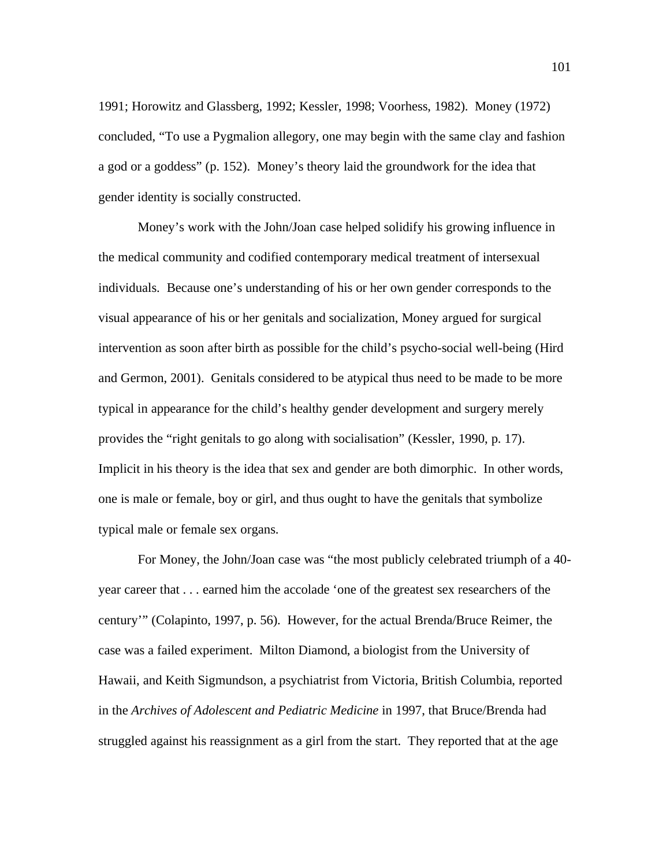1991; Horowitz and Glassberg, 1992; Kessler, 1998; Voorhess, 1982). Money (1972) concluded, "To use a Pygmalion allegory, one may begin with the same clay and fashion a god or a goddess" (p. 152). Money's theory laid the groundwork for the idea that gender identity is socially constructed.

 Money's work with the John/Joan case helped solidify his growing influence in the medical community and codified contemporary medical treatment of intersexual individuals. Because one's understanding of his or her own gender corresponds to the visual appearance of his or her genitals and socialization, Money argued for surgical intervention as soon after birth as possible for the child's psycho-social well-being (Hird and Germon, 2001). Genitals considered to be atypical thus need to be made to be more typical in appearance for the child's healthy gender development and surgery merely provides the "right genitals to go along with socialisation" (Kessler, 1990, p. 17). Implicit in his theory is the idea that sex and gender are both dimorphic. In other words, one is male or female, boy or girl, and thus ought to have the genitals that symbolize typical male or female sex organs.

For Money, the John/Joan case was "the most publicly celebrated triumph of a 40 year career that . . . earned him the accolade 'one of the greatest sex researchers of the century'" (Colapinto, 1997, p. 56). However, for the actual Brenda/Bruce Reimer, the case was a failed experiment. Milton Diamond, a biologist from the University of Hawaii, and Keith Sigmundson, a psychiatrist from Victoria, British Columbia, reported in the *Archives of Adolescent and Pediatric Medicine* in 1997, that Bruce/Brenda had struggled against his reassignment as a girl from the start. They reported that at the age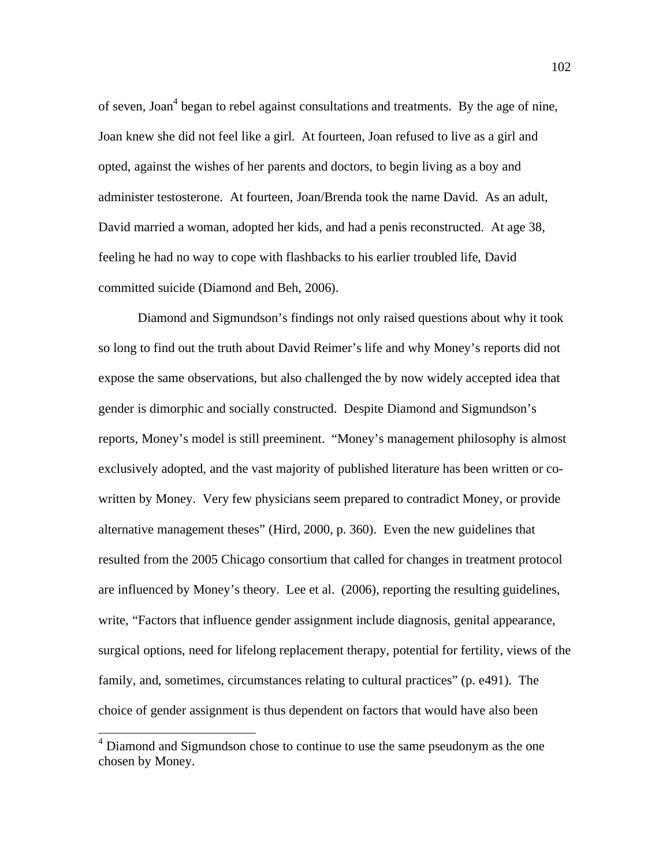of seven, Joan<sup>4</sup> began to rebel against consultations and treatments. By the age of nine, Joan knew she did not feel like a girl. At fourteen, Joan refused to live as a girl and opted, against the wishes of her parents and doctors, to begin living as a boy and administer testosterone. At fourteen, Joan/Brenda took the name David. As an adult, David married a woman, adopted her kids, and had a penis reconstructed. At age 38, feeling he had no way to cope with flashbacks to his earlier troubled life, David committed suicide (Diamond and Beh, 2006).

Diamond and Sigmundson's findings not only raised questions about why it took so long to find out the truth about David Reimer's life and why Money's reports did not expose the same observations, but also challenged the by now widely accepted idea that gender is dimorphic and socially constructed. Despite Diamond and Sigmundson's reports, Money's model is still preeminent. "Money's management philosophy is almost exclusively adopted, and the vast majority of published literature has been written or cowritten by Money. Very few physicians seem prepared to contradict Money, or provide alternative management theses" (Hird, 2000, p. 360). Even the new guidelines that resulted from the 2005 Chicago consortium that called for changes in treatment protocol are influenced by Money's theory. Lee et al. (2006), reporting the resulting guidelines, write, "Factors that influence gender assignment include diagnosis, genital appearance, surgical options, need for lifelong replacement therapy, potential for fertility, views of the family, and, sometimes, circumstances relating to cultural practices" (p. e491). The choice of gender assignment is thus dependent on factors that would have also been

<sup>&</sup>lt;sup>4</sup> Diamond and Sigmundson chose to continue to use the same pseudonym as the one chosen by Money.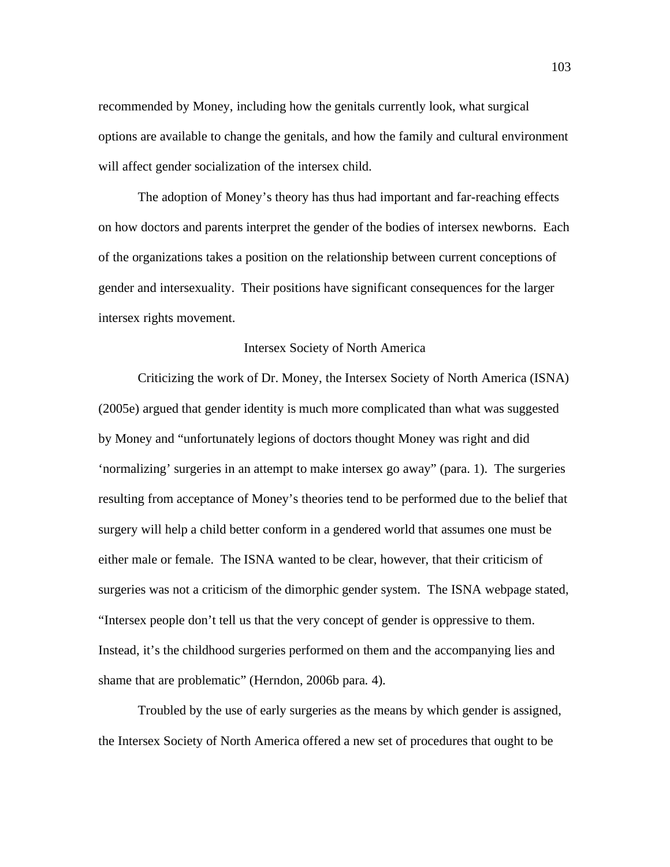recommended by Money, including how the genitals currently look, what surgical options are available to change the genitals, and how the family and cultural environment will affect gender socialization of the intersex child.

The adoption of Money's theory has thus had important and far-reaching effects on how doctors and parents interpret the gender of the bodies of intersex newborns. Each of the organizations takes a position on the relationship between current conceptions of gender and intersexuality. Their positions have significant consequences for the larger intersex rights movement.

### Intersex Society of North America

 Criticizing the work of Dr. Money, the Intersex Society of North America (ISNA) (2005e) argued that gender identity is much more complicated than what was suggested by Money and "unfortunately legions of doctors thought Money was right and did 'normalizing' surgeries in an attempt to make intersex go away" (para. 1). The surgeries resulting from acceptance of Money's theories tend to be performed due to the belief that surgery will help a child better conform in a gendered world that assumes one must be either male or female. The ISNA wanted to be clear, however, that their criticism of surgeries was not a criticism of the dimorphic gender system. The ISNA webpage stated, "Intersex people don't tell us that the very concept of gender is oppressive to them. Instead, it's the childhood surgeries performed on them and the accompanying lies and shame that are problematic" (Herndon, 2006b para. 4).

 Troubled by the use of early surgeries as the means by which gender is assigned, the Intersex Society of North America offered a new set of procedures that ought to be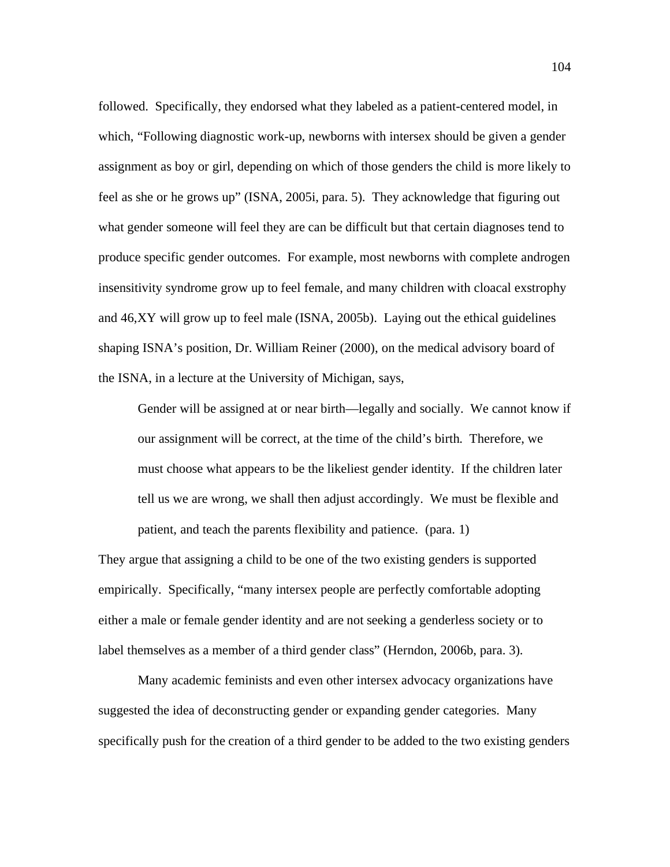followed. Specifically, they endorsed what they labeled as a patient-centered model, in which, "Following diagnostic work-up, newborns with intersex should be given a gender assignment as boy or girl, depending on which of those genders the child is more likely to feel as she or he grows up" (ISNA, 2005i, para. 5). They acknowledge that figuring out what gender someone will feel they are can be difficult but that certain diagnoses tend to produce specific gender outcomes. For example, most newborns with complete androgen insensitivity syndrome grow up to feel female, and many children with cloacal exstrophy and 46,XY will grow up to feel male (ISNA, 2005b). Laying out the ethical guidelines shaping ISNA's position, Dr. William Reiner (2000), on the medical advisory board of the ISNA, in a lecture at the University of Michigan, says,

Gender will be assigned at or near birth—legally and socially. We cannot know if our assignment will be correct, at the time of the child's birth. Therefore, we must choose what appears to be the likeliest gender identity. If the children later tell us we are wrong, we shall then adjust accordingly. We must be flexible and patient, and teach the parents flexibility and patience. (para. 1)

They argue that assigning a child to be one of the two existing genders is supported empirically. Specifically, "many intersex people are perfectly comfortable adopting either a male or female gender identity and are not seeking a genderless society or to label themselves as a member of a third gender class" (Herndon, 2006b, para. 3).

 Many academic feminists and even other intersex advocacy organizations have suggested the idea of deconstructing gender or expanding gender categories. Many specifically push for the creation of a third gender to be added to the two existing genders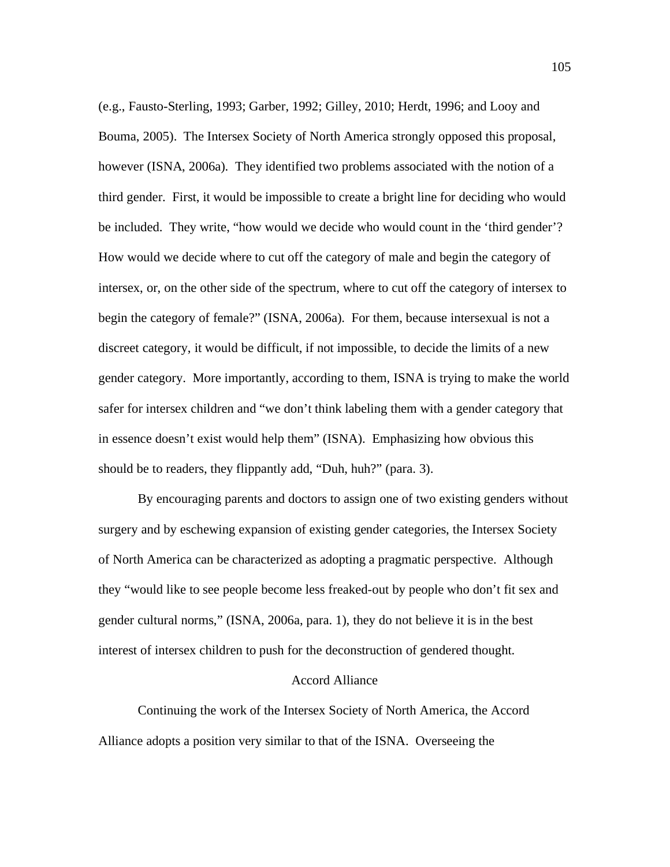(e.g., Fausto-Sterling, 1993; Garber, 1992; Gilley, 2010; Herdt, 1996; and Looy and Bouma, 2005). The Intersex Society of North America strongly opposed this proposal, however (ISNA, 2006a). They identified two problems associated with the notion of a third gender. First, it would be impossible to create a bright line for deciding who would be included. They write, "how would we decide who would count in the 'third gender'? How would we decide where to cut off the category of male and begin the category of intersex, or, on the other side of the spectrum, where to cut off the category of intersex to begin the category of female?" (ISNA, 2006a). For them, because intersexual is not a discreet category, it would be difficult, if not impossible, to decide the limits of a new gender category. More importantly, according to them, ISNA is trying to make the world safer for intersex children and "we don't think labeling them with a gender category that in essence doesn't exist would help them" (ISNA). Emphasizing how obvious this should be to readers, they flippantly add, "Duh, huh?" (para. 3).

By encouraging parents and doctors to assign one of two existing genders without surgery and by eschewing expansion of existing gender categories, the Intersex Society of North America can be characterized as adopting a pragmatic perspective. Although they "would like to see people become less freaked-out by people who don't fit sex and gender cultural norms," (ISNA, 2006a, para. 1), they do not believe it is in the best interest of intersex children to push for the deconstruction of gendered thought.

# Accord Alliance

 Continuing the work of the Intersex Society of North America, the Accord Alliance adopts a position very similar to that of the ISNA. Overseeing the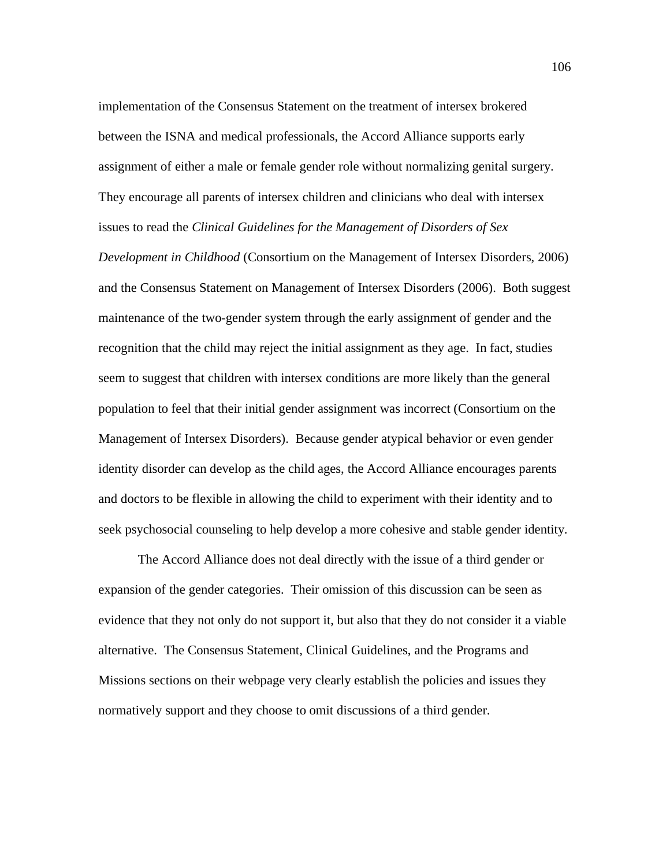implementation of the Consensus Statement on the treatment of intersex brokered between the ISNA and medical professionals, the Accord Alliance supports early assignment of either a male or female gender role without normalizing genital surgery. They encourage all parents of intersex children and clinicians who deal with intersex issues to read the *Clinical Guidelines for the Management of Disorders of Sex* 

*Development in Childhood* (Consortium on the Management of Intersex Disorders, 2006) and the Consensus Statement on Management of Intersex Disorders (2006). Both suggest maintenance of the two-gender system through the early assignment of gender and the recognition that the child may reject the initial assignment as they age. In fact, studies seem to suggest that children with intersex conditions are more likely than the general population to feel that their initial gender assignment was incorrect (Consortium on the Management of Intersex Disorders). Because gender atypical behavior or even gender identity disorder can develop as the child ages, the Accord Alliance encourages parents and doctors to be flexible in allowing the child to experiment with their identity and to seek psychosocial counseling to help develop a more cohesive and stable gender identity.

 The Accord Alliance does not deal directly with the issue of a third gender or expansion of the gender categories. Their omission of this discussion can be seen as evidence that they not only do not support it, but also that they do not consider it a viable alternative. The Consensus Statement, Clinical Guidelines, and the Programs and Missions sections on their webpage very clearly establish the policies and issues they normatively support and they choose to omit discussions of a third gender.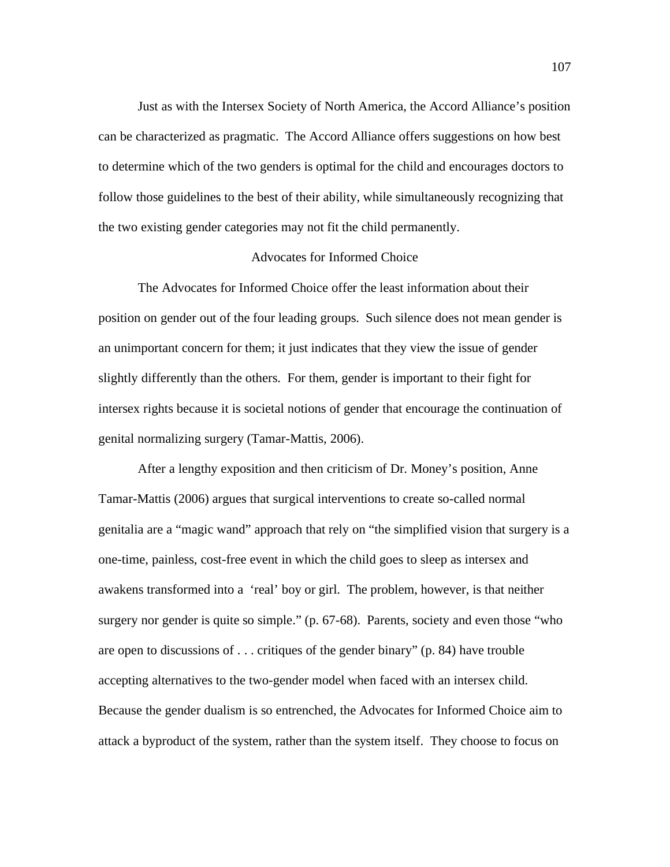Just as with the Intersex Society of North America, the Accord Alliance's position can be characterized as pragmatic. The Accord Alliance offers suggestions on how best to determine which of the two genders is optimal for the child and encourages doctors to follow those guidelines to the best of their ability, while simultaneously recognizing that the two existing gender categories may not fit the child permanently.

### Advocates for Informed Choice

 The Advocates for Informed Choice offer the least information about their position on gender out of the four leading groups. Such silence does not mean gender is an unimportant concern for them; it just indicates that they view the issue of gender slightly differently than the others. For them, gender is important to their fight for intersex rights because it is societal notions of gender that encourage the continuation of genital normalizing surgery (Tamar-Mattis, 2006).

After a lengthy exposition and then criticism of Dr. Money's position, Anne Tamar-Mattis (2006) argues that surgical interventions to create so-called normal genitalia are a "magic wand" approach that rely on "the simplified vision that surgery is a one-time, painless, cost-free event in which the child goes to sleep as intersex and awakens transformed into a 'real' boy or girl. The problem, however, is that neither surgery nor gender is quite so simple." (p. 67-68). Parents, society and even those "who are open to discussions of . . . critiques of the gender binary" (p. 84) have trouble accepting alternatives to the two-gender model when faced with an intersex child. Because the gender dualism is so entrenched, the Advocates for Informed Choice aim to attack a byproduct of the system, rather than the system itself. They choose to focus on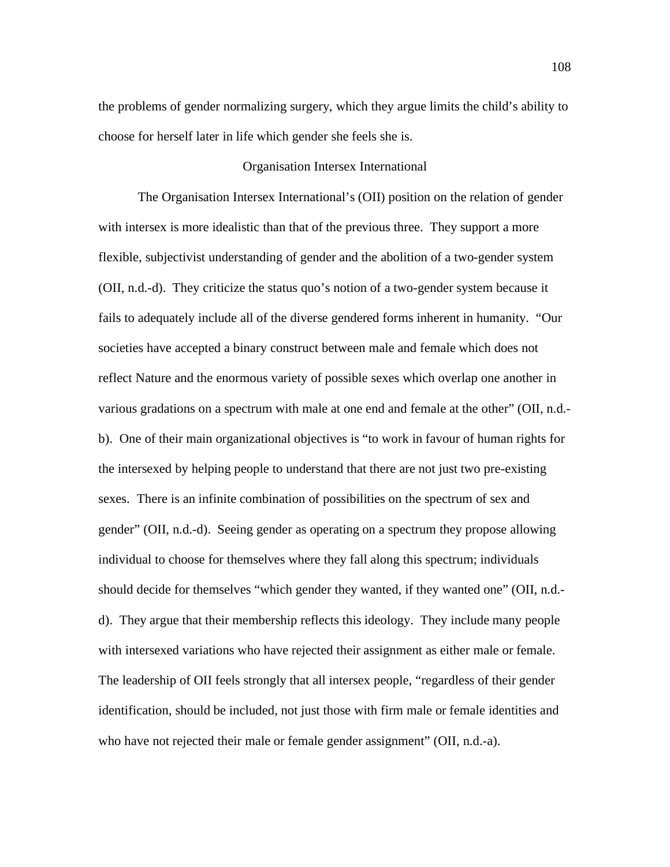the problems of gender normalizing surgery, which they argue limits the child's ability to choose for herself later in life which gender she feels she is.

## Organisation Intersex International

The Organisation Intersex International's (OII) position on the relation of gender with intersex is more idealistic than that of the previous three. They support a more flexible, subjectivist understanding of gender and the abolition of a two-gender system (OII, n.d.-d). They criticize the status quo's notion of a two-gender system because it fails to adequately include all of the diverse gendered forms inherent in humanity. "Our societies have accepted a binary construct between male and female which does not reflect Nature and the enormous variety of possible sexes which overlap one another in various gradations on a spectrum with male at one end and female at the other" (OII, n.d. b). One of their main organizational objectives is "to work in favour of human rights for the intersexed by helping people to understand that there are not just two pre-existing sexes. There is an infinite combination of possibilities on the spectrum of sex and gender" (OII, n.d.-d). Seeing gender as operating on a spectrum they propose allowing individual to choose for themselves where they fall along this spectrum; individuals should decide for themselves "which gender they wanted, if they wanted one" (OII, n.d. d). They argue that their membership reflects this ideology. They include many people with intersexed variations who have rejected their assignment as either male or female. The leadership of OII feels strongly that all intersex people, "regardless of their gender identification, should be included, not just those with firm male or female identities and who have not rejected their male or female gender assignment" (OII, n.d.-a).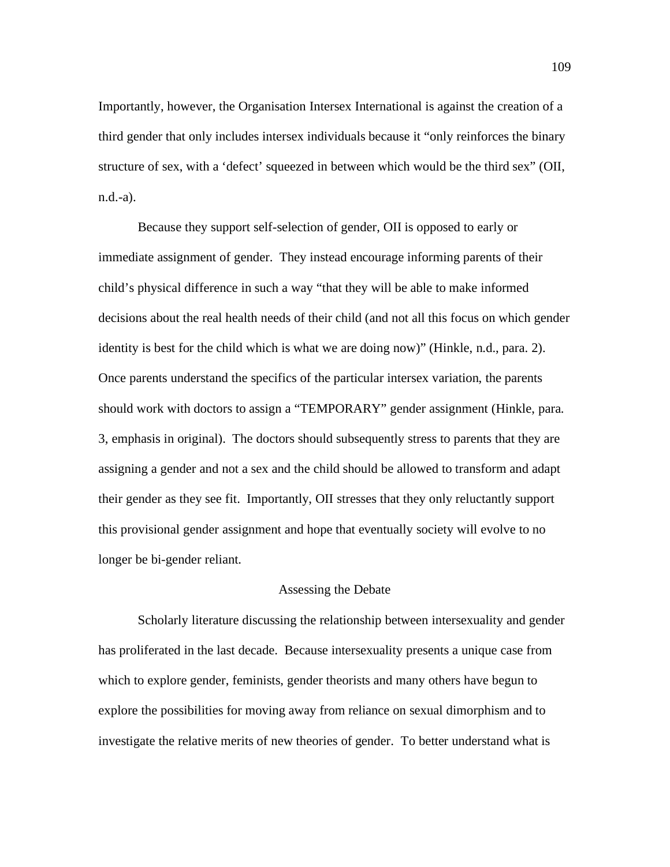Importantly, however, the Organisation Intersex International is against the creation of a third gender that only includes intersex individuals because it "only reinforces the binary structure of sex, with a 'defect' squeezed in between which would be the third sex" (OII, n.d.-a).

Because they support self-selection of gender, OII is opposed to early or immediate assignment of gender. They instead encourage informing parents of their child's physical difference in such a way "that they will be able to make informed decisions about the real health needs of their child (and not all this focus on which gender identity is best for the child which is what we are doing now)" (Hinkle, n.d., para. 2). Once parents understand the specifics of the particular intersex variation, the parents should work with doctors to assign a "TEMPORARY" gender assignment (Hinkle, para. 3, emphasis in original). The doctors should subsequently stress to parents that they are assigning a gender and not a sex and the child should be allowed to transform and adapt their gender as they see fit. Importantly, OII stresses that they only reluctantly support this provisional gender assignment and hope that eventually society will evolve to no longer be bi-gender reliant.

# Assessing the Debate

Scholarly literature discussing the relationship between intersexuality and gender has proliferated in the last decade. Because intersexuality presents a unique case from which to explore gender, feminists, gender theorists and many others have begun to explore the possibilities for moving away from reliance on sexual dimorphism and to investigate the relative merits of new theories of gender. To better understand what is

109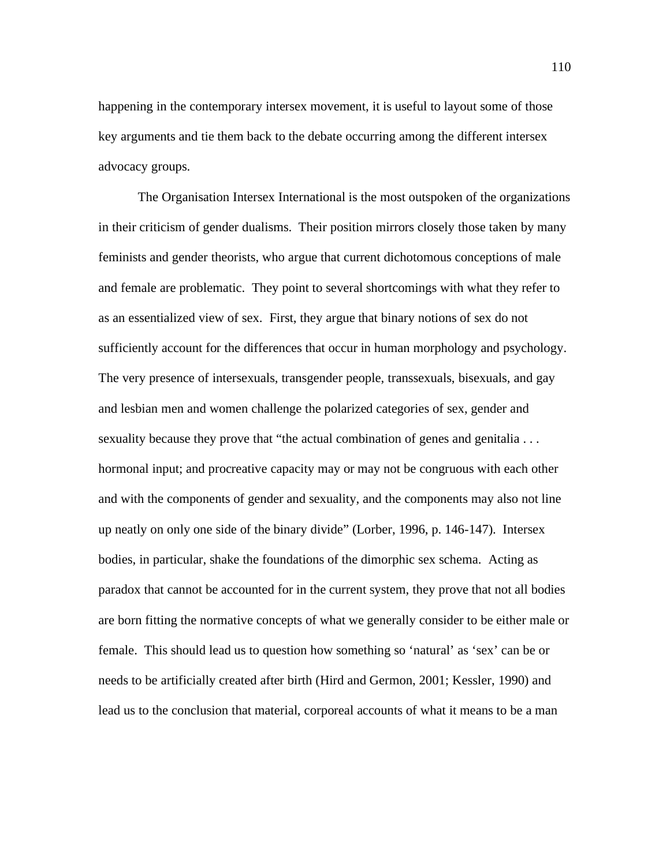happening in the contemporary intersex movement, it is useful to layout some of those key arguments and tie them back to the debate occurring among the different intersex advocacy groups.

The Organisation Intersex International is the most outspoken of the organizations in their criticism of gender dualisms. Their position mirrors closely those taken by many feminists and gender theorists, who argue that current dichotomous conceptions of male and female are problematic. They point to several shortcomings with what they refer to as an essentialized view of sex. First, they argue that binary notions of sex do not sufficiently account for the differences that occur in human morphology and psychology. The very presence of intersexuals, transgender people, transsexuals, bisexuals, and gay and lesbian men and women challenge the polarized categories of sex, gender and sexuality because they prove that "the actual combination of genes and genitalia . . . hormonal input; and procreative capacity may or may not be congruous with each other and with the components of gender and sexuality, and the components may also not line up neatly on only one side of the binary divide" (Lorber, 1996, p. 146-147). Intersex bodies, in particular, shake the foundations of the dimorphic sex schema. Acting as paradox that cannot be accounted for in the current system, they prove that not all bodies are born fitting the normative concepts of what we generally consider to be either male or female. This should lead us to question how something so 'natural' as 'sex' can be or needs to be artificially created after birth (Hird and Germon, 2001; Kessler, 1990) and lead us to the conclusion that material, corporeal accounts of what it means to be a man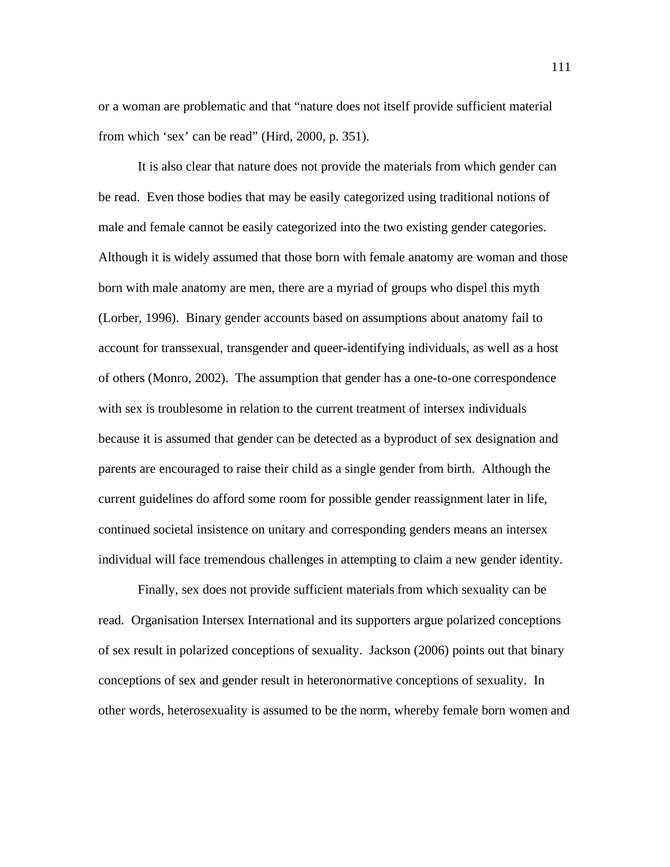or a woman are problematic and that "nature does not itself provide sufficient material from which 'sex' can be read" (Hird, 2000, p. 351).

It is also clear that nature does not provide the materials from which gender can be read. Even those bodies that may be easily categorized using traditional notions of male and female cannot be easily categorized into the two existing gender categories. Although it is widely assumed that those born with female anatomy are woman and those born with male anatomy are men, there are a myriad of groups who dispel this myth (Lorber, 1996). Binary gender accounts based on assumptions about anatomy fail to account for transsexual, transgender and queer-identifying individuals, as well as a host of others (Monro, 2002). The assumption that gender has a one-to-one correspondence with sex is troublesome in relation to the current treatment of intersex individuals because it is assumed that gender can be detected as a byproduct of sex designation and parents are encouraged to raise their child as a single gender from birth. Although the current guidelines do afford some room for possible gender reassignment later in life, continued societal insistence on unitary and corresponding genders means an intersex individual will face tremendous challenges in attempting to claim a new gender identity.

Finally, sex does not provide sufficient materials from which sexuality can be read. Organisation Intersex International and its supporters argue polarized conceptions of sex result in polarized conceptions of sexuality. Jackson (2006) points out that binary conceptions of sex and gender result in heteronormative conceptions of sexuality. In other words, heterosexuality is assumed to be the norm, whereby female born women and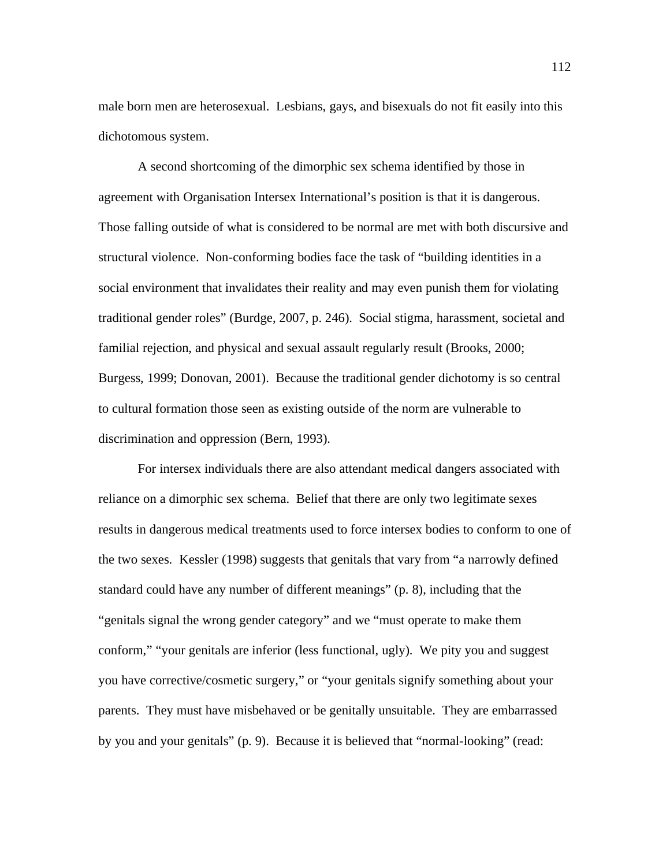male born men are heterosexual. Lesbians, gays, and bisexuals do not fit easily into this dichotomous system.

A second shortcoming of the dimorphic sex schema identified by those in agreement with Organisation Intersex International's position is that it is dangerous. Those falling outside of what is considered to be normal are met with both discursive and structural violence. Non-conforming bodies face the task of "building identities in a social environment that invalidates their reality and may even punish them for violating traditional gender roles" (Burdge, 2007, p. 246). Social stigma, harassment, societal and familial rejection, and physical and sexual assault regularly result (Brooks, 2000; Burgess, 1999; Donovan, 2001). Because the traditional gender dichotomy is so central to cultural formation those seen as existing outside of the norm are vulnerable to discrimination and oppression (Bern, 1993).

For intersex individuals there are also attendant medical dangers associated with reliance on a dimorphic sex schema. Belief that there are only two legitimate sexes results in dangerous medical treatments used to force intersex bodies to conform to one of the two sexes. Kessler (1998) suggests that genitals that vary from "a narrowly defined standard could have any number of different meanings" (p. 8), including that the "genitals signal the wrong gender category" and we "must operate to make them conform," "your genitals are inferior (less functional, ugly). We pity you and suggest you have corrective/cosmetic surgery," or "your genitals signify something about your parents. They must have misbehaved or be genitally unsuitable. They are embarrassed by you and your genitals" (p. 9). Because it is believed that "normal-looking" (read: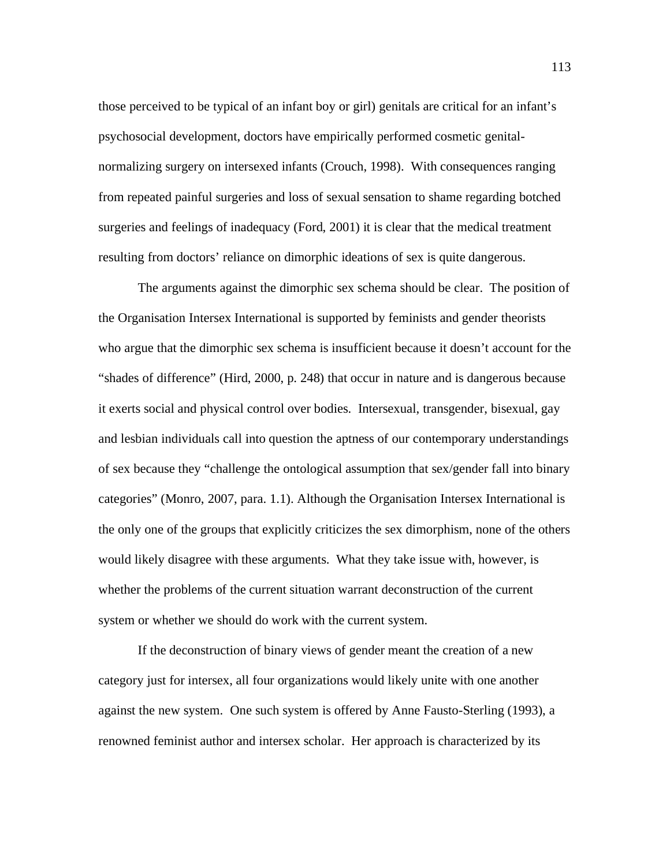those perceived to be typical of an infant boy or girl) genitals are critical for an infant's psychosocial development, doctors have empirically performed cosmetic genitalnormalizing surgery on intersexed infants (Crouch, 1998). With consequences ranging from repeated painful surgeries and loss of sexual sensation to shame regarding botched surgeries and feelings of inadequacy (Ford, 2001) it is clear that the medical treatment resulting from doctors' reliance on dimorphic ideations of sex is quite dangerous.

The arguments against the dimorphic sex schema should be clear. The position of the Organisation Intersex International is supported by feminists and gender theorists who argue that the dimorphic sex schema is insufficient because it doesn't account for the "shades of difference" (Hird, 2000, p. 248) that occur in nature and is dangerous because it exerts social and physical control over bodies. Intersexual, transgender, bisexual, gay and lesbian individuals call into question the aptness of our contemporary understandings of sex because they "challenge the ontological assumption that sex/gender fall into binary categories" (Monro, 2007, para. 1.1). Although the Organisation Intersex International is the only one of the groups that explicitly criticizes the sex dimorphism, none of the others would likely disagree with these arguments. What they take issue with, however, is whether the problems of the current situation warrant deconstruction of the current system or whether we should do work with the current system.

If the deconstruction of binary views of gender meant the creation of a new category just for intersex, all four organizations would likely unite with one another against the new system. One such system is offered by Anne Fausto-Sterling (1993), a renowned feminist author and intersex scholar. Her approach is characterized by its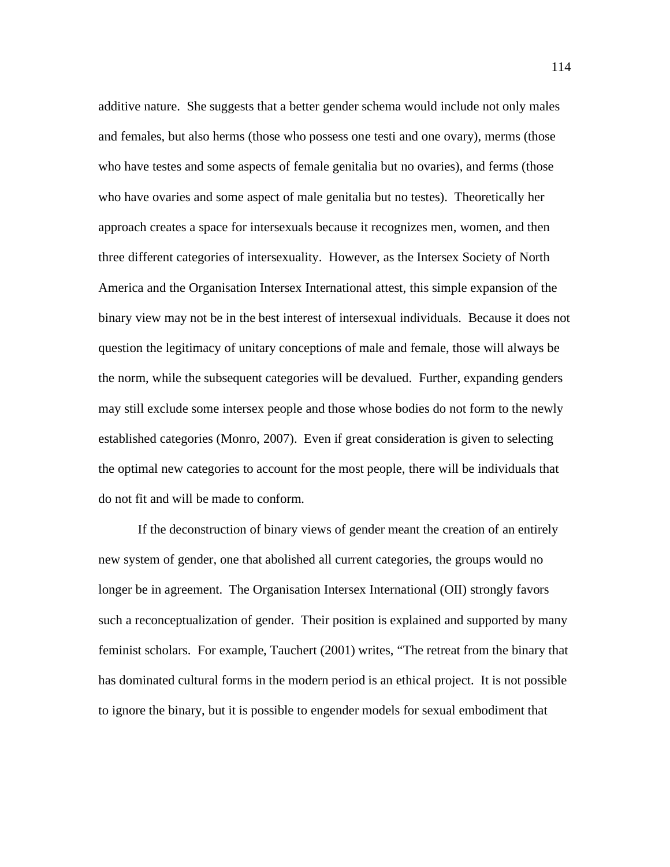additive nature. She suggests that a better gender schema would include not only males and females, but also herms (those who possess one testi and one ovary), merms (those who have testes and some aspects of female genitalia but no ovaries), and ferms (those who have ovaries and some aspect of male genitalia but no testes). Theoretically her approach creates a space for intersexuals because it recognizes men, women, and then three different categories of intersexuality. However, as the Intersex Society of North America and the Organisation Intersex International attest, this simple expansion of the binary view may not be in the best interest of intersexual individuals. Because it does not question the legitimacy of unitary conceptions of male and female, those will always be the norm, while the subsequent categories will be devalued. Further, expanding genders may still exclude some intersex people and those whose bodies do not form to the newly established categories (Monro, 2007). Even if great consideration is given to selecting the optimal new categories to account for the most people, there will be individuals that do not fit and will be made to conform.

If the deconstruction of binary views of gender meant the creation of an entirely new system of gender, one that abolished all current categories, the groups would no longer be in agreement. The Organisation Intersex International (OII) strongly favors such a reconceptualization of gender. Their position is explained and supported by many feminist scholars. For example, Tauchert (2001) writes, "The retreat from the binary that has dominated cultural forms in the modern period is an ethical project. It is not possible to ignore the binary, but it is possible to engender models for sexual embodiment that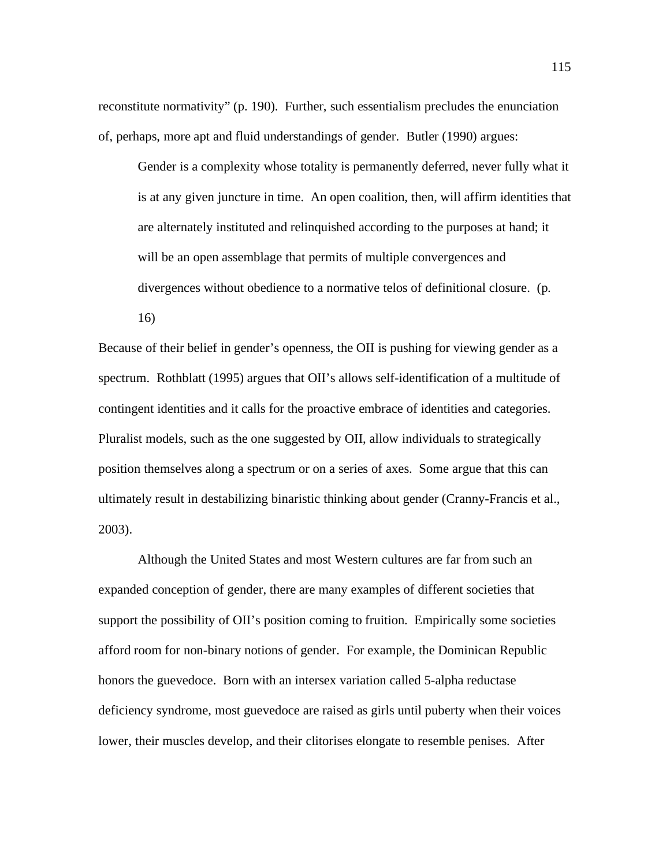reconstitute normativity" (p. 190). Further, such essentialism precludes the enunciation of, perhaps, more apt and fluid understandings of gender. Butler (1990) argues:

Gender is a complexity whose totality is permanently deferred, never fully what it is at any given juncture in time. An open coalition, then, will affirm identities that are alternately instituted and relinquished according to the purposes at hand; it will be an open assemblage that permits of multiple convergences and divergences without obedience to a normative telos of definitional closure. (p. 16)

Because of their belief in gender's openness, the OII is pushing for viewing gender as a spectrum. Rothblatt (1995) argues that OII's allows self-identification of a multitude of contingent identities and it calls for the proactive embrace of identities and categories. Pluralist models, such as the one suggested by OII, allow individuals to strategically position themselves along a spectrum or on a series of axes. Some argue that this can ultimately result in destabilizing binaristic thinking about gender (Cranny-Francis et al., 2003).

 Although the United States and most Western cultures are far from such an expanded conception of gender, there are many examples of different societies that support the possibility of OII's position coming to fruition. Empirically some societies afford room for non-binary notions of gender. For example, the Dominican Republic honors the guevedoce. Born with an intersex variation called 5-alpha reductase deficiency syndrome, most guevedoce are raised as girls until puberty when their voices lower, their muscles develop, and their clitorises elongate to resemble penises. After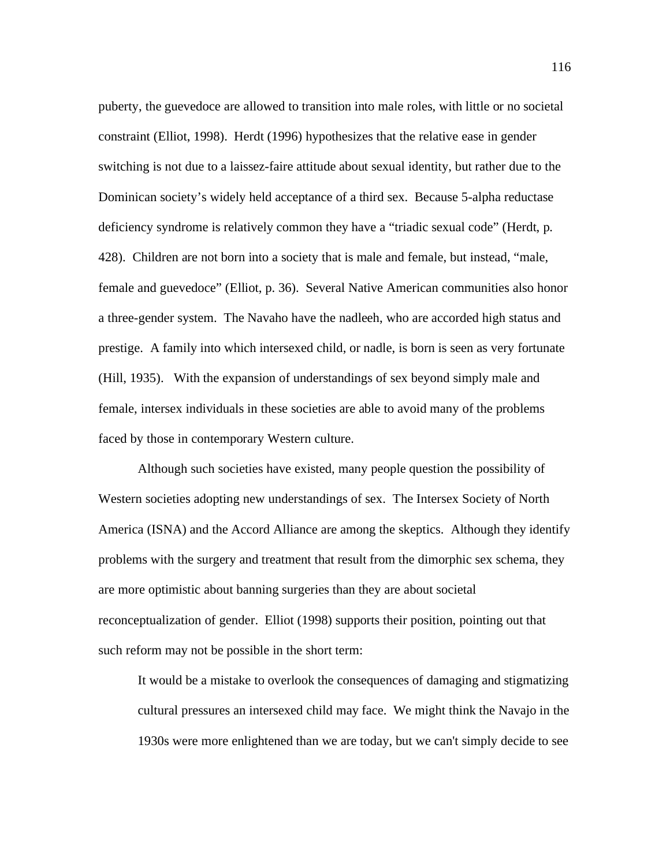puberty, the guevedoce are allowed to transition into male roles, with little or no societal constraint (Elliot, 1998). Herdt (1996) hypothesizes that the relative ease in gender switching is not due to a laissez-faire attitude about sexual identity, but rather due to the Dominican society's widely held acceptance of a third sex. Because 5-alpha reductase deficiency syndrome is relatively common they have a "triadic sexual code" (Herdt, p. 428). Children are not born into a society that is male and female, but instead, "male, female and guevedoce" (Elliot, p. 36). Several Native American communities also honor a three-gender system. The Navaho have the nadleeh, who are accorded high status and prestige. A family into which intersexed child, or nadle, is born is seen as very fortunate (Hill, 1935). With the expansion of understandings of sex beyond simply male and female, intersex individuals in these societies are able to avoid many of the problems faced by those in contemporary Western culture.

 Although such societies have existed, many people question the possibility of Western societies adopting new understandings of sex. The Intersex Society of North America (ISNA) and the Accord Alliance are among the skeptics. Although they identify problems with the surgery and treatment that result from the dimorphic sex schema, they are more optimistic about banning surgeries than they are about societal reconceptualization of gender. Elliot (1998) supports their position, pointing out that such reform may not be possible in the short term:

It would be a mistake to overlook the consequences of damaging and stigmatizing cultural pressures an intersexed child may face. We might think the Navajo in the 1930s were more enlightened than we are today, but we can't simply decide to see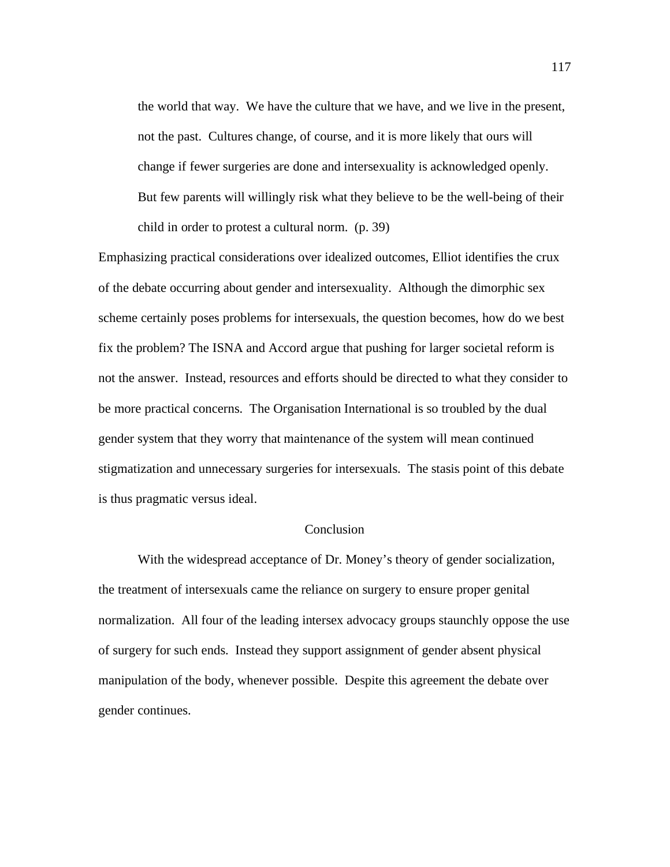the world that way. We have the culture that we have, and we live in the present, not the past. Cultures change, of course, and it is more likely that ours will change if fewer surgeries are done and intersexuality is acknowledged openly. But few parents will willingly risk what they believe to be the well-being of their child in order to protest a cultural norm. (p. 39)

Emphasizing practical considerations over idealized outcomes, Elliot identifies the crux of the debate occurring about gender and intersexuality. Although the dimorphic sex scheme certainly poses problems for intersexuals, the question becomes, how do we best fix the problem? The ISNA and Accord argue that pushing for larger societal reform is not the answer. Instead, resources and efforts should be directed to what they consider to be more practical concerns. The Organisation International is so troubled by the dual gender system that they worry that maintenance of the system will mean continued stigmatization and unnecessary surgeries for intersexuals. The stasis point of this debate is thus pragmatic versus ideal.

## **Conclusion**

With the widespread acceptance of Dr. Money's theory of gender socialization, the treatment of intersexuals came the reliance on surgery to ensure proper genital normalization. All four of the leading intersex advocacy groups staunchly oppose the use of surgery for such ends. Instead they support assignment of gender absent physical manipulation of the body, whenever possible. Despite this agreement the debate over gender continues.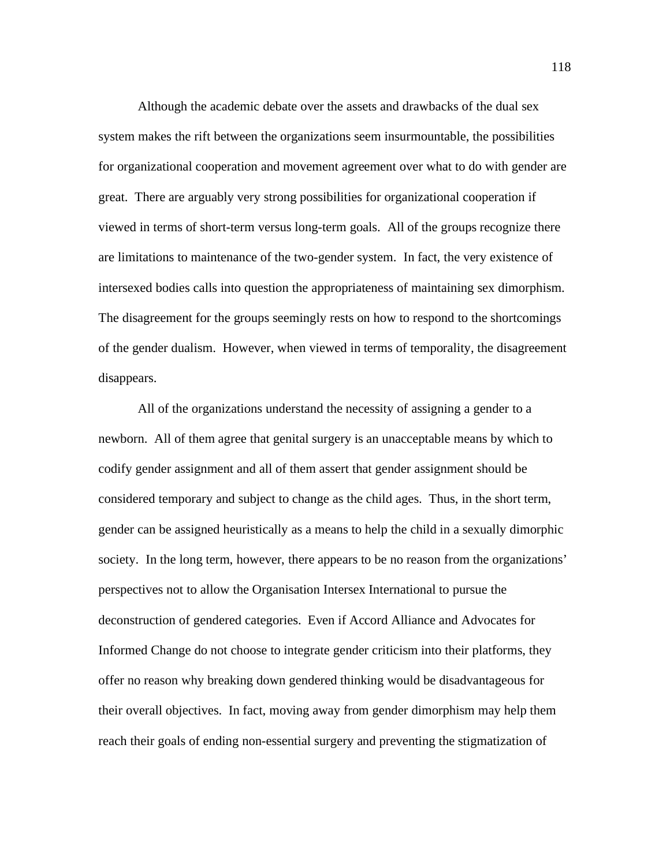Although the academic debate over the assets and drawbacks of the dual sex system makes the rift between the organizations seem insurmountable, the possibilities for organizational cooperation and movement agreement over what to do with gender are great. There are arguably very strong possibilities for organizational cooperation if viewed in terms of short-term versus long-term goals. All of the groups recognize there are limitations to maintenance of the two-gender system. In fact, the very existence of intersexed bodies calls into question the appropriateness of maintaining sex dimorphism. The disagreement for the groups seemingly rests on how to respond to the shortcomings of the gender dualism. However, when viewed in terms of temporality, the disagreement disappears.

All of the organizations understand the necessity of assigning a gender to a newborn. All of them agree that genital surgery is an unacceptable means by which to codify gender assignment and all of them assert that gender assignment should be considered temporary and subject to change as the child ages. Thus, in the short term, gender can be assigned heuristically as a means to help the child in a sexually dimorphic society. In the long term, however, there appears to be no reason from the organizations' perspectives not to allow the Organisation Intersex International to pursue the deconstruction of gendered categories. Even if Accord Alliance and Advocates for Informed Change do not choose to integrate gender criticism into their platforms, they offer no reason why breaking down gendered thinking would be disadvantageous for their overall objectives. In fact, moving away from gender dimorphism may help them reach their goals of ending non-essential surgery and preventing the stigmatization of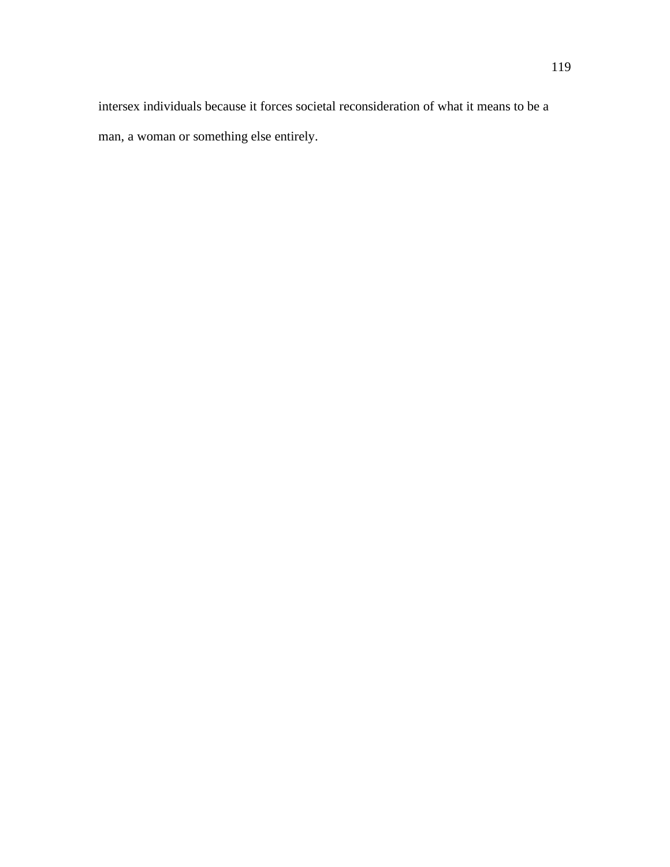intersex individuals because it forces societal reconsideration of what it means to be a man, a woman or something else entirely.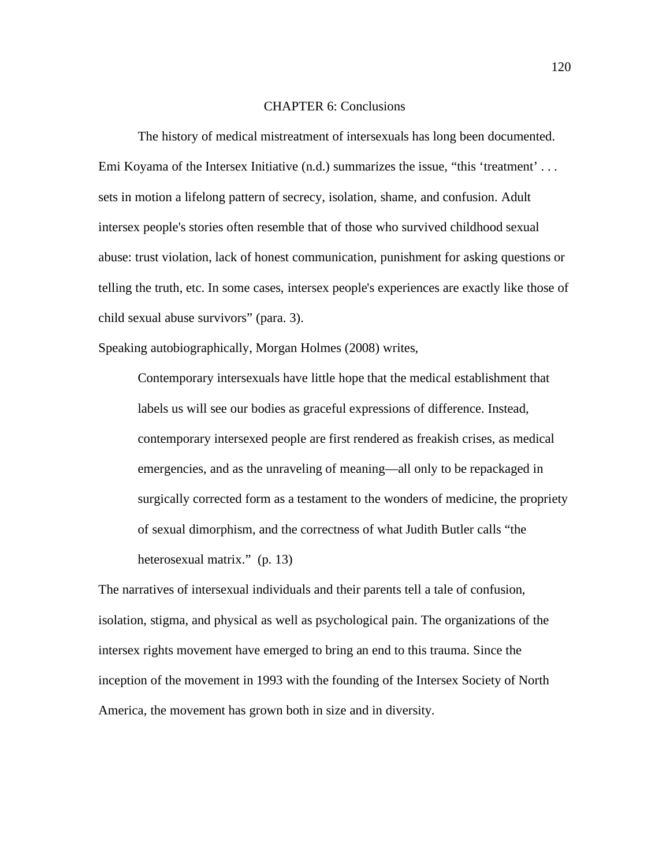#### CHAPTER 6: Conclusions

The history of medical mistreatment of intersexuals has long been documented. Emi Koyama of the Intersex Initiative (n.d.) summarizes the issue, "this 'treatment' . . . sets in motion a lifelong pattern of secrecy, isolation, shame, and confusion. Adult intersex people's stories often resemble that of those who survived childhood sexual abuse: trust violation, lack of honest communication, punishment for asking questions or telling the truth, etc. In some cases, intersex people's experiences are exactly like those of child sexual abuse survivors" (para. 3).

Speaking autobiographically, Morgan Holmes (2008) writes,

Contemporary intersexuals have little hope that the medical establishment that labels us will see our bodies as graceful expressions of difference. Instead, contemporary intersexed people are first rendered as freakish crises, as medical emergencies, and as the unraveling of meaning—all only to be repackaged in surgically corrected form as a testament to the wonders of medicine, the propriety of sexual dimorphism, and the correctness of what Judith Butler calls "the heterosexual matrix." (p. 13)

The narratives of intersexual individuals and their parents tell a tale of confusion, isolation, stigma, and physical as well as psychological pain. The organizations of the intersex rights movement have emerged to bring an end to this trauma. Since the inception of the movement in 1993 with the founding of the Intersex Society of North America, the movement has grown both in size and in diversity.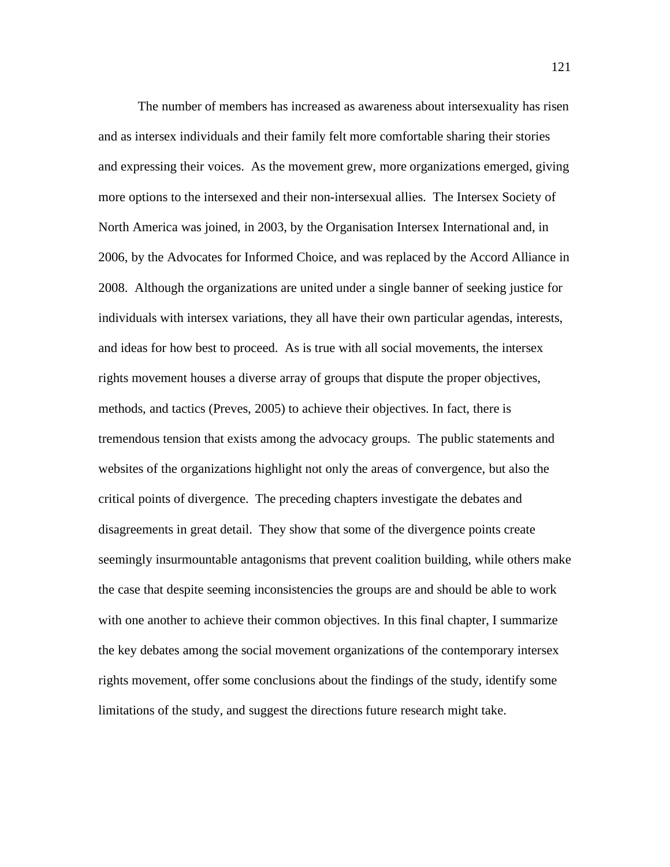The number of members has increased as awareness about intersexuality has risen and as intersex individuals and their family felt more comfortable sharing their stories and expressing their voices. As the movement grew, more organizations emerged, giving more options to the intersexed and their non-intersexual allies. The Intersex Society of North America was joined, in 2003, by the Organisation Intersex International and, in 2006, by the Advocates for Informed Choice, and was replaced by the Accord Alliance in 2008. Although the organizations are united under a single banner of seeking justice for individuals with intersex variations, they all have their own particular agendas, interests, and ideas for how best to proceed. As is true with all social movements, the intersex rights movement houses a diverse array of groups that dispute the proper objectives, methods, and tactics (Preves, 2005) to achieve their objectives. In fact, there is tremendous tension that exists among the advocacy groups. The public statements and websites of the organizations highlight not only the areas of convergence, but also the critical points of divergence. The preceding chapters investigate the debates and disagreements in great detail. They show that some of the divergence points create seemingly insurmountable antagonisms that prevent coalition building, while others make the case that despite seeming inconsistencies the groups are and should be able to work with one another to achieve their common objectives. In this final chapter, I summarize the key debates among the social movement organizations of the contemporary intersex rights movement, offer some conclusions about the findings of the study, identify some limitations of the study, and suggest the directions future research might take.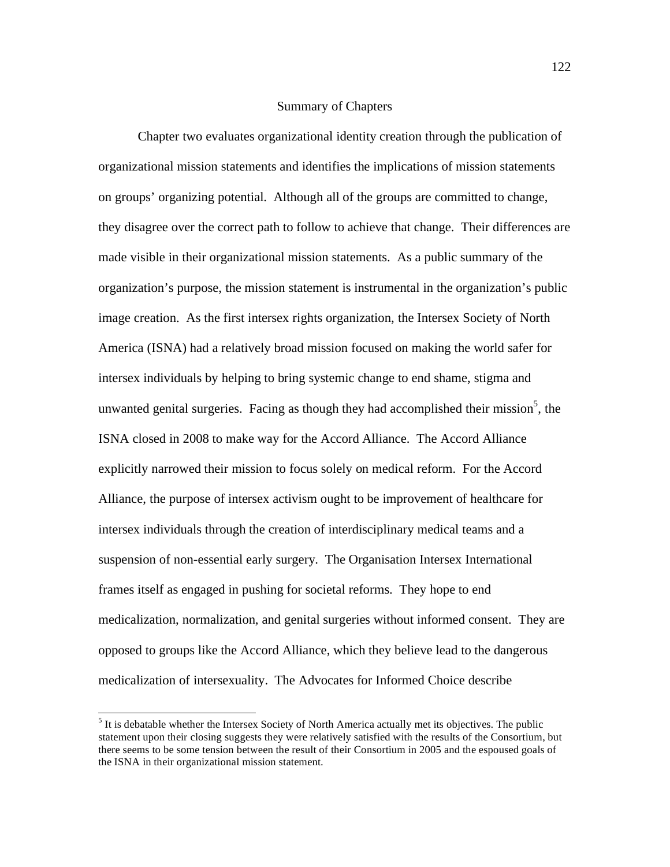#### Summary of Chapters

Chapter two evaluates organizational identity creation through the publication of organizational mission statements and identifies the implications of mission statements on groups' organizing potential. Although all of the groups are committed to change, they disagree over the correct path to follow to achieve that change. Their differences are made visible in their organizational mission statements. As a public summary of the organization's purpose, the mission statement is instrumental in the organization's public image creation. As the first intersex rights organization, the Intersex Society of North America (ISNA) had a relatively broad mission focused on making the world safer for intersex individuals by helping to bring systemic change to end shame, stigma and unwanted genital surgeries. Facing as though they had accomplished their mission<sup>5</sup>, the ISNA closed in 2008 to make way for the Accord Alliance. The Accord Alliance explicitly narrowed their mission to focus solely on medical reform. For the Accord Alliance, the purpose of intersex activism ought to be improvement of healthcare for intersex individuals through the creation of interdisciplinary medical teams and a suspension of non-essential early surgery. The Organisation Intersex International frames itself as engaged in pushing for societal reforms. They hope to end medicalization, normalization, and genital surgeries without informed consent. They are opposed to groups like the Accord Alliance, which they believe lead to the dangerous medicalization of intersexuality. The Advocates for Informed Choice describe

5  $<sup>5</sup>$  It is debatable whether the Intersex Society of North America actually met its objectives. The public</sup> statement upon their closing suggests they were relatively satisfied with the results of the Consortium, but there seems to be some tension between the result of their Consortium in 2005 and the espoused goals of the ISNA in their organizational mission statement.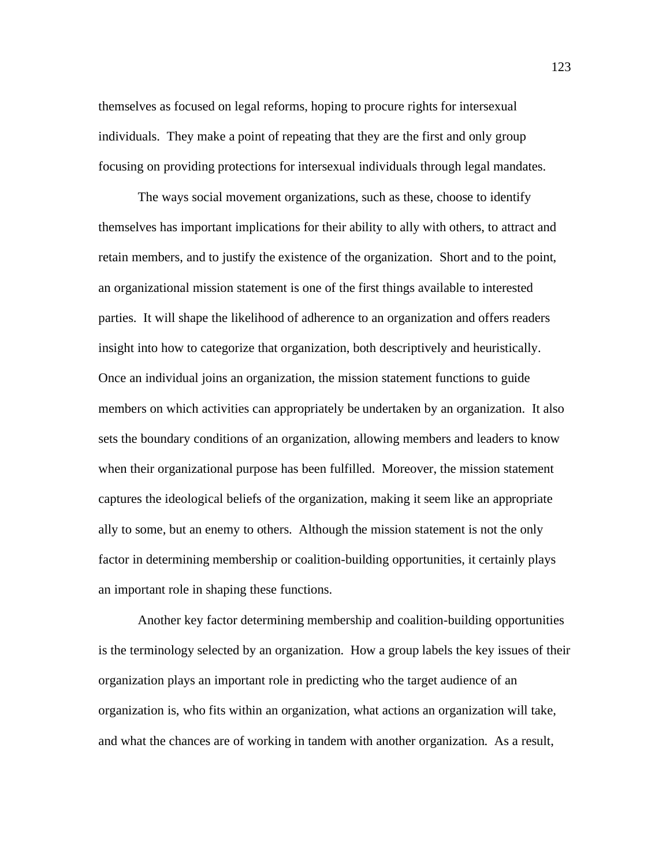themselves as focused on legal reforms, hoping to procure rights for intersexual individuals. They make a point of repeating that they are the first and only group focusing on providing protections for intersexual individuals through legal mandates.

The ways social movement organizations, such as these, choose to identify themselves has important implications for their ability to ally with others, to attract and retain members, and to justify the existence of the organization. Short and to the point, an organizational mission statement is one of the first things available to interested parties. It will shape the likelihood of adherence to an organization and offers readers insight into how to categorize that organization, both descriptively and heuristically. Once an individual joins an organization, the mission statement functions to guide members on which activities can appropriately be undertaken by an organization. It also sets the boundary conditions of an organization, allowing members and leaders to know when their organizational purpose has been fulfilled. Moreover, the mission statement captures the ideological beliefs of the organization, making it seem like an appropriate ally to some, but an enemy to others. Although the mission statement is not the only factor in determining membership or coalition-building opportunities, it certainly plays an important role in shaping these functions.

 Another key factor determining membership and coalition-building opportunities is the terminology selected by an organization. How a group labels the key issues of their organization plays an important role in predicting who the target audience of an organization is, who fits within an organization, what actions an organization will take, and what the chances are of working in tandem with another organization. As a result,

123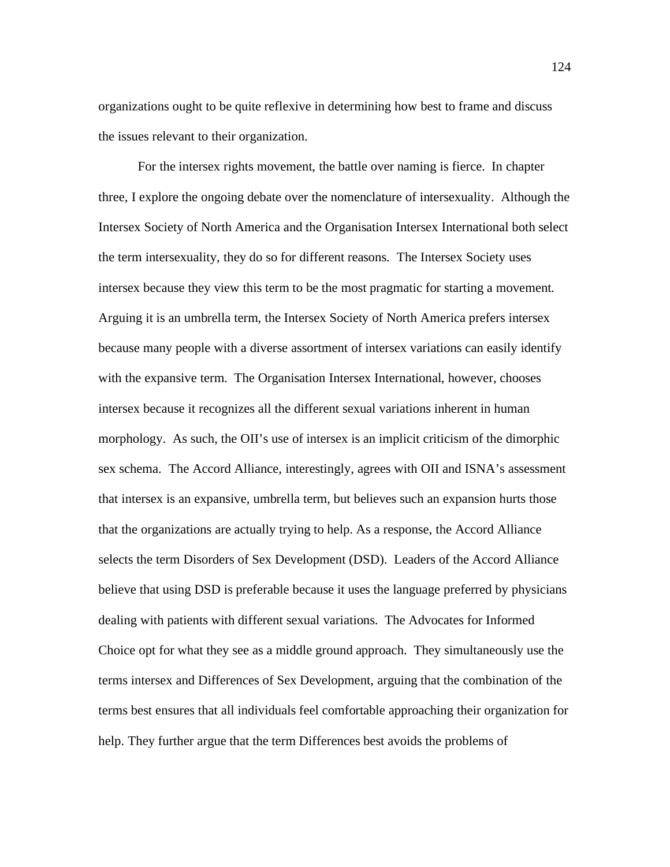organizations ought to be quite reflexive in determining how best to frame and discuss the issues relevant to their organization.

 For the intersex rights movement, the battle over naming is fierce. In chapter three, I explore the ongoing debate over the nomenclature of intersexuality. Although the Intersex Society of North America and the Organisation Intersex International both select the term intersexuality, they do so for different reasons. The Intersex Society uses intersex because they view this term to be the most pragmatic for starting a movement. Arguing it is an umbrella term, the Intersex Society of North America prefers intersex because many people with a diverse assortment of intersex variations can easily identify with the expansive term. The Organisation Intersex International, however, chooses intersex because it recognizes all the different sexual variations inherent in human morphology. As such, the OII's use of intersex is an implicit criticism of the dimorphic sex schema. The Accord Alliance, interestingly, agrees with OII and ISNA's assessment that intersex is an expansive, umbrella term, but believes such an expansion hurts those that the organizations are actually trying to help. As a response, the Accord Alliance selects the term Disorders of Sex Development (DSD). Leaders of the Accord Alliance believe that using DSD is preferable because it uses the language preferred by physicians dealing with patients with different sexual variations. The Advocates for Informed Choice opt for what they see as a middle ground approach. They simultaneously use the terms intersex and Differences of Sex Development, arguing that the combination of the terms best ensures that all individuals feel comfortable approaching their organization for help. They further argue that the term Differences best avoids the problems of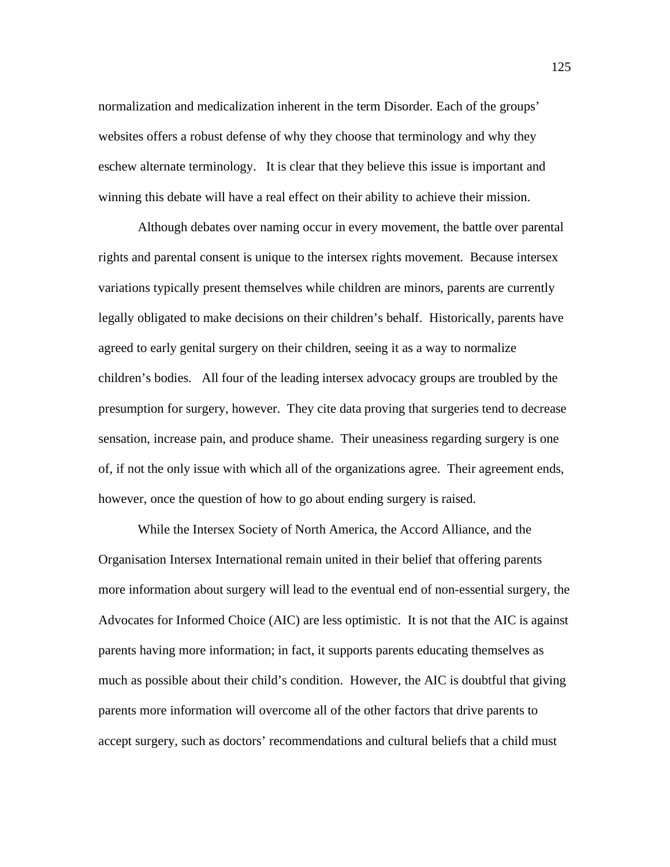normalization and medicalization inherent in the term Disorder. Each of the groups' websites offers a robust defense of why they choose that terminology and why they eschew alternate terminology. It is clear that they believe this issue is important and winning this debate will have a real effect on their ability to achieve their mission.

 Although debates over naming occur in every movement, the battle over parental rights and parental consent is unique to the intersex rights movement. Because intersex variations typically present themselves while children are minors, parents are currently legally obligated to make decisions on their children's behalf. Historically, parents have agreed to early genital surgery on their children, seeing it as a way to normalize children's bodies. All four of the leading intersex advocacy groups are troubled by the presumption for surgery, however. They cite data proving that surgeries tend to decrease sensation, increase pain, and produce shame. Their uneasiness regarding surgery is one of, if not the only issue with which all of the organizations agree. Their agreement ends, however, once the question of how to go about ending surgery is raised.

 While the Intersex Society of North America, the Accord Alliance, and the Organisation Intersex International remain united in their belief that offering parents more information about surgery will lead to the eventual end of non-essential surgery, the Advocates for Informed Choice (AIC) are less optimistic. It is not that the AIC is against parents having more information; in fact, it supports parents educating themselves as much as possible about their child's condition. However, the AIC is doubtful that giving parents more information will overcome all of the other factors that drive parents to accept surgery, such as doctors' recommendations and cultural beliefs that a child must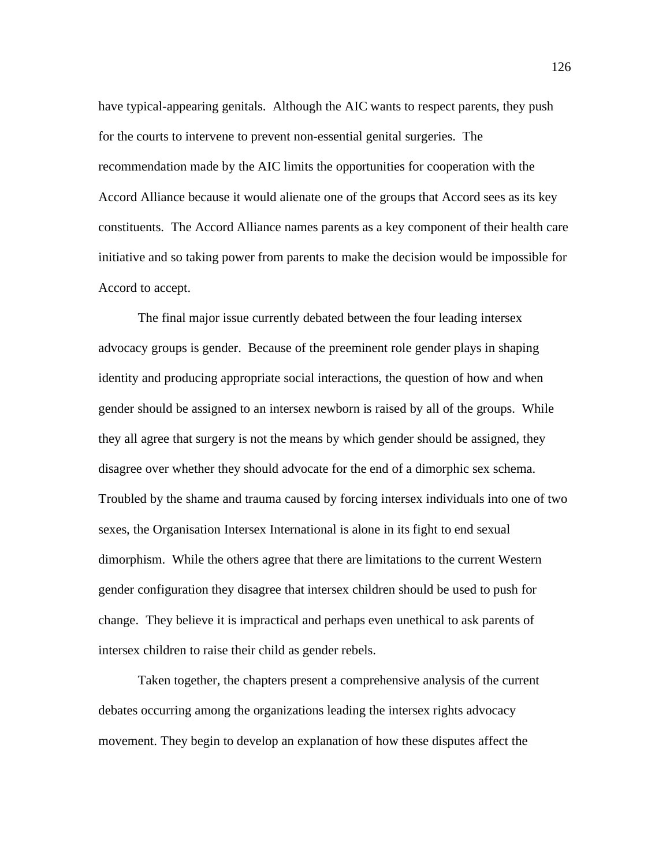have typical-appearing genitals. Although the AIC wants to respect parents, they push for the courts to intervene to prevent non-essential genital surgeries. The recommendation made by the AIC limits the opportunities for cooperation with the Accord Alliance because it would alienate one of the groups that Accord sees as its key constituents. The Accord Alliance names parents as a key component of their health care initiative and so taking power from parents to make the decision would be impossible for Accord to accept.

The final major issue currently debated between the four leading intersex advocacy groups is gender. Because of the preeminent role gender plays in shaping identity and producing appropriate social interactions, the question of how and when gender should be assigned to an intersex newborn is raised by all of the groups. While they all agree that surgery is not the means by which gender should be assigned, they disagree over whether they should advocate for the end of a dimorphic sex schema. Troubled by the shame and trauma caused by forcing intersex individuals into one of two sexes, the Organisation Intersex International is alone in its fight to end sexual dimorphism. While the others agree that there are limitations to the current Western gender configuration they disagree that intersex children should be used to push for change. They believe it is impractical and perhaps even unethical to ask parents of intersex children to raise their child as gender rebels.

Taken together, the chapters present a comprehensive analysis of the current debates occurring among the organizations leading the intersex rights advocacy movement. They begin to develop an explanation of how these disputes affect the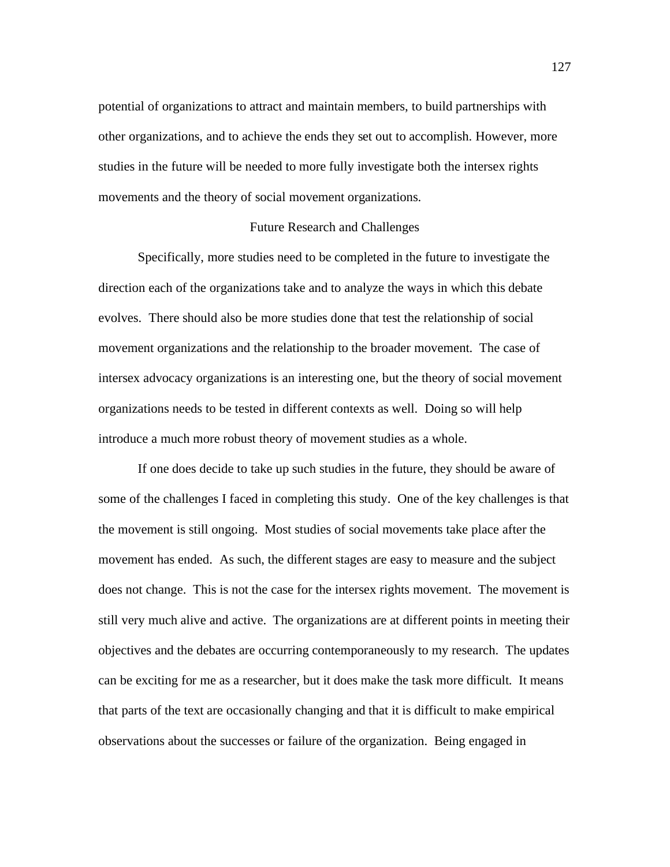potential of organizations to attract and maintain members, to build partnerships with other organizations, and to achieve the ends they set out to accomplish. However, more studies in the future will be needed to more fully investigate both the intersex rights movements and the theory of social movement organizations.

#### Future Research and Challenges

 Specifically, more studies need to be completed in the future to investigate the direction each of the organizations take and to analyze the ways in which this debate evolves. There should also be more studies done that test the relationship of social movement organizations and the relationship to the broader movement. The case of intersex advocacy organizations is an interesting one, but the theory of social movement organizations needs to be tested in different contexts as well. Doing so will help introduce a much more robust theory of movement studies as a whole.

If one does decide to take up such studies in the future, they should be aware of some of the challenges I faced in completing this study. One of the key challenges is that the movement is still ongoing. Most studies of social movements take place after the movement has ended. As such, the different stages are easy to measure and the subject does not change. This is not the case for the intersex rights movement. The movement is still very much alive and active. The organizations are at different points in meeting their objectives and the debates are occurring contemporaneously to my research. The updates can be exciting for me as a researcher, but it does make the task more difficult. It means that parts of the text are occasionally changing and that it is difficult to make empirical observations about the successes or failure of the organization. Being engaged in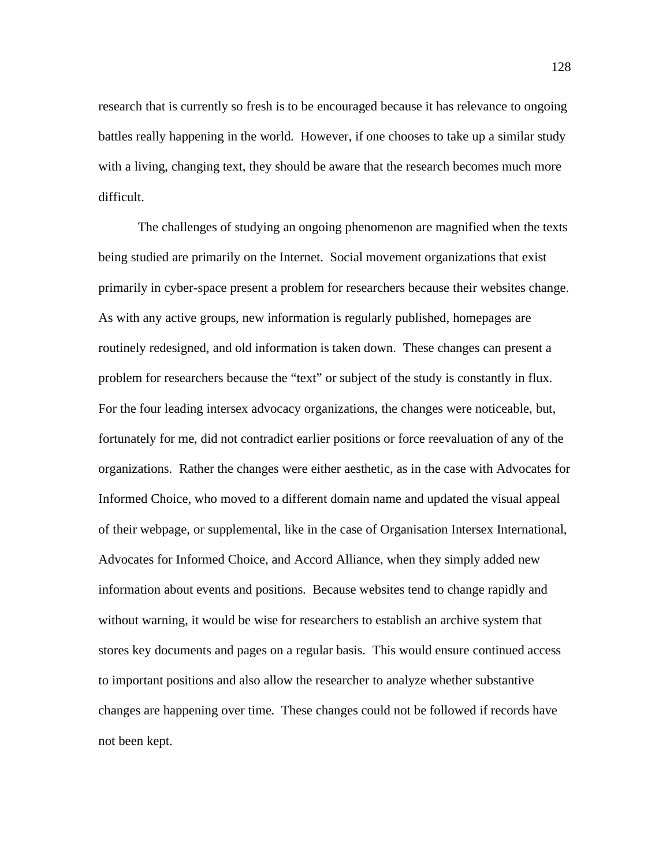research that is currently so fresh is to be encouraged because it has relevance to ongoing battles really happening in the world. However, if one chooses to take up a similar study with a living, changing text, they should be aware that the research becomes much more difficult.

 The challenges of studying an ongoing phenomenon are magnified when the texts being studied are primarily on the Internet. Social movement organizations that exist primarily in cyber-space present a problem for researchers because their websites change. As with any active groups, new information is regularly published, homepages are routinely redesigned, and old information is taken down. These changes can present a problem for researchers because the "text" or subject of the study is constantly in flux. For the four leading intersex advocacy organizations, the changes were noticeable, but, fortunately for me, did not contradict earlier positions or force reevaluation of any of the organizations. Rather the changes were either aesthetic, as in the case with Advocates for Informed Choice, who moved to a different domain name and updated the visual appeal of their webpage, or supplemental, like in the case of Organisation Intersex International, Advocates for Informed Choice, and Accord Alliance, when they simply added new information about events and positions. Because websites tend to change rapidly and without warning, it would be wise for researchers to establish an archive system that stores key documents and pages on a regular basis. This would ensure continued access to important positions and also allow the researcher to analyze whether substantive changes are happening over time. These changes could not be followed if records have not been kept.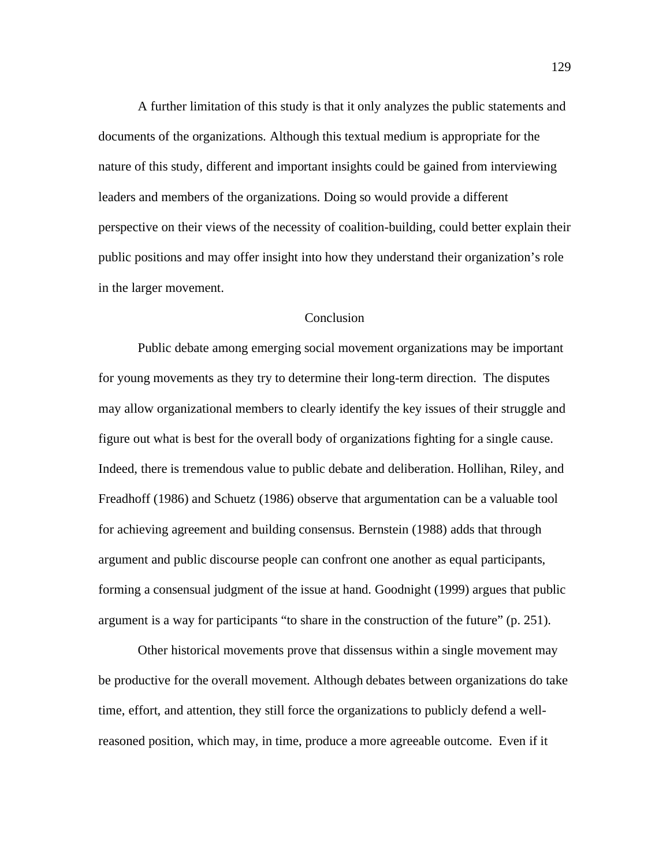A further limitation of this study is that it only analyzes the public statements and documents of the organizations. Although this textual medium is appropriate for the nature of this study, different and important insights could be gained from interviewing leaders and members of the organizations. Doing so would provide a different perspective on their views of the necessity of coalition-building, could better explain their public positions and may offer insight into how they understand their organization's role in the larger movement.

# Conclusion

Public debate among emerging social movement organizations may be important for young movements as they try to determine their long-term direction. The disputes may allow organizational members to clearly identify the key issues of their struggle and figure out what is best for the overall body of organizations fighting for a single cause. Indeed, there is tremendous value to public debate and deliberation. Hollihan, Riley, and Freadhoff (1986) and Schuetz (1986) observe that argumentation can be a valuable tool for achieving agreement and building consensus. Bernstein (1988) adds that through argument and public discourse people can confront one another as equal participants, forming a consensual judgment of the issue at hand. Goodnight (1999) argues that public argument is a way for participants "to share in the construction of the future" (p. 251).

Other historical movements prove that dissensus within a single movement may be productive for the overall movement. Although debates between organizations do take time, effort, and attention, they still force the organizations to publicly defend a wellreasoned position, which may, in time, produce a more agreeable outcome. Even if it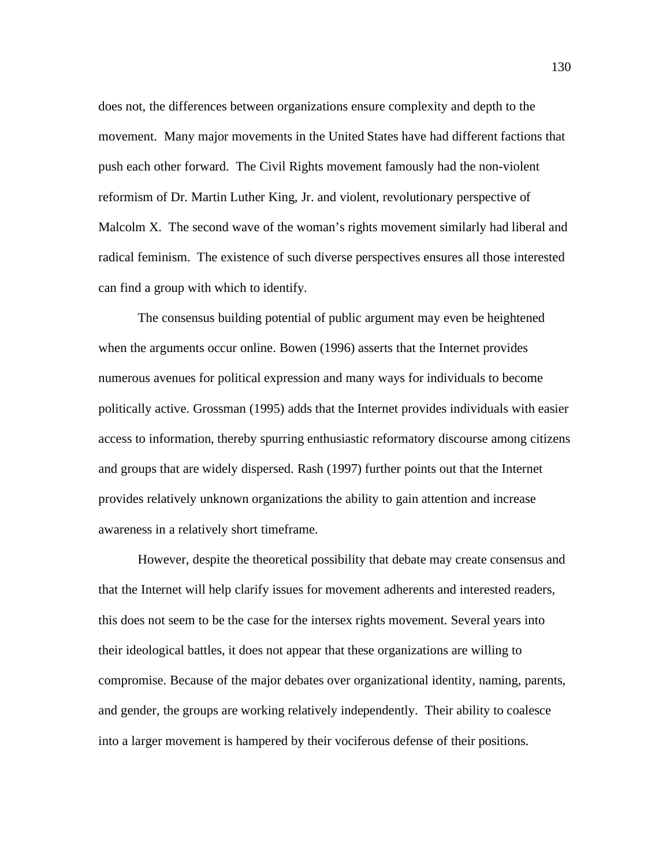does not, the differences between organizations ensure complexity and depth to the movement. Many major movements in the United States have had different factions that push each other forward. The Civil Rights movement famously had the non-violent reformism of Dr. Martin Luther King, Jr. and violent, revolutionary perspective of Malcolm X. The second wave of the woman's rights movement similarly had liberal and radical feminism. The existence of such diverse perspectives ensures all those interested can find a group with which to identify.

 The consensus building potential of public argument may even be heightened when the arguments occur online. Bowen (1996) asserts that the Internet provides numerous avenues for political expression and many ways for individuals to become politically active. Grossman (1995) adds that the Internet provides individuals with easier access to information, thereby spurring enthusiastic reformatory discourse among citizens and groups that are widely dispersed. Rash (1997) further points out that the Internet provides relatively unknown organizations the ability to gain attention and increase awareness in a relatively short timeframe.

However, despite the theoretical possibility that debate may create consensus and that the Internet will help clarify issues for movement adherents and interested readers, this does not seem to be the case for the intersex rights movement. Several years into their ideological battles, it does not appear that these organizations are willing to compromise. Because of the major debates over organizational identity, naming, parents, and gender, the groups are working relatively independently. Their ability to coalesce into a larger movement is hampered by their vociferous defense of their positions.

130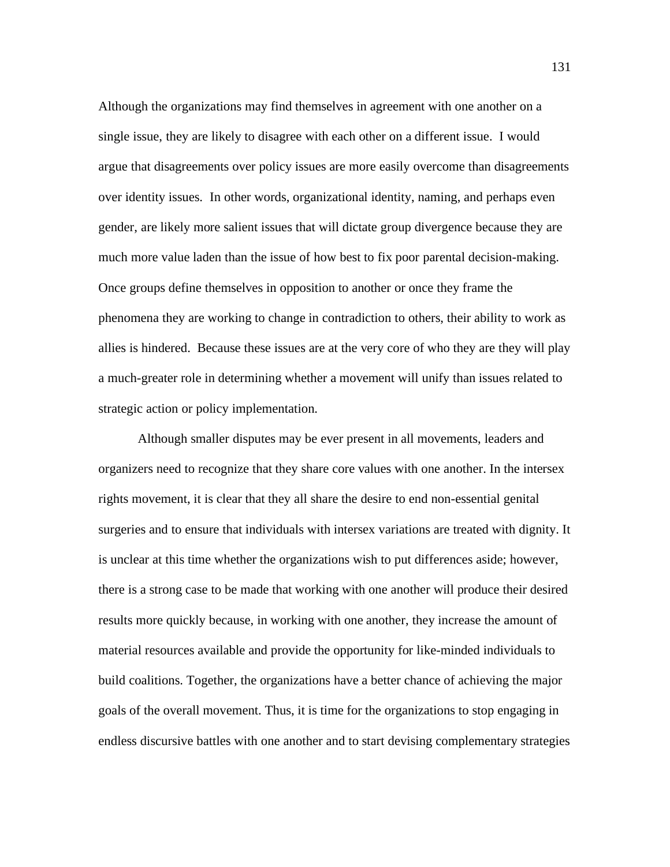Although the organizations may find themselves in agreement with one another on a single issue, they are likely to disagree with each other on a different issue. I would argue that disagreements over policy issues are more easily overcome than disagreements over identity issues. In other words, organizational identity, naming, and perhaps even gender, are likely more salient issues that will dictate group divergence because they are much more value laden than the issue of how best to fix poor parental decision-making. Once groups define themselves in opposition to another or once they frame the phenomena they are working to change in contradiction to others, their ability to work as allies is hindered. Because these issues are at the very core of who they are they will play a much-greater role in determining whether a movement will unify than issues related to strategic action or policy implementation.

 Although smaller disputes may be ever present in all movements, leaders and organizers need to recognize that they share core values with one another. In the intersex rights movement, it is clear that they all share the desire to end non-essential genital surgeries and to ensure that individuals with intersex variations are treated with dignity. It is unclear at this time whether the organizations wish to put differences aside; however, there is a strong case to be made that working with one another will produce their desired results more quickly because, in working with one another, they increase the amount of material resources available and provide the opportunity for like-minded individuals to build coalitions. Together, the organizations have a better chance of achieving the major goals of the overall movement. Thus, it is time for the organizations to stop engaging in endless discursive battles with one another and to start devising complementary strategies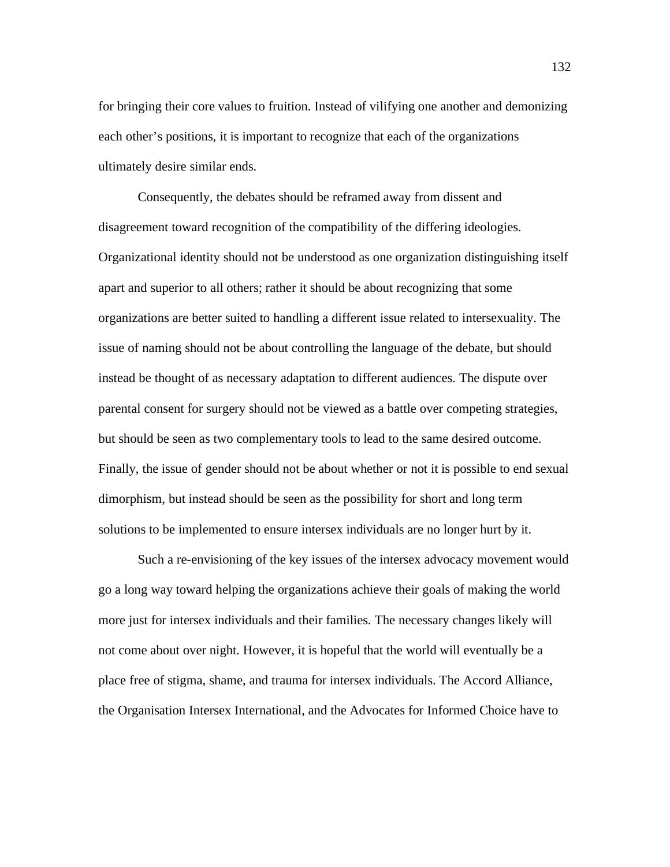for bringing their core values to fruition. Instead of vilifying one another and demonizing each other's positions, it is important to recognize that each of the organizations ultimately desire similar ends.

 Consequently, the debates should be reframed away from dissent and disagreement toward recognition of the compatibility of the differing ideologies. Organizational identity should not be understood as one organization distinguishing itself apart and superior to all others; rather it should be about recognizing that some organizations are better suited to handling a different issue related to intersexuality. The issue of naming should not be about controlling the language of the debate, but should instead be thought of as necessary adaptation to different audiences. The dispute over parental consent for surgery should not be viewed as a battle over competing strategies, but should be seen as two complementary tools to lead to the same desired outcome. Finally, the issue of gender should not be about whether or not it is possible to end sexual dimorphism, but instead should be seen as the possibility for short and long term solutions to be implemented to ensure intersex individuals are no longer hurt by it.

 Such a re-envisioning of the key issues of the intersex advocacy movement would go a long way toward helping the organizations achieve their goals of making the world more just for intersex individuals and their families. The necessary changes likely will not come about over night. However, it is hopeful that the world will eventually be a place free of stigma, shame, and trauma for intersex individuals. The Accord Alliance, the Organisation Intersex International, and the Advocates for Informed Choice have to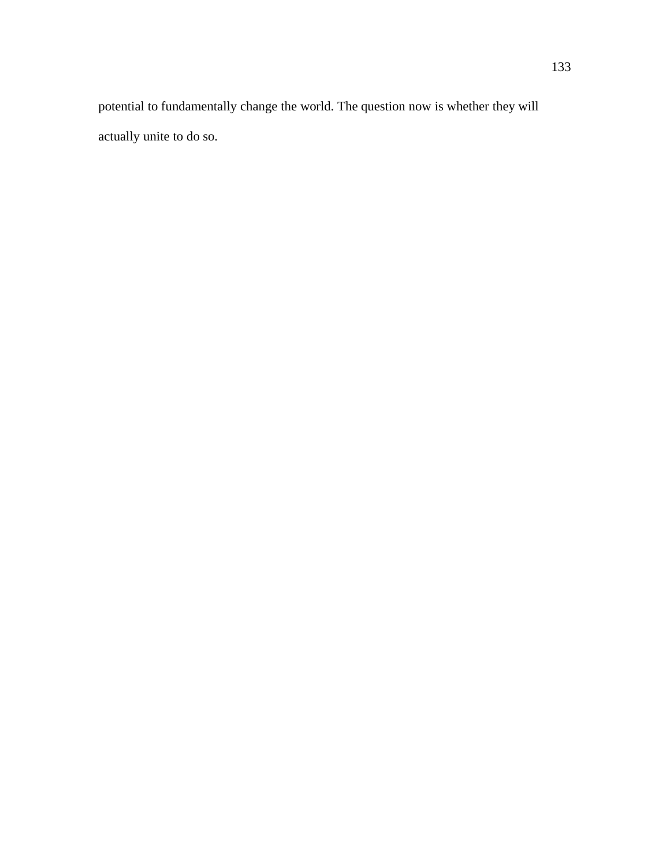potential to fundamentally change the world. The question now is whether they will actually unite to do so.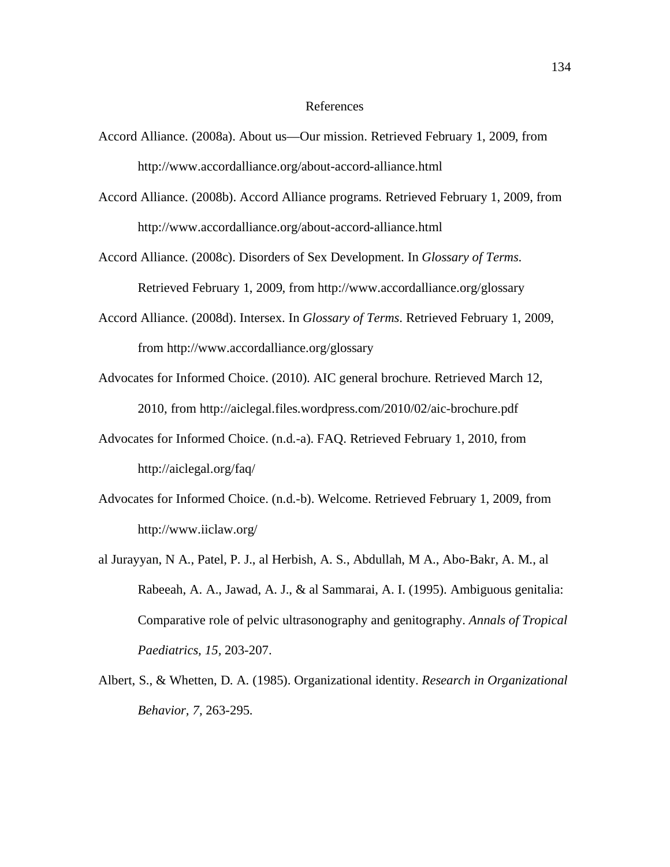## References

- Accord Alliance. (2008a). About us—Our mission. Retrieved February 1, 2009, from http://www.accordalliance.org/about-accord-alliance.html
- Accord Alliance. (2008b). Accord Alliance programs. Retrieved February 1, 2009, from http://www.accordalliance.org/about-accord-alliance.html
- Accord Alliance. (2008c). Disorders of Sex Development. In *Glossary of Terms*. Retrieved February 1, 2009, from http://www.accordalliance.org/glossary
- Accord Alliance. (2008d). Intersex. In *Glossary of Terms*. Retrieved February 1, 2009, from http://www.accordalliance.org/glossary
- Advocates for Informed Choice. (2010). AIC general brochure. Retrieved March 12, 2010, from http://aiclegal.files.wordpress.com/2010/02/aic-brochure.pdf
- Advocates for Informed Choice. (n.d.-a). FAQ. Retrieved February 1, 2010, from http://aiclegal.org/faq/
- Advocates for Informed Choice. (n.d.-b). Welcome. Retrieved February 1, 2009, from http://www.iiclaw.org/
- al Jurayyan, N A., Patel, P. J., al Herbish, A. S., Abdullah, M A., Abo-Bakr, A. M., al Rabeeah, A. A., Jawad, A. J., & al Sammarai, A. I. (1995). Ambiguous genitalia: Comparative role of pelvic ultrasonography and genitography. *Annals of Tropical Paediatrics, 15,* 203-207.
- Albert, S., & Whetten, D. A. (1985). Organizational identity. *Research in Organizational Behavior, 7,* 263-295.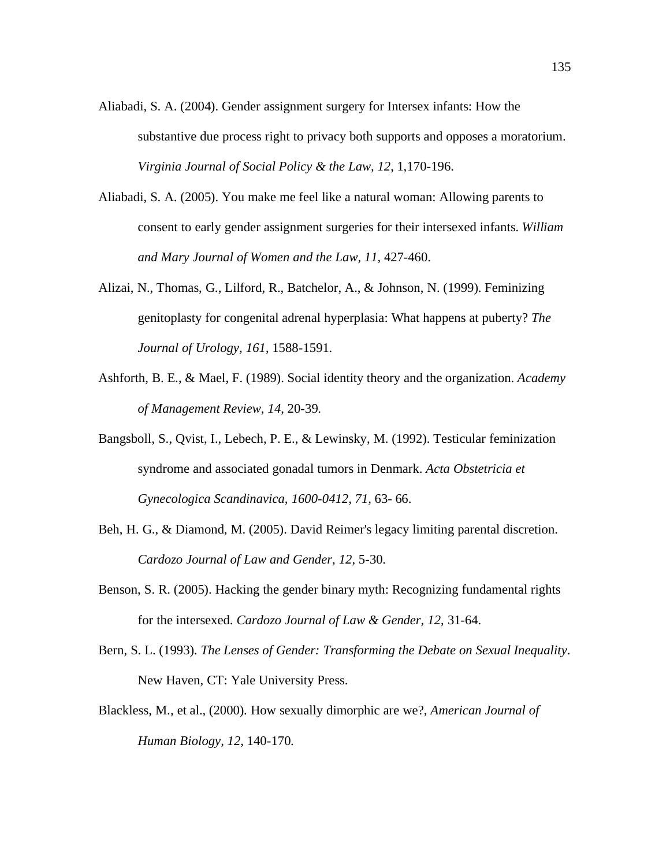- Aliabadi, S. A. (2004). Gender assignment surgery for Intersex infants: How the substantive due process right to privacy both supports and opposes a moratorium. *Virginia Journal of Social Policy & the Law, 12*, 1,170-196.
- Aliabadi, S. A. (2005). You make me feel like a natural woman: Allowing parents to consent to early gender assignment surgeries for their intersexed infants. *William and Mary Journal of Women and the Law, 11,* 427-460.
- Alizai, N., Thomas, G., Lilford, R., Batchelor, A., & Johnson, N. (1999). Feminizing genitoplasty for congenital adrenal hyperplasia: What happens at puberty? *The Journal of Urology, 161*, 1588-1591.
- Ashforth, B. E., & Mael, F. (1989). Social identity theory and the organization. *Academy of Management Review, 14*, 20-39.
- Bangsboll, S., Qvist, I., Lebech, P. E., & Lewinsky, M. (1992). Testicular feminization syndrome and associated gonadal tumors in Denmark. *Acta Obstetricia et Gynecologica Scandinavica, 1600-0412, 71,* 63- 66.
- Beh, H. G., & Diamond, M. (2005). David Reimer's legacy limiting parental discretion. *Cardozo Journal of Law and Gender, 12*, 5-30.
- Benson, S. R. (2005). Hacking the gender binary myth: Recognizing fundamental rights for the intersexed. *Cardozo Journal of Law & Gender, 12*, 31-64.
- Bern, S. L. (1993). *The Lenses of Gender: Transforming the Debate on Sexual Inequality*. New Haven, CT: Yale University Press.
- Blackless, M., et al., (2000). How sexually dimorphic are we?, *American Journal of Human Biology, 12*, 140-170.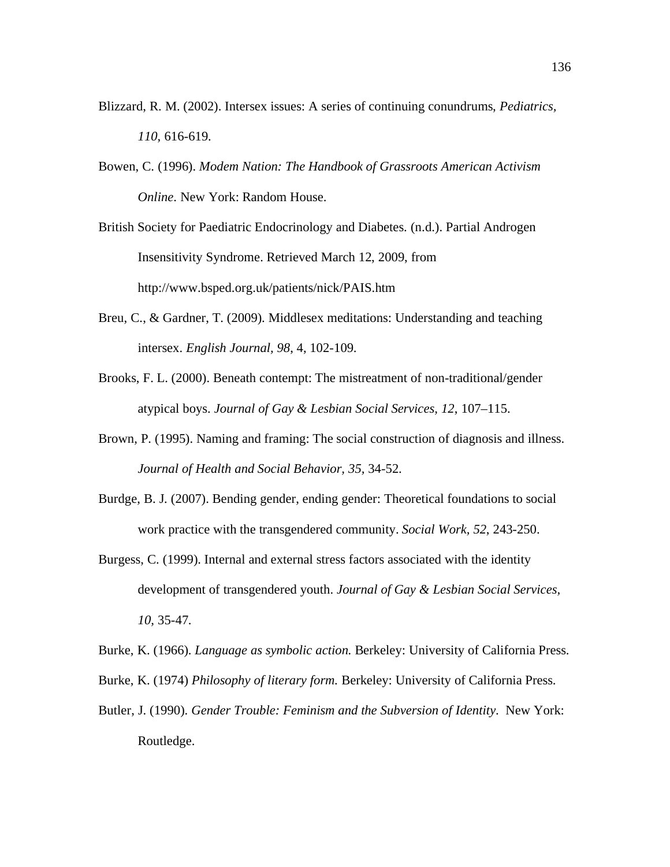- Blizzard, R. M. (2002). Intersex issues: A series of continuing conundrums, *Pediatrics, 110,* 616-619.
- Bowen, C. (1996). *Modem Nation: The Handbook of Grassroots American Activism Online*. New York: Random House.

British Society for Paediatric Endocrinology and Diabetes. (n.d.). Partial Androgen Insensitivity Syndrome. Retrieved March 12, 2009, from http://www.bsped.org.uk/patients/nick/PAIS.htm

- Breu, C., & Gardner, T. (2009). Middlesex meditations: Understanding and teaching intersex. *English Journal, 98*, 4, 102-109.
- Brooks, F. L. (2000). Beneath contempt: The mistreatment of non-traditional/gender atypical boys. *Journal of Gay & Lesbian Social Services, 12*, 107–115.
- Brown, P. (1995). Naming and framing: The social construction of diagnosis and illness. *Journal of Health and Social Behavior, 35,* 34-52.
- Burdge, B. J. (2007). Bending gender, ending gender: Theoretical foundations to social work practice with the transgendered community. *Social Work, 52*, 243-250.
- Burgess, C. (1999). Internal and external stress factors associated with the identity development of transgendered youth. *Journal of Gay & Lesbian Social Services, 10,* 35-47.

Burke, K. (1966). *Language as symbolic action.* Berkeley: University of California Press.

- Burke, K. (1974) *Philosophy of literary form.* Berkeley: University of California Press.
- Butler, J. (1990). *Gender Trouble: Feminism and the Subversion of Identity*. New York: Routledge.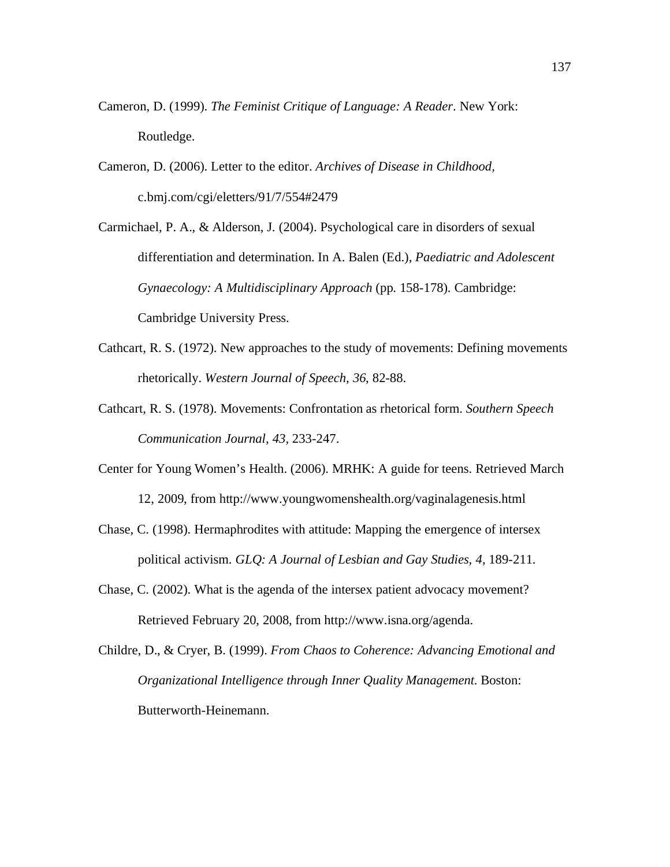- Cameron, D. (1999). *The Feminist Critique of Language: A Reader*. New York: Routledge.
- Cameron, D. (2006). Letter to the editor. *Archives of Disease in Childhood,* c.bmj.com/cgi/eletters/91/7/554#2479
- Carmichael, P. A., & Alderson, J. (2004). Psychological care in disorders of sexual differentiation and determination. In A. Balen (Ed.), *Paediatric and Adolescent Gynaecology: A Multidisciplinary Approach* (pp. 158-178)*.* Cambridge: Cambridge University Press.
- Cathcart, R. S. (1972). New approaches to the study of movements: Defining movements rhetorically. *Western Journal of Speech, 36*, 82-88.
- Cathcart, R. S. (1978). Movements: Confrontation as rhetorical form. *Southern Speech Communication Journal, 43,* 233-247.
- Center for Young Women's Health. (2006). MRHK: A guide for teens. Retrieved March 12, 2009, from http://www.youngwomenshealth.org/vaginalagenesis.html
- Chase, C. (1998). Hermaphrodites with attitude: Mapping the emergence of intersex political activism. *GLQ: A Journal of Lesbian and Gay Studies, 4*, 189-211.
- Chase, C. (2002). What is the agenda of the intersex patient advocacy movement? Retrieved February 20, 2008, from http://www.isna.org/agenda.
- Childre, D., & Cryer, B. (1999). *From Chaos to Coherence: Advancing Emotional and Organizational Intelligence through Inner Quality Management.* Boston: Butterworth-Heinemann.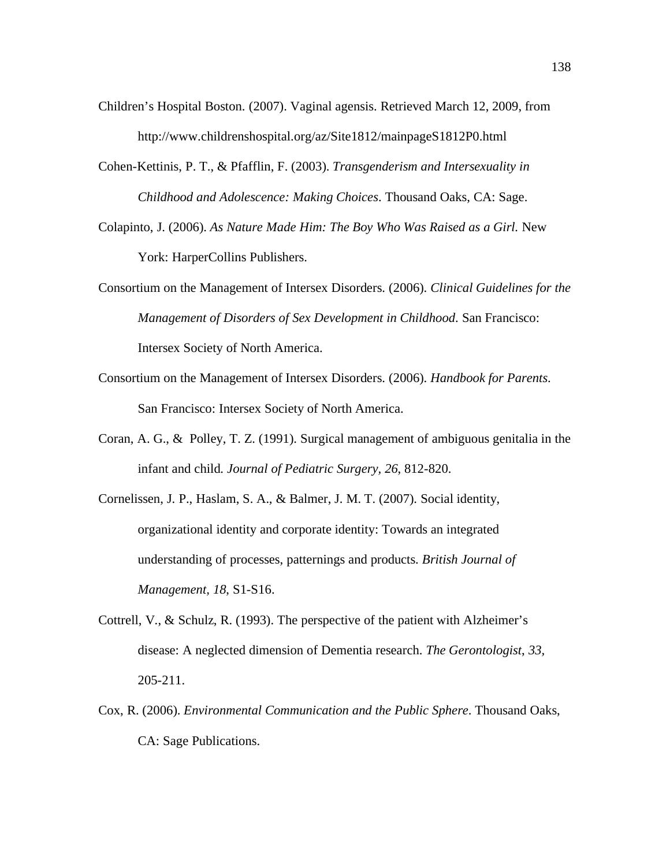- Children's Hospital Boston. (2007). Vaginal agensis. Retrieved March 12, 2009, from http://www.childrenshospital.org/az/Site1812/mainpageS1812P0.html
- Cohen-Kettinis, P. T., & Pfafflin, F. (2003). *Transgenderism and Intersexuality in Childhood and Adolescence: Making Choices*. Thousand Oaks, CA: Sage.
- Colapinto, J. (2006). *As Nature Made Him: The Boy Who Was Raised as a Girl.* New York: HarperCollins Publishers.
- Consortium on the Management of Intersex Disorders. (2006). *Clinical Guidelines for the Management of Disorders of Sex Development in Childhood*. San Francisco: Intersex Society of North America.
- Consortium on the Management of Intersex Disorders. (2006). *Handbook for Parents*. San Francisco: Intersex Society of North America.
- Coran, A. G., & Polley, T. Z. (1991). Surgical management of ambiguous genitalia in the infant and child. *Journal of Pediatric Surgery, 26*, 812-820.
- Cornelissen, J. P., Haslam, S. A., & Balmer, J. M. T. (2007). Social identity, organizational identity and corporate identity: Towards an integrated understanding of processes, patternings and products. *British Journal of Management, 18*, S1-S16.
- Cottrell, V., & Schulz, R. (1993). The perspective of the patient with Alzheimer's disease: A neglected dimension of Dementia research. *The Gerontologist*, *33,* 205-211.
- Cox, R. (2006). *Environmental Communication and the Public Sphere*. Thousand Oaks, CA: Sage Publications.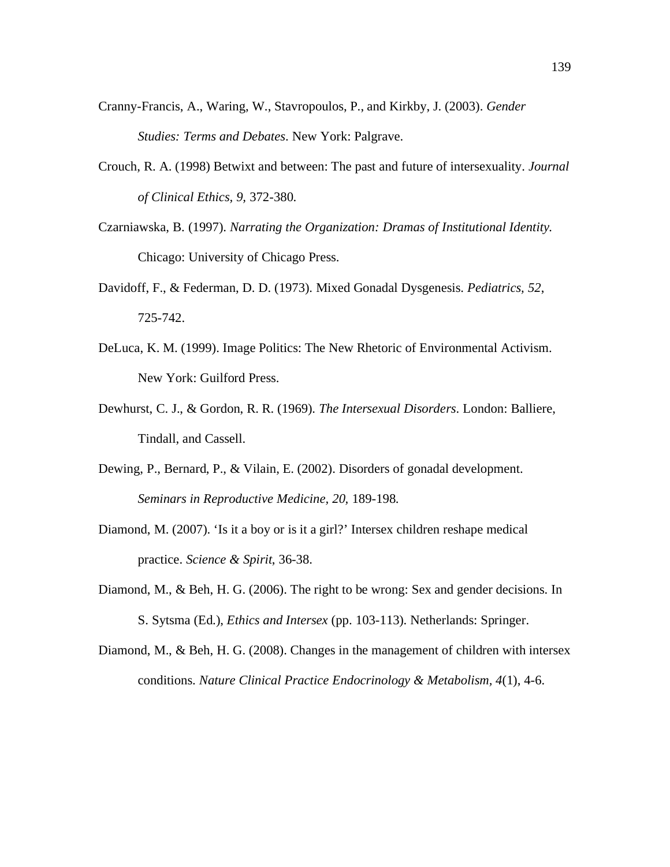- Cranny-Francis, A., Waring, W., Stavropoulos, P., and Kirkby, J. (2003). *Gender Studies: Terms and Debates*. New York: Palgrave.
- Crouch, R. A. (1998) Betwixt and between: The past and future of intersexuality. *Journal of Clinical Ethics, 9,* 372-380.
- Czarniawska, B. (1997). *Narrating the Organization: Dramas of Institutional Identity.* Chicago: University of Chicago Press.
- Davidoff, F., & Federman, D. D. (1973). Mixed Gonadal Dysgenesis. *Pediatrics, 52*, 725-742.
- DeLuca, K. M. (1999). Image Politics: The New Rhetoric of Environmental Activism. New York: Guilford Press.
- Dewhurst, C. J., & Gordon, R. R. (1969). *The Intersexual Disorders*. London: Balliere, Tindall, and Cassell.
- Dewing, P., Bernard, P., & Vilain, E. (2002). Disorders of gonadal development. *Seminars in Reproductive Medicine, 20,* 189-198.
- Diamond, M. (2007). 'Is it a boy or is it a girl?' Intersex children reshape medical practice. *Science & Spirit*, 36-38.
- Diamond, M., & Beh, H. G. (2006). The right to be wrong: Sex and gender decisions. In S. Sytsma (Ed.), *Ethics and Intersex* (pp. 103-113). Netherlands: Springer.
- Diamond, M., & Beh, H. G. (2008). Changes in the management of children with intersex conditions. *Nature Clinical Practice Endocrinology & Metabolism, 4*(1), 4-6.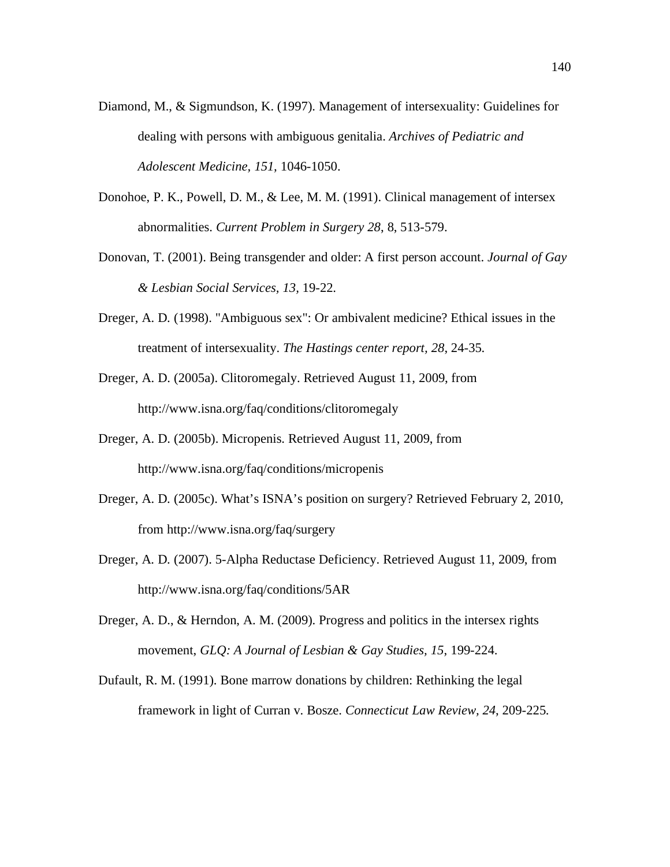- Diamond, M., & Sigmundson, K. (1997). Management of intersexuality: Guidelines for dealing with persons with ambiguous genitalia. *Archives of Pediatric and Adolescent Medicine, 151,* 1046-1050.
- Donohoe, P. K., Powell, D. M., & Lee, M. M. (1991). Clinical management of intersex abnormalities. *Current Problem in Surgery 28*, 8, 513-579.
- Donovan, T. (2001). Being transgender and older: A first person account. *Journal of Gay & Lesbian Social Services, 13,* 19-22.
- Dreger, A. D. (1998). "Ambiguous sex": Or ambivalent medicine? Ethical issues in the treatment of intersexuality. *The Hastings center report, 28*, 24-35.
- Dreger, A. D. (2005a). Clitoromegaly. Retrieved August 11, 2009, from http://www.isna.org/faq/conditions/clitoromegaly
- Dreger, A. D. (2005b). Micropenis. Retrieved August 11, 2009, from http://www.isna.org/faq/conditions/micropenis
- Dreger, A. D. (2005c). What's ISNA's position on surgery? Retrieved February 2, 2010, from http://www.isna.org/faq/surgery
- Dreger, A. D. (2007). 5-Alpha Reductase Deficiency. Retrieved August 11, 2009, from http://www.isna.org/faq/conditions/5AR
- Dreger, A. D., & Herndon, A. M. (2009). Progress and politics in the intersex rights movement, *GLQ: A Journal of Lesbian & Gay Studies, 15*, 199-224.
- Dufault, R. M. (1991). Bone marrow donations by children: Rethinking the legal framework in light of Curran v. Bosze. *Connecticut Law Review, 24*, 209-225.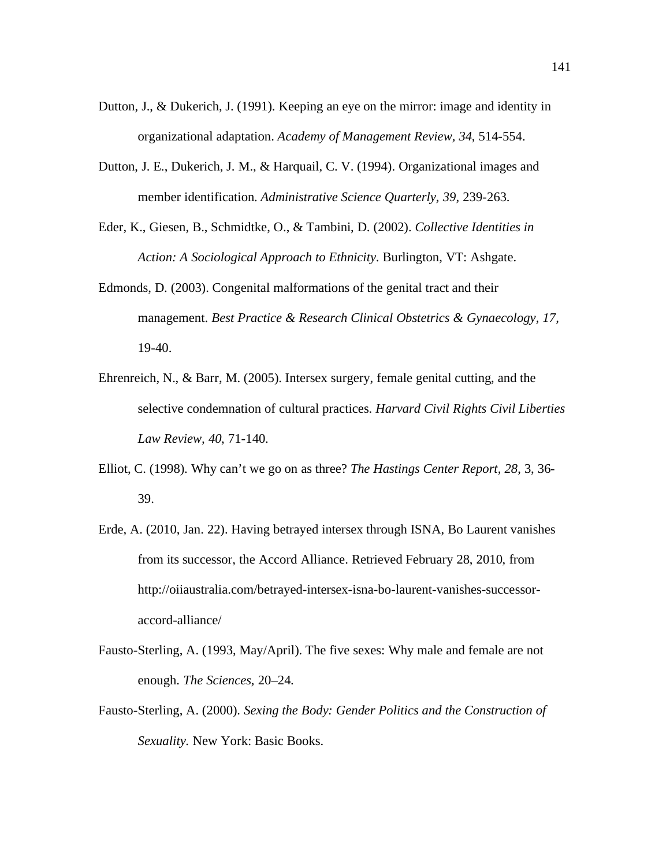- Dutton, J., & Dukerich, J. (1991). Keeping an eye on the mirror: image and identity in organizational adaptation. *Academy of Management Review, 34*, 514-554.
- Dutton, J. E., Dukerich, J. M., & Harquail, C. V. (1994). Organizational images and member identification. *Administrative Science Quarterly, 39*, 239-263.
- Eder, K., Giesen, B., Schmidtke, O., & Tambini, D. (2002). *Collective Identities in Action: A Sociological Approach to Ethnicity*. Burlington, VT: Ashgate.
- Edmonds, D. (2003). Congenital malformations of the genital tract and their management. *Best Practice & Research Clinical Obstetrics & Gynaecology, 17,* 19-40.
- Ehrenreich, N., & Barr, M. (2005). Intersex surgery, female genital cutting, and the selective condemnation of cultural practices. *Harvard Civil Rights Civil Liberties Law Review, 40*, 71-140.
- Elliot, C. (1998). Why can't we go on as three? *The Hastings Center Report, 28*, 3, 36- 39.
- Erde, A. (2010, Jan. 22). Having betrayed intersex through ISNA, Bo Laurent vanishes from its successor, the Accord Alliance. Retrieved February 28, 2010, from http://oiiaustralia.com/betrayed-intersex-isna-bo-laurent-vanishes-successoraccord-alliance/
- Fausto-Sterling, A. (1993, May/April). The five sexes: Why male and female are not enough. *The Sciences*, 20–24.
- Fausto-Sterling, A. (2000). *Sexing the Body: Gender Politics and the Construction of Sexuality.* New York: Basic Books.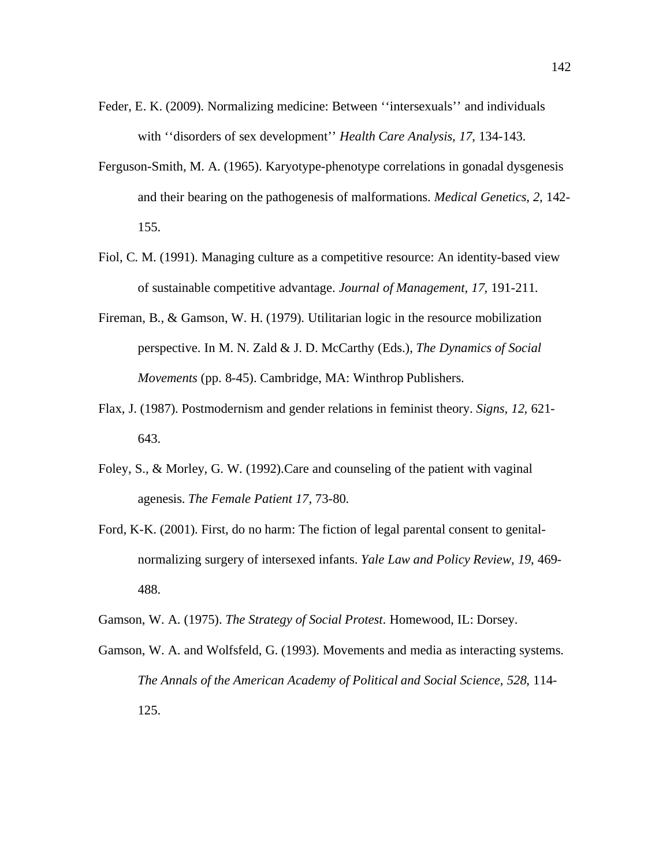- Feder, E. K. (2009). Normalizing medicine: Between ''intersexuals'' and individuals with ''disorders of sex development'' *Health Care Analysis, 17*, 134-143.
- Ferguson-Smith, M. A. (1965). Karyotype-phenotype correlations in gonadal dysgenesis and their bearing on the pathogenesis of malformations. *Medical Genetics, 2,* 142- 155.
- Fiol, C. M. (1991). Managing culture as a competitive resource: An identity-based view of sustainable competitive advantage. *Journal of Management, 17,* 191-211.
- Fireman, B., & Gamson, W. H. (1979). Utilitarian logic in the resource mobilization perspective. In M. N. Zald & J. D. McCarthy (Eds.), *The Dynamics of Social Movements* (pp. 8-45). Cambridge, MA: Winthrop Publishers.
- Flax, J. (1987). Postmodernism and gender relations in feminist theory. *Signs, 12,* 621- 643.
- Foley, S., & Morley, G. W. (1992).Care and counseling of the patient with vaginal agenesis. *The Female Patient 17*, 73-80.
- Ford, K-K. (2001). First, do no harm: The fiction of legal parental consent to genitalnormalizing surgery of intersexed infants. *Yale Law and Policy Review, 19*, 469- 488.
- Gamson, W. A. (1975). *The Strategy of Social Protest*. Homewood, IL: Dorsey.
- Gamson, W. A. and Wolfsfeld, G. (1993). Movements and media as interacting systems. *The Annals of the American Academy of Political and Social Science, 528*, 114- 125.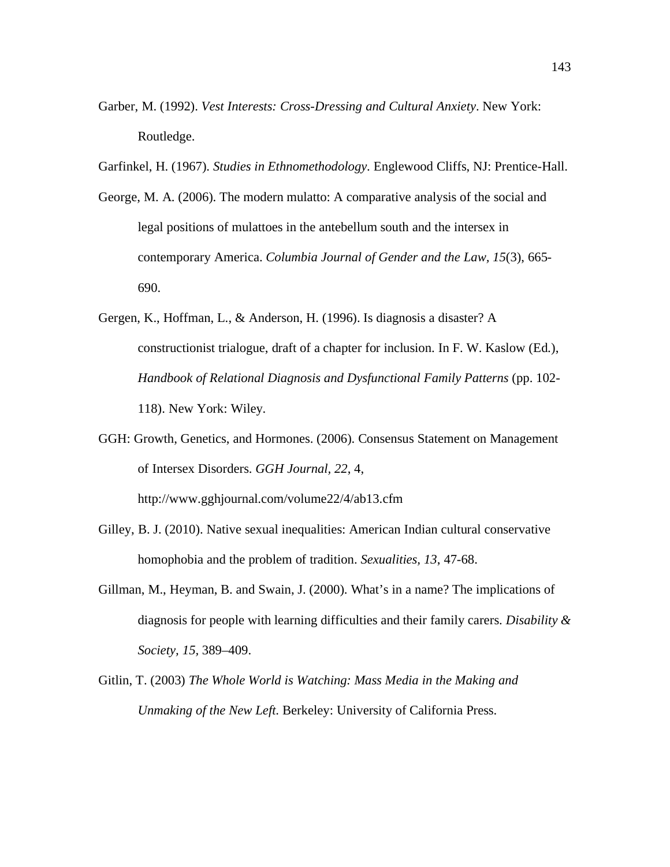- Garber, M. (1992). *Vest Interests: Cross-Dressing and Cultural Anxiety*. New York: Routledge.
- Garfinkel, H. (1967). *Studies in Ethnomethodology*. Englewood Cliffs, NJ: Prentice-Hall.
- George, M. A. (2006). The modern mulatto: A comparative analysis of the social and legal positions of mulattoes in the antebellum south and the intersex in contemporary America. *Columbia Journal of Gender and the Law, 15*(3), 665- 690.
- Gergen, K., Hoffman, L., & Anderson, H. (1996). Is diagnosis a disaster? A constructionist trialogue, draft of a chapter for inclusion. In F. W. Kaslow (Ed.), *Handbook of Relational Diagnosis and Dysfunctional Family Patterns* (pp. 102- 118). New York: Wiley.
- GGH: Growth, Genetics, and Hormones. (2006). Consensus Statement on Management of Intersex Disorders. *GGH Journal, 22*, 4,

http://www.gghjournal.com/volume22/4/ab13.cfm

- Gilley, B. J. (2010). Native sexual inequalities: American Indian cultural conservative homophobia and the problem of tradition. *Sexualities, 13*, 47-68.
- Gillman, M., Heyman, B. and Swain, J. (2000). What's in a name? The implications of diagnosis for people with learning difficulties and their family carers. *Disability & Society, 15,* 389–409.
- Gitlin, T. (2003) *The Whole World is Watching: Mass Media in the Making and Unmaking of the New Left*. Berkeley: University of California Press.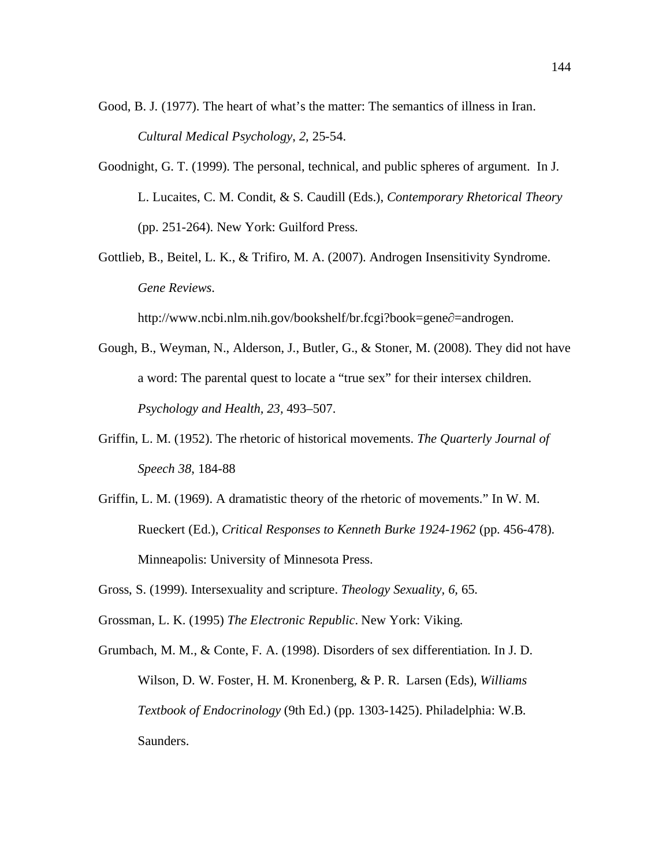- Good, B. J. (1977). The heart of what's the matter: The semantics of illness in Iran. *Cultural Medical Psychology*, *2*, 25-54.
- Goodnight, G. T. (1999). The personal, technical, and public spheres of argument. In J. L. Lucaites, C. M. Condit, & S. Caudill (Eds.), *Contemporary Rhetorical Theory* (pp. 251-264). New York: Guilford Press.
- Gottlieb, B., Beitel, L. K., & Trifiro, M. A. (2007). Androgen Insensitivity Syndrome. *Gene Reviews*.

http://www.ncbi.nlm.nih.gov/bookshelf/br.fcgi?book=gene $\partial$ =androgen.

- Gough, B., Weyman, N., Alderson, J., Butler, G., & Stoner, M. (2008). They did not have a word: The parental quest to locate a "true sex" for their intersex children. *Psychology and Health, 23,* 493–507.
- Griffin, L. M. (1952). The rhetoric of historical movements. *The Quarterly Journal of Speech 38*, 184-88
- Griffin, L. M. (1969). A dramatistic theory of the rhetoric of movements." In W. M. Rueckert (Ed.), *Critical Responses to Kenneth Burke 1924-1962* (pp. 456-478). Minneapolis: University of Minnesota Press.
- Gross, S. (1999). Intersexuality and scripture. *Theology Sexuality, 6,* 65.
- Grossman, L. K. (1995) *The Electronic Republic*. New York: Viking.
- Grumbach, M. M., & Conte, F. A. (1998). Disorders of sex differentiation. In J. D. Wilson, D. W. Foster, H. M. Kronenberg, & P. R. Larsen (Eds), *Williams Textbook of Endocrinology* (9th Ed.) (pp. 1303-1425). Philadelphia: W.B. Saunders.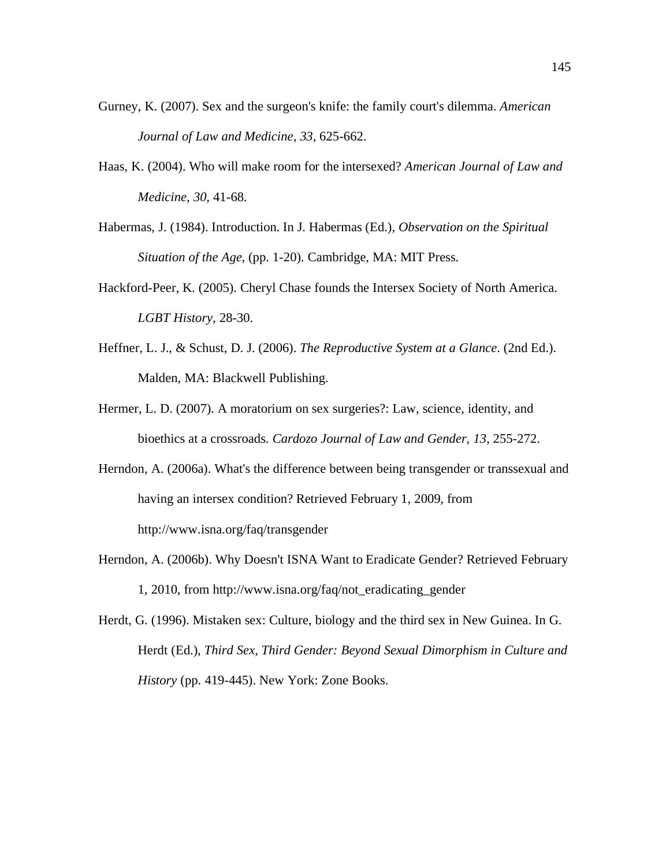- Gurney, K. (2007). Sex and the surgeon's knife: the family court's dilemma. *American Journal of Law and Medicine, 33,* 625-662.
- Haas, K. (2004). Who will make room for the intersexed? *American Journal of Law and Medicine, 30,* 41-68.
- Habermas, J. (1984). Introduction. In J. Habermas (Ed.), *Observation on the Spiritual Situation of the Age*, (pp. 1-20). Cambridge, MA: MIT Press.
- Hackford-Peer, K. (2005). Cheryl Chase founds the Intersex Society of North America. *LGBT History*, 28-30.
- Heffner, L. J., & Schust, D. J. (2006). *The Reproductive System at a Glance*. (2nd Ed.). Malden, MA: Blackwell Publishing.
- Hermer, L. D. (2007). A moratorium on sex surgeries?: Law, science, identity, and bioethics at a crossroads. *Cardozo Journal of Law and Gender, 13*, 255-272.
- Herndon, A. (2006a). What's the difference between being transgender or transsexual and having an intersex condition? Retrieved February 1, 2009, from http://www.isna.org/faq/transgender
- Herndon, A. (2006b). Why Doesn't ISNA Want to Eradicate Gender? Retrieved February 1, 2010, from http://www.isna.org/faq/not\_eradicating\_gender
- Herdt, G. (1996). Mistaken sex: Culture, biology and the third sex in New Guinea. In G. Herdt (Ed.), *Third Sex, Third Gender: Beyond Sexual Dimorphism in Culture and History* (pp. 419-445). New York: Zone Books.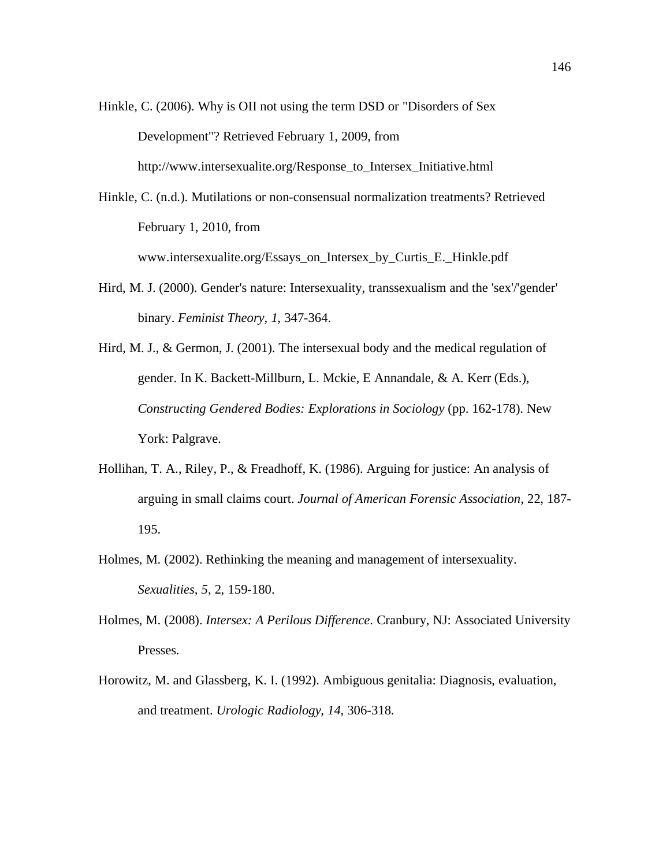Hinkle, C. (2006). Why is OII not using the term DSD or "Disorders of Sex Development"? Retrieved February 1, 2009, from http://www.intersexualite.org/Response\_to\_Intersex\_Initiative.html

Hinkle, C. (n.d.). Mutilations or non-consensual normalization treatments? Retrieved February 1, 2010, from

www.intersexualite.org/Essays\_on\_Intersex\_by\_Curtis\_E.\_Hinkle.pdf

Hird, M. J. (2000). Gender's nature: Intersexuality, transsexualism and the 'sex'/'gender' binary. *Feminist Theory, 1,* 347-364.

Hird, M. J., & Germon, J. (2001). The intersexual body and the medical regulation of gender. In K. Backett-Millburn, L. Mckie, E Annandale, & A. Kerr (Eds.), *Constructing Gendered Bodies: Explorations in Sociology* (pp. 162-178). New York: Palgrave.

- Hollihan, T. A., Riley, P., & Freadhoff, K. (1986). Arguing for justice: An analysis of arguing in small claims court. *Journal of American Forensic Association*, 22, 187- 195.
- Holmes, M. (2002). Rethinking the meaning and management of intersexuality. *Sexualities, 5*, 2, 159-180.
- Holmes, M. (2008). *Intersex: A Perilous Difference*. Cranbury, NJ: Associated University Presses.
- Horowitz, M. and Glassberg, K. I. (1992). Ambiguous genitalia: Diagnosis, evaluation, and treatment. *Urologic Radiology, 14*, 306-318.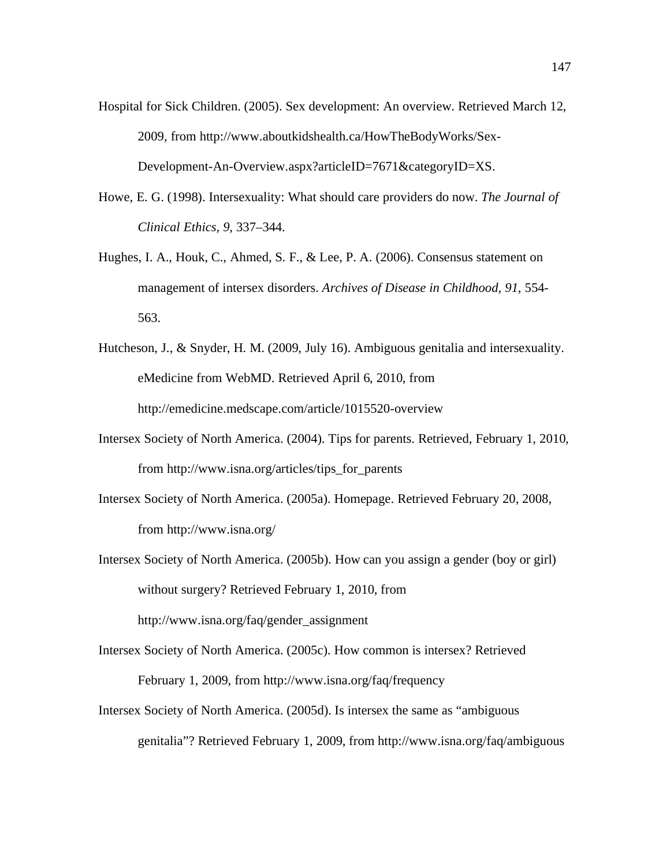- Hospital for Sick Children. (2005). Sex development: An overview. Retrieved March 12, 2009, from http://www.aboutkidshealth.ca/HowTheBodyWorks/Sex-Development-An-Overview.aspx?articleID=7671&categoryID=XS.
- Howe, E. G. (1998). Intersexuality: What should care providers do now. *The Journal of Clinical Ethics, 9,* 337–344.
- Hughes, I. A., Houk, C., Ahmed, S. F., & Lee, P. A. (2006). Consensus statement on management of intersex disorders. *Archives of Disease in Childhood, 91*, 554- 563.
- Hutcheson, J., & Snyder, H. M. (2009, July 16). Ambiguous genitalia and intersexuality. eMedicine from WebMD. Retrieved April 6, 2010, from http://emedicine.medscape.com/article/1015520-overview
- Intersex Society of North America. (2004). Tips for parents. Retrieved, February 1, 2010, from http://www.isna.org/articles/tips\_for\_parents
- Intersex Society of North America. (2005a). Homepage. Retrieved February 20, 2008, from http://www.isna.org/
- Intersex Society of North America. (2005b). How can you assign a gender (boy or girl) without surgery? Retrieved February 1, 2010, from http://www.isna.org/faq/gender\_assignment
- Intersex Society of North America. (2005c). How common is intersex? Retrieved February 1, 2009, from http://www.isna.org/faq/frequency
- Intersex Society of North America. (2005d). Is intersex the same as "ambiguous genitalia"? Retrieved February 1, 2009, from http://www.isna.org/faq/ambiguous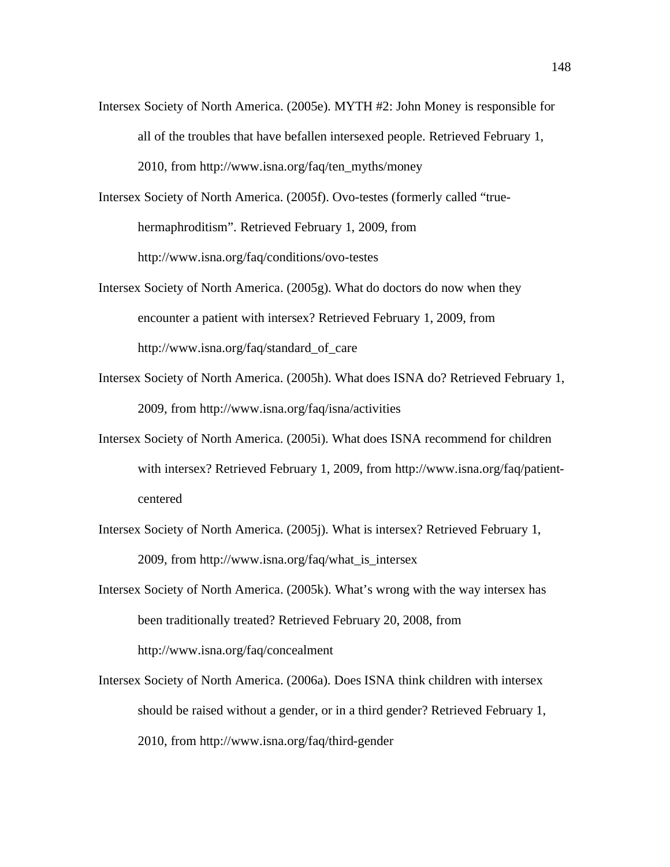Intersex Society of North America. (2005e). MYTH #2: John Money is responsible for all of the troubles that have befallen intersexed people. Retrieved February 1, 2010, from http://www.isna.org/faq/ten\_myths/money

Intersex Society of North America. (2005f). Ovo-testes (formerly called "truehermaphroditism". Retrieved February 1, 2009, from http://www.isna.org/faq/conditions/ovo-testes

- Intersex Society of North America. (2005g). What do doctors do now when they encounter a patient with intersex? Retrieved February 1, 2009, from http://www.isna.org/faq/standard\_of\_care
- Intersex Society of North America. (2005h). What does ISNA do? Retrieved February 1, 2009, from http://www.isna.org/faq/isna/activities
- Intersex Society of North America. (2005i). What does ISNA recommend for children with intersex? Retrieved February 1, 2009, from http://www.isna.org/faq/patientcentered
- Intersex Society of North America. (2005j). What is intersex? Retrieved February 1, 2009, from http://www.isna.org/faq/what\_is\_intersex
- Intersex Society of North America. (2005k). What's wrong with the way intersex has been traditionally treated? Retrieved February 20, 2008, from http://www.isna.org/faq/concealment
- Intersex Society of North America. (2006a). Does ISNA think children with intersex should be raised without a gender, or in a third gender? Retrieved February 1, 2010, from http://www.isna.org/faq/third-gender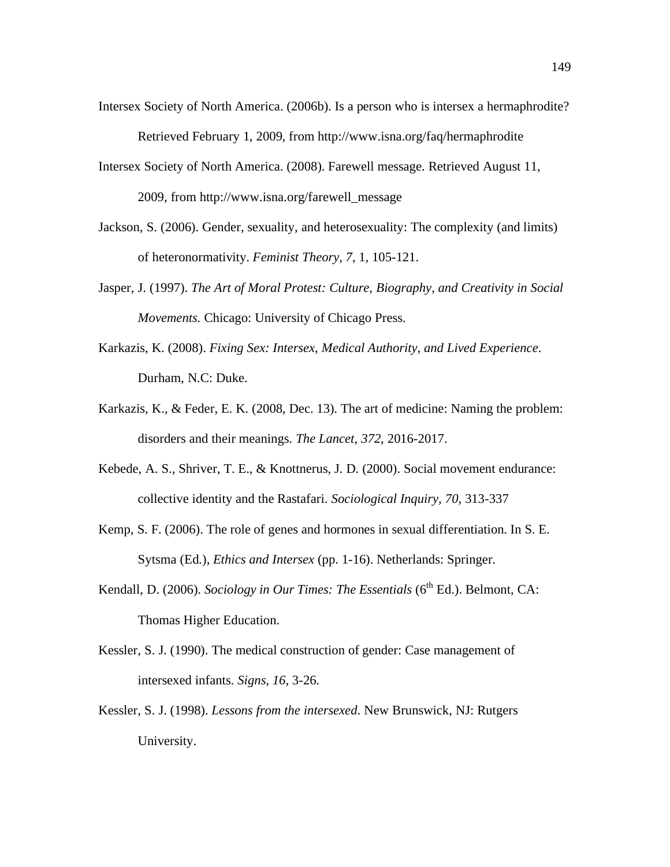- Intersex Society of North America. (2006b). Is a person who is intersex a hermaphrodite? Retrieved February 1, 2009, from http://www.isna.org/faq/hermaphrodite
- Intersex Society of North America. (2008). Farewell message. Retrieved August 11, 2009, from http://www.isna.org/farewell\_message
- Jackson, S. (2006). Gender, sexuality, and heterosexuality: The complexity (and limits) of heteronormativity. *Feminist Theory, 7,* 1, 105-121.
- Jasper, J. (1997). *The Art of Moral Protest: Culture, Biography, and Creativity in Social Movements.* Chicago: University of Chicago Press.
- Karkazis, K. (2008). *Fixing Sex: Intersex, Medical Authority, and Lived Experience*. Durham, N.C: Duke.
- Karkazis, K., & Feder, E. K. (2008, Dec. 13). The art of medicine: Naming the problem: disorders and their meanings. *The Lancet*, *372*, 2016-2017.
- Kebede, A. S., Shriver, T. E., & Knottnerus, J. D. (2000). Social movement endurance: collective identity and the Rastafari. *Sociological Inquiry, 70*, 313-337
- Kemp, S. F. (2006). The role of genes and hormones in sexual differentiation. In S. E. Sytsma (Ed.), *Ethics and Intersex* (pp. 1-16). Netherlands: Springer.
- Kendall, D. (2006). *Sociology in Our Times: The Essentials* (6<sup>th</sup> Ed.). Belmont, CA: Thomas Higher Education.
- Kessler, S. J. (1990). The medical construction of gender: Case management of intersexed infants. *Signs, 16*, 3-26.
- Kessler, S. J. (1998). *Lessons from the intersexed*. New Brunswick, NJ: Rutgers University.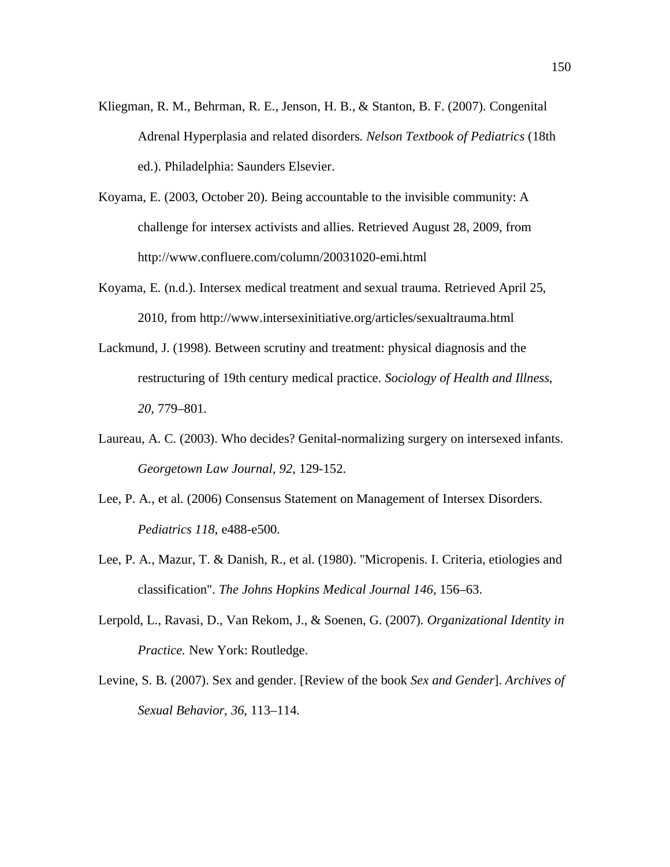- Kliegman, R. M., Behrman, R. E., Jenson, H. B., & Stanton, B. F. (2007). Congenital Adrenal Hyperplasia and related disorders. *Nelson Textbook of Pediatrics* (18th ed.). Philadelphia: Saunders Elsevier.
- Koyama, E. (2003, October 20). Being accountable to the invisible community: A challenge for intersex activists and allies. Retrieved August 28, 2009, from http://www.confluere.com/column/20031020-emi.html
- Koyama, E. (n.d.). Intersex medical treatment and sexual trauma. Retrieved April 25, 2010, from http://www.intersexinitiative.org/articles/sexualtrauma.html
- Lackmund, J. (1998). Between scrutiny and treatment: physical diagnosis and the restructuring of 19th century medical practice. *Sociology of Health and Illness*, *20,* 779–801.
- Laureau, A. C. (2003). Who decides? Genital-normalizing surgery on intersexed infants. *Georgetown Law Journal, 92*, 129-152.
- Lee, P. A., et al. (2006) Consensus Statement on Management of Intersex Disorders. *Pediatrics 118*, e488-e500.
- Lee, P. A., Mazur, T. & Danish, R., et al. (1980). "Micropenis. I. Criteria, etiologies and classification". *The Johns Hopkins Medical Journal 146,* 156–63.
- Lerpold, L., Ravasi, D., Van Rekom, J., & Soenen, G. (2007). *Organizational Identity in Practice.* New York: Routledge.
- Levine, S. B. (2007). Sex and gender. [Review of the book *Sex and Gender*]. *Archives of Sexual Behavior, 36*, 113–114.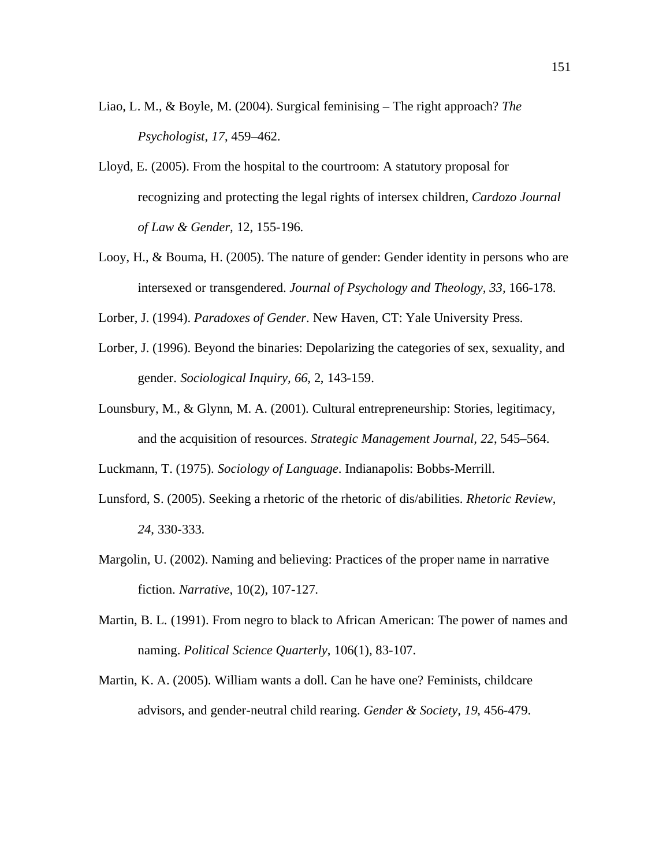- Liao, L. M., & Boyle, M. (2004). Surgical feminising The right approach? *The Psychologist, 17*, 459–462.
- Lloyd, E. (2005). From the hospital to the courtroom: A statutory proposal for recognizing and protecting the legal rights of intersex children, *Cardozo Journal of Law & Gender,* 12, 155-196.
- Looy, H., & Bouma, H. (2005). The nature of gender: Gender identity in persons who are intersexed or transgendered. *Journal of Psychology and Theology, 33,* 166-178.

Lorber, J. (1994). *Paradoxes of Gender*. New Haven, CT: Yale University Press.

- Lorber, J. (1996). Beyond the binaries: Depolarizing the categories of sex, sexuality, and gender. *Sociological Inquiry, 66*, 2, 143-159.
- Lounsbury, M., & Glynn, M. A. (2001). Cultural entrepreneurship: Stories, legitimacy, and the acquisition of resources. *Strategic Management Journal, 22*, 545–564.

Luckmann, T. (1975). *Sociology of Language*. Indianapolis: Bobbs-Merrill.

- Lunsford, S. (2005). Seeking a rhetoric of the rhetoric of dis/abilities. *Rhetoric Review*, *24*, 330-333.
- Margolin, U. (2002). Naming and believing: Practices of the proper name in narrative fiction. *Narrative*, 10(2), 107-127.
- Martin, B. L. (1991). From negro to black to African American: The power of names and naming. *Political Science Quarterly*, 106(1), 83-107.
- Martin, K. A. (2005). William wants a doll. Can he have one? Feminists, childcare advisors, and gender-neutral child rearing. *Gender & Society, 19*, 456-479.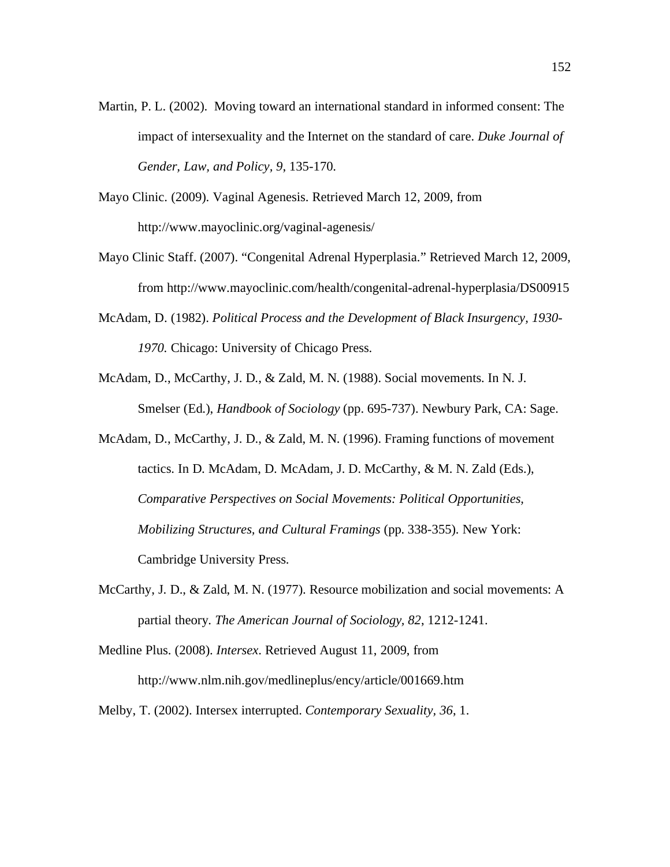- Martin, P. L. (2002). Moving toward an international standard in informed consent: The impact of intersexuality and the Internet on the standard of care. *Duke Journal of Gender, Law, and Policy, 9*, 135-170.
- Mayo Clinic. (2009). Vaginal Agenesis. Retrieved March 12, 2009, from http://www.mayoclinic.org/vaginal-agenesis/
- Mayo Clinic Staff. (2007). "Congenital Adrenal Hyperplasia." Retrieved March 12, 2009, from http://www.mayoclinic.com/health/congenital-adrenal-hyperplasia/DS00915
- McAdam, D. (1982). *Political Process and the Development of Black Insurgency, 1930- 1970.* Chicago: University of Chicago Press.
- McAdam, D., McCarthy, J. D., & Zald, M. N. (1988). Social movements. In N. J. Smelser (Ed.), *Handbook of Sociology* (pp. 695-737). Newbury Park, CA: Sage.
- McAdam, D., McCarthy, J. D., & Zald, M. N. (1996). Framing functions of movement tactics. In D. McAdam, D. McAdam, J. D. McCarthy, & M. N. Zald (Eds.), *Comparative Perspectives on Social Movements: Political Opportunities, Mobilizing Structures, and Cultural Framings* (pp. 338-355). New York: Cambridge University Press.
- McCarthy, J. D., & Zald, M. N. (1977). Resource mobilization and social movements: A partial theory. *The American Journal of Sociology, 82*, 1212-1241.
- Medline Plus. (2008). *Intersex*. Retrieved August 11, 2009, from http://www.nlm.nih.gov/medlineplus/ency/article/001669.htm

Melby, T. (2002). Intersex interrupted. *Contemporary Sexuality, 36*, 1.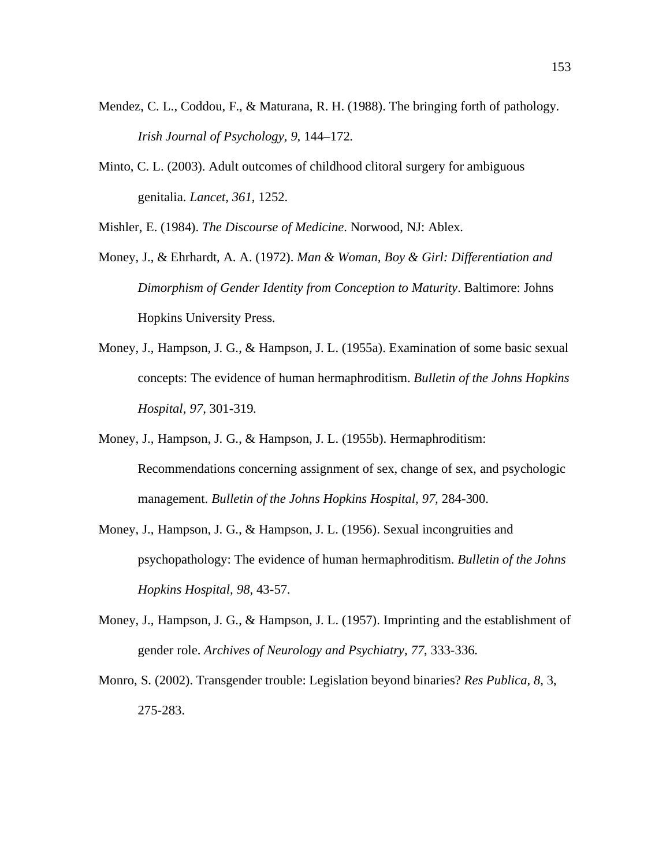- Mendez, C. L., Coddou, F., & Maturana, R. H. (1988). The bringing forth of pathology. *Irish Journal of Psychology, 9,* 144–172.
- Minto, C. L. (2003). Adult outcomes of childhood clitoral surgery for ambiguous genitalia. *Lancet, 361*, 1252.
- Mishler, E. (1984). *The Discourse of Medicine*. Norwood, NJ: Ablex.
- Money, J., & Ehrhardt, A. A. (1972). *Man & Woman, Boy & Girl: Differentiation and Dimorphism of Gender Identity from Conception to Maturity*. Baltimore: Johns Hopkins University Press.
- Money, J., Hampson, J. G., & Hampson, J. L. (1955a). Examination of some basic sexual concepts: The evidence of human hermaphroditism. *Bulletin of the Johns Hopkins Hospital, 97,* 301-319.
- Money, J., Hampson, J. G., & Hampson, J. L. (1955b). Hermaphroditism: Recommendations concerning assignment of sex, change of sex, and psychologic management. *Bulletin of the Johns Hopkins Hospital, 97,* 284-300.
- Money, J., Hampson, J. G., & Hampson, J. L. (1956). Sexual incongruities and psychopathology: The evidence of human hermaphroditism. *Bulletin of the Johns Hopkins Hospital, 98,* 43-57.
- Money, J., Hampson, J. G., & Hampson, J. L. (1957). Imprinting and the establishment of gender role. *Archives of Neurology and Psychiatry, 77*, 333-336.
- Monro, S. (2002). Transgender trouble: Legislation beyond binaries? *Res Publica, 8*, 3, 275-283.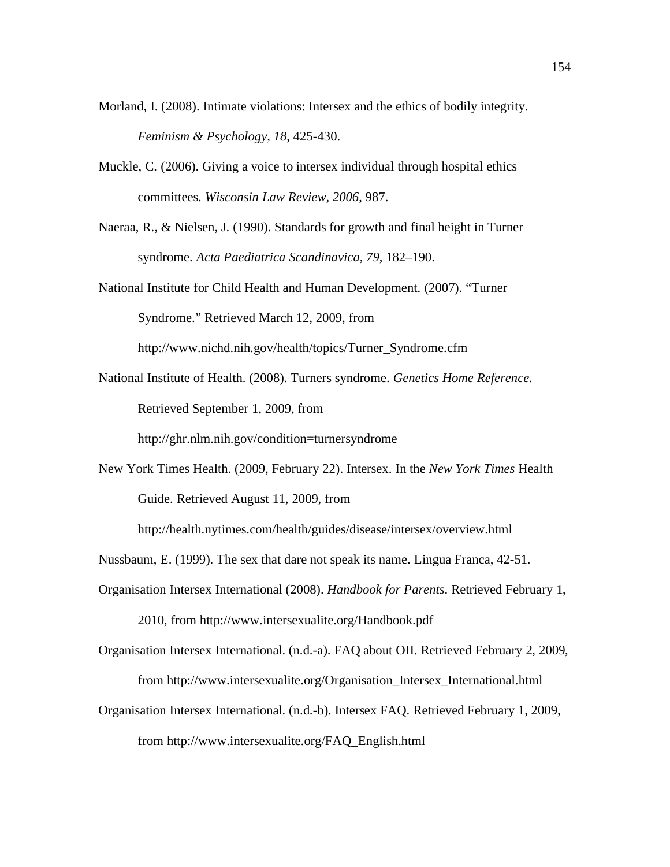- Morland, I. (2008). Intimate violations: Intersex and the ethics of bodily integrity. *Feminism & Psychology, 18*, 425-430.
- Muckle, C. (2006). Giving a voice to intersex individual through hospital ethics committees. *Wisconsin Law Review, 2006*, 987.
- Naeraa, R., & Nielsen, J. (1990). Standards for growth and final height in Turner syndrome. *Acta Paediatrica Scandinavica, 79*, 182–190.
- National Institute for Child Health and Human Development. (2007). "Turner Syndrome." Retrieved March 12, 2009, from

http://www.nichd.nih.gov/health/topics/Turner\_Syndrome.cfm

National Institute of Health. (2008). Turners syndrome. *Genetics Home Reference.* Retrieved September 1, 2009, from

http://ghr.nlm.nih.gov/condition=turnersyndrome

New York Times Health. (2009, February 22). Intersex. In the *New York Times* Health Guide. Retrieved August 11, 2009, from

http://health.nytimes.com/health/guides/disease/intersex/overview.html

- Nussbaum, E. (1999). The sex that dare not speak its name. Lingua Franca, 42-51.
- Organisation Intersex International (2008). *Handbook for Parents*. Retrieved February 1, 2010, from http://www.intersexualite.org/Handbook.pdf
- Organisation Intersex International. (n.d.-a). FAQ about OII. Retrieved February 2, 2009, from http://www.intersexualite.org/Organisation\_Intersex\_International.html
- Organisation Intersex International. (n.d.-b). Intersex FAQ. Retrieved February 1, 2009, from http://www.intersexualite.org/FAQ\_English.html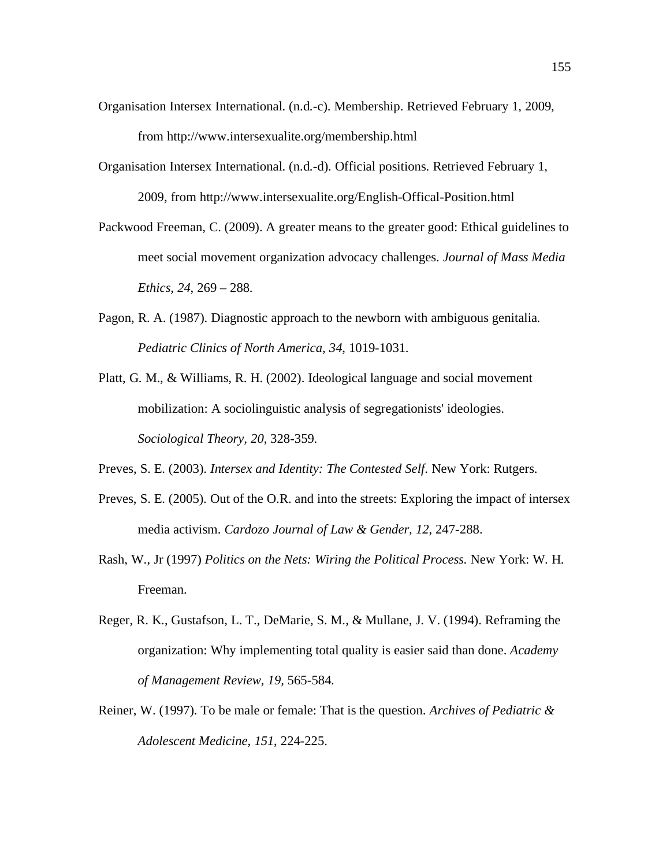- Organisation Intersex International. (n.d.-c). Membership. Retrieved February 1, 2009, from http://www.intersexualite.org/membership.html
- Organisation Intersex International. (n.d.-d). Official positions. Retrieved February 1, 2009, from http://www.intersexualite.org/English-Offical-Position.html
- Packwood Freeman, C. (2009). A greater means to the greater good: Ethical guidelines to meet social movement organization advocacy challenges. *Journal of Mass Media Ethics, 24*, 269 – 288.
- Pagon, R. A. (1987). Diagnostic approach to the newborn with ambiguous genitalia. *Pediatric Clinics of North America, 34*, 1019-1031.
- Platt, G. M., & Williams, R. H. (2002). Ideological language and social movement mobilization: A sociolinguistic analysis of segregationists' ideologies. *Sociological Theory, 20*, 328-359.
- Preves, S. E. (2003). *Intersex and Identity: The Contested Self*. New York: Rutgers.
- Preves, S. E. (2005). Out of the O.R. and into the streets: Exploring the impact of intersex media activism. *Cardozo Journal of Law & Gender, 12*, 247-288.
- Rash, W., Jr (1997) *Politics on the Nets: Wiring the Political Process*. New York: W. H. Freeman.
- Reger, R. K., Gustafson, L. T., DeMarie, S. M., & Mullane, J. V. (1994). Reframing the organization: Why implementing total quality is easier said than done. *Academy of Management Review, 19,* 565-584.
- Reiner, W. (1997). To be male or female: That is the question. *Archives of Pediatric & Adolescent Medicine, 151*, 224-225.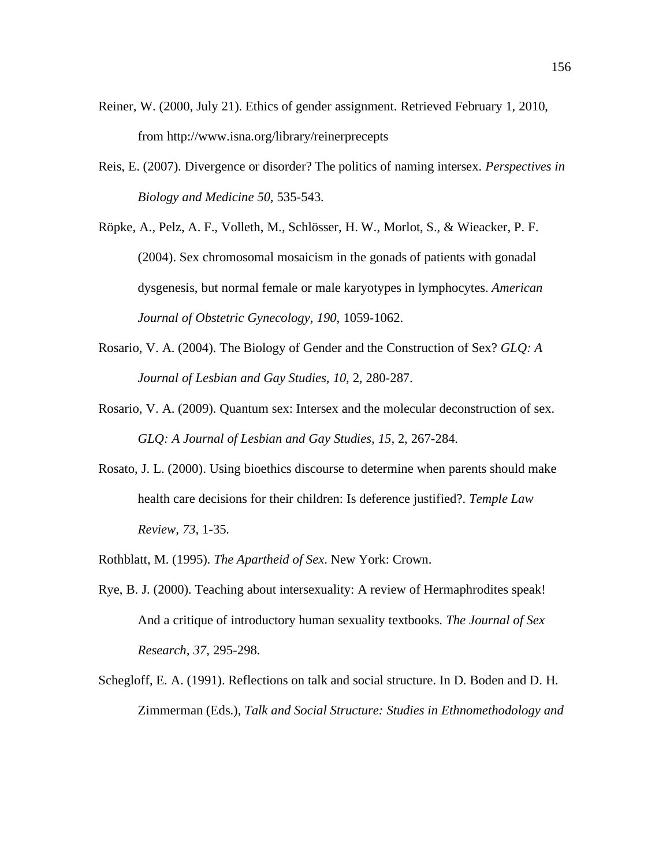- Reiner, W. (2000, July 21). Ethics of gender assignment. Retrieved February 1, 2010, from http://www.isna.org/library/reinerprecepts
- Reis, E. (2007). Divergence or disorder? The politics of naming intersex. *Perspectives in Biology and Medicine 50,* 535-543.
- Röpke, A., Pelz, A. F., Volleth, M., Schlösser, H. W., Morlot, S., & Wieacker, P. F. (2004). Sex chromosomal mosaicism in the gonads of patients with gonadal dysgenesis, but normal female or male karyotypes in lymphocytes. *American Journal of Obstetric Gynecology, 190*, 1059-1062.
- Rosario, V. A. (2004). The Biology of Gender and the Construction of Sex? *GLQ: A Journal of Lesbian and Gay Studies, 10*, 2, 280-287.
- Rosario, V. A. (2009). Quantum sex: Intersex and the molecular deconstruction of sex. *GLQ: A Journal of Lesbian and Gay Studies, 15,* 2, 267-284.
- Rosato, J. L. (2000). Using bioethics discourse to determine when parents should make health care decisions for their children: Is deference justified?. *Temple Law Review, 73,* 1-35.
- Rothblatt, M. (1995). *The Apartheid of Sex*. New York: Crown.
- Rye, B. J. (2000). Teaching about intersexuality: A review of Hermaphrodites speak! And a critique of introductory human sexuality textbooks. *The Journal of Sex Research, 37*, 295-298.
- Schegloff, E. A. (1991). Reflections on talk and social structure. In D. Boden and D. H. Zimmerman (Eds.), *Talk and Social Structure: Studies in Ethnomethodology and*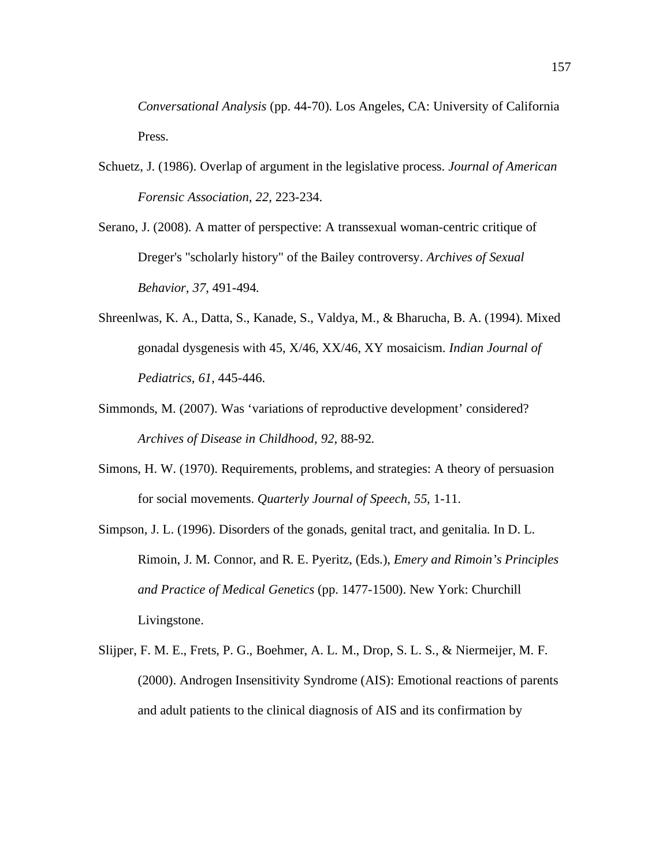*Conversational Analysis* (pp. 44-70). Los Angeles, CA: University of California Press.

- Schuetz, J. (1986). Overlap of argument in the legislative process. *Journal of American Forensic Association, 22,* 223-234.
- Serano, J. (2008). A matter of perspective: A transsexual woman-centric critique of Dreger's "scholarly history" of the Bailey controversy. *Archives of Sexual Behavior, 37*, 491-494.
- Shreenlwas, K. A., Datta, S., Kanade, S., Valdya, M., & Bharucha, B. A. (1994). Mixed gonadal dysgenesis with 45, X/46, XX/46, XY mosaicism. *Indian Journal of Pediatrics, 61*, 445-446.
- Simmonds, M. (2007). Was 'variations of reproductive development' considered? *Archives of Disease in Childhood*, *92*, 88-92.
- Simons, H. W. (1970). Requirements, problems, and strategies: A theory of persuasion for social movements. *Quarterly Journal of Speech, 55,* 1-11.

Simpson, J. L. (1996). Disorders of the gonads, genital tract, and genitalia. In D. L. Rimoin, J. M. Connor, and R. E. Pyeritz, (Eds.), *Emery and Rimoin's Principles and Practice of Medical Genetics* (pp. 1477-1500). New York: Churchill Livingstone.

Slijper, F. M. E., Frets, P. G., Boehmer, A. L. M., Drop, S. L. S., & Niermeijer, M. F. (2000). Androgen Insensitivity Syndrome (AIS): Emotional reactions of parents and adult patients to the clinical diagnosis of AIS and its confirmation by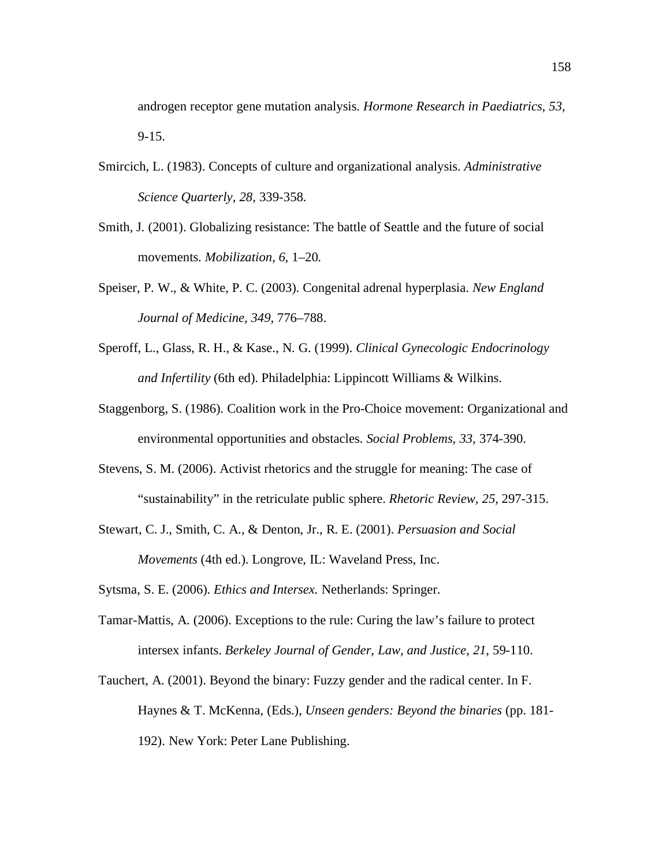androgen receptor gene mutation analysis. *Hormone Research in Paediatrics, 53*, 9-15.

- Smircich, L. (1983). Concepts of culture and organizational analysis. *Administrative Science Quarterly, 28,* 339-358.
- Smith, J. (2001). Globalizing resistance: The battle of Seattle and the future of social movements. *Mobilization, 6,* 1–20.
- Speiser, P. W., & White, P. C. (2003). Congenital adrenal hyperplasia. *New England Journal of Medicine*, *349*, 776–788.
- Speroff, L., Glass, R. H., & Kase., N. G. (1999). *Clinical Gynecologic Endocrinology and Infertility* (6th ed). Philadelphia: Lippincott Williams & Wilkins.
- Staggenborg, S. (1986). Coalition work in the Pro-Choice movement: Organizational and environmental opportunities and obstacles. *Social Problems, 33,* 374-390.
- Stevens, S. M. (2006). Activist rhetorics and the struggle for meaning: The case of "sustainability" in the retriculate public sphere. *Rhetoric Review, 25*, 297-315.
- Stewart, C. J., Smith, C. A., & Denton, Jr., R. E. (2001). *Persuasion and Social Movements* (4th ed.). Longrove, IL: Waveland Press, Inc.

Sytsma, S. E. (2006). *Ethics and Intersex.* Netherlands: Springer.

- Tamar-Mattis, A. (2006). Exceptions to the rule: Curing the law's failure to protect intersex infants. *Berkeley Journal of Gender, Law, and Justice, 21*, 59-110.
- Tauchert, A. (2001). Beyond the binary: Fuzzy gender and the radical center. In F. Haynes & T. McKenna, (Eds.), *Unseen genders: Beyond the binaries* (pp. 181- 192). New York: Peter Lane Publishing.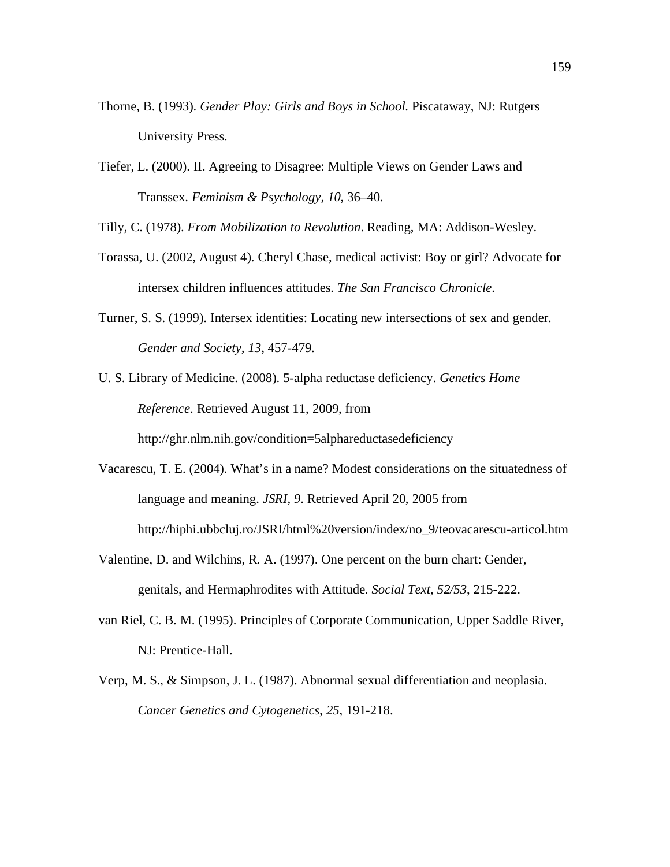- Thorne, B. (1993). *Gender Play: Girls and Boys in School.* Piscataway, NJ: Rutgers University Press.
- Tiefer, L. (2000). II. Agreeing to Disagree: Multiple Views on Gender Laws and Transsex. *Feminism & Psychology, 10*, 36–40.

Tilly, C. (1978). *From Mobilization to Revolution*. Reading, MA: Addison-Wesley.

- Torassa, U. (2002, August 4). Cheryl Chase, medical activist: Boy or girl? Advocate for intersex children influences attitudes. *The San Francisco Chronicle*.
- Turner, S. S. (1999). Intersex identities: Locating new intersections of sex and gender. *Gender and Society, 13*, 457-479.
- U. S. Library of Medicine. (2008). 5-alpha reductase deficiency. *Genetics Home Reference*. Retrieved August 11, 2009, from

http://ghr.nlm.nih.gov/condition=5alphareductasedeficiency

- Vacarescu, T. E. (2004). What's in a name? Modest considerations on the situatedness of language and meaning. *JSRI, 9*. Retrieved April 20, 2005 from http://hiphi.ubbcluj.ro/JSRI/html%20version/index/no\_9/teovacarescu-articol.htm
- Valentine, D. and Wilchins, R. A. (1997). One percent on the burn chart: Gender, genitals, and Hermaphrodites with Attitude. *Social Text, 52/53*, 215-222.
- van Riel, C. B. M. (1995). Principles of Corporate Communication, Upper Saddle River, NJ: Prentice-Hall.
- Verp, M. S., & Simpson, J. L. (1987). Abnormal sexual differentiation and neoplasia. *Cancer Genetics and Cytogenetics, 25*, 191-218.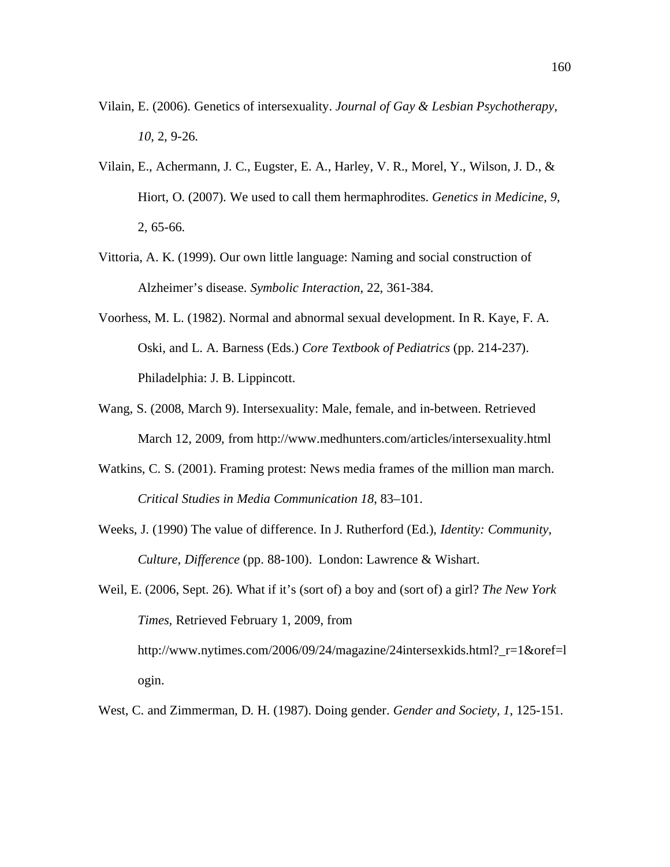- Vilain, E. (2006). Genetics of intersexuality. *Journal of Gay & Lesbian Psychotherapy*, *10*, 2, 9-26.
- Vilain, E., Achermann, J. C., Eugster, E. A., Harley, V. R., Morel, Y., Wilson, J. D., & Hiort, O. (2007). We used to call them hermaphrodites. *Genetics in Medicine, 9,* 2, 65-66.
- Vittoria, A. K. (1999). Our own little language: Naming and social construction of Alzheimer's disease. *Symbolic Interaction*, 22, 361-384.
- Voorhess, M. L. (1982). Normal and abnormal sexual development. In R. Kaye, F. A. Oski, and L. A. Barness (Eds.) *Core Textbook of Pediatrics* (pp. 214-237). Philadelphia: J. B. Lippincott.
- Wang, S. (2008, March 9). Intersexuality: Male, female, and in-between. Retrieved March 12, 2009, from http://www.medhunters.com/articles/intersexuality.html
- Watkins, C. S. (2001). Framing protest: News media frames of the million man march. *Critical Studies in Media Communication 18*, 83–101.
- Weeks, J. (1990) The value of difference. In J. Rutherford (Ed.), *Identity: Community, Culture, Difference* (pp. 88-100). London: Lawrence & Wishart.
- Weil, E. (2006, Sept. 26). What if it's (sort of) a boy and (sort of) a girl? *The New York Times,* Retrieved February 1, 2009, from http://www.nytimes.com/2006/09/24/magazine/24intersexkids.html?\_r=1&oref=l ogin.
- West, C. and Zimmerman, D. H. (1987). Doing gender. *Gender and Society, 1*, 125-151.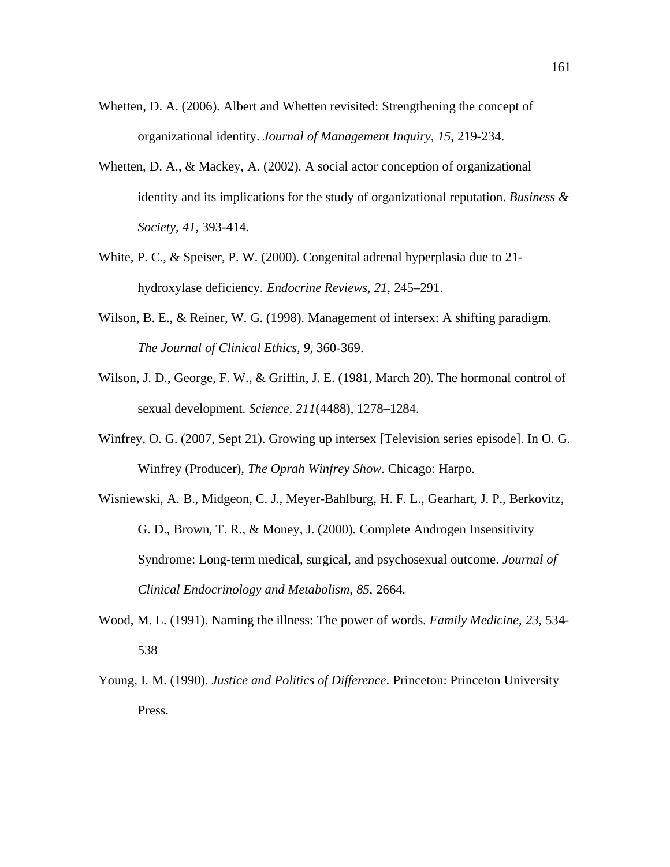- Whetten, D. A. (2006). Albert and Whetten revisited: Strengthening the concept of organizational identity. *Journal of Management Inquiry, 15,* 219-234.
- Whetten, D. A., & Mackey, A. (2002). A social actor conception of organizational identity and its implications for the study of organizational reputation. *Business & Society, 41,* 393-414.
- White, P. C., & Speiser, P. W. (2000). Congenital adrenal hyperplasia due to 21 hydroxylase deficiency. *Endocrine Reviews, 21*, 245–291.
- Wilson, B. E., & Reiner, W. G. (1998). Management of intersex: A shifting paradigm. *The Journal of Clinical Ethics, 9,* 360-369.
- Wilson, J. D., George, F. W., & Griffin, J. E. (1981, March 20). The hormonal control of sexual development. *Science, 211*(4488), 1278–1284.
- Winfrey, O. G. (2007, Sept 21). Growing up intersex [Television series episode]. In O. G. Winfrey (Producer), *The Oprah Winfrey Show*. Chicago: Harpo.
- Wisniewski, A. B., Midgeon, C. J., Meyer-Bahlburg, H. F. L., Gearhart, J. P., Berkovitz, G. D., Brown, T. R., & Money, J. (2000). Complete Androgen Insensitivity Syndrome: Long-term medical, surgical, and psychosexual outcome. *Journal of Clinical Endocrinology and Metabolism, 85*, 2664.
- Wood, M. L. (1991). Naming the illness: The power of words. *Family Medicine*, *23*, 534- 538
- Young, I. M. (1990). *Justice and Politics of Difference*. Princeton: Princeton University Press.